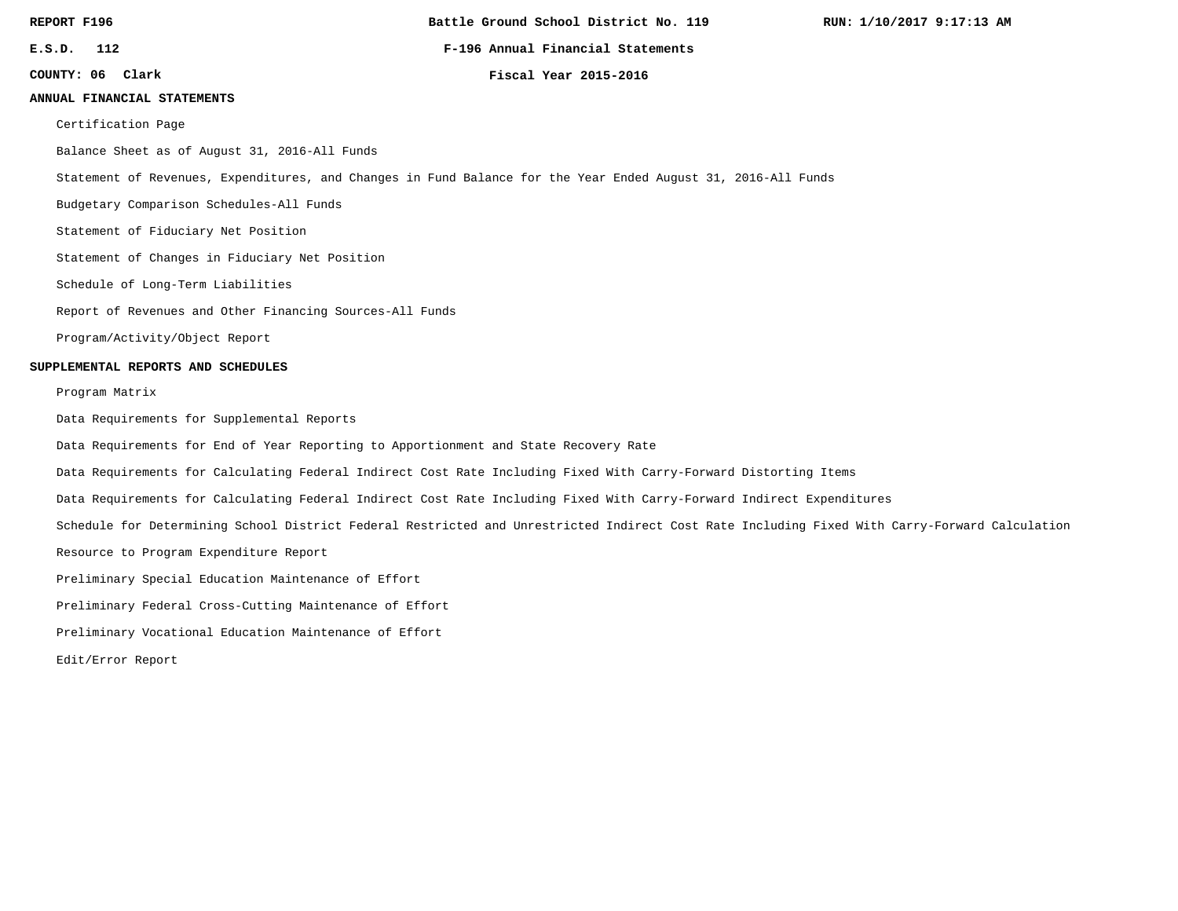**Battle Ground School District No. 119**

**RUN: 1/10/2017 9:17:13 AM**

**E.S.D. 112 F-196 Annual Financial Statements**

**COUNTY: 06**

**Clark Fiscal Year 2015-2016**

## **ANNUAL FINANCIAL STATEMENTS**

Certification Page

Balance Sheet as of August 31, 2016-All Funds

Statement of Revenues, Expenditures, and Changes in Fund Balance for the Year Ended August 31, 2016-All Funds

Budgetary Comparison Schedules-All Funds

Statement of Fiduciary Net Position

Statement of Changes in Fiduciary Net Position

Schedule of Long-Term Liabilities

Report of Revenues and Other Financing Sources-All Funds

Program/Activity/Object Report

### **SUPPLEMENTAL REPORTS AND SCHEDULES**

Program Matrix

Data Requirements for Supplemental Reports

Data Requirements for End of Year Reporting to Apportionment and State Recovery Rate

Data Requirements for Calculating Federal Indirect Cost Rate Including Fixed With Carry-Forward Distorting Items

Data Requirements for Calculating Federal Indirect Cost Rate Including Fixed With Carry-Forward Indirect Expenditures

Schedule for Determining School District Federal Restricted and Unrestricted Indirect Cost Rate Including Fixed With Carry-Forward Calculation

Resource to Program Expenditure Report

Preliminary Special Education Maintenance of Effort

Preliminary Federal Cross-Cutting Maintenance of Effort

Preliminary Vocational Education Maintenance of Effort

Edit/Error Report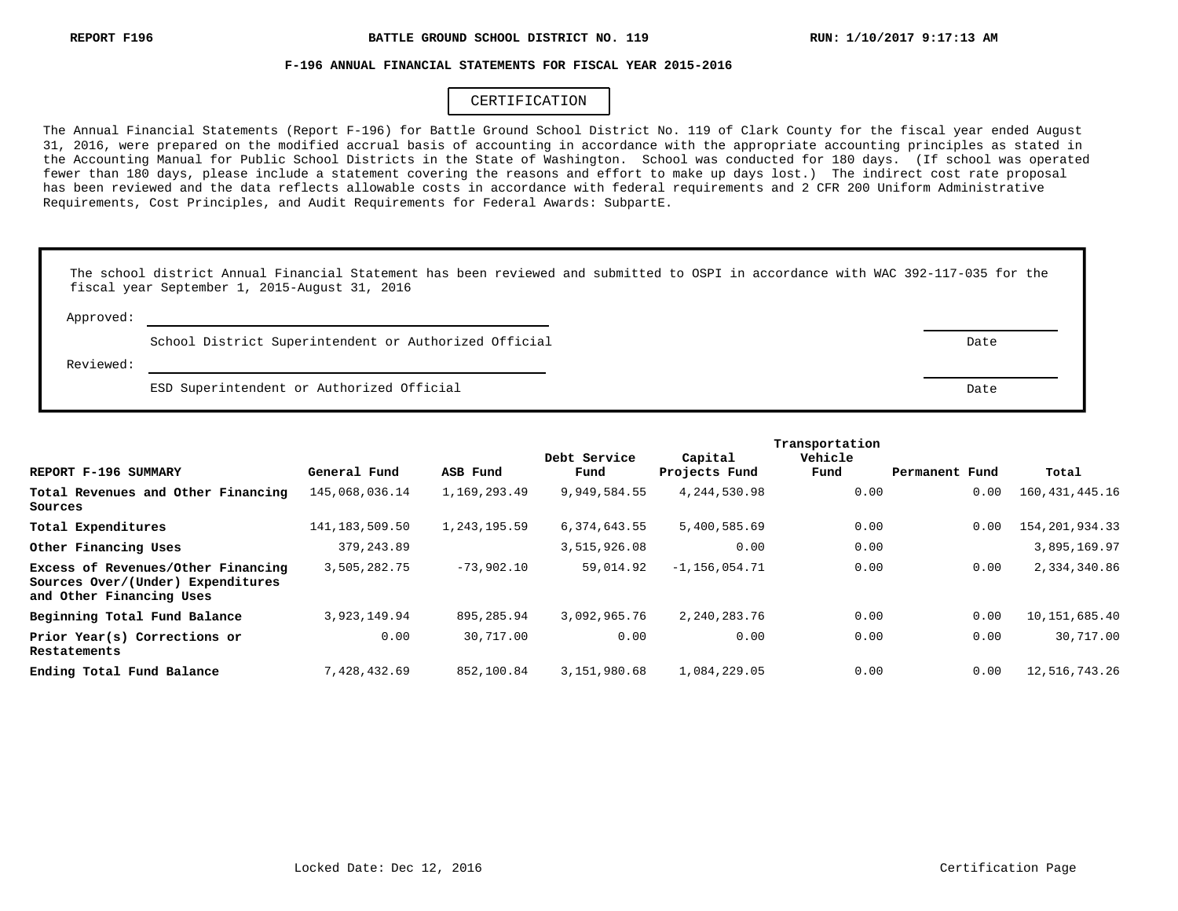## **F-196 ANNUAL FINANCIAL STATEMENTS FOR FISCAL YEAR 2015-2016**

# CERTIFICATION

The Annual Financial Statements (Report F-196) for Battle Ground School District No. 119 of Clark County for the fiscal year ended August 31, 2016, were prepared on the modified accrual basis of accounting in accordance with the appropriate accounting principles as stated in the Accounting Manual for Public School Districts in the State of Washington. School was conducted for 180 days. (If school was operated fewer than 180 days, please include a statement covering the reasons and effort to make up days lost.) The indirect cost rate proposal has been reviewed and the data reflects allowable costs in accordance with federal requirements and 2 CFR 200 Uniform Administrative Requirements, Cost Principles, and Audit Requirements for Federal Awards: SubpartE.

|           | The school district Annual Financial Statement has been reviewed and submitted to OSPI in accordance with WAC 392-117-035 for the<br>fiscal year September 1, 2015-August 31, 2016 |      |
|-----------|------------------------------------------------------------------------------------------------------------------------------------------------------------------------------------|------|
| Approved: |                                                                                                                                                                                    |      |
|           | School District Superintendent or Authorized Official                                                                                                                              | Date |
| Reviewed: |                                                                                                                                                                                    |      |
|           | ESD Superintendent or Authorized Official                                                                                                                                          | Date |

|                                                                                                     |                  |              | Debt Service | Capital           | Vehicle |                |                   |
|-----------------------------------------------------------------------------------------------------|------------------|--------------|--------------|-------------------|---------|----------------|-------------------|
| REPORT F-196 SUMMARY                                                                                | General Fund     | ASB Fund     | Fund         | Projects Fund     | Fund    | Permanent Fund | Total             |
| Total Revenues and Other Financing<br>Sources                                                       | 145,068,036.14   | 1,169,293.49 | 9,949,584.55 | 4,244,530.98      | 0.00    | 0.00           | 160,431,445.16    |
| Total Expenditures                                                                                  | 141, 183, 509.50 | 1,243,195.59 | 6,374,643.55 | 5,400,585.69      | 0.00    | 0.00           | 154, 201, 934. 33 |
| Other Financing Uses                                                                                | 379, 243.89      |              | 3,515,926.08 | 0.00              | 0.00    |                | 3,895,169.97      |
| Excess of Revenues/Other Financing<br>Sources Over/(Under) Expenditures<br>and Other Financing Uses | 3,505,282.75     | $-73,902,10$ | 59,014.92    | $-1, 156, 054.71$ | 0.00    | 0.00           | 2,334,340.86      |
| Beginning Total Fund Balance                                                                        | 3, 923, 149.94   | 895,285.94   | 3,092,965.76 | 2,240,283.76      | 0.00    | 0.00           | 10,151,685.40     |
| Prior Year(s) Corrections or<br>Restatements                                                        | 0.00             | 30,717.00    | 0.00         | 0.00              | 0.00    | 0.00           | 30,717.00         |
| Ending Total Fund Balance                                                                           | 7,428,432.69     | 852,100.84   | 3,151,980.68 | 1,084,229.05      | 0.00    | 0.00           | 12,516,743.26     |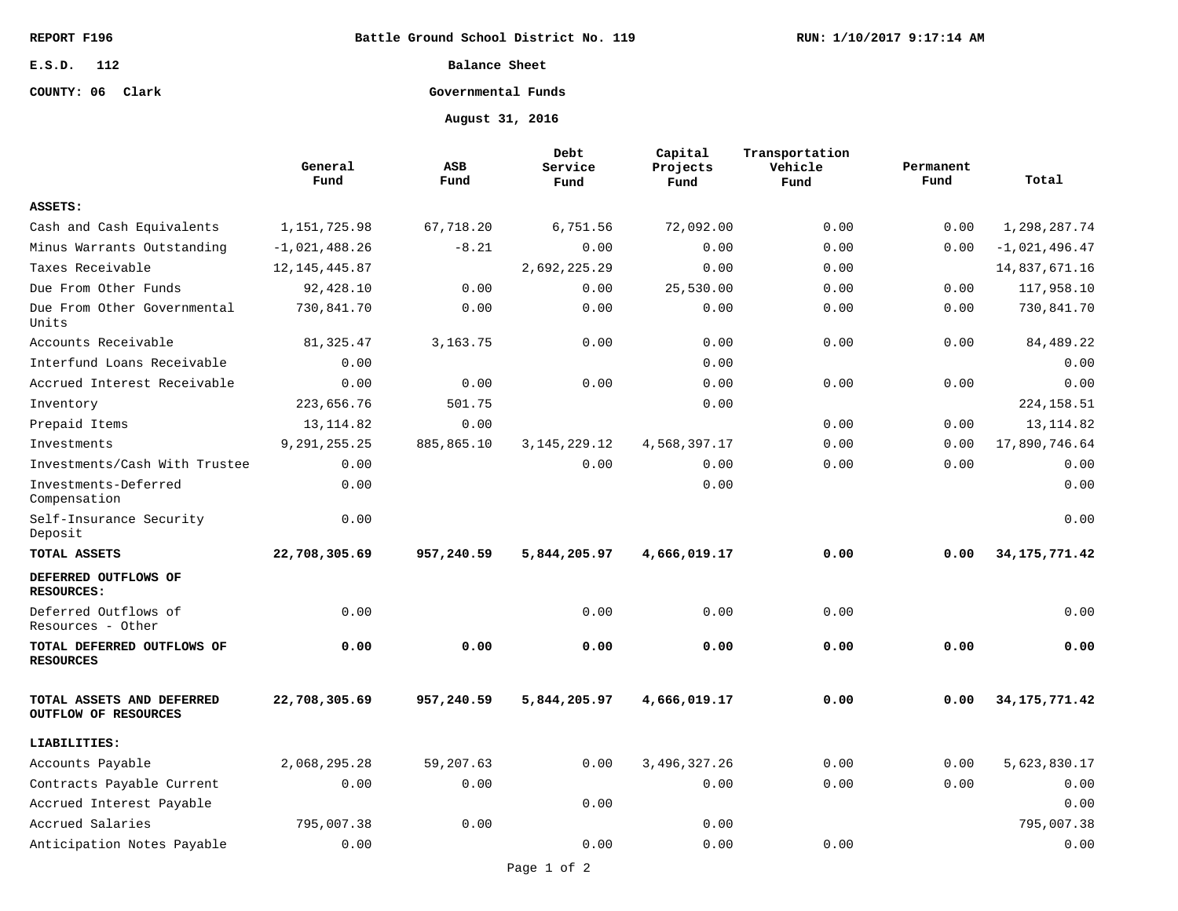**Battle Ground School District No. 119**

**E.S.D. 112**

# **COUNTY: 06 Clark**

**Balance Sheet**

# **Governmental Funds**

**August 31, 2016**

|                                                   | General<br>Fund | <b>ASB</b><br>Fund | Debt<br>Service<br>Fund | Capital<br>Projects<br>Fund | Transportation<br>Vehicle<br>Fund | Permanent<br>Fund | Total           |
|---------------------------------------------------|-----------------|--------------------|-------------------------|-----------------------------|-----------------------------------|-------------------|-----------------|
| ASSETS:                                           |                 |                    |                         |                             |                                   |                   |                 |
| Cash and Cash Equivalents                         | 1,151,725.98    | 67,718.20          | 6,751.56                | 72,092.00                   | 0.00                              | 0.00              | 1,298,287.74    |
| Minus Warrants Outstanding                        | $-1,021,488.26$ | $-8.21$            | 0.00                    | 0.00                        | 0.00                              | 0.00              | $-1,021,496.47$ |
| Taxes Receivable                                  | 12, 145, 445.87 |                    | 2,692,225.29            | 0.00                        | 0.00                              |                   | 14,837,671.16   |
| Due From Other Funds                              | 92,428.10       | 0.00               | 0.00                    | 25,530.00                   | 0.00                              | 0.00              | 117,958.10      |
| Due From Other Governmental<br>Units              | 730,841.70      | 0.00               | 0.00                    | 0.00                        | 0.00                              | 0.00              | 730,841.70      |
| Accounts Receivable                               | 81, 325.47      | 3, 163. 75         | 0.00                    | 0.00                        | 0.00                              | 0.00              | 84,489.22       |
| Interfund Loans Receivable                        | 0.00            |                    |                         | 0.00                        |                                   |                   | 0.00            |
| Accrued Interest Receivable                       | 0.00            | 0.00               | 0.00                    | 0.00                        | 0.00                              | 0.00              | 0.00            |
| Inventory                                         | 223,656.76      | 501.75             |                         | 0.00                        |                                   |                   | 224, 158.51     |
| Prepaid Items                                     | 13, 114.82      | 0.00               |                         |                             | 0.00                              | 0.00              | 13, 114.82      |
| Investments                                       | 9, 291, 255. 25 | 885,865.10         | 3, 145, 229. 12         | 4,568,397.17                | 0.00                              | 0.00              | 17,890,746.64   |
| Investments/Cash With Trustee                     | 0.00            |                    | 0.00                    | 0.00                        | 0.00                              | 0.00              | 0.00            |
| Investments-Deferred<br>Compensation              | 0.00            |                    |                         | 0.00                        |                                   |                   | 0.00            |
| Self-Insurance Security<br>Deposit                | 0.00            |                    |                         |                             |                                   |                   | 0.00            |
| TOTAL ASSETS                                      | 22,708,305.69   | 957,240.59         | 5,844,205.97            | 4,666,019.17                | 0.00                              | 0.00              | 34, 175, 771.42 |
| DEFERRED OUTFLOWS OF<br><b>RESOURCES:</b>         |                 |                    |                         |                             |                                   |                   |                 |
| Deferred Outflows of<br>Resources - Other         | 0.00            |                    | 0.00                    | 0.00                        | 0.00                              |                   | 0.00            |
| TOTAL DEFERRED OUTFLOWS OF<br><b>RESOURCES</b>    | 0.00            | 0.00               | 0.00                    | 0.00                        | 0.00                              | 0.00              | 0.00            |
| TOTAL ASSETS AND DEFERRED<br>OUTFLOW OF RESOURCES | 22,708,305.69   | 957,240.59         | 5,844,205.97            | 4,666,019.17                | 0.00                              | 0.00              | 34, 175, 771.42 |
| LIABILITIES:                                      |                 |                    |                         |                             |                                   |                   |                 |
| Accounts Payable                                  | 2,068,295.28    | 59,207.63          | 0.00                    | 3,496,327.26                | 0.00                              | 0.00              | 5,623,830.17    |
| Contracts Payable Current                         | 0.00            | 0.00               |                         | 0.00                        | 0.00                              | 0.00              | 0.00            |
| Accrued Interest Payable                          |                 |                    | 0.00                    |                             |                                   |                   | 0.00            |
| Accrued Salaries                                  | 795,007.38      | 0.00               |                         | 0.00                        |                                   |                   | 795,007.38      |
| Anticipation Notes Payable                        | 0.00            |                    | 0.00                    | 0.00                        | 0.00                              |                   | 0.00            |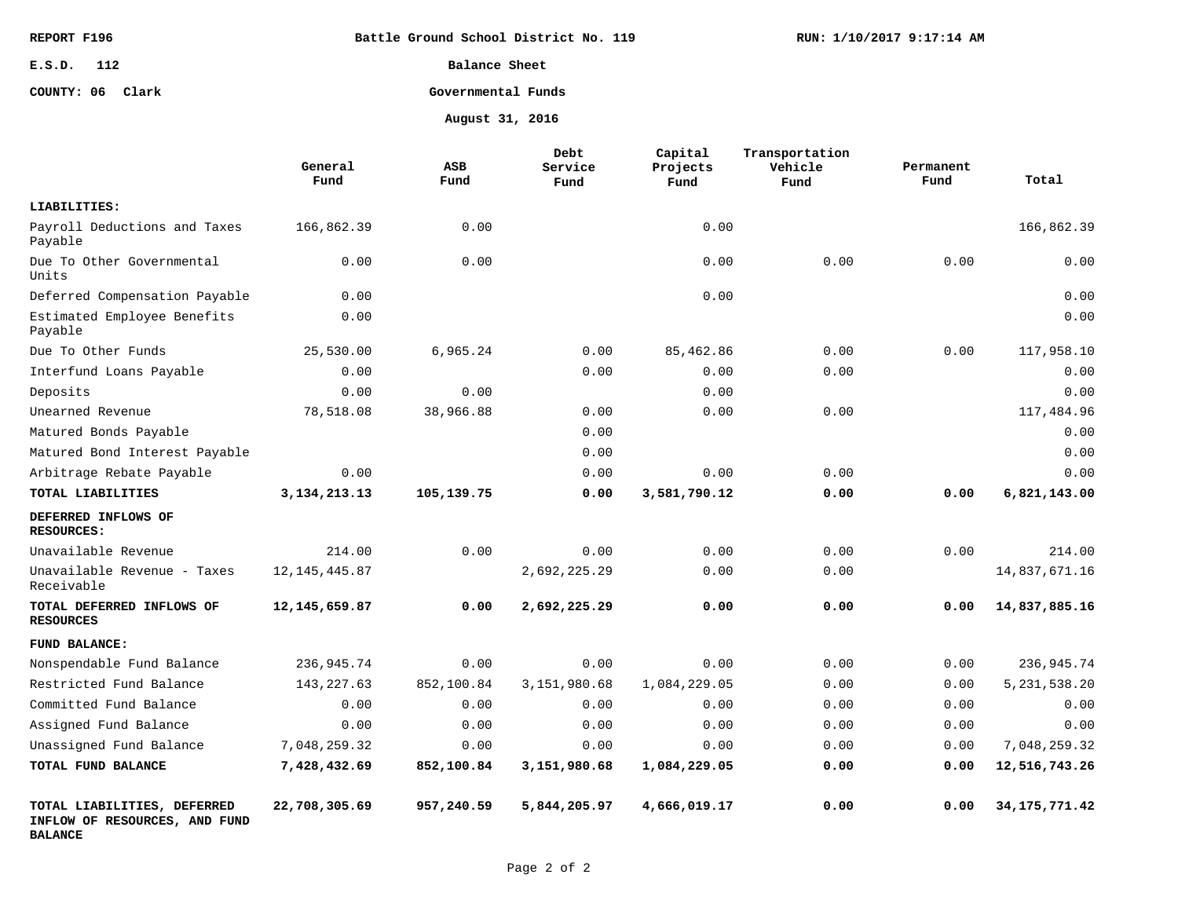| REPORT F196   | Battle Ground School District No. 119 |
|---------------|---------------------------------------|
| 112<br>E.S.D. | Balance Sheet                         |

#### **Governmental Funds COUNTY: 06 Clark**

**August 31, 2016**

**RUN: 1/10/2017 9:17:14 AM**

|                                                                                | General<br>Fund | ASB<br>Fund | Debt<br>Service<br>Fund | Capital<br>Projects<br>Fund | Transportation<br>Vehicle<br>Fund | Permanent<br>Fund | Total           |
|--------------------------------------------------------------------------------|-----------------|-------------|-------------------------|-----------------------------|-----------------------------------|-------------------|-----------------|
| LIABILITIES:                                                                   |                 |             |                         |                             |                                   |                   |                 |
| Payroll Deductions and Taxes<br>Payable                                        | 166,862.39      | 0.00        |                         | 0.00                        |                                   |                   | 166,862.39      |
| Due To Other Governmental<br>Units                                             | 0.00            | 0.00        |                         | 0.00                        | 0.00                              | 0.00              | 0.00            |
| Deferred Compensation Payable                                                  | 0.00            |             |                         | 0.00                        |                                   |                   | 0.00            |
| Estimated Employee Benefits<br>Payable                                         | 0.00            |             |                         |                             |                                   |                   | 0.00            |
| Due To Other Funds                                                             | 25,530.00       | 6,965.24    | 0.00                    | 85,462.86                   | 0.00                              | 0.00              | 117,958.10      |
| Interfund Loans Payable                                                        | 0.00            |             | 0.00                    | 0.00                        | 0.00                              |                   | 0.00            |
| Deposits                                                                       | 0.00            | 0.00        |                         | 0.00                        |                                   |                   | 0.00            |
| Unearned Revenue                                                               | 78,518.08       | 38,966.88   | 0.00                    | 0.00                        | 0.00                              |                   | 117,484.96      |
| Matured Bonds Payable                                                          |                 |             | 0.00                    |                             |                                   |                   | 0.00            |
| Matured Bond Interest Payable                                                  |                 |             | 0.00                    |                             |                                   |                   | 0.00            |
| Arbitrage Rebate Payable                                                       | 0.00            |             | 0.00                    | 0.00                        | 0.00                              |                   | 0.00            |
| TOTAL LIABILITIES                                                              | 3, 134, 213. 13 | 105,139.75  | 0.00                    | 3,581,790.12                | 0.00                              | 0.00              | 6,821,143.00    |
| DEFERRED INFLOWS OF<br><b>RESOURCES:</b>                                       |                 |             |                         |                             |                                   |                   |                 |
| Unavailable Revenue                                                            | 214.00          | 0.00        | 0.00                    | 0.00                        | 0.00                              | 0.00              | 214.00          |
| Unavailable Revenue - Taxes<br>Receivable                                      | 12, 145, 445.87 |             | 2,692,225.29            | 0.00                        | 0.00                              |                   | 14,837,671.16   |
| TOTAL DEFERRED INFLOWS OF<br><b>RESOURCES</b>                                  | 12, 145, 659.87 | 0.00        | 2,692,225.29            | 0.00                        | 0.00                              | 0.00              | 14,837,885.16   |
| FUND BALANCE:                                                                  |                 |             |                         |                             |                                   |                   |                 |
| Nonspendable Fund Balance                                                      | 236,945.74      | 0.00        | 0.00                    | 0.00                        | 0.00                              | 0.00              | 236,945.74      |
| Restricted Fund Balance                                                        | 143, 227.63     | 852,100.84  | 3,151,980.68            | 1,084,229.05                | 0.00                              | 0.00              | 5, 231, 538. 20 |
| Committed Fund Balance                                                         | 0.00            | 0.00        | 0.00                    | 0.00                        | 0.00                              | 0.00              | 0.00            |
| Assigned Fund Balance                                                          | 0.00            | 0.00        | 0.00                    | 0.00                        | 0.00                              | 0.00              | 0.00            |
| Unassigned Fund Balance                                                        | 7,048,259.32    | 0.00        | 0.00                    | 0.00                        | 0.00                              | 0.00              | 7,048,259.32    |
| TOTAL FUND BALANCE                                                             | 7,428,432.69    | 852,100.84  | 3,151,980.68            | 1,084,229.05                | 0.00                              | 0.00              | 12,516,743.26   |
| TOTAL LIABILITIES, DEFERRED<br>INFLOW OF RESOURCES, AND FUND<br><b>BALANCE</b> | 22,708,305.69   | 957,240.59  | 5,844,205.97            | 4,666,019.17                | 0.00                              | 0.00              | 34, 175, 771.42 |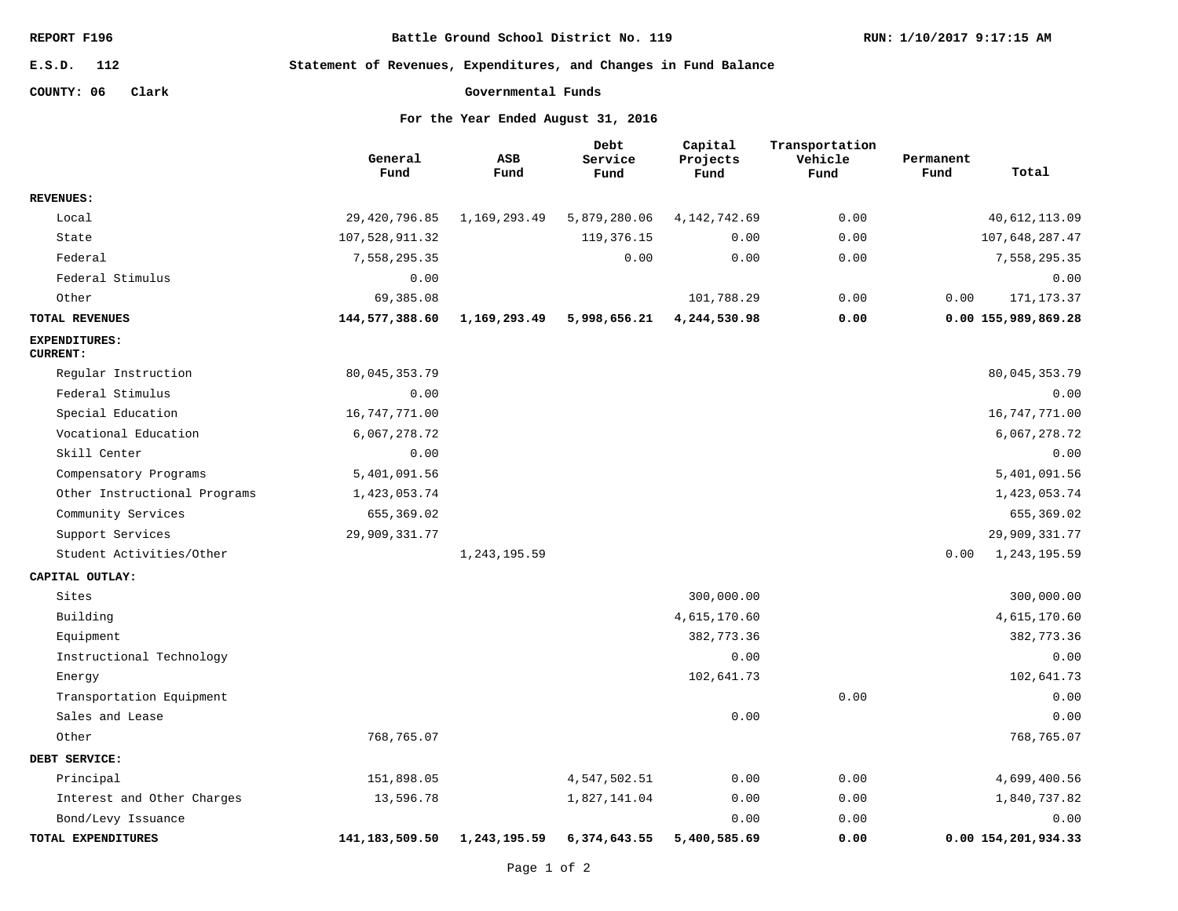**Battle Ground School District No. 119**

**RUN: 1/10/2017 9:17:15 AM**

**112 E.S.D.**

**Statement of Revenues, Expenditures, and Changes in Fund Balance**

**COUNTY: 06 Clark**

```
Governmental Funds
```

|                                         | General<br>Fund   | ASB<br>Fund    | Debt<br>Service<br>Fund | Capital<br>Projects<br>Fund | Transportation<br>Vehicle<br>Fund | Permanent<br>Fund | Total               |
|-----------------------------------------|-------------------|----------------|-------------------------|-----------------------------|-----------------------------------|-------------------|---------------------|
| <b>REVENUES:</b>                        |                   |                |                         |                             |                                   |                   |                     |
| Local                                   | 29,420,796.85     | 1,169,293.49   | 5,879,280.06            | 4, 142, 742.69              | 0.00                              |                   | 40, 612, 113.09     |
| State                                   | 107,528,911.32    |                | 119,376.15              | 0.00                        | 0.00                              |                   | 107,648,287.47      |
| Federal                                 | 7,558,295.35      |                | 0.00                    | 0.00                        | 0.00                              |                   | 7,558,295.35        |
| Federal Stimulus                        | 0.00              |                |                         |                             |                                   |                   | 0.00                |
| Other                                   | 69,385.08         |                |                         | 101,788.29                  | 0.00                              | 0.00              | 171, 173.37         |
| TOTAL REVENUES                          | 144,577,388.60    | 1,169,293.49   | 5,998,656.21            | 4,244,530.98                | 0.00                              |                   | 0.00 155,989,869.28 |
| <b>EXPENDITURES:</b><br><b>CURRENT:</b> |                   |                |                         |                             |                                   |                   |                     |
| Regular Instruction                     | 80,045,353.79     |                |                         |                             |                                   |                   | 80,045,353.79       |
| Federal Stimulus                        | 0.00              |                |                         |                             |                                   |                   | 0.00                |
| Special Education                       | 16, 747, 771.00   |                |                         |                             |                                   |                   | 16,747,771.00       |
| Vocational Education                    | 6,067,278.72      |                |                         |                             |                                   |                   | 6,067,278.72        |
| Skill Center                            | 0.00              |                |                         |                             |                                   |                   | 0.00                |
| Compensatory Programs                   | 5,401,091.56      |                |                         |                             |                                   |                   | 5,401,091.56        |
| Other Instructional Programs            | 1,423,053.74      |                |                         |                             |                                   |                   | 1,423,053.74        |
| Community Services                      | 655, 369.02       |                |                         |                             |                                   |                   | 655, 369.02         |
| Support Services                        | 29,909,331.77     |                |                         |                             |                                   |                   | 29,909,331.77       |
| Student Activities/Other                |                   | 1, 243, 195.59 |                         |                             |                                   | 0.00              | 1,243,195.59        |
| CAPITAL OUTLAY:                         |                   |                |                         |                             |                                   |                   |                     |
| Sites                                   |                   |                |                         | 300,000.00                  |                                   |                   | 300,000.00          |
| Building                                |                   |                |                         | 4,615,170.60                |                                   |                   | 4,615,170.60        |
| Equipment                               |                   |                |                         | 382,773.36                  |                                   |                   | 382,773.36          |
| Instructional Technology                |                   |                |                         | 0.00                        |                                   |                   | 0.00                |
| Energy                                  |                   |                |                         | 102,641.73                  |                                   |                   | 102,641.73          |
| Transportation Equipment                |                   |                |                         |                             | 0.00                              |                   | 0.00                |
| Sales and Lease                         |                   |                |                         | 0.00                        |                                   |                   | 0.00                |
| Other                                   | 768,765.07        |                |                         |                             |                                   |                   | 768,765.07          |
| DEBT SERVICE:                           |                   |                |                         |                             |                                   |                   |                     |
| Principal                               | 151,898.05        |                | 4,547,502.51            | 0.00                        | 0.00                              |                   | 4,699,400.56        |
| Interest and Other Charges              | 13,596.78         |                | 1,827,141.04            | 0.00                        | 0.00                              |                   | 1,840,737.82        |
| Bond/Levy Issuance                      |                   |                |                         | 0.00                        | 0.00                              |                   | 0.00                |
| TOTAL EXPENDITURES                      | 141, 183, 509. 50 | 1,243,195.59   | 6,374,643.55            | 5,400,585.69                | 0.00                              |                   | 0.00 154,201,934.33 |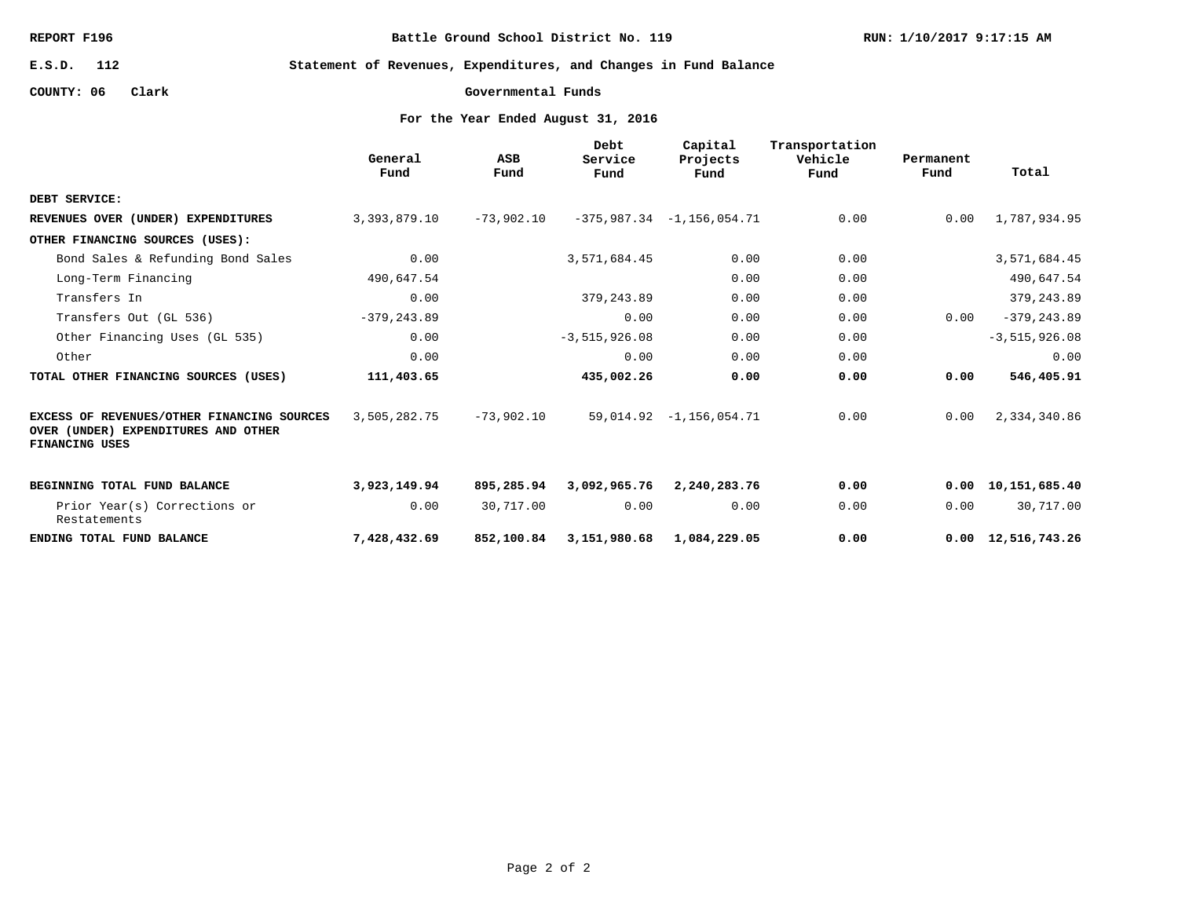**Battle Ground School District No. 119**

**RUN: 1/10/2017 9:17:15 AM**

**112 E.S.D.**

**Statement of Revenues, Expenditures, and Changes in Fund Balance**

**COUNTY: 06 Clark**

**Governmental Funds**

|                                                                                                     | General<br>Fund | ASB<br>Fund  | Debt<br>Service<br>Fund | Capital<br>Projects<br>Fund | Transportation<br>Vehicle<br>Fund | Permanent<br>Fund | Total                      |
|-----------------------------------------------------------------------------------------------------|-----------------|--------------|-------------------------|-----------------------------|-----------------------------------|-------------------|----------------------------|
| DEBT SERVICE:                                                                                       |                 |              |                         |                             |                                   |                   |                            |
| REVENUES OVER (UNDER) EXPENDITURES                                                                  | 3,393,879.10    | $-73,902.10$ |                         | $-375,987.34 -1,156,054.71$ | 0.00                              | 0.00              | 1,787,934.95               |
| OTHER FINANCING SOURCES (USES):                                                                     |                 |              |                         |                             |                                   |                   |                            |
| Bond Sales & Refunding Bond Sales                                                                   | 0.00            |              | 3,571,684.45            | 0.00                        | 0.00                              |                   | 3,571,684.45               |
| Long-Term Financing                                                                                 | 490,647.54      |              |                         | 0.00                        | 0.00                              |                   | 490,647.54                 |
| Transfers In                                                                                        | 0.00            |              | 379, 243.89             | 0.00                        | 0.00                              |                   | 379, 243.89                |
| Transfers Out (GL 536)                                                                              | $-379, 243.89$  |              | 0.00                    | 0.00                        | 0.00                              | 0.00              | $-379, 243.89$             |
| Other Financing Uses (GL 535)                                                                       | 0.00            |              | $-3, 515, 926.08$       | 0.00                        | 0.00                              |                   | $-3, 515, 926.08$          |
| Other                                                                                               | 0.00            |              | 0.00                    | 0.00                        | 0.00                              |                   | 0.00                       |
| TOTAL OTHER FINANCING SOURCES (USES)                                                                | 111,403.65      |              | 435,002.26              | 0.00                        | 0.00                              | 0.00              | 546,405.91                 |
| EXCESS OF REVENUES/OTHER FINANCING SOURCES<br>OVER (UNDER) EXPENDITURES AND OTHER<br>FINANCING USES | 3,505,282.75    | $-73,902.10$ |                         | $59,014.92 -1,156,054.71$   | 0.00                              | 0.00              | 2,334,340.86               |
| BEGINNING TOTAL FUND BALANCE                                                                        | 3,923,149.94    | 895,285.94   | 3,092,965.76            | 2,240,283.76                | 0.00                              |                   | 0.00 10, 151, 685.40       |
| Prior Year(s) Corrections or<br>Restatements                                                        | 0.00            | 30,717.00    | 0.00                    | 0.00                        | 0.00                              | 0.00              | 30,717.00                  |
| ENDING TOTAL FUND BALANCE                                                                           | 7,428,432.69    | 852,100.84   | 3,151,980.68            | 1,084,229.05                | 0.00                              |                   | $0.00 \quad 12,516,743.26$ |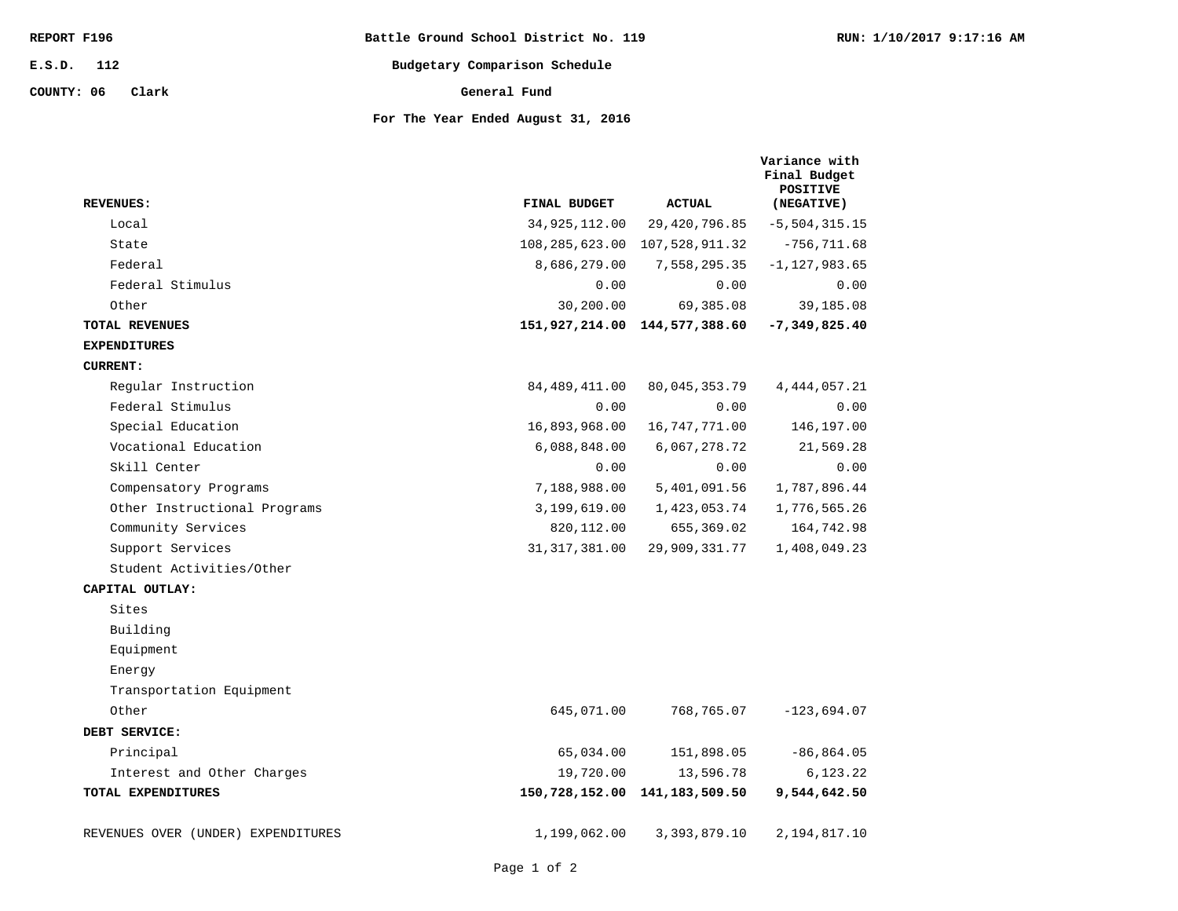| REPORT F196         | Battle Ground School District No. 119 | RUN: 1/10/2017 9:17:16 AM |
|---------------------|---------------------------------------|---------------------------|
| 112<br>E.S.D.       | Budgetary Comparison Schedule         |                           |
| COUNTY: 06<br>Clark | General Fund                          |                           |
|                     | For The Year Ended August 31, 2016    |                           |

| uusuu s    |               |  |
|------------|---------------|--|
|            |               |  |
| : 31, 2016 |               |  |
|            | Variance with |  |

| <b>REVENUES:</b>                   | FINAL BUDGET    | <b>ACTUAL</b>                     | Final Budget<br><b>POSITIVE</b><br>(NEGATIVE) |
|------------------------------------|-----------------|-----------------------------------|-----------------------------------------------|
| Local                              | 34,925,112.00   | 29, 420, 796.85                   | $-5, 504, 315.15$                             |
| State                              |                 | 108, 285, 623.00 107, 528, 911.32 | $-756, 711.68$                                |
| Federal                            | 8,686,279.00    | 7,558,295.35                      | $-1,127,983.65$                               |
| Federal Stimulus                   | 0.00            | 0.00                              | 0.00                                          |
| Other                              | 30,200.00       | 69,385.08                         | 39,185.08                                     |
| <b>TOTAL REVENUES</b>              |                 | 151,927,214.00 144,577,388.60     | $-7,349,825.40$                               |
| <b>EXPENDITURES</b>                |                 |                                   |                                               |
| <b>CURRENT:</b>                    |                 |                                   |                                               |
| Regular Instruction                | 84, 489, 411.00 | 80,045,353.79                     | 4, 444, 057.21                                |
| Federal Stimulus                   | 0.00            | 0.00                              | 0.00                                          |
| Special Education                  | 16,893,968.00   | 16, 747, 771.00                   | 146,197.00                                    |
| Vocational Education               | 6,088,848.00    | 6,067,278.72                      | 21,569.28                                     |
| Skill Center                       | 0.00            | 0.00                              | 0.00                                          |
| Compensatory Programs              | 7,188,988.00    | 5,401,091.56                      | 1,787,896.44                                  |
| Other Instructional Programs       | 3,199,619.00    | 1,423,053.74                      | 1,776,565.26                                  |
| Community Services                 | 820, 112.00     | 655,369.02                        | 164,742.98                                    |
| Support Services                   | 31, 317, 381.00 | 29,909,331.77                     | 1,408,049.23                                  |
| Student Activities/Other           |                 |                                   |                                               |
| CAPITAL OUTLAY:                    |                 |                                   |                                               |
| Sites                              |                 |                                   |                                               |
| Building                           |                 |                                   |                                               |
| Equipment                          |                 |                                   |                                               |
| Energy                             |                 |                                   |                                               |
| Transportation Equipment           |                 |                                   |                                               |
| Other                              | 645,071.00      | 768,765.07                        | $-123,694.07$                                 |
| DEBT SERVICE:                      |                 |                                   |                                               |
| Principal                          | 65,034.00       | 151,898.05                        | $-86, 864.05$                                 |
| Interest and Other Charges         | 19,720.00       | 13,596.78                         | 6,123.22                                      |
| TOTAL EXPENDITURES                 |                 | 150,728,152.00 141,183,509.50     | 9,544,642.50                                  |
| REVENUES OVER (UNDER) EXPENDITURES | 1,199,062.00    | 3, 393, 879.10                    | 2,194,817.10                                  |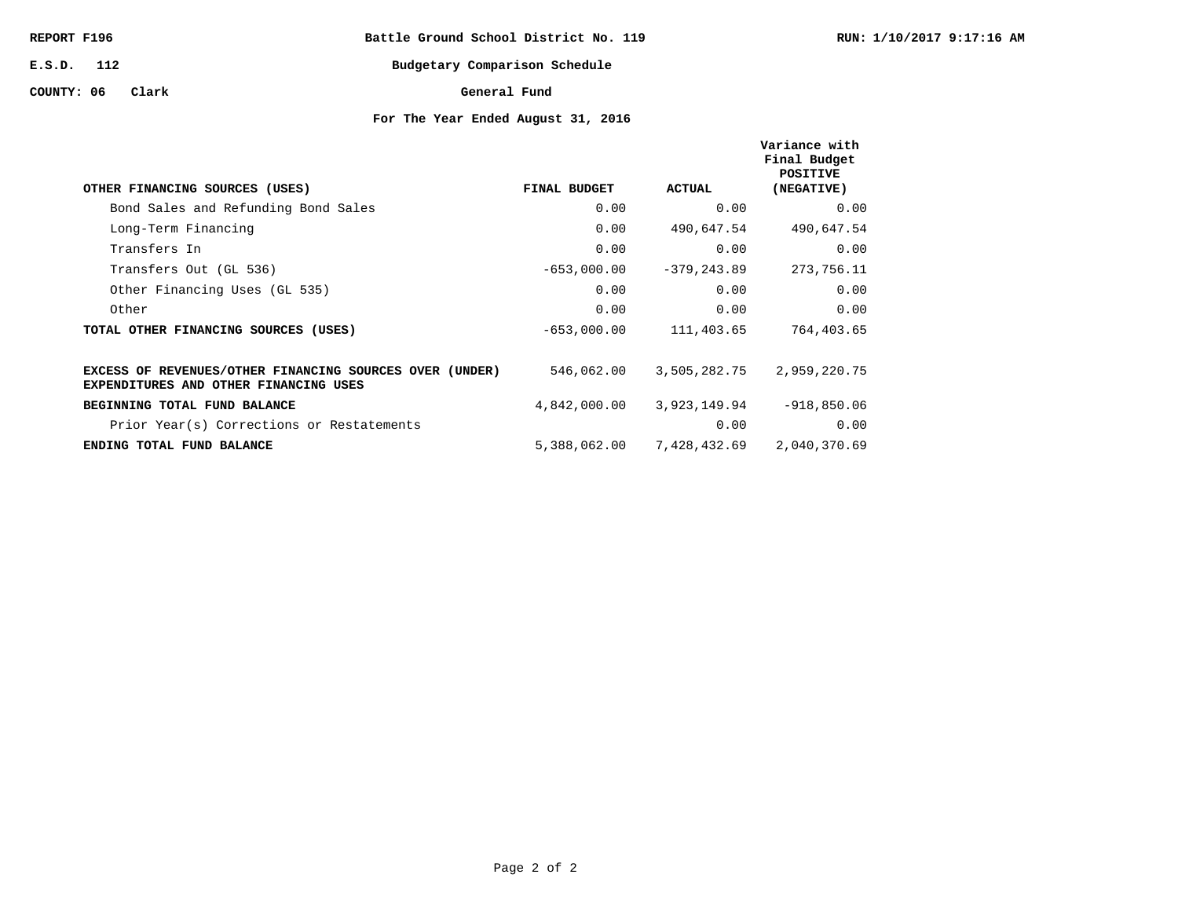| REPORT F196  |       | Battle Ground School District No. 119 |              |                               |  |
|--------------|-------|---------------------------------------|--------------|-------------------------------|--|
| $E.S.D.$ 112 |       |                                       |              | Budgetary Comparison Schedule |  |
| COUNTY: 06   | Clark |                                       | General Fund |                               |  |

| OTHER FINANCING SOURCES (USES)                                                                   | FINAL BUDGET  | ACTUAL         | Variance with<br>Final Budget<br>POSITIVE<br>(NEGATIVE) |
|--------------------------------------------------------------------------------------------------|---------------|----------------|---------------------------------------------------------|
| Bond Sales and Refunding Bond Sales                                                              | 0.00          | 0.00           | 0.00                                                    |
| Long-Term Financing                                                                              | 0.00          | 490,647.54     | 490,647.54                                              |
| Transfers In                                                                                     | 0.00          | 0.00           | 0.00                                                    |
| Transfers Out (GL 536)                                                                           | $-653,000.00$ | $-379, 243.89$ | 273,756.11                                              |
| Other Financing Uses (GL 535)                                                                    | 0.00          | 0.00           | 0.00                                                    |
| Other                                                                                            | 0.00          | 0.00           | 0.00                                                    |
| TOTAL OTHER FINANCING SOURCES (USES)                                                             | $-653,000.00$ | 111,403.65     | 764,403.65                                              |
| EXCESS OF REVENUES/OTHER FINANCING SOURCES OVER (UNDER)<br>EXPENDITURES AND OTHER FINANCING USES | 546,062.00    | 3,505,282.75   | 2,959,220.75                                            |
| BEGINNING TOTAL FUND BALANCE                                                                     | 4,842,000.00  | 3,923,149.94   | $-918,850.06$                                           |
| Prior Year(s) Corrections or Restatements                                                        |               | 0.00           | 0.00                                                    |
| ENDING TOTAL FUND BALANCE                                                                        | 5,388,062.00  | 7,428,432.69   | 2,040,370.69                                            |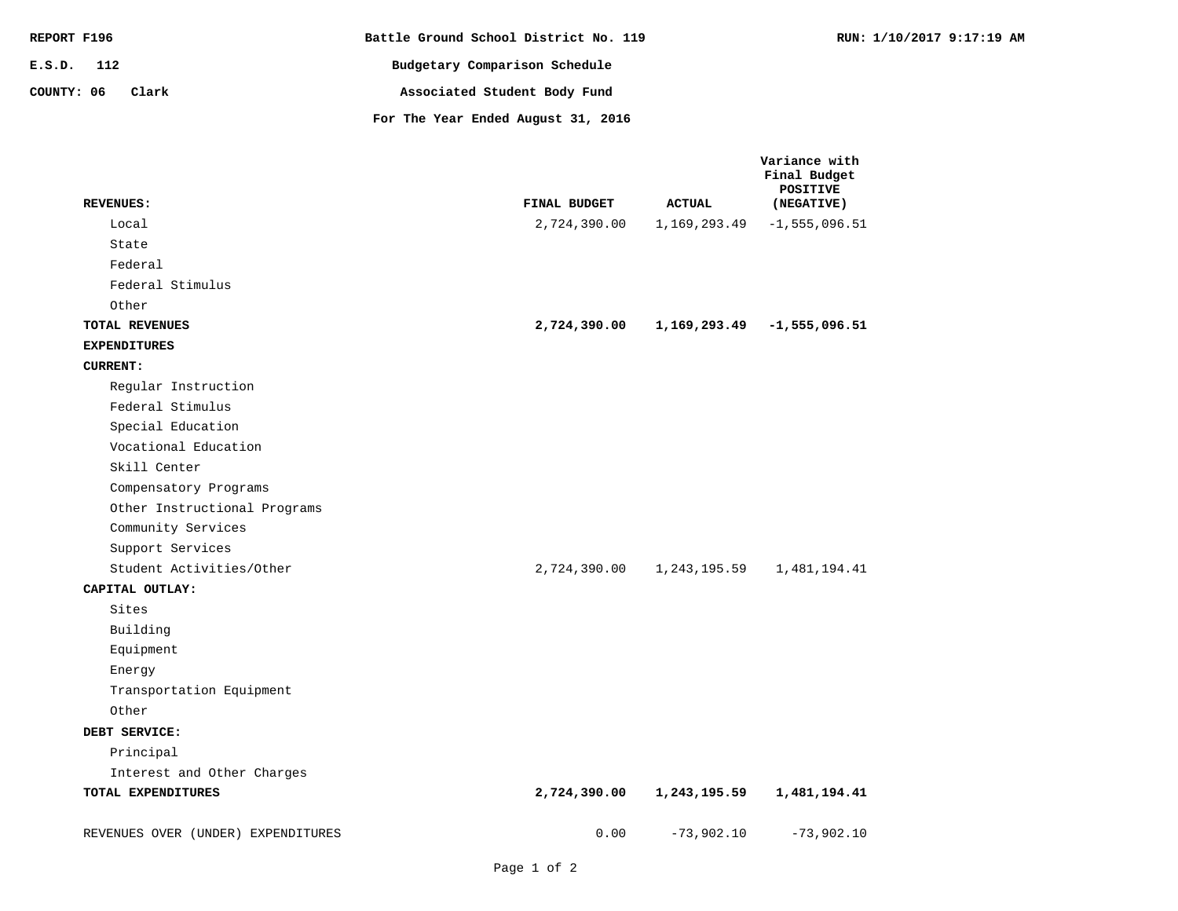| REPORT F196         | Battle Ground School District No. 119 | RUN: 1/10/2017 9:17:19 AM |
|---------------------|---------------------------------------|---------------------------|
| E.S.D. 112          | Budgetary Comparison Schedule         |                           |
| COUNTY: 06<br>Clark | Associated Student Body Fund          |                           |
|                     | For The Year Ended August 31, 2016    |                           |

| <b>REVENUES:</b>                   | FINAL BUDGET | <b>ACTUAL</b> | Variance with<br>Final Budget<br><b>POSITIVE</b><br>(NEGATIVE) |
|------------------------------------|--------------|---------------|----------------------------------------------------------------|
| Local                              | 2,724,390.00 | 1,169,293.49  | $-1, 555, 096.51$                                              |
| State                              |              |               |                                                                |
| Federal                            |              |               |                                                                |
| Federal Stimulus                   |              |               |                                                                |
| Other                              |              |               |                                                                |
| TOTAL REVENUES                     | 2,724,390.00 |               | $1,169,293.49$ -1,555,096.51                                   |
| <b>EXPENDITURES</b>                |              |               |                                                                |
| <b>CURRENT:</b>                    |              |               |                                                                |
| Regular Instruction                |              |               |                                                                |
| Federal Stimulus                   |              |               |                                                                |
| Special Education                  |              |               |                                                                |
| Vocational Education               |              |               |                                                                |
| Skill Center                       |              |               |                                                                |
| Compensatory Programs              |              |               |                                                                |
| Other Instructional Programs       |              |               |                                                                |
| Community Services                 |              |               |                                                                |
| Support Services                   |              |               |                                                                |
| Student Activities/Other           | 2,724,390.00 | 1,243,195.59  | 1,481,194.41                                                   |
| CAPITAL OUTLAY:                    |              |               |                                                                |
| Sites                              |              |               |                                                                |
| Building                           |              |               |                                                                |
| Equipment                          |              |               |                                                                |
| Energy                             |              |               |                                                                |
| Transportation Equipment           |              |               |                                                                |
| Other                              |              |               |                                                                |
| DEBT SERVICE:                      |              |               |                                                                |
| Principal                          |              |               |                                                                |
| Interest and Other Charges         |              |               |                                                                |
| TOTAL EXPENDITURES                 | 2,724,390.00 | 1,243,195.59  | 1,481,194.41                                                   |
| REVENUES OVER (UNDER) EXPENDITURES | 0.00         | $-73,902.10$  | $-73,902.10$                                                   |
|                                    |              |               |                                                                |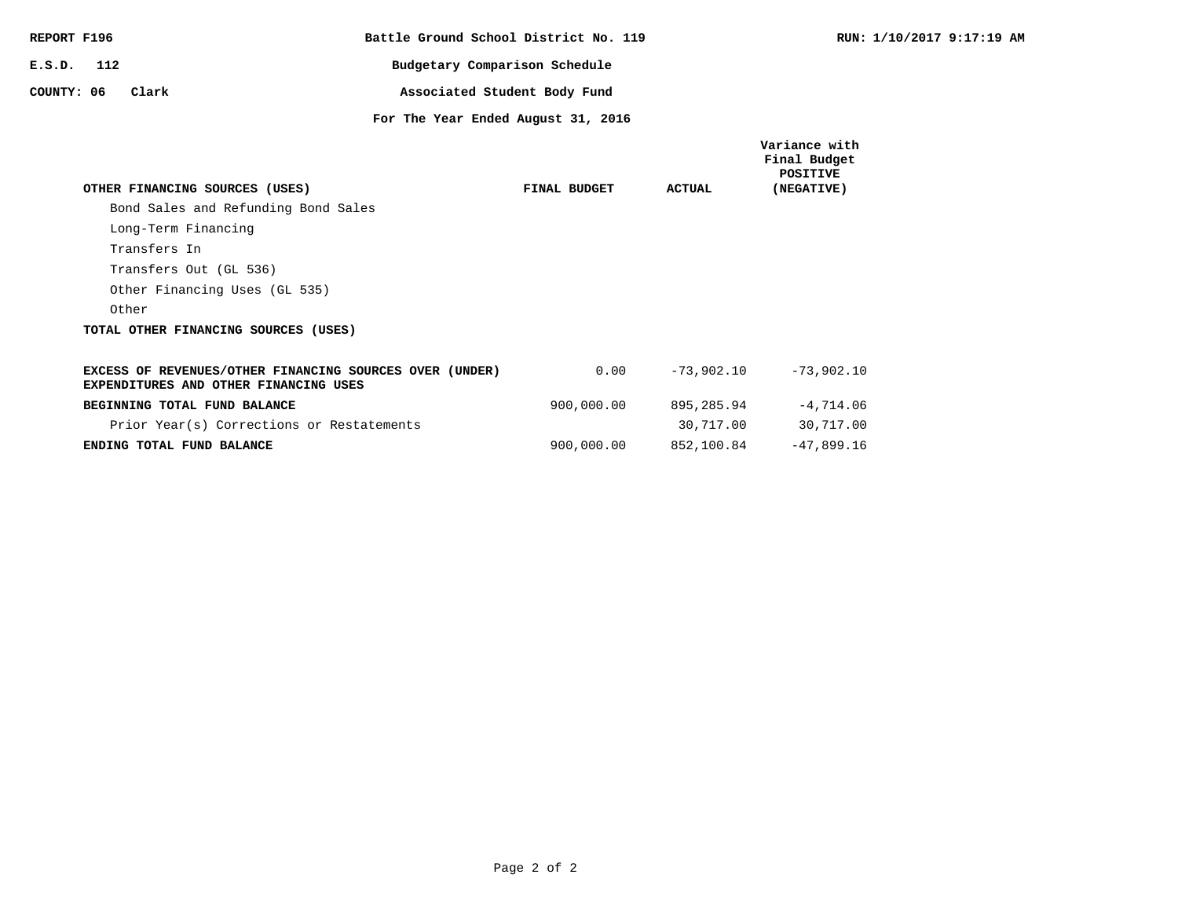| REPORT F196                                                                                      | Battle Ground School District No. 119 |               | RUN: 1                                    |
|--------------------------------------------------------------------------------------------------|---------------------------------------|---------------|-------------------------------------------|
| 112<br>E.S.D.                                                                                    | Budgetary Comparison Schedule         |               |                                           |
| COUNTY: 06<br>Clark                                                                              | Associated Student Body Fund          |               |                                           |
|                                                                                                  | For The Year Ended August 31, 2016    |               |                                           |
|                                                                                                  |                                       |               | Variance with<br>Final Budget<br>POSITIVE |
| OTHER FINANCING SOURCES (USES)                                                                   | FINAL BUDGET                          | <b>ACTUAL</b> | (NEGATIVE)                                |
| Bond Sales and Refunding Bond Sales                                                              |                                       |               |                                           |
| Long-Term Financing                                                                              |                                       |               |                                           |
| Transfers In                                                                                     |                                       |               |                                           |
| Transfers Out (GL 536)                                                                           |                                       |               |                                           |
| Other Financing Uses (GL 535)                                                                    |                                       |               |                                           |
| Other                                                                                            |                                       |               |                                           |
| TOTAL OTHER FINANCING SOURCES (USES)                                                             |                                       |               |                                           |
| EXCESS OF REVENUES/OTHER FINANCING SOURCES OVER (UNDER)<br>EXPENDITURES AND OTHER FINANCING USES | 0.00                                  | $-73,902,10$  | $-73,902.10$                              |
| BEGINNING TOTAL FUND BALANCE                                                                     | 900,000.00                            | 895,285.94    | $-4,714.06$                               |
| Prior Year(s) Corrections or Restatements                                                        |                                       | 30,717.00     | 30,717.00                                 |
| ENDING TOTAL FUND BALANCE                                                                        | 900,000.00                            | 852,100.84    | $-47,899.16$                              |

**RUN: 1/10/2017 9:17:19 AM**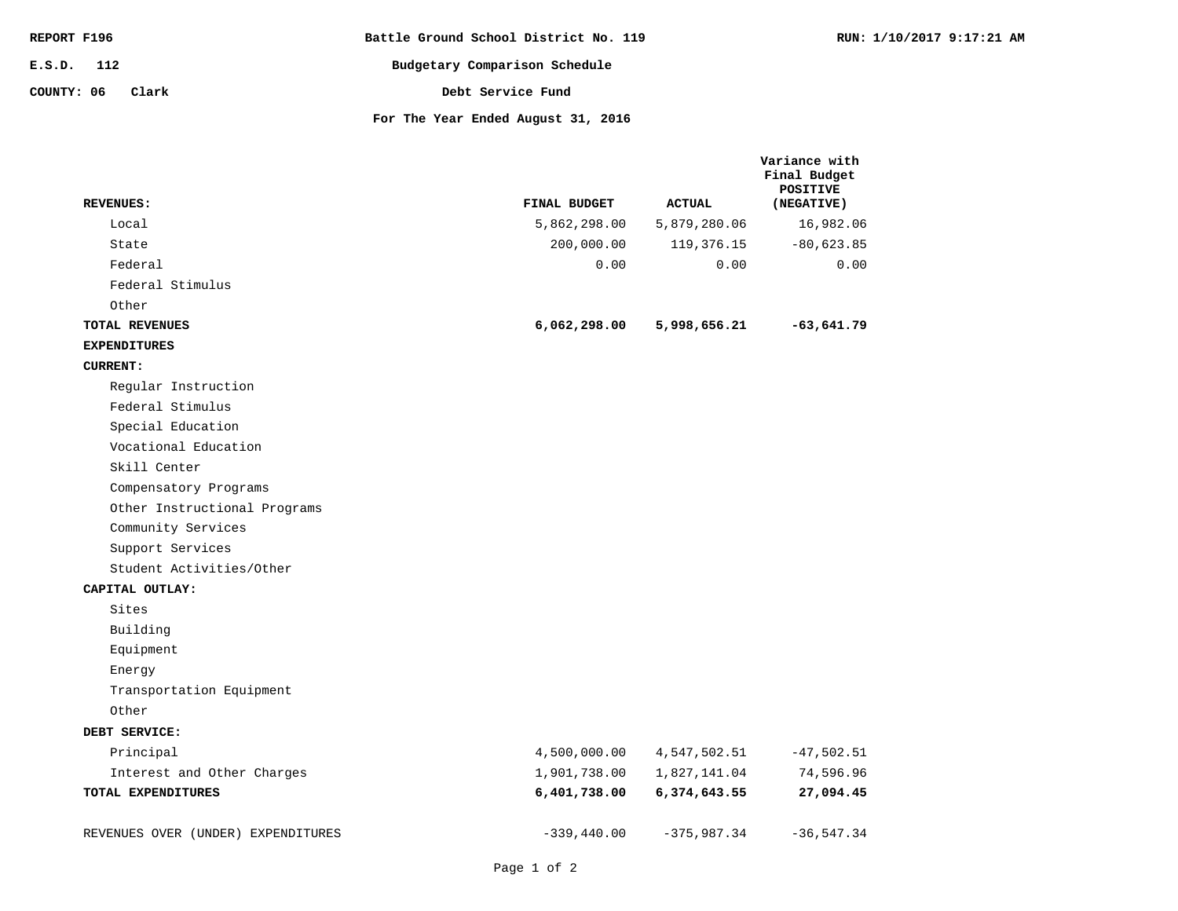| REPORT F196         | Battle Ground School District No. 119 | RUN: 1/10/2017 9:17:21 AM |
|---------------------|---------------------------------------|---------------------------|
| 112<br>E.S.D.       | Budgetary Comparison Schedule         |                           |
| COUNTY: 06<br>Clark | Debt Service Fund                     |                           |
|                     | For The Year Ended August 31, 2016    |                           |

|                                    |               |               | Variance with<br>Final Budget<br><b>POSITIVE</b> |
|------------------------------------|---------------|---------------|--------------------------------------------------|
| <b>REVENUES:</b>                   | FINAL BUDGET  | <b>ACTUAL</b> | (NEGATIVE)                                       |
| Local                              | 5,862,298.00  | 5,879,280.06  | 16,982.06                                        |
| State                              | 200,000.00    | 119, 376. 15  | $-80,623.85$                                     |
| Federal                            | 0.00          | 0.00          | 0.00                                             |
| Federal Stimulus                   |               |               |                                                  |
| Other                              |               |               |                                                  |
| TOTAL REVENUES                     | 6,062,298.00  | 5,998,656.21  | $-63,641.79$                                     |
| <b>EXPENDITURES</b>                |               |               |                                                  |
| <b>CURRENT:</b>                    |               |               |                                                  |
| Regular Instruction                |               |               |                                                  |
| Federal Stimulus                   |               |               |                                                  |
| Special Education                  |               |               |                                                  |
| Vocational Education               |               |               |                                                  |
| Skill Center                       |               |               |                                                  |
| Compensatory Programs              |               |               |                                                  |
| Other Instructional Programs       |               |               |                                                  |
| Community Services                 |               |               |                                                  |
| Support Services                   |               |               |                                                  |
| Student Activities/Other           |               |               |                                                  |
| CAPITAL OUTLAY:                    |               |               |                                                  |
| Sites                              |               |               |                                                  |
| Building                           |               |               |                                                  |
| Equipment                          |               |               |                                                  |
| Energy                             |               |               |                                                  |
| Transportation Equipment           |               |               |                                                  |
| Other                              |               |               |                                                  |
| DEBT SERVICE:                      |               |               |                                                  |
| Principal                          | 4,500,000.00  | 4,547,502.51  | $-47,502.51$                                     |
| Interest and Other Charges         | 1,901,738.00  | 1,827,141.04  | 74,596.96                                        |
| TOTAL EXPENDITURES                 | 6,401,738.00  | 6,374,643.55  | 27,094.45                                        |
| REVENUES OVER (UNDER) EXPENDITURES | $-339,440.00$ | $-375,987.34$ | $-36, 547.34$                                    |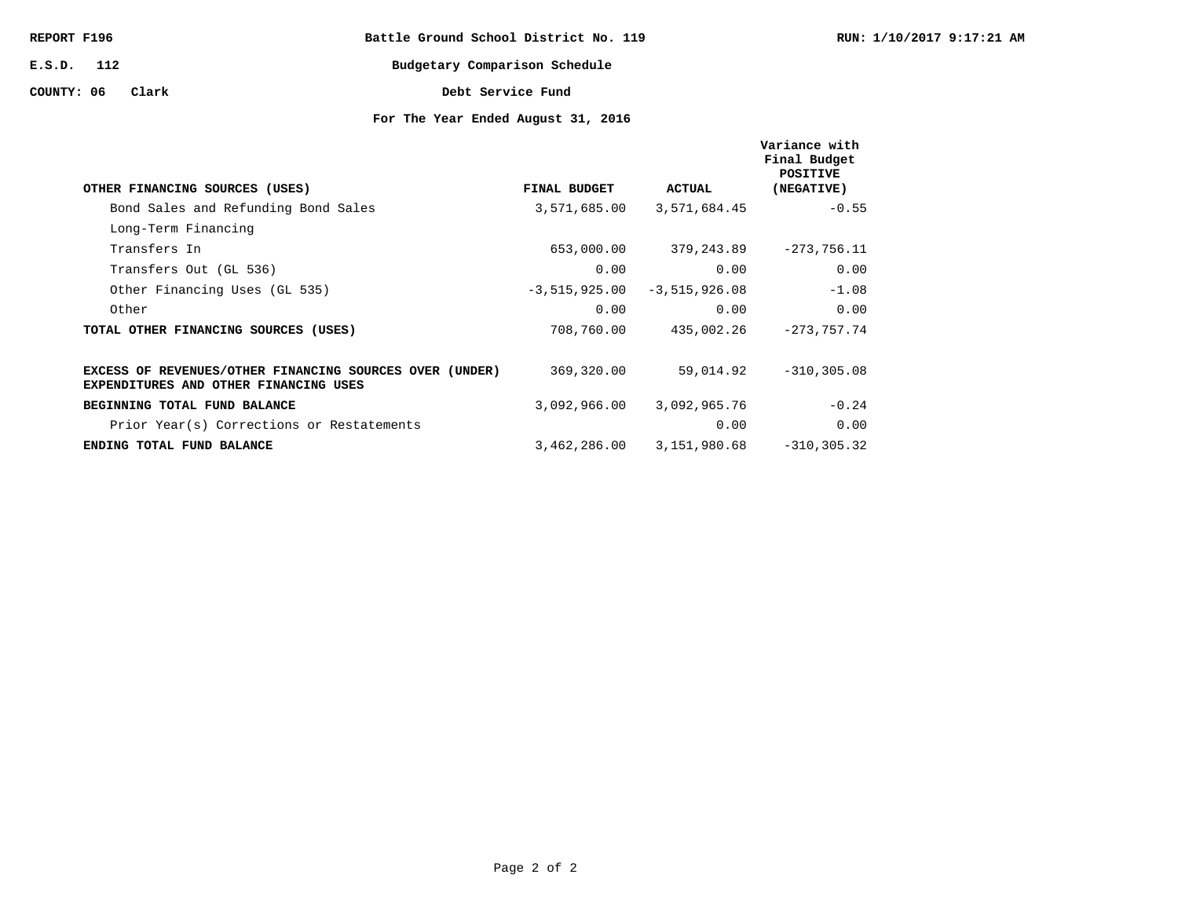| REPORT F196      | Battle Ground School District No. 119 |  |
|------------------|---------------------------------------|--|
| $E.S.D.$ 112     | Budgetary Comparison Schedule         |  |
| COUNTY: 06 Clark | Debt Service Fund                     |  |

| OTHER FINANCING SOURCES (USES)                                                                   | FINAL BUDGET    | ACTUAL          | Variance with<br>Final Budget<br>POSITIVE<br>(NEGATIVE) |
|--------------------------------------------------------------------------------------------------|-----------------|-----------------|---------------------------------------------------------|
| Bond Sales and Refunding Bond Sales                                                              | 3,571,685.00    | 3,571,684.45    | $-0.55$                                                 |
| Long-Term Financing                                                                              |                 |                 |                                                         |
| Transfers In                                                                                     | 653,000.00      | 379,243.89      | $-273,756.11$                                           |
| Transfers Out (GL 536)                                                                           | 0.00            | 0.00            | 0.00                                                    |
| Other Financing Uses (GL 535)                                                                    | $-3,515,925.00$ | $-3,515,926.08$ | $-1.08$                                                 |
| Other                                                                                            | 0.00            | 0.00            | 0.00                                                    |
| TOTAL OTHER FINANCING SOURCES (USES)                                                             | 708,760.00      | 435,002.26      | $-273.757.74$                                           |
|                                                                                                  |                 |                 |                                                         |
| EXCESS OF REVENUES/OTHER FINANCING SOURCES OVER (UNDER)<br>EXPENDITURES AND OTHER FINANCING USES | 369,320.00      | 59,014.92       | $-310, 305.08$                                          |
| BEGINNING TOTAL FUND BALANCE                                                                     | 3,092,966.00    | 3,092,965.76    | $-0.24$                                                 |
| Prior Year(s) Corrections or Restatements                                                        |                 | 0.00            | 0.00                                                    |
| ENDING TOTAL FUND BALANCE                                                                        | 3,462,286.00    | 3,151,980.68    | $-310, 305.32$                                          |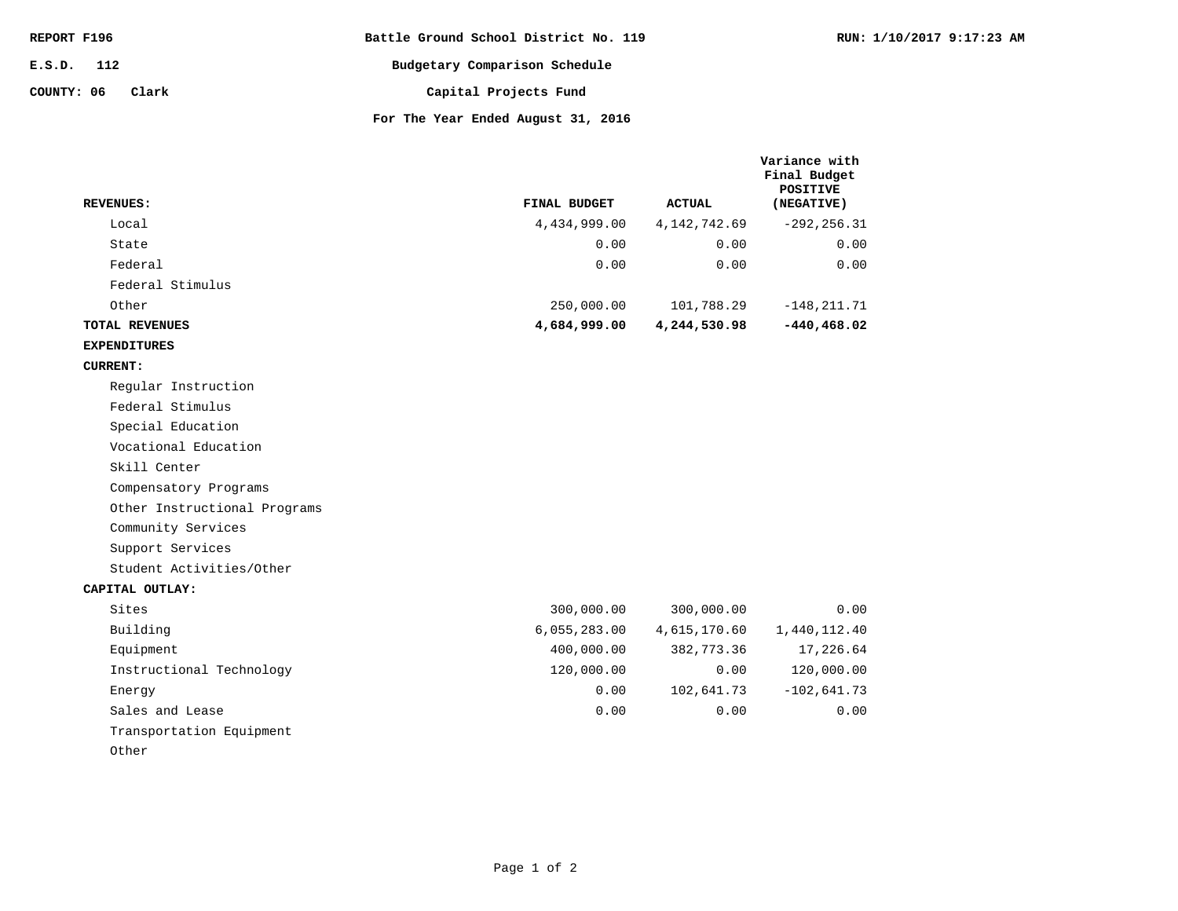| REPORT F196         | Battle Ground School District No. 119   |
|---------------------|-----------------------------------------|
| E.S.D. 112          | Budgetary Comparison Schedule           |
| COUNTY: 06<br>Clark | Capital Projects Fund                   |
|                     | For The Year Ended August $21$ , $2016$ |

**RUN: 1/10/2017 9:17:23 AM**

| <b>REVENUES:</b>             | FINAL BUDGET | <b>ACTUAL</b>  | <b>POSITIVE</b><br>(NEGATIVE) |
|------------------------------|--------------|----------------|-------------------------------|
| Local                        | 4,434,999.00 | 4, 142, 742.69 | $-292, 256.31$                |
| State                        | 0.00         | 0.00           | 0.00                          |
| Federal                      | 0.00         | 0.00           | 0.00                          |
| Federal Stimulus             |              |                |                               |
| Other                        | 250,000.00   | 101,788.29     | $-148, 211.71$                |
| <b>TOTAL REVENUES</b>        | 4,684,999.00 | 4,244,530.98   | $-440, 468.02$                |
| <b>EXPENDITURES</b>          |              |                |                               |
| <b>CURRENT:</b>              |              |                |                               |
| Regular Instruction          |              |                |                               |
| Federal Stimulus             |              |                |                               |
| Special Education            |              |                |                               |
| Vocational Education         |              |                |                               |
| Skill Center                 |              |                |                               |
| Compensatory Programs        |              |                |                               |
| Other Instructional Programs |              |                |                               |
| Community Services           |              |                |                               |
| Support Services             |              |                |                               |
| Student Activities/Other     |              |                |                               |
| CAPITAL OUTLAY:              |              |                |                               |
| Sites                        | 300,000.00   | 300,000.00     | 0.00                          |
| Building                     | 6,055,283.00 | 4,615,170.60   | 1,440,112.40                  |
| Equipment                    | 400,000.00   | 382,773.36     | 17,226.64                     |
| Instructional Technology     | 120,000.00   | 0.00           | 120,000.00                    |
| Energy                       | 0.00         | 102,641.73     | $-102,641.73$                 |
| Sales and Lease              | 0.00         | 0.00           | 0.00                          |
| Transportation Equipment     |              |                |                               |
| Other                        |              |                |                               |

Page 1 of 2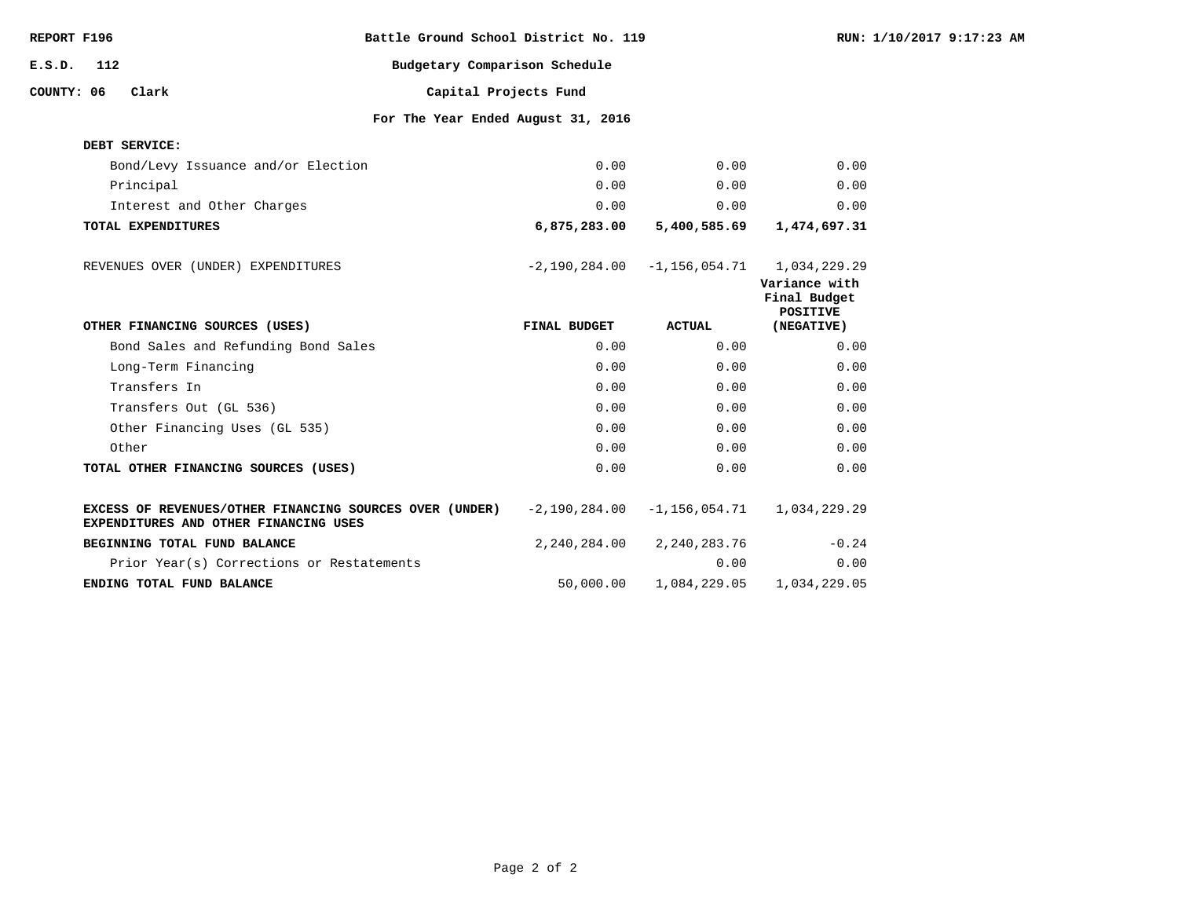| REPORT F196 |     |                                       | Battle Ground School District No. 119                   |              |                                            |                                                  | RUN: 1/10/2017 9:17:23 AM |
|-------------|-----|---------------------------------------|---------------------------------------------------------|--------------|--------------------------------------------|--------------------------------------------------|---------------------------|
| E.S.D.      | 112 |                                       | Budgetary Comparison Schedule                           |              |                                            |                                                  |                           |
| COUNTY: 06  |     | Clark                                 | Capital Projects Fund                                   |              |                                            |                                                  |                           |
|             |     |                                       | For The Year Ended August 31, 2016                      |              |                                            |                                                  |                           |
|             |     | DEBT SERVICE:                         |                                                         |              |                                            |                                                  |                           |
|             |     | Bond/Levy Issuance and/or Election    |                                                         | 0.00         | 0.00                                       | 0.00                                             |                           |
|             |     | Principal                             |                                                         | 0.00         | 0.00                                       | 0.00                                             |                           |
|             |     | Interest and Other Charges            |                                                         | 0.00         | 0.00                                       | 0.00                                             |                           |
|             |     | TOTAL EXPENDITURES                    |                                                         | 6,875,283.00 | 5,400,585.69                               | 1,474,697.31                                     |                           |
|             |     | REVENUES OVER (UNDER) EXPENDITURES    |                                                         |              | $-2,190,284.00 -1,156,054.71 1,034,229.29$ | Variance with<br>Final Budget<br><b>POSITIVE</b> |                           |
|             |     | OTHER FINANCING SOURCES (USES)        |                                                         | FINAL BUDGET | ACTUAL                                     | (NEGATIVE)                                       |                           |
|             |     | Bond Sales and Refunding Bond Sales   |                                                         | 0.00         | 0.00                                       | 0.00                                             |                           |
|             |     | Long-Term Financing                   |                                                         | 0.00         | 0.00                                       | 0.00                                             |                           |
|             |     | Transfers In                          |                                                         | 0.00         | 0.00                                       | 0.00                                             |                           |
|             |     | Transfers Out (GL 536)                |                                                         | 0.00         | 0.00                                       | 0.00                                             |                           |
|             |     | Other Financing Uses (GL 535)         |                                                         | 0.00         | 0.00                                       | 0.00                                             |                           |
|             |     | Other                                 |                                                         | 0.00         | 0.00                                       | 0.00                                             |                           |
|             |     | TOTAL OTHER FINANCING SOURCES (USES)  |                                                         | 0.00         | 0.00                                       | 0.00                                             |                           |
|             |     | EXPENDITURES AND OTHER FINANCING USES | EXCESS OF REVENUES/OTHER FINANCING SOURCES OVER (UNDER) |              | $-2,190,284.00 -1,156,054.71$ 1,034,229.29 |                                                  |                           |
|             |     | BEGINNING TOTAL FUND BALANCE          |                                                         | 2,240,284.00 | 2,240,283.76                               | $-0.24$                                          |                           |
|             |     |                                       | Prior Year(s) Corrections or Restatements               |              | 0.00                                       | 0.00                                             |                           |
|             |     | ENDING TOTAL FUND BALANCE             |                                                         | 50,000.00    | 1,084,229.05                               | 1,034,229.05                                     |                           |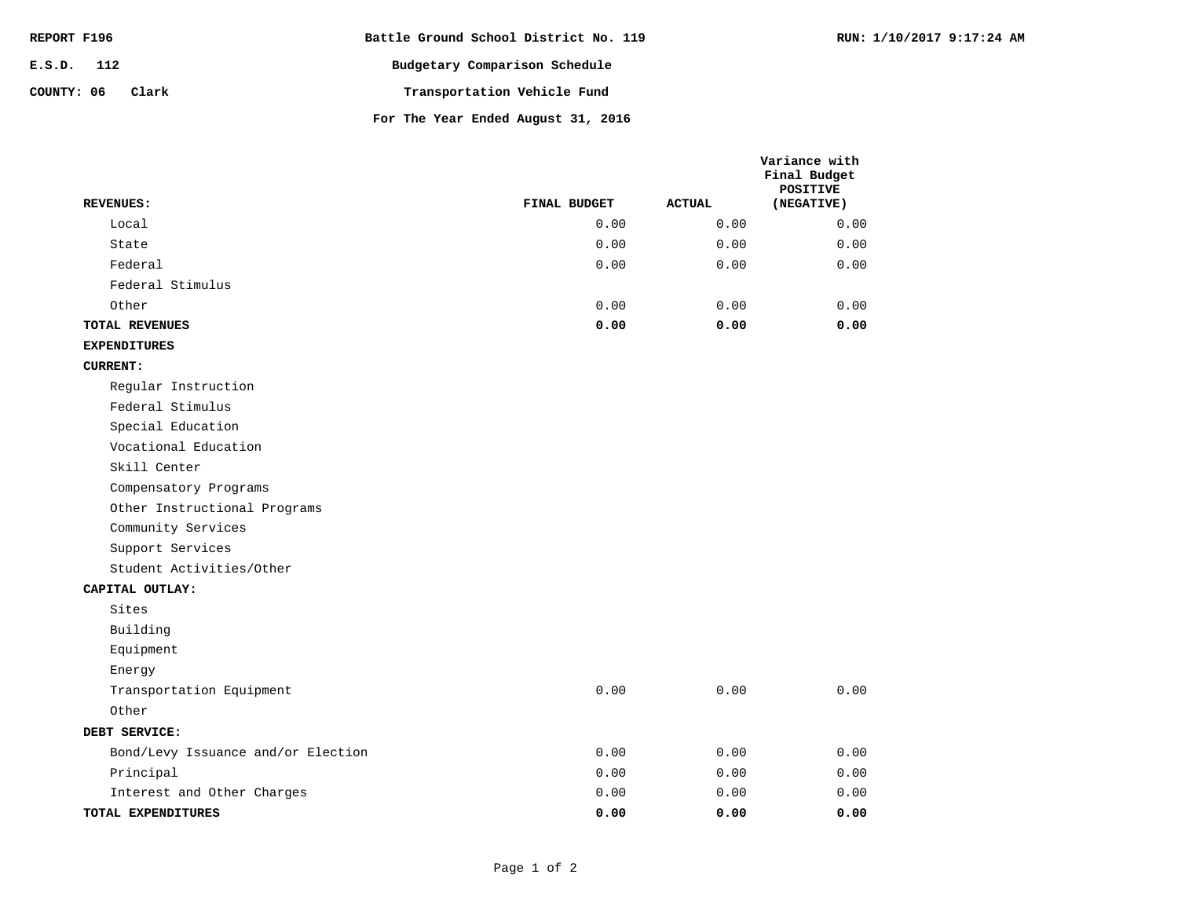| REPORT F196         | Battle Ground School District No. 119 |
|---------------------|---------------------------------------|
| $E.S.D.$ 112        | Budgetary Comparison Schedule         |
| COUNTY: 06<br>Clark | Transportation Vehicle Fund           |
|                     | For The Year Ended August 31, 2016    |

|                                    |              |               | Variance with<br>Final Budget<br><b>POSITIVE</b> |
|------------------------------------|--------------|---------------|--------------------------------------------------|
| <b>REVENUES:</b>                   | FINAL BUDGET | <b>ACTUAL</b> | (NEGATIVE)                                       |
| Local                              | 0.00         | 0.00          | 0.00                                             |
| State                              | 0.00         | 0.00          | 0.00                                             |
| Federal                            | 0.00         | 0.00          | 0.00                                             |
| Federal Stimulus                   |              |               |                                                  |
| Other                              | 0.00         | 0.00          | 0.00                                             |
| <b>TOTAL REVENUES</b>              | 0.00         | 0.00          | 0.00                                             |
| <b>EXPENDITURES</b>                |              |               |                                                  |
| <b>CURRENT:</b>                    |              |               |                                                  |
| Regular Instruction                |              |               |                                                  |
| Federal Stimulus                   |              |               |                                                  |
| Special Education                  |              |               |                                                  |
| Vocational Education               |              |               |                                                  |
| Skill Center                       |              |               |                                                  |
| Compensatory Programs              |              |               |                                                  |
| Other Instructional Programs       |              |               |                                                  |
| Community Services                 |              |               |                                                  |
| Support Services                   |              |               |                                                  |
| Student Activities/Other           |              |               |                                                  |
| CAPITAL OUTLAY:                    |              |               |                                                  |
| Sites                              |              |               |                                                  |
| Building                           |              |               |                                                  |
| Equipment                          |              |               |                                                  |
| Energy                             |              |               |                                                  |
| Transportation Equipment           | 0.00         | 0.00          | 0.00                                             |
| Other                              |              |               |                                                  |
| DEBT SERVICE:                      |              |               |                                                  |
| Bond/Levy Issuance and/or Election | 0.00         | 0.00          | 0.00                                             |
| Principal                          | 0.00         | 0.00          | 0.00                                             |
| Interest and Other Charges         | 0.00         | 0.00          | 0.00                                             |
| TOTAL EXPENDITURES                 | 0.00         | 0.00          | 0.00                                             |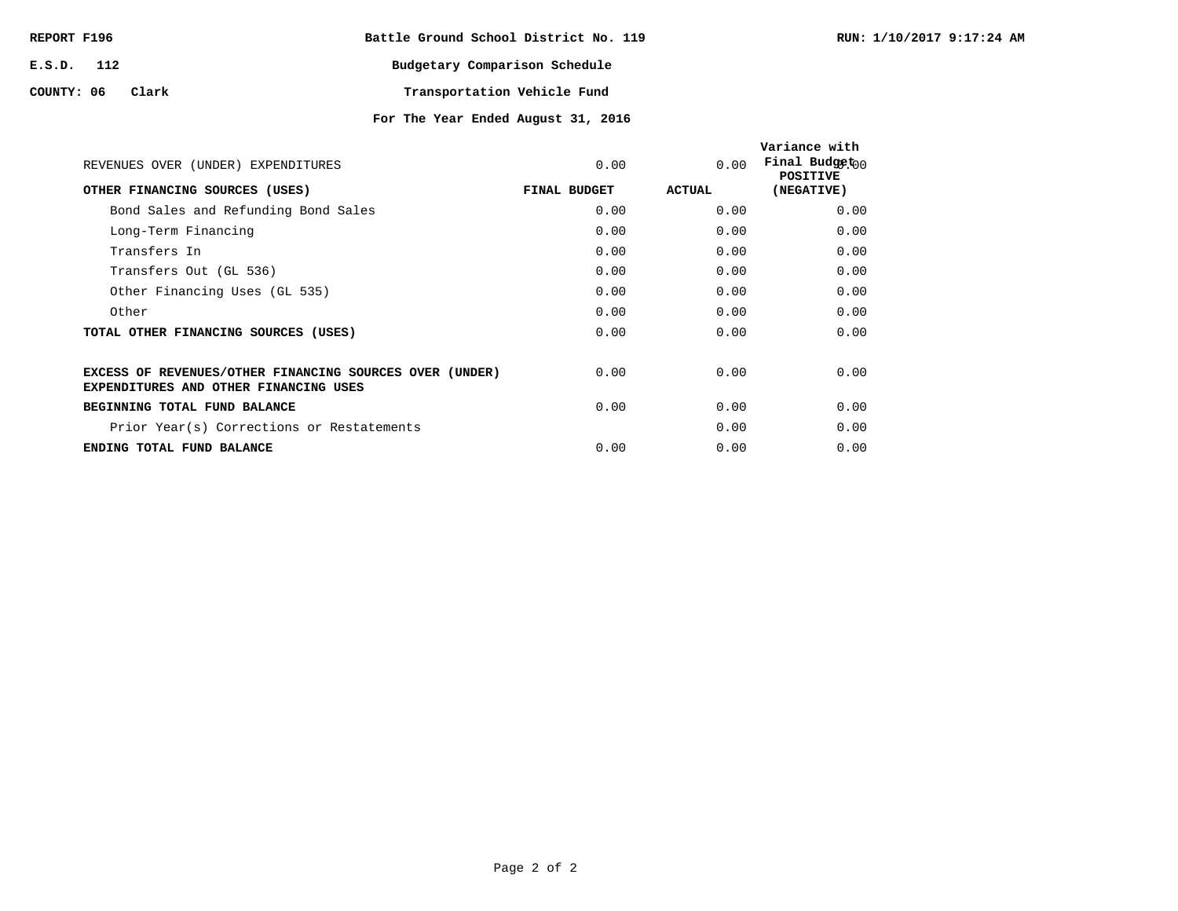| REPORT F196 |       | Battle Ground School District No. 119 |                             |  |
|-------------|-------|---------------------------------------|-----------------------------|--|
| E.S.D. 112  |       | Budgetary Comparison Schedule         |                             |  |
| COUNTY: 06  | Clark |                                       | Transportation Vehicle Fund |  |

| REVENUES OVER (UNDER) EXPENDITURES                                                                      | 0.00         | 0.00   | Variance with<br>Final Budget $n_0$<br><b>POSITIVE</b> |
|---------------------------------------------------------------------------------------------------------|--------------|--------|--------------------------------------------------------|
| OTHER FINANCING SOURCES (USES)                                                                          | FINAL BUDGET | ACTUAL | (NEGATIVE)                                             |
| Bond Sales and Refunding Bond Sales                                                                     | 0.00         | 0.00   | 0.00                                                   |
| Long-Term Financing                                                                                     | 0.00         | 0.00   | 0.00                                                   |
| Transfers In                                                                                            | 0.00         | 0.00   | 0.00                                                   |
| Transfers Out (GL 536)                                                                                  | 0.00         | 0.00   | 0.00                                                   |
| Other Financing Uses (GL 535)                                                                           | 0.00         | 0.00   | 0.00                                                   |
| Other                                                                                                   | 0.00         | 0.00   | 0.00                                                   |
| TOTAL OTHER FINANCING SOURCES (USES)                                                                    | 0.00         | 0.00   | 0.00                                                   |
| EXCESS OF REVENUES/OTHER FINANCING SOURCES OVER (UNDER)<br><b>EXPENDITURES AND OTHER FINANCING USES</b> | 0.00         | 0.00   | 0.00                                                   |
| BEGINNING TOTAL FUND BALANCE                                                                            | 0.00         | 0.00   | 0.00                                                   |
| Prior Year(s) Corrections or Restatements                                                               |              | 0.00   | 0.00                                                   |
| ENDING TOTAL FUND BALANCE                                                                               | 0.00         | 0.00   | 0.00                                                   |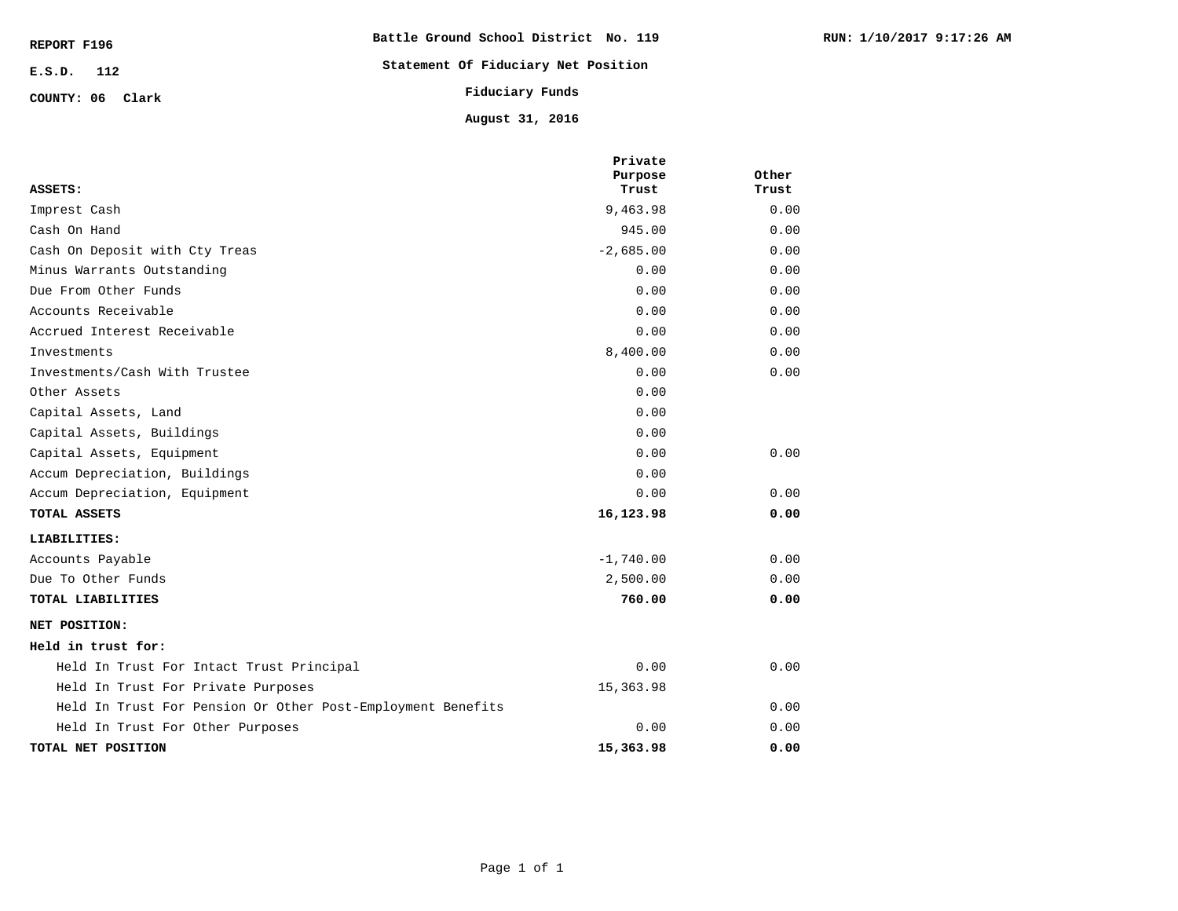| REPORT F196      | Battle Ground School District No. 119 |
|------------------|---------------------------------------|
| $E.S.D.$ 112     | Statement Of Fiduciary Net Position   |
| COUNTY: 06 Clark | Fiduciary Funds                       |
|                  | August 31, 2016                       |

| ASSETS:                                                     | Private<br>Purpose<br>Trust | Other<br>Trust |
|-------------------------------------------------------------|-----------------------------|----------------|
| Imprest Cash                                                | 9,463.98                    | 0.00           |
| Cash On Hand                                                | 945.00                      | 0.00           |
| Cash On Deposit with Cty Treas                              | $-2,685.00$                 | 0.00           |
| Minus Warrants Outstanding                                  | 0.00                        | 0.00           |
| Due From Other Funds                                        | 0.00                        | 0.00           |
| Accounts Receivable                                         | 0.00                        | 0.00           |
| Accrued Interest Receivable                                 | 0.00                        | 0.00           |
| Investments                                                 | 8,400.00                    | 0.00           |
| Investments/Cash With Trustee                               | 0.00                        | 0.00           |
| Other Assets                                                | 0.00                        |                |
| Capital Assets, Land                                        | 0.00                        |                |
| Capital Assets, Buildings                                   | 0.00                        |                |
| Capital Assets, Equipment                                   | 0.00                        | 0.00           |
| Accum Depreciation, Buildings                               | 0.00                        |                |
| Accum Depreciation, Equipment                               | 0.00                        | 0.00           |
| TOTAL ASSETS                                                | 16,123.98                   | 0.00           |
| LIABILITIES:                                                |                             |                |
| Accounts Payable                                            | $-1,740.00$                 | 0.00           |
| Due To Other Funds                                          | 2,500.00                    | 0.00           |
| TOTAL LIABILITIES                                           | 760.00                      | 0.00           |
| NET POSITION:                                               |                             |                |
| Held in trust for:                                          |                             |                |
| Held In Trust For Intact Trust Principal                    | 0.00                        | 0.00           |
| Held In Trust For Private Purposes                          | 15,363.98                   |                |
| Held In Trust For Pension Or Other Post-Employment Benefits |                             | 0.00           |
| Held In Trust For Other Purposes                            | 0.00                        | 0.00           |
| TOTAL NET POSITION                                          | 15,363.98                   | 0.00           |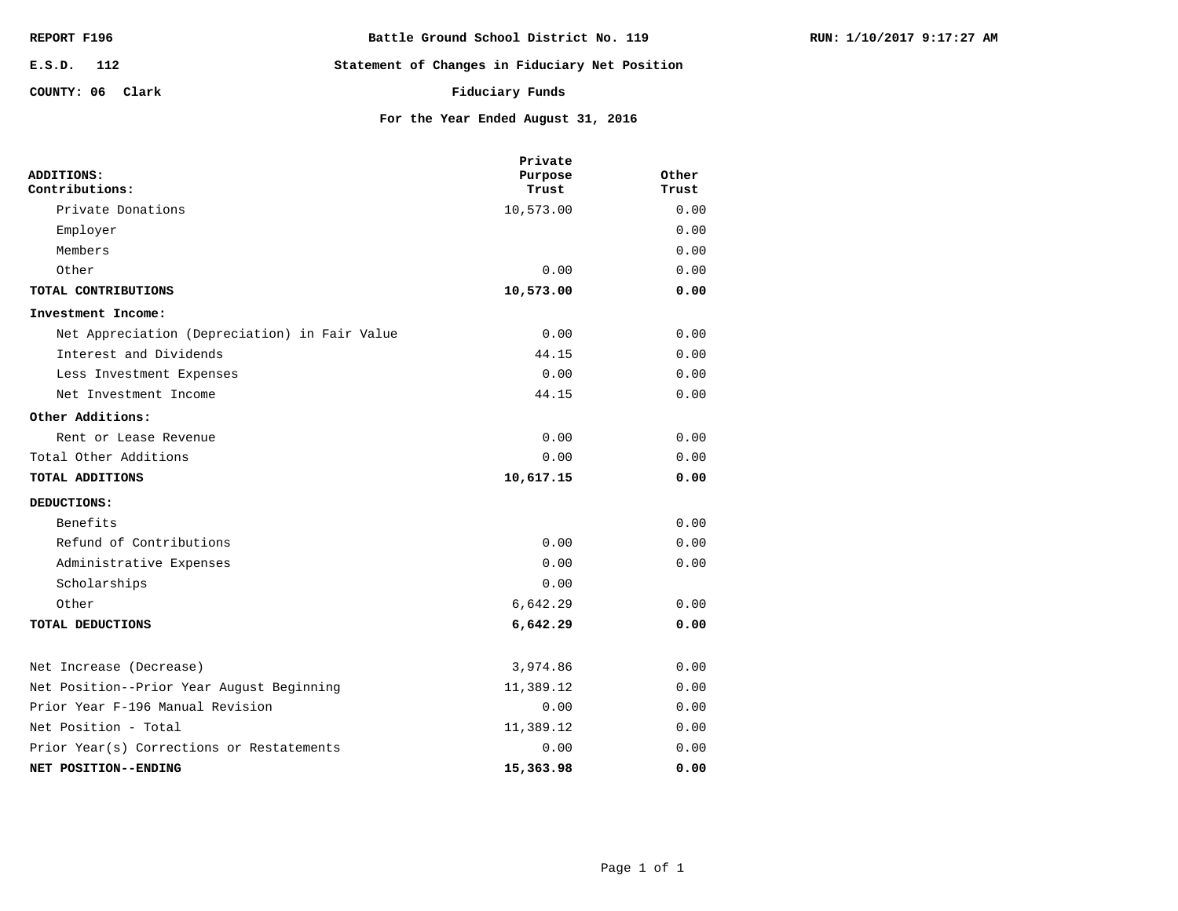| REPORT F196      | Battle Ground School District No. 119          |
|------------------|------------------------------------------------|
| E.S.D. 112       | Statement of Changes in Fiduciary Net Position |
| COUNTY: 06 Clark | Fiduciary Funds                                |

|                                               | Private   |       |
|-----------------------------------------------|-----------|-------|
| ADDITIONS:                                    | Purpose   | Other |
| Contributions:                                | Trust     | Trust |
| Private Donations                             | 10,573.00 | 0.00  |
| Employer                                      |           | 0.00  |
| Members                                       |           | 0.00  |
| Other                                         | 0.00      | 0.00  |
| TOTAL CONTRIBUTIONS                           | 10,573.00 | 0.00  |
| Investment Income:                            |           |       |
| Net Appreciation (Depreciation) in Fair Value | 0.00      | 0.00  |
| Interest and Dividends                        | 44.15     | 0.00  |
| Less Investment Expenses                      | 0.00      | 0.00  |
| Net Investment Income                         | 44.15     | 0.00  |
| Other Additions:                              |           |       |
| Rent or Lease Revenue                         | 0.00      | 0.00  |
| Total Other Additions                         | 0.00      | 0.00  |
| TOTAL ADDITIONS                               | 10,617.15 | 0.00  |
| DEDUCTIONS:                                   |           |       |
| Benefits                                      |           | 0.00  |
| Refund of Contributions                       | 0.00      | 0.00  |
| Administrative Expenses                       | 0.00      | 0.00  |
| Scholarships                                  | 0.00      |       |
| Other                                         | 6,642.29  | 0.00  |

**For the Year Ended August 31, 2016**

| TOTAL DEDUCTIONS                          | 6,642.29  | 0.00 |
|-------------------------------------------|-----------|------|
| Net Increase (Decrease)                   | 3,974.86  | 0.00 |
| Net Position--Prior Year August Beginning | 11,389.12 | 0.00 |
| Prior Year F-196 Manual Revision          | 0.00      | 0.00 |
| Net Position - Total                      | 11,389.12 | 0.00 |

**15,363.98 0.00** 0.00 0.00 **NET POSITION--ENDING** Prior Year(s) Corrections or Restatements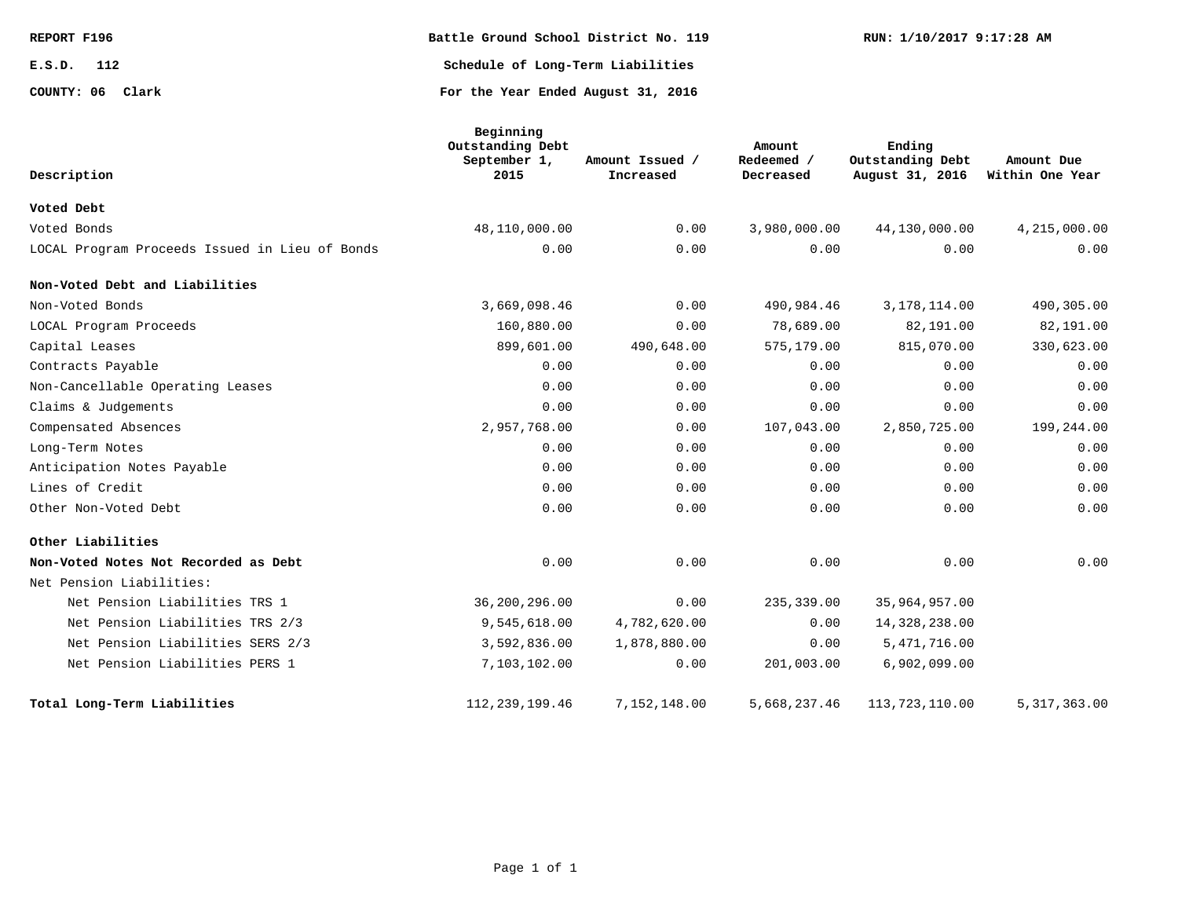| REPORT F196      | Battle Ground School District No. 119 | RUN: 1/10/2017 9:17:28 AM |
|------------------|---------------------------------------|---------------------------|
| E.S.D.<br>112    | Schedule of Long-Term Liabilities     |                           |
| COUNTY: 06 Clark | For the Year Ended August 31, 2016    |                           |

| Description                                    | Beginning<br>Outstanding Debt<br>September 1,<br>2015 | Amount Issued /<br>Increased | Amount<br>Redeemed /<br>Decreased | Ending<br>Outstanding Debt<br>August 31, 2016 | Amount Due<br>Within One Year |
|------------------------------------------------|-------------------------------------------------------|------------------------------|-----------------------------------|-----------------------------------------------|-------------------------------|
| Voted Debt                                     |                                                       |                              |                                   |                                               |                               |
| Voted Bonds                                    | 48,110,000.00                                         | 0.00                         | 3,980,000.00                      | 44,130,000.00                                 | 4,215,000.00                  |
| LOCAL Program Proceeds Issued in Lieu of Bonds | 0.00                                                  | 0.00                         | 0.00                              | 0.00                                          | 0.00                          |
| Non-Voted Debt and Liabilities                 |                                                       |                              |                                   |                                               |                               |
| Non-Voted Bonds                                | 3,669,098.46                                          | 0.00                         | 490,984.46                        | 3, 178, 114.00                                | 490,305.00                    |
| LOCAL Program Proceeds                         | 160,880.00                                            | 0.00                         | 78,689.00                         | 82,191.00                                     | 82,191.00                     |
| Capital Leases                                 | 899,601.00                                            | 490,648.00                   | 575,179.00                        | 815,070.00                                    | 330,623.00                    |
| Contracts Payable                              | 0.00                                                  | 0.00                         | 0.00                              | 0.00                                          | 0.00                          |
| Non-Cancellable Operating Leases               | 0.00                                                  | 0.00                         | 0.00                              | 0.00                                          | 0.00                          |
| Claims & Judgements                            | 0.00                                                  | 0.00                         | 0.00                              | 0.00                                          | 0.00                          |
| Compensated Absences                           | 2,957,768.00                                          | 0.00                         | 107,043.00                        | 2,850,725.00                                  | 199,244.00                    |
| Long-Term Notes                                | 0.00                                                  | 0.00                         | 0.00                              | 0.00                                          | 0.00                          |
| Anticipation Notes Payable                     | 0.00                                                  | 0.00                         | 0.00                              | 0.00                                          | 0.00                          |
| Lines of Credit                                | 0.00                                                  | 0.00                         | 0.00                              | 0.00                                          | 0.00                          |
| Other Non-Voted Debt                           | 0.00                                                  | 0.00                         | 0.00                              | 0.00                                          | 0.00                          |
| Other Liabilities                              |                                                       |                              |                                   |                                               |                               |
| Non-Voted Notes Not Recorded as Debt           | 0.00                                                  | 0.00                         | 0.00                              | 0.00                                          | 0.00                          |
| Net Pension Liabilities:                       |                                                       |                              |                                   |                                               |                               |
| Net Pension Liabilities TRS 1                  | 36,200,296.00                                         | 0.00                         | 235,339.00                        | 35,964,957.00                                 |                               |
| Net Pension Liabilities TRS 2/3                | 9,545,618.00                                          | 4,782,620.00                 | 0.00                              | 14,328,238.00                                 |                               |
| Net Pension Liabilities SERS 2/3               | 3,592,836.00                                          | 1,878,880.00                 | 0.00                              | 5,471,716.00                                  |                               |
| Net Pension Liabilities PERS 1                 | 7,103,102.00                                          | 0.00                         | 201,003.00                        | 6,902,099.00                                  |                               |
| Total Long-Term Liabilities                    | 112, 239, 199. 46                                     | 7,152,148.00                 | 5,668,237.46                      | 113, 723, 110.00                              | 5, 317, 363.00                |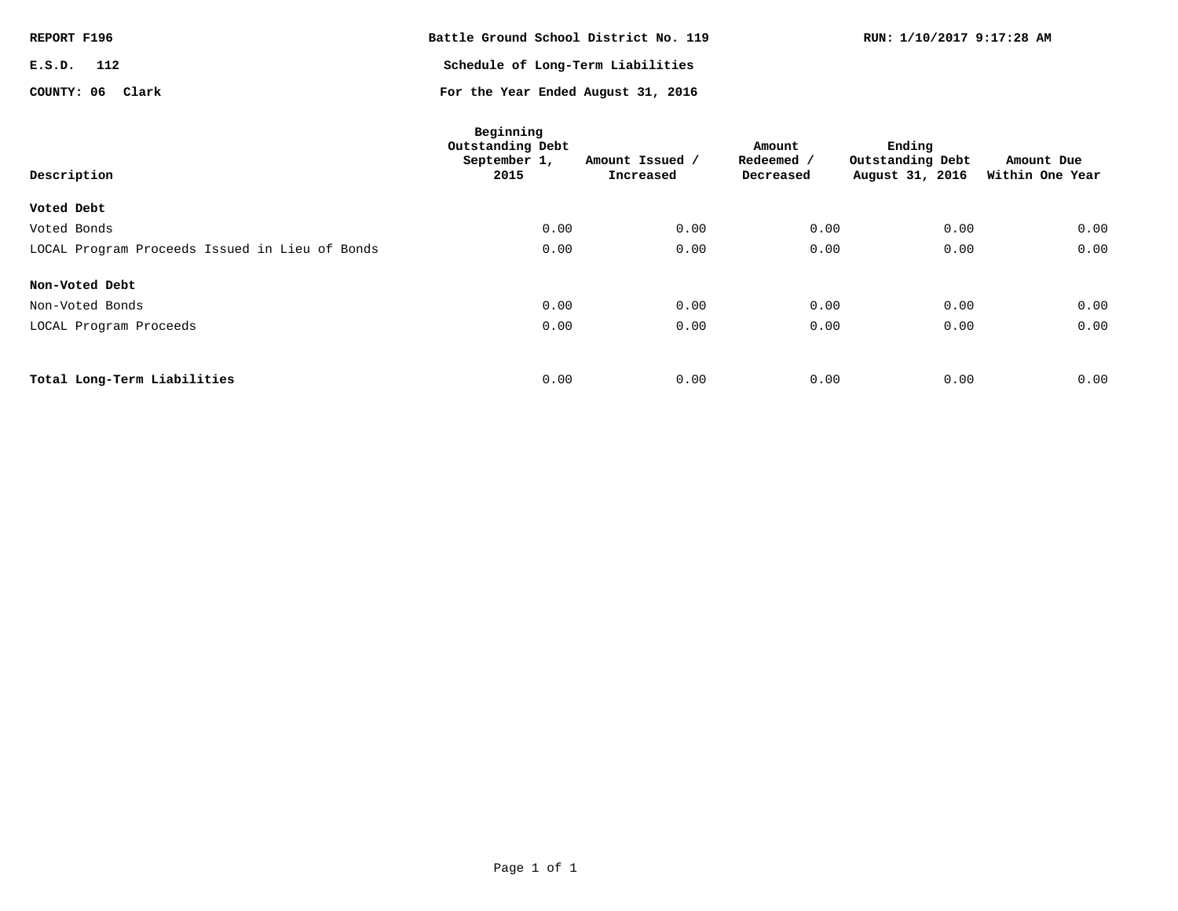| REPORT F196      | Battle Ground School District No. 119 | RUN: 1/10/2017 9:17:28 AM |
|------------------|---------------------------------------|---------------------------|
| E.S.D.<br>112    | Schedule of Long-Term Liabilities     |                           |
| COUNTY: 06 Clark | For the Year Ended August 31, 2016    |                           |

| Description                                    | Beginning<br>Outstanding Debt<br>September 1,<br>2015 | Amount Issued /<br>Increased | Amount<br>Redeemed /<br>Decreased | Ending<br>Outstanding Debt<br>August 31, 2016 | Amount Due<br>Within One Year |
|------------------------------------------------|-------------------------------------------------------|------------------------------|-----------------------------------|-----------------------------------------------|-------------------------------|
| Voted Debt                                     |                                                       |                              |                                   |                                               |                               |
| Voted Bonds                                    | 0.00                                                  | 0.00                         | 0.00                              | 0.00                                          | 0.00                          |
| LOCAL Program Proceeds Issued in Lieu of Bonds | 0.00                                                  | 0.00                         | 0.00                              | 0.00                                          | 0.00                          |
| Non-Voted Debt                                 |                                                       |                              |                                   |                                               |                               |
| Non-Voted Bonds                                | 0.00                                                  | 0.00                         | 0.00                              | 0.00                                          | 0.00                          |
| LOCAL Program Proceeds                         | 0.00                                                  | 0.00                         | 0.00                              | 0.00                                          | 0.00                          |
|                                                |                                                       |                              |                                   |                                               |                               |
| Total Long-Term Liabilities                    | 0.00                                                  | 0.00                         | 0.00                              | 0.00                                          | 0.00                          |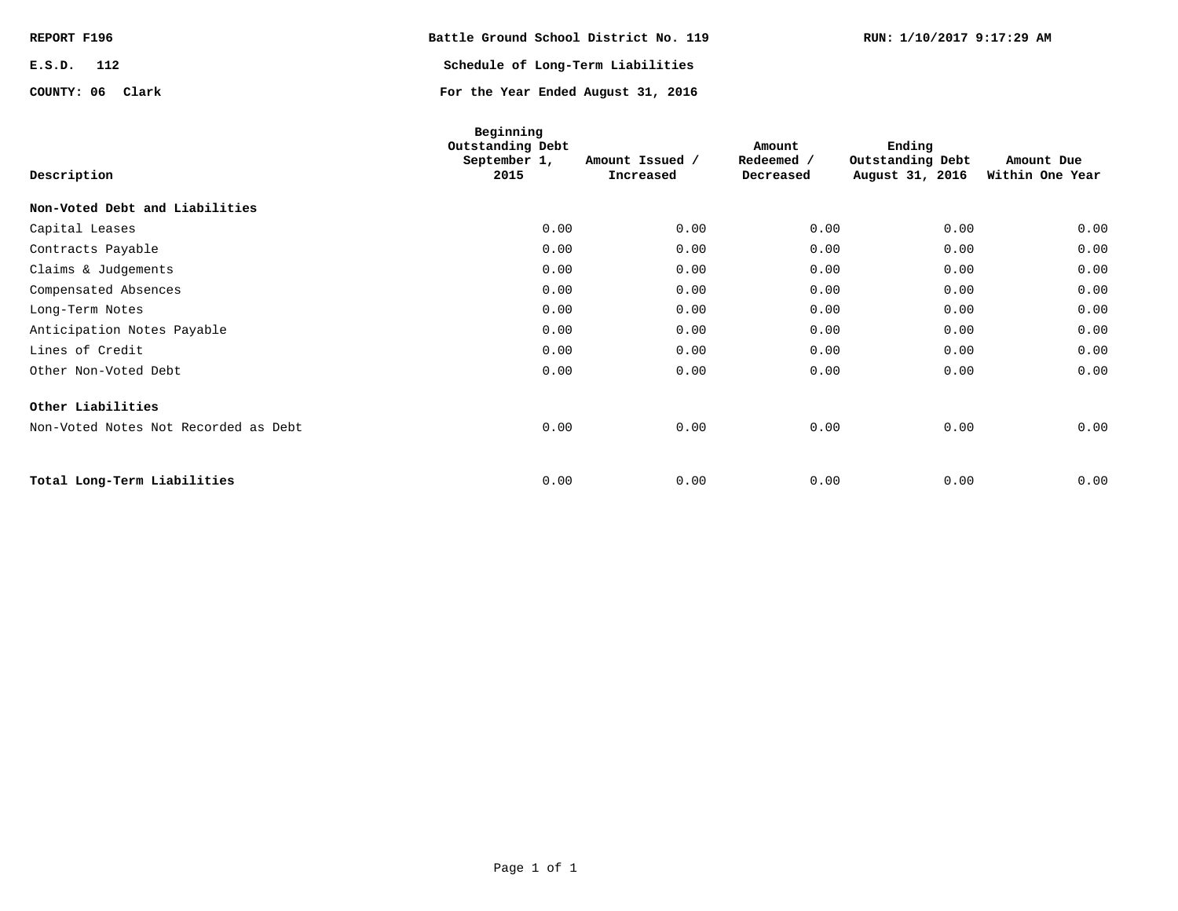| REPORT F196      | Battle Ground School District No. 119 | RUN: 1/10/2017 9:17:29 AM |
|------------------|---------------------------------------|---------------------------|
| E.S.D.<br>112    | Schedule of Long-Term Liabilities     |                           |
| COUNTY: 06 Clark | For the Year Ended August 31, 2016    |                           |

| Description                          | Beginning<br>Outstanding Debt<br>September 1,<br>2015 | Amount Issued /<br>Increased | Amount<br>Redeemed /<br>Decreased | Ending<br>Outstanding Debt<br>August 31, 2016 | Amount Due<br>Within One Year |
|--------------------------------------|-------------------------------------------------------|------------------------------|-----------------------------------|-----------------------------------------------|-------------------------------|
| Non-Voted Debt and Liabilities       |                                                       |                              |                                   |                                               |                               |
| Capital Leases                       | 0.00                                                  | 0.00                         | 0.00                              | 0.00                                          | 0.00                          |
| Contracts Payable                    | 0.00                                                  | 0.00                         | 0.00                              | 0.00                                          | 0.00                          |
| Claims & Judgements                  | 0.00                                                  | 0.00                         | 0.00                              | 0.00                                          | 0.00                          |
| Compensated Absences                 | 0.00                                                  | 0.00                         | 0.00                              | 0.00                                          | 0.00                          |
| Long-Term Notes                      | 0.00                                                  | 0.00                         | 0.00                              | 0.00                                          | 0.00                          |
| Anticipation Notes Payable           | 0.00                                                  | 0.00                         | 0.00                              | 0.00                                          | 0.00                          |
| Lines of Credit                      | 0.00                                                  | 0.00                         | 0.00                              | 0.00                                          | 0.00                          |
| Other Non-Voted Debt                 | 0.00                                                  | 0.00                         | 0.00                              | 0.00                                          | 0.00                          |
| Other Liabilities                    |                                                       |                              |                                   |                                               |                               |
| Non-Voted Notes Not Recorded as Debt | 0.00                                                  | 0.00                         | 0.00                              | 0.00                                          | 0.00                          |
| Total Long-Term Liabilities          | 0.00                                                  | 0.00                         | 0.00                              | 0.00                                          | 0.00                          |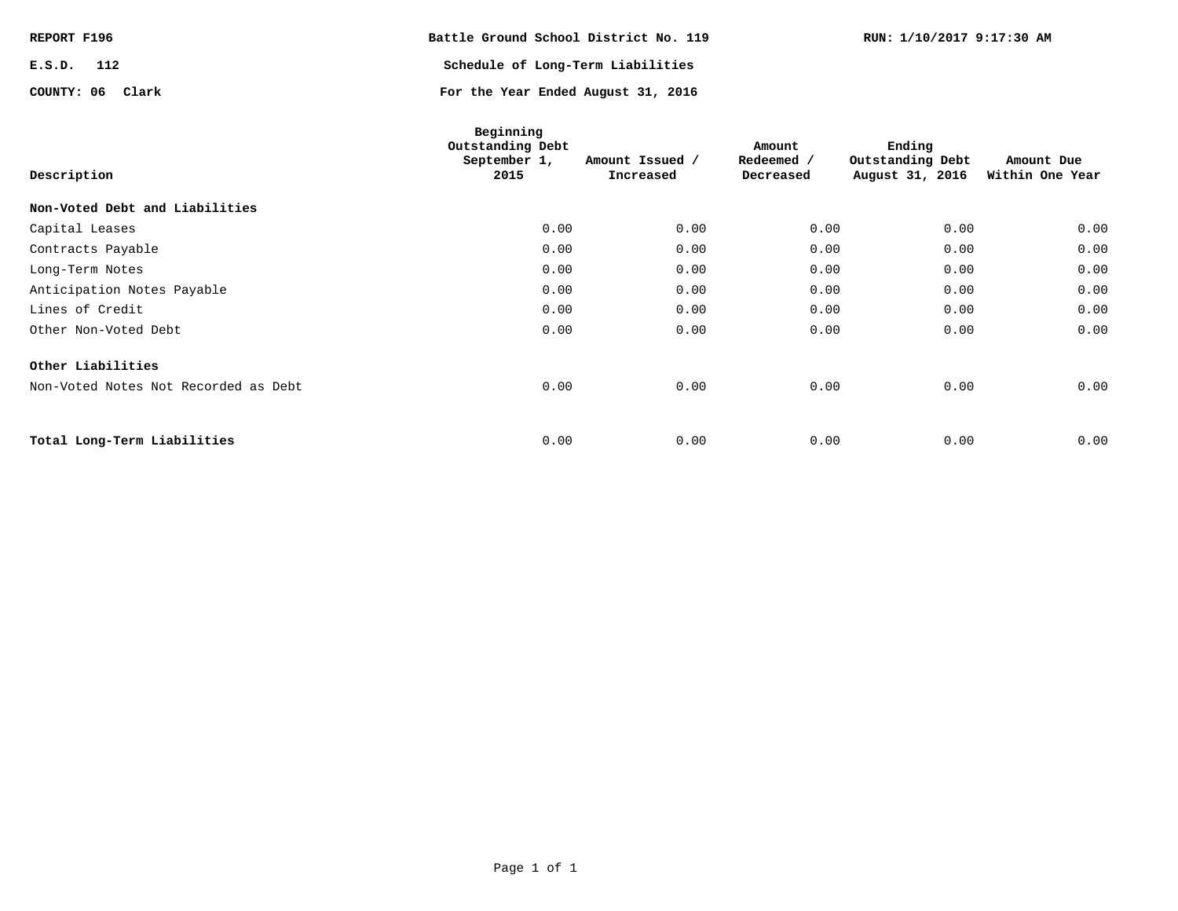| REPORT F196      | Battle Ground School District No. 119 | RUN: 1/10/2017 9:17:30 AM |
|------------------|---------------------------------------|---------------------------|
| E.S.D.<br>112    | Schedule of Long-Term Liabilities     |                           |
| COUNTY: 06 Clark | For the Year Ended August 31, 2016    |                           |

| Description                          | Beginning<br>Outstanding Debt<br>September 1,<br>2015 | Amount Issued /<br>Increased | Amount<br>Redeemed /<br>Decreased | Ending<br>Outstanding Debt<br>August 31, 2016 | Amount Due<br>Within One Year |
|--------------------------------------|-------------------------------------------------------|------------------------------|-----------------------------------|-----------------------------------------------|-------------------------------|
| Non-Voted Debt and Liabilities       |                                                       |                              |                                   |                                               |                               |
| Capital Leases                       | 0.00                                                  | 0.00                         | 0.00                              | 0.00                                          | 0.00                          |
| Contracts Payable                    | 0.00                                                  | 0.00                         | 0.00                              | 0.00                                          | 0.00                          |
| Long-Term Notes                      | 0.00                                                  | 0.00                         | 0.00                              | 0.00                                          | 0.00                          |
| Anticipation Notes Payable           | 0.00                                                  | 0.00                         | 0.00                              | 0.00                                          | 0.00                          |
| Lines of Credit                      | 0.00                                                  | 0.00                         | 0.00                              | 0.00                                          | 0.00                          |
| Other Non-Voted Debt                 | 0.00                                                  | 0.00                         | 0.00                              | 0.00                                          | 0.00                          |
| Other Liabilities                    |                                                       |                              |                                   |                                               |                               |
| Non-Voted Notes Not Recorded as Debt | 0.00                                                  | 0.00                         | 0.00                              | 0.00                                          | 0.00                          |
|                                      |                                                       |                              |                                   |                                               |                               |
| Total Long-Term Liabilities          | 0.00                                                  | 0.00                         | 0.00                              | 0.00                                          | 0.00                          |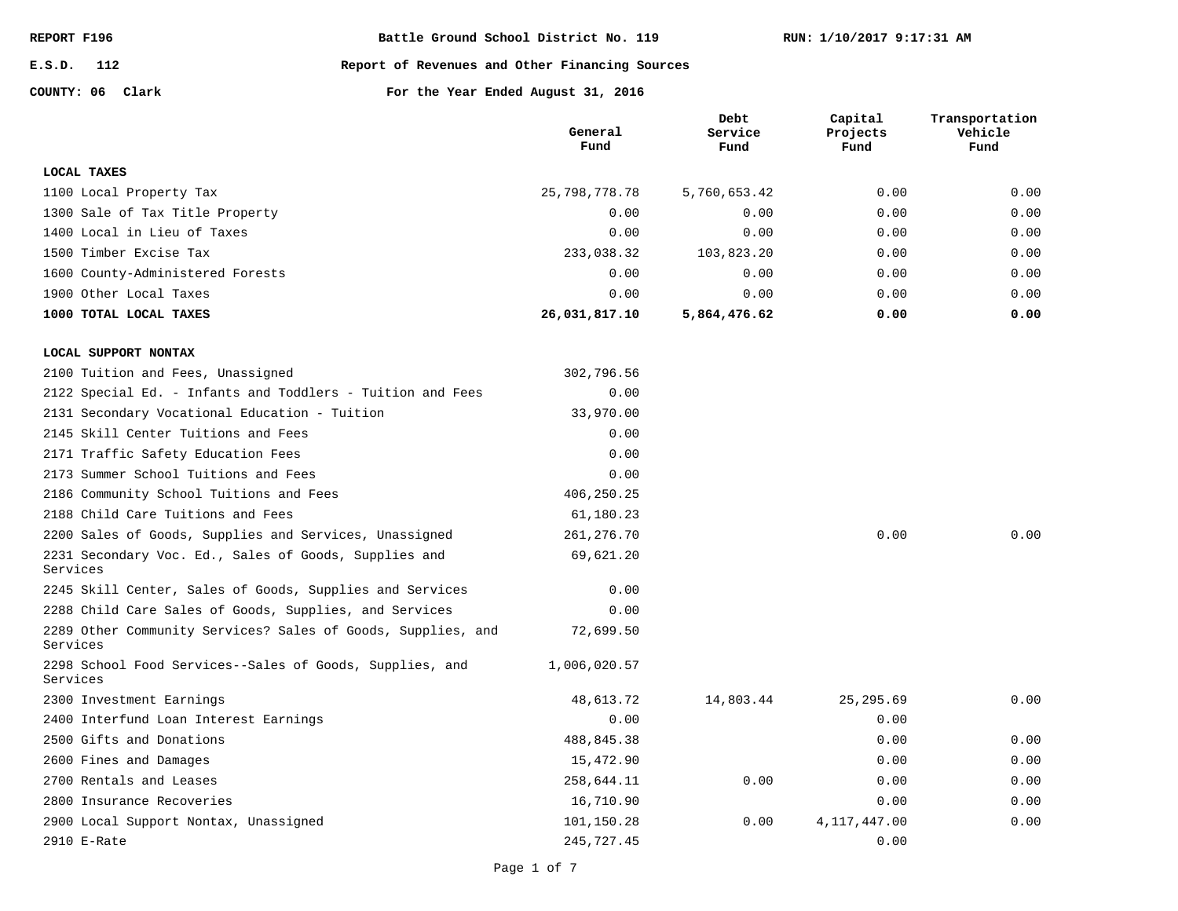**E.S.D. 112**

**Report of Revenues and Other Financing Sources**

**COUNTY: 06**

|                                                                          | General<br>Fund | Debt<br>Service<br>Fund | Capital<br>Projects<br>Fund | Transportation<br>Vehicle<br>Fund |
|--------------------------------------------------------------------------|-----------------|-------------------------|-----------------------------|-----------------------------------|
| LOCAL TAXES                                                              |                 |                         |                             |                                   |
| 1100 Local Property Tax                                                  | 25,798,778.78   | 5,760,653.42            | 0.00                        | 0.00                              |
| 1300 Sale of Tax Title Property                                          | 0.00            | 0.00                    | 0.00                        | 0.00                              |
| 1400 Local in Lieu of Taxes                                              | 0.00            | 0.00                    | 0.00                        | 0.00                              |
| 1500 Timber Excise Tax                                                   | 233,038.32      | 103,823.20              | 0.00                        | 0.00                              |
| 1600 County-Administered Forests                                         | 0.00            | 0.00                    | 0.00                        | 0.00                              |
| 1900 Other Local Taxes                                                   | 0.00            | 0.00                    | 0.00                        | 0.00                              |
| 1000 TOTAL LOCAL TAXES                                                   | 26,031,817.10   | 5,864,476.62            | 0.00                        | 0.00                              |
| LOCAL SUPPORT NONTAX                                                     |                 |                         |                             |                                   |
| 2100 Tuition and Fees, Unassigned                                        | 302,796.56      |                         |                             |                                   |
| 2122 Special Ed. - Infants and Toddlers - Tuition and Fees               | 0.00            |                         |                             |                                   |
| 2131 Secondary Vocational Education - Tuition                            | 33,970.00       |                         |                             |                                   |
| 2145 Skill Center Tuitions and Fees                                      | 0.00            |                         |                             |                                   |
| 2171 Traffic Safety Education Fees                                       | 0.00            |                         |                             |                                   |
| 2173 Summer School Tuitions and Fees                                     | 0.00            |                         |                             |                                   |
| 2186 Community School Tuitions and Fees                                  | 406,250.25      |                         |                             |                                   |
| 2188 Child Care Tuitions and Fees                                        | 61,180.23       |                         |                             |                                   |
| 2200 Sales of Goods, Supplies and Services, Unassigned                   | 261,276.70      |                         | 0.00                        | 0.00                              |
| 2231 Secondary Voc. Ed., Sales of Goods, Supplies and<br>Services        | 69,621.20       |                         |                             |                                   |
| 2245 Skill Center, Sales of Goods, Supplies and Services                 | 0.00            |                         |                             |                                   |
| 2288 Child Care Sales of Goods, Supplies, and Services                   | 0.00            |                         |                             |                                   |
| 2289 Other Community Services? Sales of Goods, Supplies, and<br>Services | 72,699.50       |                         |                             |                                   |
| 2298 School Food Services--Sales of Goods, Supplies, and<br>Services     | 1,006,020.57    |                         |                             |                                   |
| 2300 Investment Earnings                                                 | 48,613.72       | 14,803.44               | 25, 295.69                  | 0.00                              |
| 2400 Interfund Loan Interest Earnings                                    | 0.00            |                         | 0.00                        |                                   |
| 2500 Gifts and Donations                                                 | 488,845.38      |                         | 0.00                        | 0.00                              |
| 2600 Fines and Damages                                                   | 15,472.90       |                         | 0.00                        | 0.00                              |
| 2700 Rentals and Leases                                                  | 258,644.11      | 0.00                    | 0.00                        | 0.00                              |
| 2800 Insurance Recoveries                                                | 16,710.90       |                         | 0.00                        | 0.00                              |
| 2900 Local Support Nontax, Unassigned                                    | 101,150.28      | 0.00                    | 4,117,447.00                | 0.00                              |
| 2910 E-Rate                                                              | 245,727.45      |                         | 0.00                        |                                   |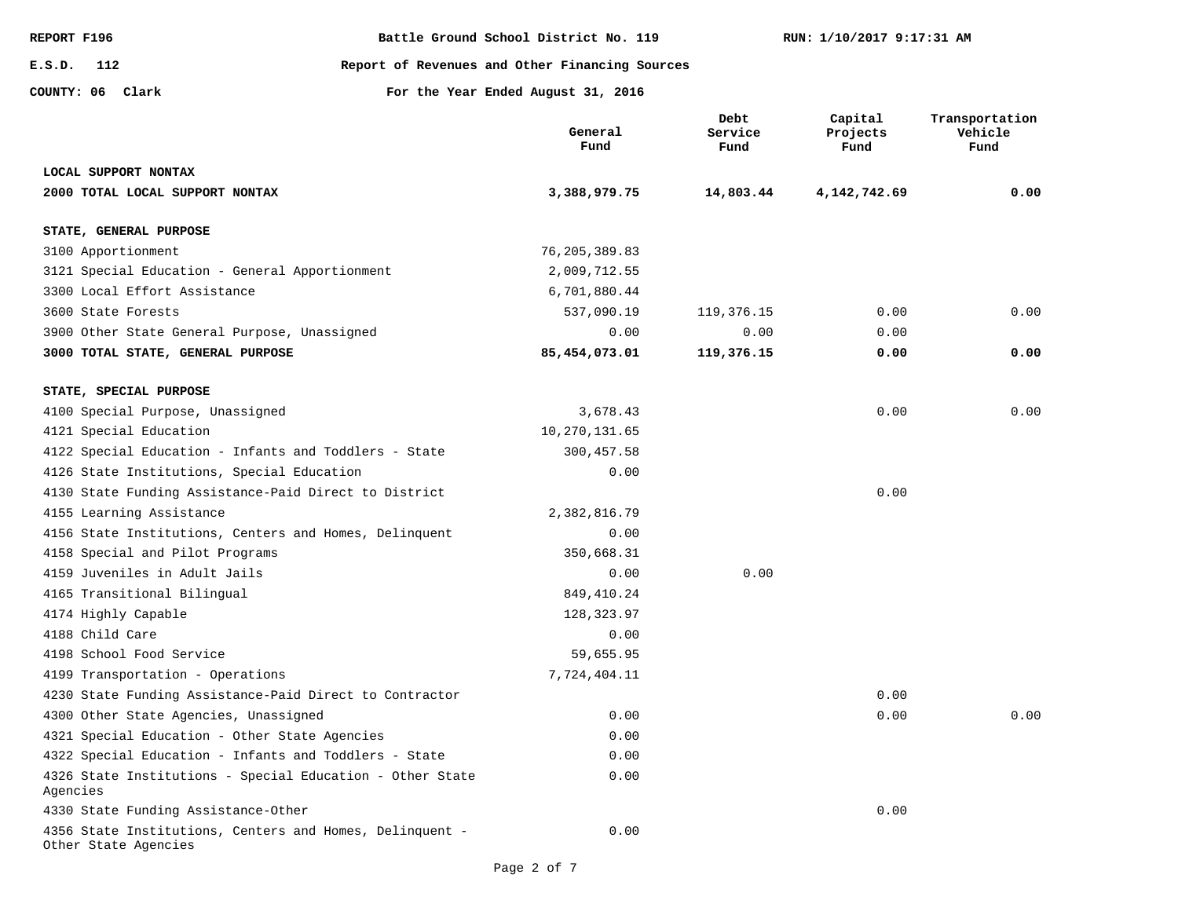**E.S.D. 112**

**REPORT F196 Battle Ground School District No. 119**

**Report of Revenues and Other Financing Sources**

**COUNTY: 06**

|                                                                                  | General<br>Fund | Debt<br>Service<br>Fund | Capital<br>Projects<br>Fund | Transportation<br>Vehicle<br>Fund |
|----------------------------------------------------------------------------------|-----------------|-------------------------|-----------------------------|-----------------------------------|
| LOCAL SUPPORT NONTAX                                                             |                 |                         |                             |                                   |
| 2000 TOTAL LOCAL SUPPORT NONTAX                                                  | 3,388,979.75    | 14,803.44               | 4, 142, 742.69              | 0.00                              |
| STATE, GENERAL PURPOSE                                                           |                 |                         |                             |                                   |
| 3100 Apportionment                                                               | 76,205,389.83   |                         |                             |                                   |
| 3121 Special Education - General Apportionment                                   | 2,009,712.55    |                         |                             |                                   |
| 3300 Local Effort Assistance                                                     | 6,701,880.44    |                         |                             |                                   |
| 3600 State Forests                                                               | 537,090.19      | 119,376.15              | 0.00                        | 0.00                              |
| 3900 Other State General Purpose, Unassigned                                     | 0.00            | 0.00                    | 0.00                        |                                   |
| 3000 TOTAL STATE, GENERAL PURPOSE                                                | 85,454,073.01   | 119,376.15              | 0.00                        | 0.00                              |
| STATE, SPECIAL PURPOSE                                                           |                 |                         |                             |                                   |
| 4100 Special Purpose, Unassigned                                                 | 3,678.43        |                         | 0.00                        | 0.00                              |
| 4121 Special Education                                                           | 10, 270, 131.65 |                         |                             |                                   |
| 4122 Special Education - Infants and Toddlers - State                            | 300,457.58      |                         |                             |                                   |
| 4126 State Institutions, Special Education                                       | 0.00            |                         |                             |                                   |
| 4130 State Funding Assistance-Paid Direct to District                            |                 |                         | 0.00                        |                                   |
| 4155 Learning Assistance                                                         | 2,382,816.79    |                         |                             |                                   |
| 4156 State Institutions, Centers and Homes, Delinquent                           | 0.00            |                         |                             |                                   |
| 4158 Special and Pilot Programs                                                  | 350,668.31      |                         |                             |                                   |
| 4159 Juveniles in Adult Jails                                                    | 0.00            | 0.00                    |                             |                                   |
| 4165 Transitional Bilingual                                                      | 849, 410.24     |                         |                             |                                   |
| 4174 Highly Capable                                                              | 128, 323.97     |                         |                             |                                   |
| 4188 Child Care                                                                  | 0.00            |                         |                             |                                   |
| 4198 School Food Service                                                         | 59,655.95       |                         |                             |                                   |
| 4199 Transportation - Operations                                                 | 7,724,404.11    |                         |                             |                                   |
| 4230 State Funding Assistance-Paid Direct to Contractor                          |                 |                         | 0.00                        |                                   |
| 4300 Other State Agencies, Unassigned                                            | 0.00            |                         | 0.00                        | 0.00                              |
| 4321 Special Education - Other State Agencies                                    | 0.00            |                         |                             |                                   |
| 4322 Special Education - Infants and Toddlers - State                            | 0.00            |                         |                             |                                   |
| 4326 State Institutions - Special Education - Other State<br>Agencies            | 0.00            |                         |                             |                                   |
| 4330 State Funding Assistance-Other                                              |                 |                         | 0.00                        |                                   |
| 4356 State Institutions, Centers and Homes, Delinquent -<br>Other State Agencies | 0.00            |                         |                             |                                   |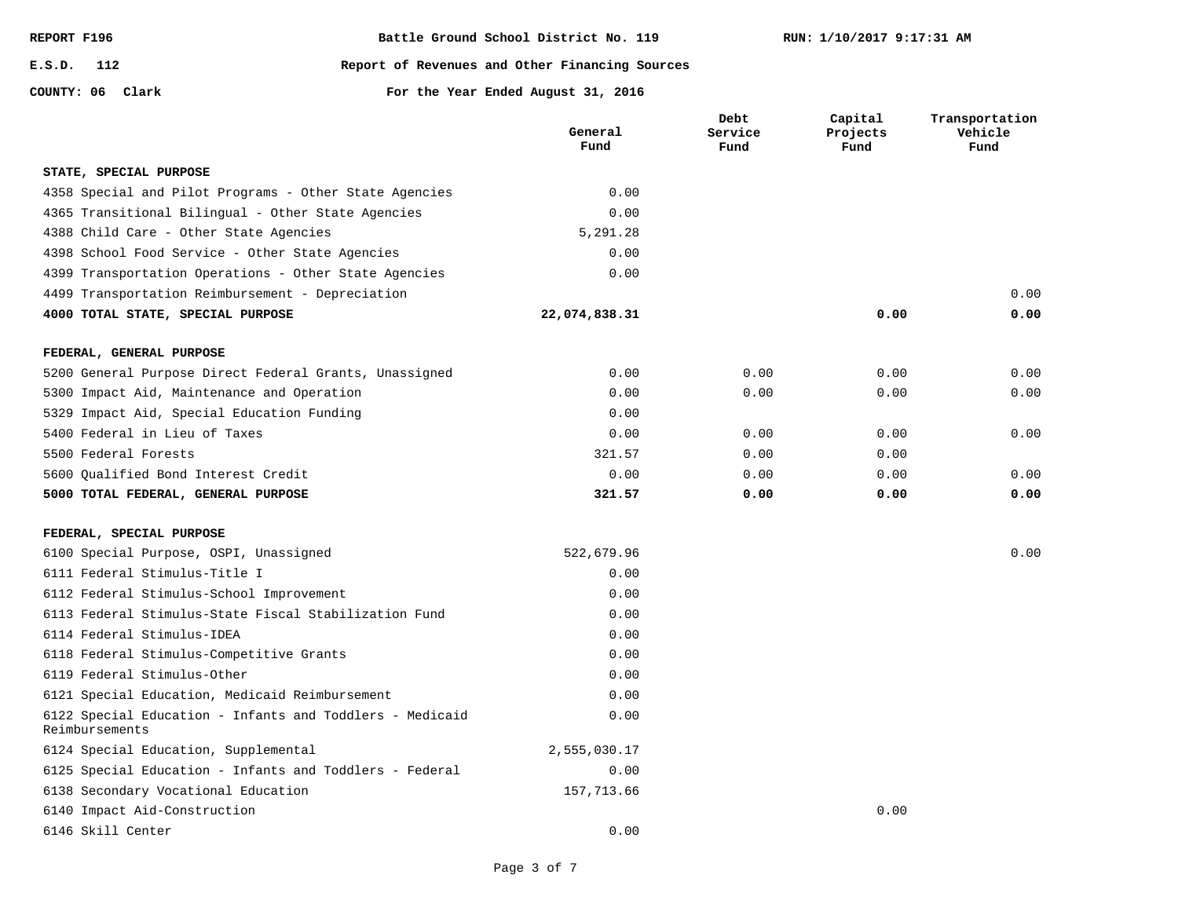**COUNTY: 06**

#### **E.S.D. 112 Report of Revenues and Other Financing Sources**

|                                                                            | General<br>Fund | Debt<br>Service<br>Fund | Capital<br>Projects<br>Fund | Transportation<br>Vehicle<br>Fund |
|----------------------------------------------------------------------------|-----------------|-------------------------|-----------------------------|-----------------------------------|
| STATE, SPECIAL PURPOSE                                                     |                 |                         |                             |                                   |
| 4358 Special and Pilot Programs - Other State Agencies                     | 0.00            |                         |                             |                                   |
| 4365 Transitional Bilingual - Other State Agencies                         | 0.00            |                         |                             |                                   |
| 4388 Child Care - Other State Agencies                                     | 5,291.28        |                         |                             |                                   |
| 4398 School Food Service - Other State Agencies                            | 0.00            |                         |                             |                                   |
| 4399 Transportation Operations - Other State Agencies                      | 0.00            |                         |                             |                                   |
| 4499 Transportation Reimbursement - Depreciation                           |                 |                         |                             | 0.00                              |
| 4000 TOTAL STATE, SPECIAL PURPOSE                                          | 22,074,838.31   |                         | 0.00                        | 0.00                              |
| FEDERAL, GENERAL PURPOSE                                                   |                 |                         |                             |                                   |
| 5200 General Purpose Direct Federal Grants, Unassigned                     | 0.00            | 0.00                    | 0.00                        | 0.00                              |
| 5300 Impact Aid, Maintenance and Operation                                 | 0.00            | 0.00                    | 0.00                        | 0.00                              |
| 5329 Impact Aid, Special Education Funding                                 | 0.00            |                         |                             |                                   |
| 5400 Federal in Lieu of Taxes                                              | 0.00            | 0.00                    | 0.00                        | 0.00                              |
| 5500 Federal Forests                                                       | 321.57          | 0.00                    | 0.00                        |                                   |
| 5600 Oualified Bond Interest Credit                                        | 0.00            | 0.00                    | 0.00                        | 0.00                              |
| 5000 TOTAL FEDERAL, GENERAL PURPOSE                                        | 321.57          | 0.00                    | 0.00                        | 0.00                              |
| FEDERAL, SPECIAL PURPOSE                                                   |                 |                         |                             |                                   |
| 6100 Special Purpose, OSPI, Unassigned                                     | 522,679.96      |                         |                             | 0.00                              |
| 6111 Federal Stimulus-Title I                                              | 0.00            |                         |                             |                                   |
| 6112 Federal Stimulus-School Improvement                                   | 0.00            |                         |                             |                                   |
| 6113 Federal Stimulus-State Fiscal Stabilization Fund                      | 0.00            |                         |                             |                                   |
| 6114 Federal Stimulus-IDEA                                                 | 0.00            |                         |                             |                                   |
| 6118 Federal Stimulus-Competitive Grants                                   | 0.00            |                         |                             |                                   |
| 6119 Federal Stimulus-Other                                                | 0.00            |                         |                             |                                   |
| 6121 Special Education, Medicaid Reimbursement                             | 0.00            |                         |                             |                                   |
| 6122 Special Education - Infants and Toddlers - Medicaid<br>Reimbursements | 0.00            |                         |                             |                                   |
| 6124 Special Education, Supplemental                                       | 2,555,030.17    |                         |                             |                                   |
| 6125 Special Education - Infants and Toddlers - Federal                    | 0.00            |                         |                             |                                   |
| 6138 Secondary Vocational Education                                        | 157,713.66      |                         |                             |                                   |
| 6140 Impact Aid-Construction                                               |                 |                         | 0.00                        |                                   |
| 6146 Skill Center                                                          | 0.00            |                         |                             |                                   |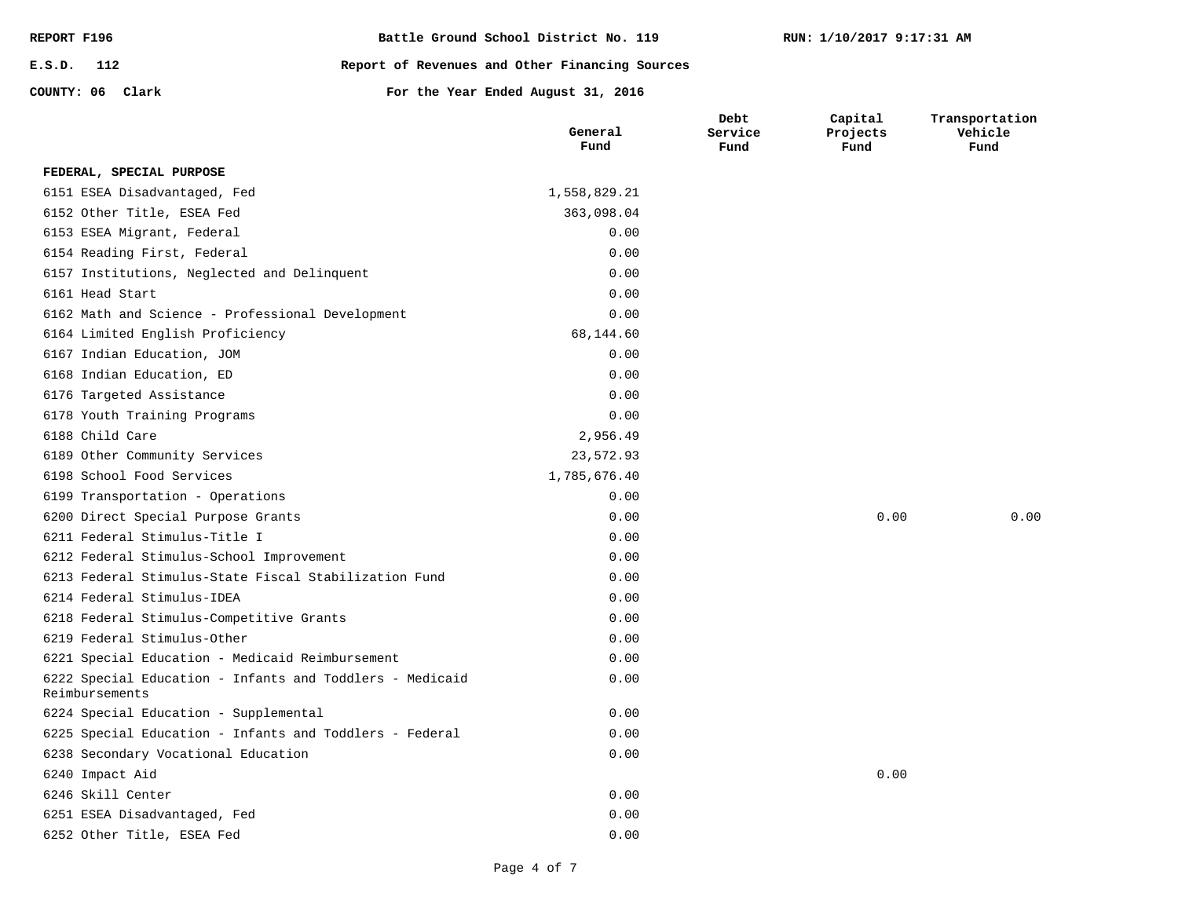| REPORT F196      | Battle Ground School District No. 119          |
|------------------|------------------------------------------------|
| E.S.D. 112       | Report of Revenues and Other Financing Sources |
| COUNTY: 06 Clark | For the Year Ended August 31, 2016             |

|                                                                            | General<br>Fund | Debt<br>Service<br>Fund | Capital<br>Projects<br>Fund | Transportation<br>Vehicle<br>Fund |
|----------------------------------------------------------------------------|-----------------|-------------------------|-----------------------------|-----------------------------------|
| FEDERAL, SPECIAL PURPOSE                                                   |                 |                         |                             |                                   |
| 6151 ESEA Disadvantaged, Fed                                               | 1,558,829.21    |                         |                             |                                   |
| 6152 Other Title, ESEA Fed                                                 | 363,098.04      |                         |                             |                                   |
| 6153 ESEA Migrant, Federal                                                 | 0.00            |                         |                             |                                   |
| 6154 Reading First, Federal                                                | 0.00            |                         |                             |                                   |
| 6157 Institutions, Neglected and Delinquent                                | 0.00            |                         |                             |                                   |
| 6161 Head Start                                                            | 0.00            |                         |                             |                                   |
| 6162 Math and Science - Professional Development                           | 0.00            |                         |                             |                                   |
| 6164 Limited English Proficiency                                           | 68,144.60       |                         |                             |                                   |
| 6167 Indian Education, JOM                                                 | 0.00            |                         |                             |                                   |
| 6168 Indian Education, ED                                                  | 0.00            |                         |                             |                                   |
| 6176 Targeted Assistance                                                   | 0.00            |                         |                             |                                   |
| 6178 Youth Training Programs                                               | 0.00            |                         |                             |                                   |
| 6188 Child Care                                                            | 2,956.49        |                         |                             |                                   |
| 6189 Other Community Services                                              | 23,572.93       |                         |                             |                                   |
| 6198 School Food Services                                                  | 1,785,676.40    |                         |                             |                                   |
| 6199 Transportation - Operations                                           | 0.00            |                         |                             |                                   |
| 6200 Direct Special Purpose Grants                                         | 0.00            |                         | 0.00                        | 0.00                              |
| 6211 Federal Stimulus-Title I                                              | 0.00            |                         |                             |                                   |
| 6212 Federal Stimulus-School Improvement                                   | 0.00            |                         |                             |                                   |
| 6213 Federal Stimulus-State Fiscal Stabilization Fund                      | 0.00            |                         |                             |                                   |
| 6214 Federal Stimulus-IDEA                                                 | 0.00            |                         |                             |                                   |
| 6218 Federal Stimulus-Competitive Grants                                   | 0.00            |                         |                             |                                   |
| 6219 Federal Stimulus-Other                                                | 0.00            |                         |                             |                                   |
| 6221 Special Education - Medicaid Reimbursement                            | 0.00            |                         |                             |                                   |
| 6222 Special Education - Infants and Toddlers - Medicaid<br>Reimbursements | 0.00            |                         |                             |                                   |
| 6224 Special Education - Supplemental                                      | 0.00            |                         |                             |                                   |
| 6225 Special Education - Infants and Toddlers - Federal                    | 0.00            |                         |                             |                                   |
| 6238 Secondary Vocational Education                                        | 0.00            |                         |                             |                                   |
| 6240 Impact Aid                                                            |                 |                         | 0.00                        |                                   |
| 6246 Skill Center                                                          | 0.00            |                         |                             |                                   |
| 6251 ESEA Disadvantaged, Fed                                               | 0.00            |                         |                             |                                   |
| 6252 Other Title, ESEA Fed                                                 | 0.00            |                         |                             |                                   |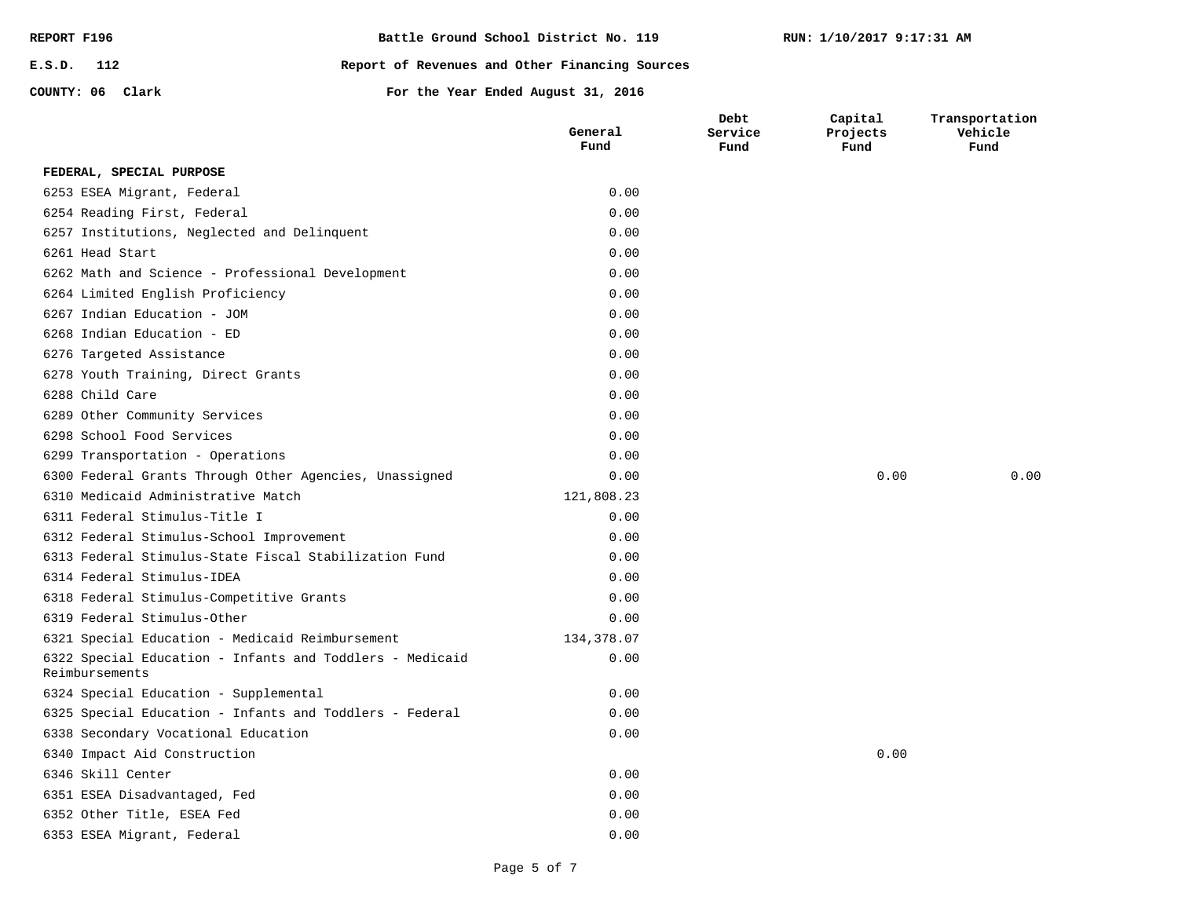| REPORT F196      |  |  | Battle Ground School District No. 119          |  |  |  |
|------------------|--|--|------------------------------------------------|--|--|--|
| $E.S.D.$ 112     |  |  | Report of Revenues and Other Financing Sources |  |  |  |
| COUNTY: 06 Clark |  |  | For the Year Ended August 31, 2016             |  |  |  |

6353 ESEA Migrant, Federal 6352 Other Title, ESEA Fed

**Capital Projects**  **Transportation Vehicle** 

### **Fund Fund Fund Fund** 0.00 0.00 0.00 0.00 0.00 0.00 0.00 134,378.07 0.00 0.00 0.00 0.00 0.00 0.00 121,808.23 0.00 0.00 0.00 0.00 0.00 0.00 0.00 0.00 0.00 0.00 0.00 0.00 0.00 0.00 0.00 0.00 0.00 6351 ESEA Disadvantaged, Fed 6346 Skill Center 6340 Impact Aid Construction 6338 Secondary Vocational Education 6325 Special Education - Infants and Toddlers - Federal 6324 Special Education - Supplemental 6322 Special Education - Infants and Toddlers - Medicaid Reimbursements 6321 Special Education - Medicaid Reimbursement 6319 Federal Stimulus-Other 6318 Federal Stimulus-Competitive Grants 6314 Federal Stimulus-IDEA 6313 Federal Stimulus-State Fiscal Stabilization Fund 6312 Federal Stimulus-School Improvement 6311 Federal Stimulus-Title I 6310 Medicaid Administrative Match 6300 Federal Grants Through Other Agencies, Unassigned 6299 Transportation - Operations 6298 School Food Services 6289 Other Community Services 6288 Child Care 6278 Youth Training, Direct Grants 6276 Targeted Assistance 6268 Indian Education - ED 6267 Indian Education - JOM 6264 Limited English Proficiency 6262 Math and Science - Professional Development 6261 Head Start 6257 Institutions, Neglected and Delinquent 6254 Reading First, Federal 6253 ESEA Migrant, Federal **FEDERAL, SPECIAL PURPOSE**

**General** 

**Debt Service** 

0.00 0.00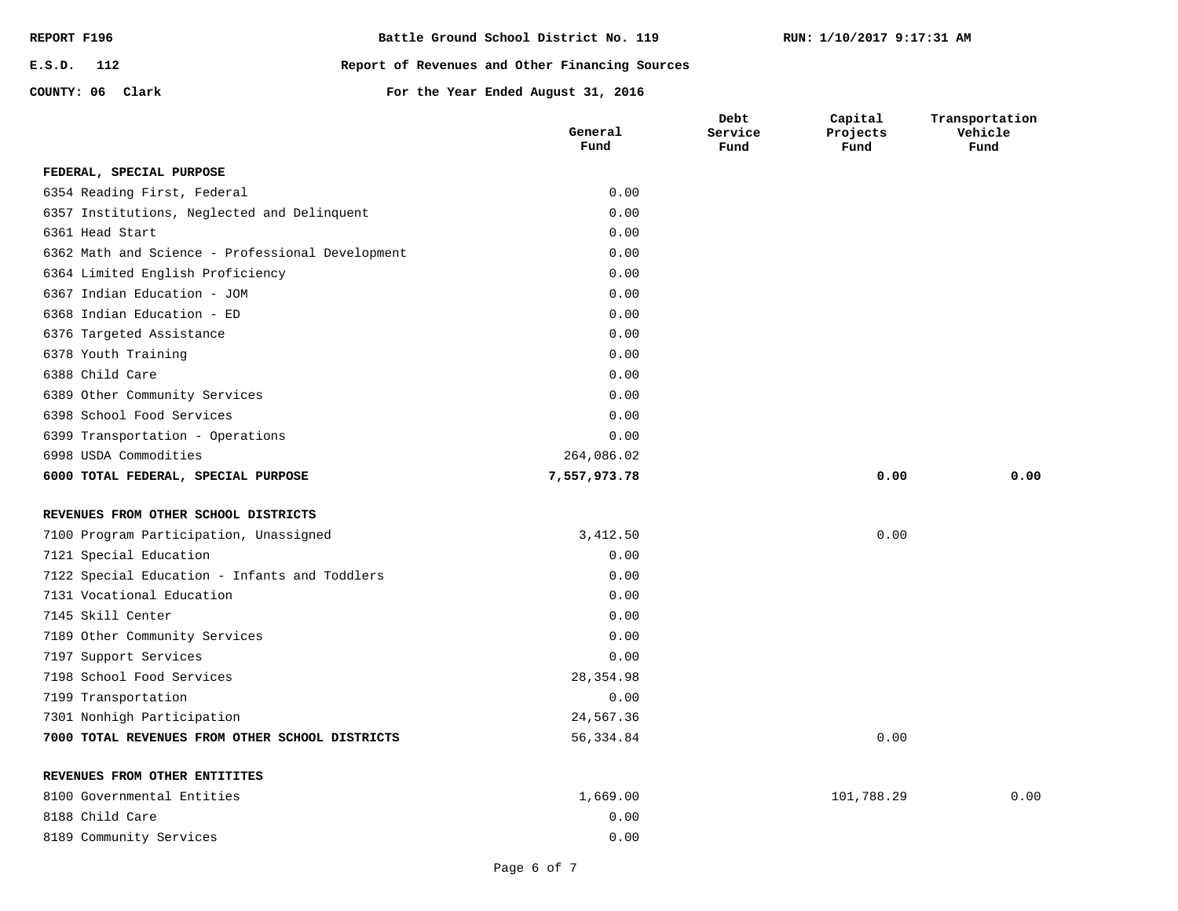| REPORT F196      | Battle Ground School District No. 119          |
|------------------|------------------------------------------------|
| E.S.D. 112       | Report of Revenues and Other Financing Sources |
| COUNTY: 06 Clark | For the Year Ended August 31, 2016             |

**Capital Projects Fund**

**Transportation Vehicle Fund**

| FEDERAL, SPECIAL PURPOSE                         |              |      |      |
|--------------------------------------------------|--------------|------|------|
| 6354 Reading First, Federal                      | 0.00         |      |      |
| 6357 Institutions, Neglected and Delinquent      | 0.00         |      |      |
| 6361 Head Start                                  | 0.00         |      |      |
| 6362 Math and Science - Professional Development | 0.00         |      |      |
| 6364 Limited English Proficiency                 | 0.00         |      |      |
| 6367 Indian Education - JOM                      | 0.00         |      |      |
| 6368 Indian Education - ED                       | 0.00         |      |      |
| 6376 Targeted Assistance                         | 0.00         |      |      |
| 6378 Youth Training                              | 0.00         |      |      |
| 6388 Child Care                                  | 0.00         |      |      |
| 6389 Other Community Services                    | 0.00         |      |      |
| 6398 School Food Services                        | 0.00         |      |      |
| 6399 Transportation - Operations                 | 0.00         |      |      |
| 6998 USDA Commodities                            | 264,086.02   |      |      |
| 6000 TOTAL FEDERAL, SPECIAL PURPOSE              | 7,557,973.78 | 0.00 | 0.00 |
| REVENUES FROM OTHER SCHOOL DISTRICTS             |              |      |      |
| 7100 Program Participation, Unassigned           | 3,412.50     | 0.00 |      |
| 7121 Special Education                           | 0.00         |      |      |
| 7122 Special Education - Infants and Toddlers    | 0.00         |      |      |
| 7131 Vocational Education                        | 0.00         |      |      |
| 7145 Skill Center                                | 0.00         |      |      |
| 7189 Other Community Services                    | 0.00         |      |      |
| 7197 Support Services                            | 0.00         |      |      |
|                                                  |              |      |      |

**General Fund**

**Debt Service Fund**

56,334.84 0.00

# **REVENUES FROM OTHER ENTITITES**

7301 Nonhigh Participation

7198 School Food Services

7199 Transportation

**7000 TOTAL REVENUES FROM OTHER SCHOOL DISTRICTS**

| 8100 Governmental Entities | 1,669.00 | 101,788.29 | 0.00 |
|----------------------------|----------|------------|------|
| 8188 Child Care            | 0.00     |            |      |
| 8189 Community Services    | 0.00     |            |      |

24,567.36 0.00 28,354.98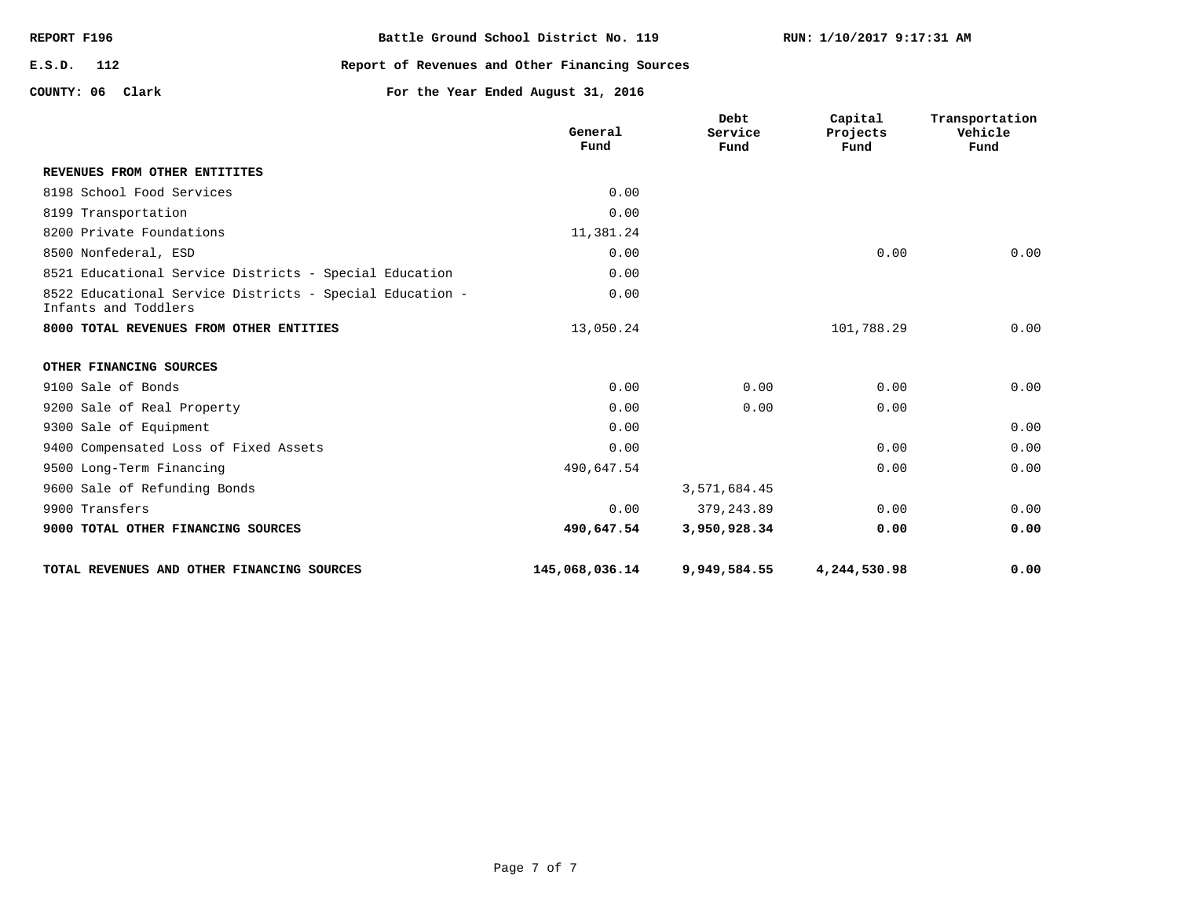| REPORT F196      | Battle Ground School District No. 119          |
|------------------|------------------------------------------------|
| E.S.D. 112       | Report of Revenues and Other Financing Sources |
| COUNTY: 06 Clark | For the Year Ended August 31, 2016             |

**REVENUES FROM OTHER ENTITITES**

**Capital Projects Fund**

**Transportation Vehicle Fund**

**Debt** 

**General Fund Service Fund** 0.00

| TOTAL REVENUES AND OTHER FINANCING SOURCES                                       | 145,068,036.14 | 9,949,584.55 | 4,244,530.98 | 0.00 |
|----------------------------------------------------------------------------------|----------------|--------------|--------------|------|
| 9000 TOTAL OTHER FINANCING SOURCES                                               | 490,647.54     | 3,950,928.34 | 0.00         | 0.00 |
| 9900 Transfers                                                                   | 0.00           | 379,243.89   | 0.00         | 0.00 |
| 9600 Sale of Refunding Bonds                                                     |                | 3,571,684.45 |              |      |
| 9500 Long-Term Financing                                                         | 490,647.54     |              | 0.00         | 0.00 |
| 9400 Compensated Loss of Fixed Assets                                            | 0.00           |              | 0.00         | 0.00 |
| 9300 Sale of Equipment                                                           | 0.00           |              |              | 0.00 |
| 9200 Sale of Real Property                                                       | 0.00           | 0.00         | 0.00         |      |
| 9100 Sale of Bonds                                                               | 0.00           | 0.00         | 0.00         | 0.00 |
| OTHER FINANCING SOURCES                                                          |                |              |              |      |
| 8000 TOTAL REVENUES FROM OTHER ENTITIES                                          | 13,050.24      |              | 101,788.29   | 0.00 |
| 8522 Educational Service Districts - Special Education -<br>Infants and Toddlers | 0.00           |              |              |      |
| 8521 Educational Service Districts - Special Education                           | 0.00           |              |              |      |
| 8500 Nonfederal, ESD                                                             | 0.00           |              | 0.00         | 0.00 |
| 8200 Private Foundations                                                         | 11,381.24      |              |              |      |
| 8199 Transportation                                                              | 0.00           |              |              |      |
| 8198 School Food Services                                                        | 0.00           |              |              |      |
|                                                                                  |                |              |              |      |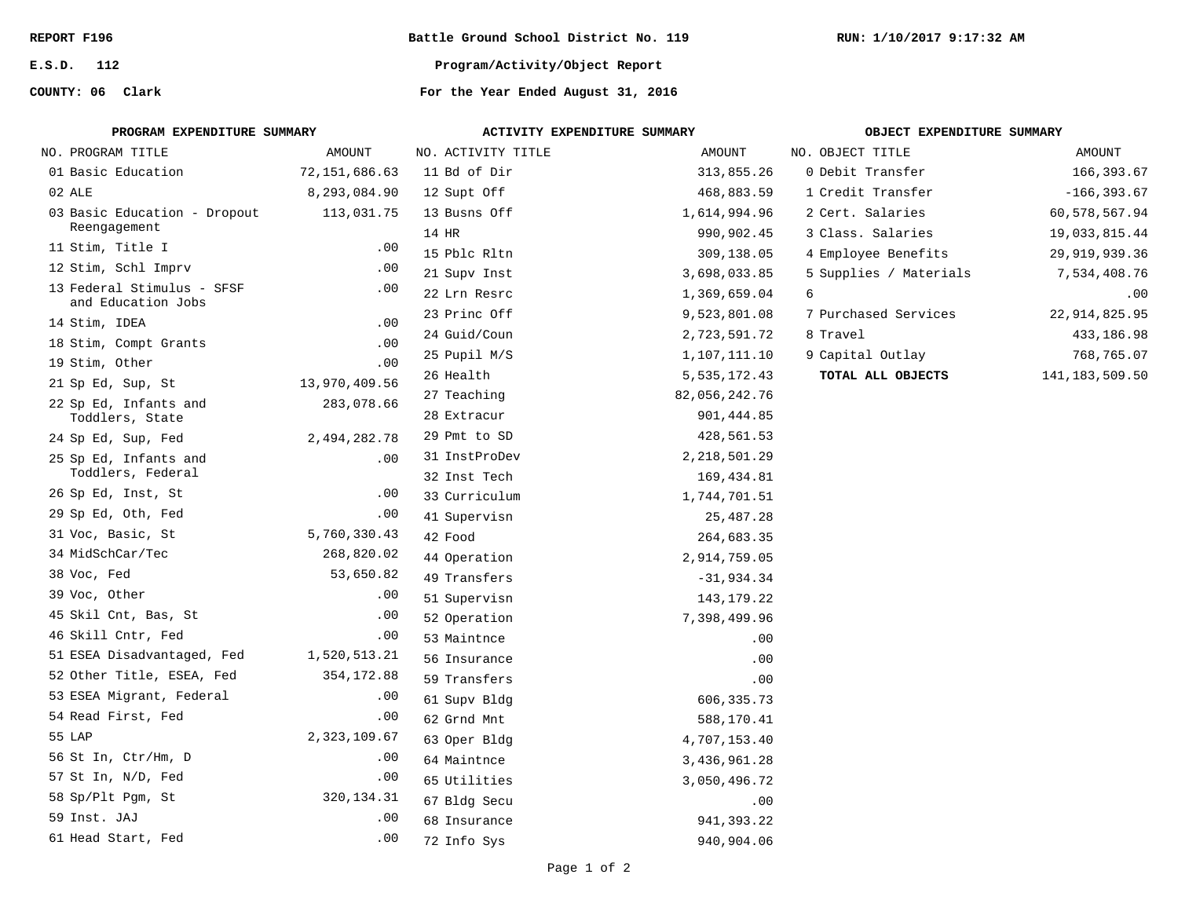**E.S.D. 112**

**COUNTY: 06**

**Battle Ground School District No. 119**

**RUN: 1/10/2017 9:17:32 AM**

**Program/Activity/Object Report**

| PROGRAM EXPENDITURE SUMMARY                      |               | ACTIVITY EXPENDITURE SUMMARY |                | OBJECT EXPENDITURE SUMMARY |                   |
|--------------------------------------------------|---------------|------------------------------|----------------|----------------------------|-------------------|
| NO. PROGRAM TITLE                                | AMOUNT        | NO. ACTIVITY TITLE           | AMOUNT         | NO. OBJECT TITLE           | AMOUNT            |
| 01 Basic Education                               | 72,151,686.63 | 11 Bd of Dir                 | 313,855.26     | 0 Debit Transfer           | 166,393.67        |
| 02 ALE                                           | 8,293,084.90  | 12 Supt Off                  | 468,883.59     | 1 Credit Transfer          | $-166, 393.67$    |
| 03 Basic Education - Dropout                     | 113,031.75    | 13 Busns Off                 | 1,614,994.96   | 2 Cert. Salaries           | 60,578,567.94     |
| Reengagement                                     |               | 14 HR                        | 990,902.45     | 3 Class. Salaries          | 19,033,815.44     |
| 11 Stim, Title I                                 | .00           | 15 Pblc Rltn                 | 309,138.05     | 4 Employee Benefits        | 29,919,939.36     |
| 12 Stim, Schl Imprv                              | .00           | 21 Supv Inst                 | 3,698,033.85   | 5 Supplies / Materials     | 7,534,408.76      |
| 13 Federal Stimulus - SFSF<br>and Education Jobs | $.00 \,$      | 22 Lrn Resrc                 | 1,369,659.04   | 6                          | .00               |
| 14 Stim, IDEA                                    | .00           | 23 Princ Off                 | 9,523,801.08   | 7 Purchased Services       | 22, 914, 825.95   |
| 18 Stim, Compt Grants                            | .00           | 24 Guid/Coun                 | 2,723,591.72   | 8 Travel                   | 433,186.98        |
| 19 Stim, Other                                   | .00           | 25 Pupil M/S                 | 1,107,111.10   | 9 Capital Outlay           | 768,765.07        |
| 21 Sp Ed, Sup, St                                | 13,970,409.56 | 26 Health                    | 5,535,172.43   | TOTAL ALL OBJECTS          | 141, 183, 509. 50 |
| 22 Sp Ed, Infants and                            | 283,078.66    | 27 Teaching                  | 82,056,242.76  |                            |                   |
| Toddlers, State                                  |               | 28 Extracur                  | 901,444.85     |                            |                   |
| 24 Sp Ed, Sup, Fed                               | 2,494,282.78  | 29 Pmt to SD                 | 428,561.53     |                            |                   |
| 25 Sp Ed, Infants and                            | $.00 \,$      | 31 InstProDev                | 2, 218, 501.29 |                            |                   |
| Toddlers, Federal                                |               | 32 Inst Tech                 | 169,434.81     |                            |                   |
| 26 Sp Ed, Inst, St                               | .00           | 33 Curriculum                | 1,744,701.51   |                            |                   |
| 29 Sp Ed, Oth, Fed                               | .00           | 41 Supervisn                 | 25,487.28      |                            |                   |
| 31 Voc, Basic, St                                | 5,760,330.43  | 42 Food                      | 264,683.35     |                            |                   |
| 34 MidSchCar/Tec                                 | 268,820.02    | 44 Operation                 | 2,914,759.05   |                            |                   |
| 38 Voc, Fed                                      | 53,650.82     | 49 Transfers                 | $-31,934.34$   |                            |                   |
| 39 Voc, Other                                    | .00           | 51 Supervisn                 | 143, 179. 22   |                            |                   |
| 45 Skil Cnt, Bas, St                             | .00           | 52 Operation                 | 7,398,499.96   |                            |                   |
| 46 Skill Cntr, Fed                               | .00           | 53 Maintnce                  | .00            |                            |                   |
| 51 ESEA Disadvantaged, Fed                       | 1,520,513.21  | 56 Insurance                 | .00            |                            |                   |
| 52 Other Title, ESEA, Fed                        | 354, 172.88   | 59 Transfers                 | .00            |                            |                   |
| 53 ESEA Migrant, Federal                         | .00           | 61 Supv Bldg                 | 606,335.73     |                            |                   |
| 54 Read First, Fed                               | .00           | 62 Grnd Mnt                  | 588,170.41     |                            |                   |
| 55 LAP                                           | 2,323,109.67  | 63 Oper Bldg                 | 4,707,153.40   |                            |                   |
| 56 St In, Ctr/Hm, D                              | .00           | 64 Maintnce                  | 3,436,961.28   |                            |                   |
| 57 St In, N/D, Fed                               | .00           | 65 Utilities                 | 3,050,496.72   |                            |                   |
| 58 Sp/Plt Pgm, St                                | 320, 134. 31  | 67 Bldg Secu                 | .00            |                            |                   |
| 59 Inst. JAJ                                     | .00           | 68 Insurance                 | 941,393.22     |                            |                   |
| 61 Head Start, Fed                               | .00           | 72 Info Sys                  | 940,904.06     |                            |                   |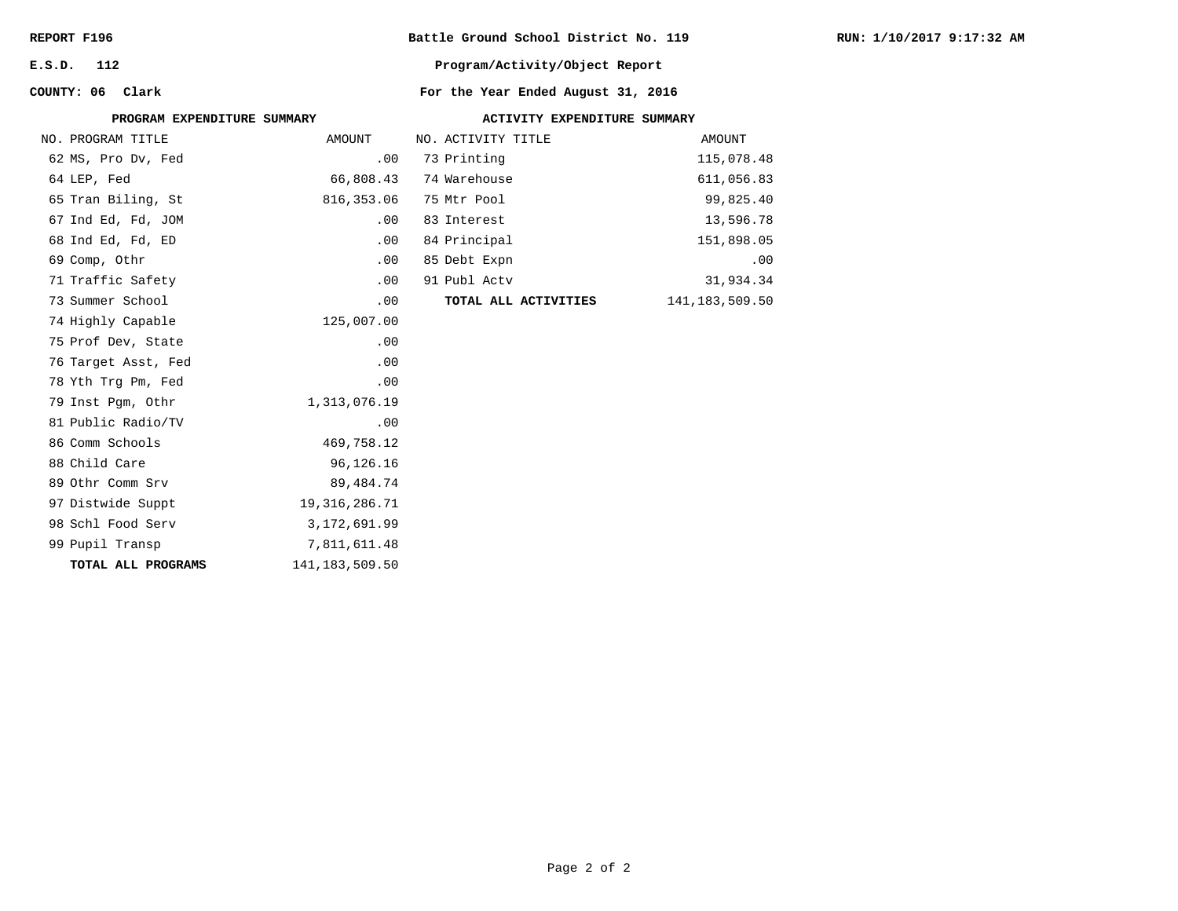| REPORT F196 |  |
|-------------|--|
|-------------|--|

**E.S.D. 112**

**COUNTY: 06**

# **Battle Ground School District No. 119**

**Program/Activity/Object Report**

|                     | PROGRAM EXPENDITURE SUMMARY | ACTIVITY EXPENDITURE SUMMARY |                   |
|---------------------|-----------------------------|------------------------------|-------------------|
| NO. PROGRAM TITLE   | AMOUNT                      | NO. ACTIVITY TITLE           | AMOUNT            |
| 62 MS, Pro Dv, Fed  | .00                         | 73 Printing                  | 115,078.48        |
| 64 LEP, Fed         | 66,808.43                   | 74 Warehouse                 | 611,056.83        |
| 65 Tran Biling, St  | 816, 353.06                 | 75 Mtr Pool                  | 99,825.40         |
| 67 Ind Ed, Fd, JOM  | .00                         | 83 Interest                  | 13,596.78         |
| 68 Ind Ed, Fd, ED   | .00                         | 84 Principal                 | 151,898.05        |
| 69 Comp, Othr       | .00                         | 85 Debt Expn                 | .00               |
| 71 Traffic Safety   | .00                         | 91 Publ Actv                 | 31,934.34         |
| 73 Summer School    | .00                         | TOTAL ALL ACTIVITIES         | 141, 183, 509. 50 |
| 74 Highly Capable   | 125,007.00                  |                              |                   |
| 75 Prof Dev, State  | .00                         |                              |                   |
| 76 Target Asst, Fed | .00                         |                              |                   |
| 78 Yth Trg Pm, Fed  | .00                         |                              |                   |
| 79 Inst Pqm, Othr   | 1,313,076.19                |                              |                   |
| 81 Public Radio/TV  | .00                         |                              |                   |
| 86 Comm Schools     | 469,758.12                  |                              |                   |
| 88 Child Care       | 96,126.16                   |                              |                   |
| 89 Othr Comm Srv    | 89,484.74                   |                              |                   |
| 97 Distwide Suppt   | 19, 316, 286. 71            |                              |                   |
| 98 Schl Food Serv   | 3,172,691.99                |                              |                   |
| 99 Pupil Transp     | 7,811,611.48                |                              |                   |
| TOTAL ALL PROGRAMS  | 141, 183, 509.50            |                              |                   |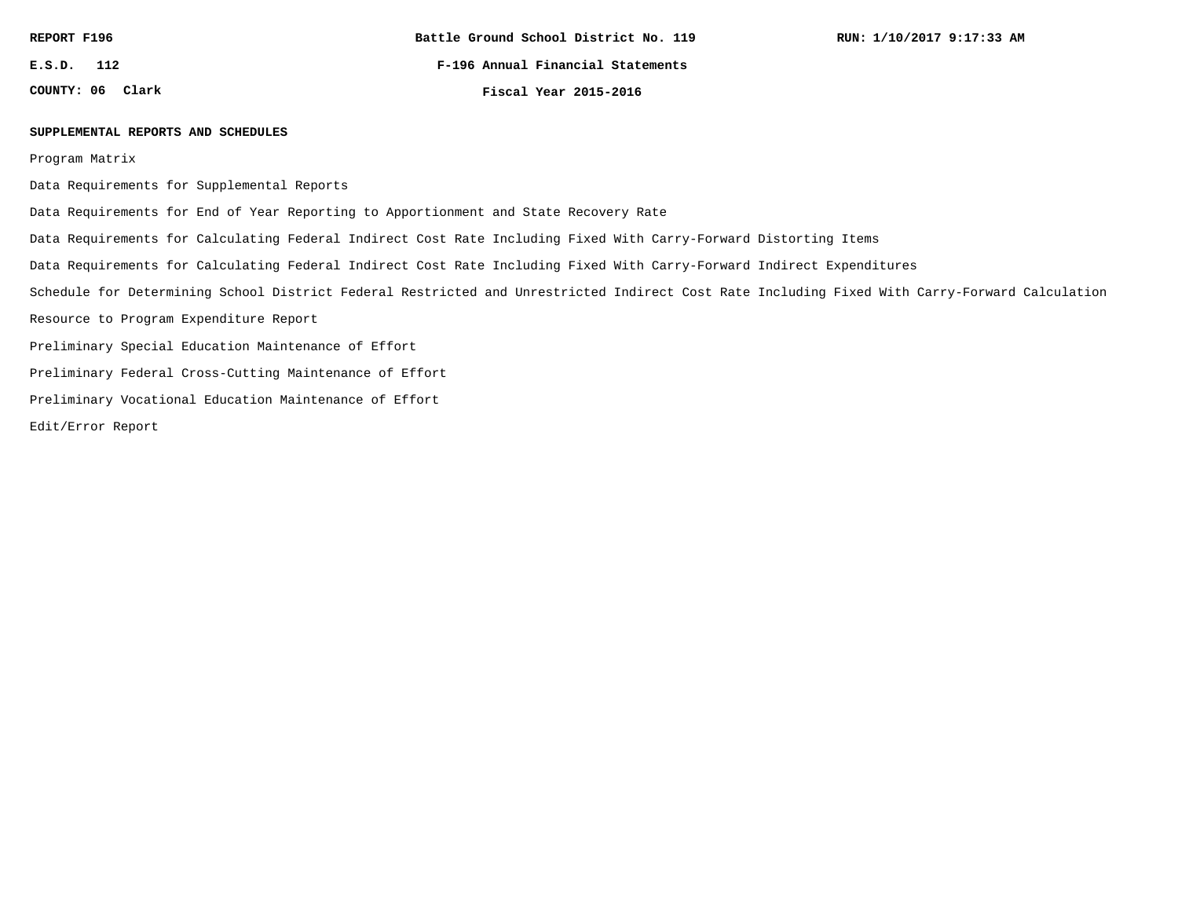**E.S.D. 112**

**COUNTY: 06**

**F-196 Annual Financial Statements**

**Clark Fiscal Year 2015-2016**

### **SUPPLEMENTAL REPORTS AND SCHEDULES**

Program Matrix

Data Requirements for Supplemental Reports

Data Requirements for End of Year Reporting to Apportionment and State Recovery Rate

Data Requirements for Calculating Federal Indirect Cost Rate Including Fixed With Carry-Forward Distorting Items

Data Requirements for Calculating Federal Indirect Cost Rate Including Fixed With Carry-Forward Indirect Expenditures

Schedule for Determining School District Federal Restricted and Unrestricted Indirect Cost Rate Including Fixed With Carry-Forward Calculation

Resource to Program Expenditure Report

Preliminary Special Education Maintenance of Effort

Preliminary Federal Cross-Cutting Maintenance of Effort

Preliminary Vocational Education Maintenance of Effort

Edit/Error Report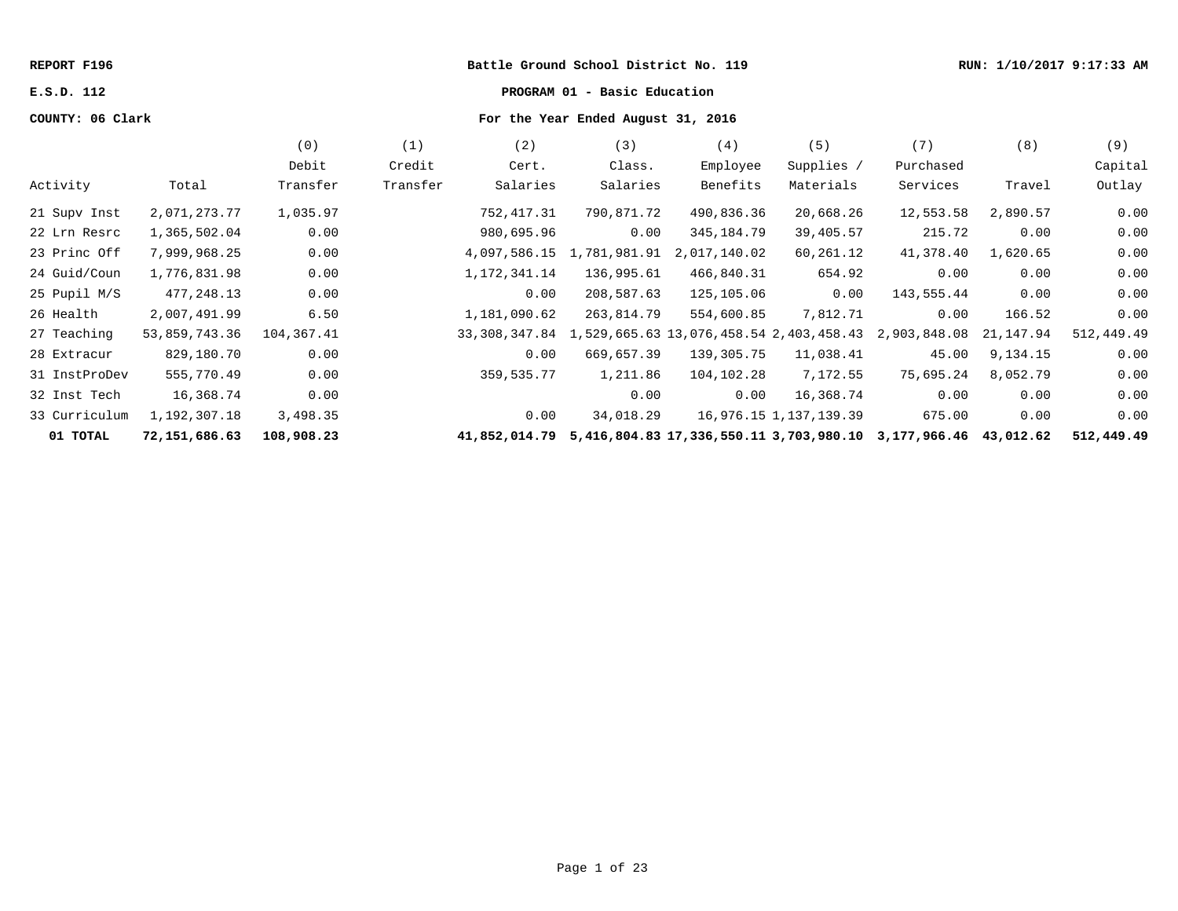## **REPORT F196 Battle Ground School District No. 119 RUN: 1/10/2017 9:17:33 AM**

# **E.S.D. 112 PROGRAM 01 - Basic Education**

# **COUNTY: 06 Clark For the Year Ended August 31, 2016**

|               |               | (0)        | (1)      | (2)                                                           | (3)          | (4)          | (5)                    | (7)                                                            | (8)       | (9)        |
|---------------|---------------|------------|----------|---------------------------------------------------------------|--------------|--------------|------------------------|----------------------------------------------------------------|-----------|------------|
|               |               | Debit      | Credit   | Cert.                                                         | Class.       | Employee     | Supplies /             | Purchased                                                      |           | Capital    |
| Activity      | Total         | Transfer   | Transfer | Salaries                                                      | Salaries     | Benefits     | Materials              | Services                                                       | Travel    | Outlay     |
| 21 Supv Inst  | 2,071,273.77  | 1,035.97   |          | 752,417.31                                                    | 790,871.72   | 490,836.36   | 20,668.26              | 12,553.58                                                      | 2,890.57  | 0.00       |
| 22 Lrn Resrc  | 1,365,502.04  | 0.00       |          | 980,695.96                                                    | 0.00         | 345,184.79   | 39,405.57              | 215.72                                                         | 0.00      | 0.00       |
| 23 Princ Off  | 7,999,968.25  | 0.00       |          | 4,097,586.15                                                  | 1,781,981.91 | 2,017,140.02 | 60,261.12              | 41,378.40                                                      | 1,620.65  | 0.00       |
| 24 Guid/Coun  | 1,776,831.98  | 0.00       |          | 1, 172, 341. 14                                               | 136,995.61   | 466,840.31   | 654.92                 | 0.00                                                           | 0.00      | 0.00       |
| 25 Pupil M/S  | 477,248.13    | 0.00       |          | 0.00                                                          | 208,587.63   | 125,105.06   | 0.00                   | 143,555.44                                                     | 0.00      | 0.00       |
| 26 Health     | 2,007,491.99  | 6.50       |          | 1,181,090.62                                                  | 263,814.79   | 554,600.85   | 7,812.71               | 0.00                                                           | 166.52    | 0.00       |
| 27 Teaching   | 53,859,743.36 | 104,367.41 |          | 33, 308, 347.84 1, 529, 665.63 13, 076, 458.54 2, 403, 458.43 |              |              |                        | 2,903,848.08                                                   | 21,147.94 | 512,449.49 |
| 28 Extracur   | 829,180.70    | 0.00       |          | 0.00                                                          | 669,657.39   | 139,305.75   | 11,038.41              | 45.00                                                          | 9,134.15  | 0.00       |
| 31 InstProDev | 555,770.49    | 0.00       |          | 359,535.77                                                    | 1,211.86     | 104,102.28   | 7,172.55               | 75,695.24                                                      | 8,052.79  | 0.00       |
| 32 Inst Tech  | 16,368.74     | 0.00       |          |                                                               | 0.00         | 0.00         | 16,368.74              | 0.00                                                           | 0.00      | 0.00       |
| 33 Curriculum | 1,192,307.18  | 3,498.35   |          | 0.00                                                          | 34,018.29    |              | 16,976.15 1,137,139.39 | 675.00                                                         | 0.00      | 0.00       |
| 01 TOTAL      | 72,151,686.63 | 108,908.23 |          | 41,852,014.79                                                 |              |              |                        | 5,416,804.83 17,336,550.11 3,703,980.10 3,177,966.46 43,012.62 |           | 512,449.49 |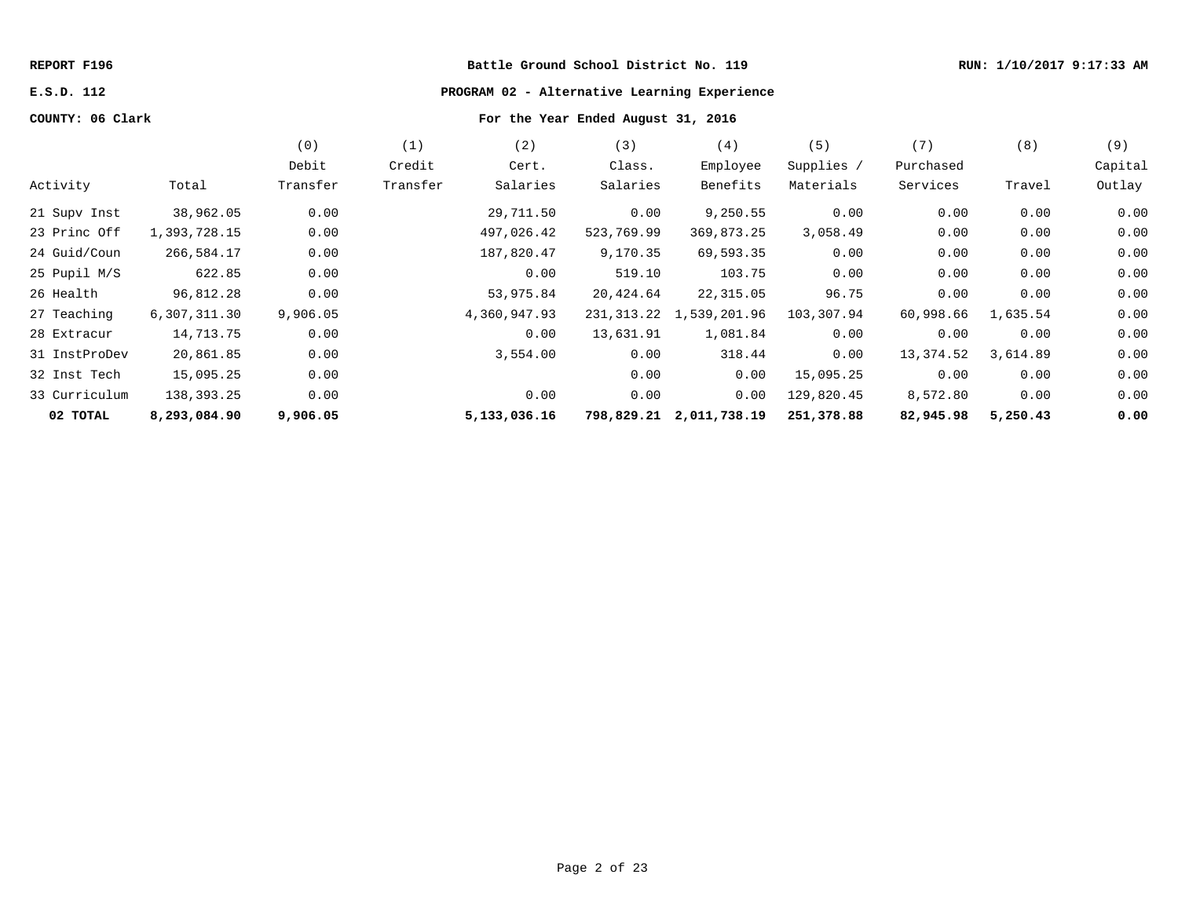# **REPORT F196 Battle Ground School District No. 119 RUN: 1/10/2017 9:17:33 AM**

# **E.S.D. 112 PROGRAM 02 - Alternative Learning Experience**

# **COUNTY: 06 Clark For the Year Ended August 31, 2016**

|               |              | (0)<br>Debit | (1)<br>Credit | (2)<br>Cert. | (3)<br>Class. | (4)<br>Employee            | (5)<br>Supplies / | (7)<br>Purchased | (8)      | (9)<br>Capital |
|---------------|--------------|--------------|---------------|--------------|---------------|----------------------------|-------------------|------------------|----------|----------------|
| Activity      | Total        | Transfer     | Transfer      | Salaries     | Salaries      | Benefits                   | Materials         | Services         | Travel   | Outlay         |
| 21 Supv Inst  | 38,962.05    | 0.00         |               | 29,711.50    | 0.00          | 9,250.55                   | 0.00              | 0.00             | 0.00     | 0.00           |
| 23 Princ Off  | 1,393,728.15 | 0.00         |               | 497,026.42   | 523,769.99    | 369,873.25                 | 3,058.49          | 0.00             | 0.00     | 0.00           |
| 24 Guid/Coun  | 266,584.17   | 0.00         |               | 187,820.47   | 9,170.35      | 69,593.35                  | 0.00              | 0.00             | 0.00     | 0.00           |
| 25 Pupil M/S  | 622.85       | 0.00         |               | 0.00         | 519.10        | 103.75                     | 0.00              | 0.00             | 0.00     | 0.00           |
| 26 Health     | 96,812.28    | 0.00         |               | 53,975.84    | 20,424.64     | 22,315.05                  | 96.75             | 0.00             | 0.00     | 0.00           |
| 27 Teaching   | 6,307,311.30 | 9,906.05     |               | 4,360,947.93 |               | 231, 313.22 1, 539, 201.96 | 103,307.94        | 60,998.66        | 1,635.54 | 0.00           |
| 28 Extracur   | 14,713.75    | 0.00         |               | 0.00         | 13,631.91     | 1,081.84                   | 0.00              | 0.00             | 0.00     | 0.00           |
| 31 InstProDev | 20,861.85    | 0.00         |               | 3,554.00     | 0.00          | 318.44                     | 0.00              | 13,374.52        | 3,614.89 | 0.00           |
| 32 Inst Tech  | 15,095.25    | 0.00         |               |              | 0.00          | 0.00                       | 15,095.25         | 0.00             | 0.00     | 0.00           |
| 33 Curriculum | 138,393.25   | 0.00         |               | 0.00         | 0.00          | 0.00                       | 129,820.45        | 8,572.80         | 0.00     | 0.00           |
| 02 TOTAL      | 8,293,084.90 | 9,906.05     |               | 5,133,036.16 |               | 798,829.21 2,011,738.19    | 251,378.88        | 82,945.98        | 5,250.43 | 0.00           |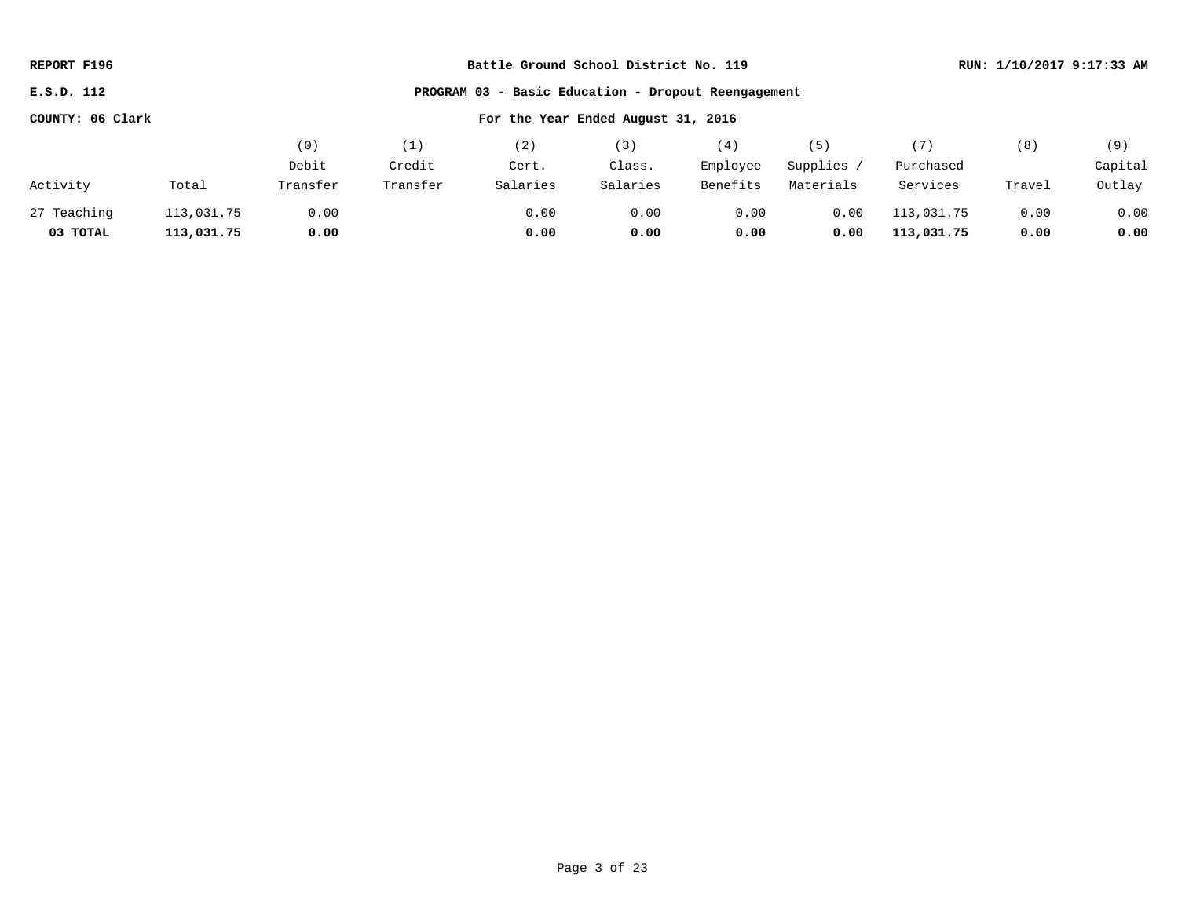| REPORT F196                                                       |            | Battle Ground School District No. 119 |          |          |          |          |            |            |        | RUN: 1/10/2017 9:17:33 AM |
|-------------------------------------------------------------------|------------|---------------------------------------|----------|----------|----------|----------|------------|------------|--------|---------------------------|
| PROGRAM 03 - Basic Education - Dropout Reengagement<br>E.S.D. 112 |            |                                       |          |          |          |          |            |            |        |                           |
| COUNTY: 06 Clark<br>For the Year Ended August 31, 2016            |            |                                       |          |          |          |          |            |            |        |                           |
|                                                                   |            | (0)                                   | (1)      | (2)      | (3)      | (4)      | (5)        | (7)        | (8)    | (9)                       |
|                                                                   |            | Debit                                 | Credit   | Cert.    | Class.   | Employee | Supplies / | Purchased  |        | Capital                   |
| Activity                                                          | Total      | Transfer                              | Transfer | Salaries | Salaries | Benefits | Materials  | Services   | Travel | Outlay                    |
| 27 Teaching                                                       | 113,031.75 | 0.00                                  |          | 0.00     | 0.00     | 0.00     | 0.00       | 113,031.75 | 0.00   | 0.00                      |
| 03 TOTAL                                                          | 113,031.75 | 0.00                                  |          | 0.00     | 0.00     | 0.00     | 0.00       | 113,031.75 | 0.00   | 0.00                      |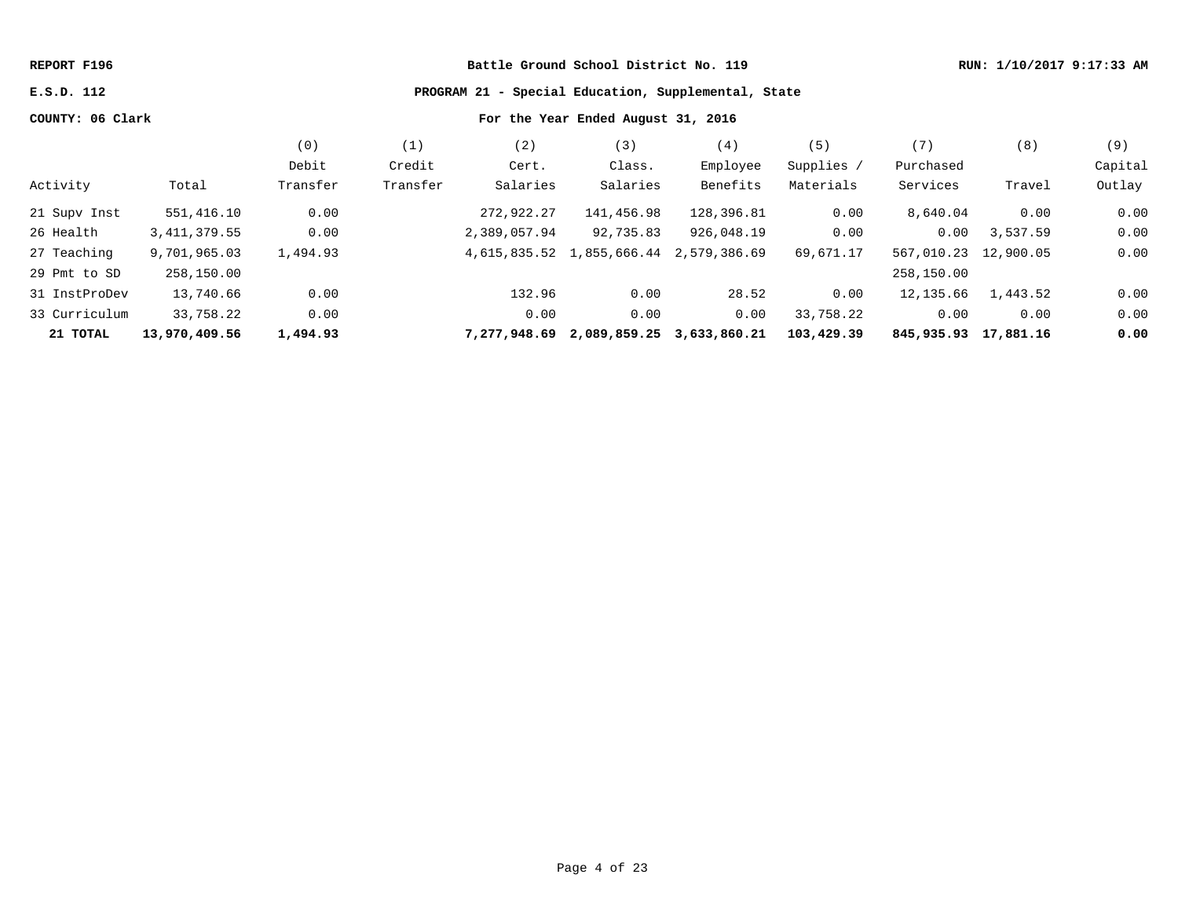| REPORT F196 |  |
|-------------|--|
|-------------|--|

# **Rattle Ground School District No. 119 RUN: 1/10/2017 9:17:33 AM**

**E.S.D. 112 PROGRAM 21 - Special Education, Supplemental, State**

# **COUNTY: 06 Clark For the Year Ended August 31, 2016**

|               |                | (0)      | Ί.       | (2)          | (3)                       | (4)          | 〔5〕        | (7)                      | (8)      | (9)     |
|---------------|----------------|----------|----------|--------------|---------------------------|--------------|------------|--------------------------|----------|---------|
|               |                | Debit    | Credit   | Cert.        | Class.                    | Employee     | Supplies / | Purchased                |          | Capital |
| Activity      | Total          | Transfer | Transfer | Salaries     | Salaries                  | Benefits     | Materials  | Services                 | Travel   | Outlay  |
| 21 Supv Inst  | 551,416.10     | 0.00     |          | 272,922.27   | 141,456.98                | 128,396.81   | 0.00       | 8,640.04                 | 0.00     | 0.00    |
| 26 Health     | 3, 411, 379.55 | 0.00     |          | 2,389,057.94 | 92,735.83                 | 926,048.19   | 0.00       | 0.00                     | 3,537.59 | 0.00    |
| 27 Teaching   | 9,701,965.03   | 1,494.93 |          |              | 4,615,835.52 1,855,666.44 | 2,579,386.69 | 69,671.17  | 567,010.23 12,900.05     |          | 0.00    |
| 29 Pmt to SD  | 258,150.00     |          |          |              |                           |              |            | 258,150.00               |          |         |
| 31 InstProDev | 13,740.66      | 0.00     |          | 132.96       | 0.00                      | 28.52        | 0.00       | 12,135.66                | 1,443.52 | 0.00    |
| 33 Curriculum | 33,758.22      | 0.00     |          | 0.00         | 0.00                      | 0.00         | 33,758.22  | 0.00                     | 0.00     | 0.00    |
| 21 TOTAL      | 13,970,409.56  | 1,494.93 |          | 7,277,948.69 | 2,089,859.25              | 3,633,860.21 | 103,429.39 | 845, 935. 93 17, 881. 16 |          | 0.00    |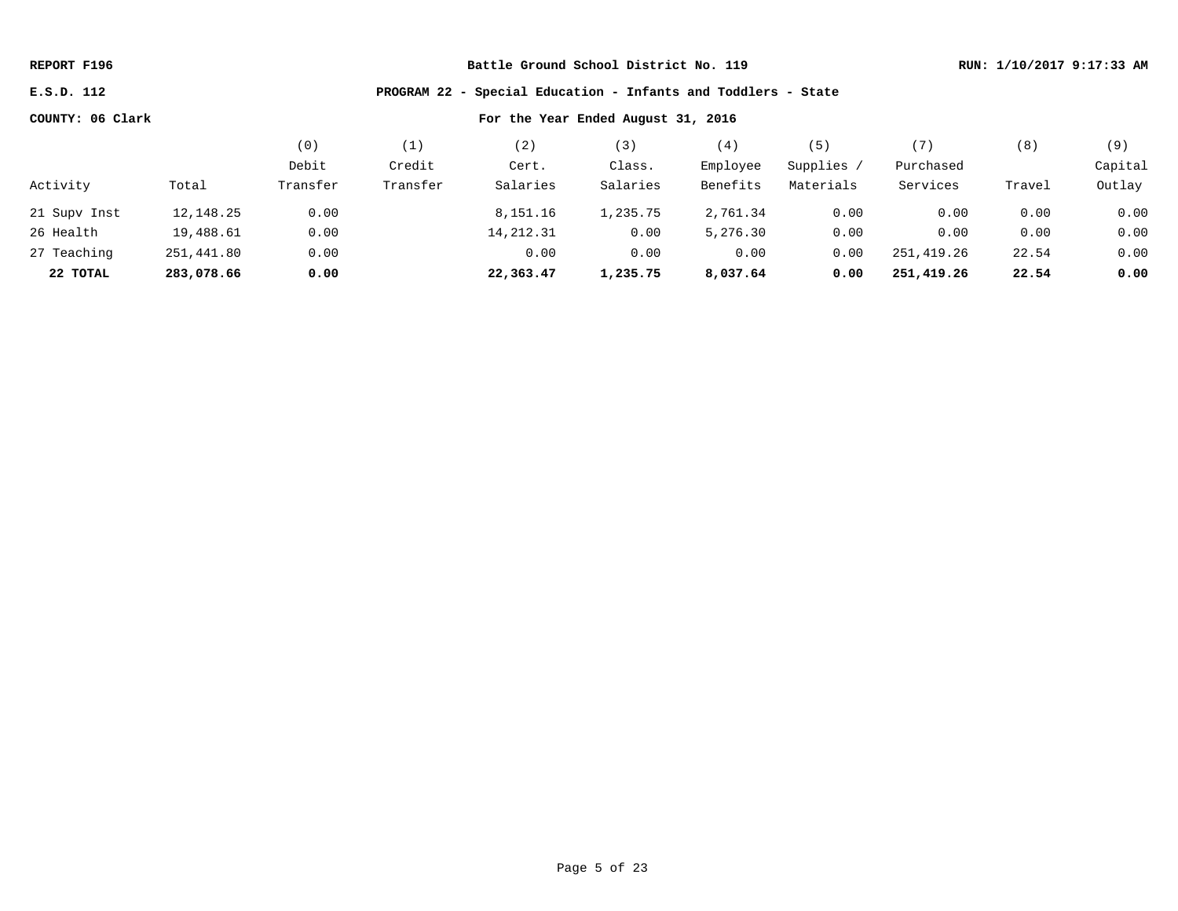**E.S.D. 112 PROGRAM 22 - Special Education - Infants and Toddlers - State**

|              |            | ΄Ο)      |          | 2)         | 3)       | (4)      | 5         | '7         | (8)    | (9)     |
|--------------|------------|----------|----------|------------|----------|----------|-----------|------------|--------|---------|
|              |            | Debit    | Credit   | Cert.      | Class.   | Employee | Supplies, | Purchased  |        | Capital |
| Activity     | Total      | Transfer | Transfer | Salaries   | Salaries | Benefits | Materials | Services   | Travel | Outlay  |
| 21 Supv Inst | 12,148.25  | 0.00     |          | 8,151.16   | 1,235.75 | 2,761.34 | 0.00      | 0.00       | 0.00   | 0.00    |
| 26 Health    | 19,488.61  | 0.00     |          | 14, 212.31 | 0.00     | 5,276.30 | 0.00      | 0.00       | 0.00   | 0.00    |
| 27 Teaching  | 251,441.80 | 0.00     |          | 0.00       | 0.00     | 0.00     | 0.00      | 251,419.26 | 22.54  | 0.00    |
| 22 TOTAL     | 283,078.66 | 0.00     |          | 22,363.47  | 1,235.75 | 8,037.64 | 0.00      | 251,419.26 | 22.54  | 0.00    |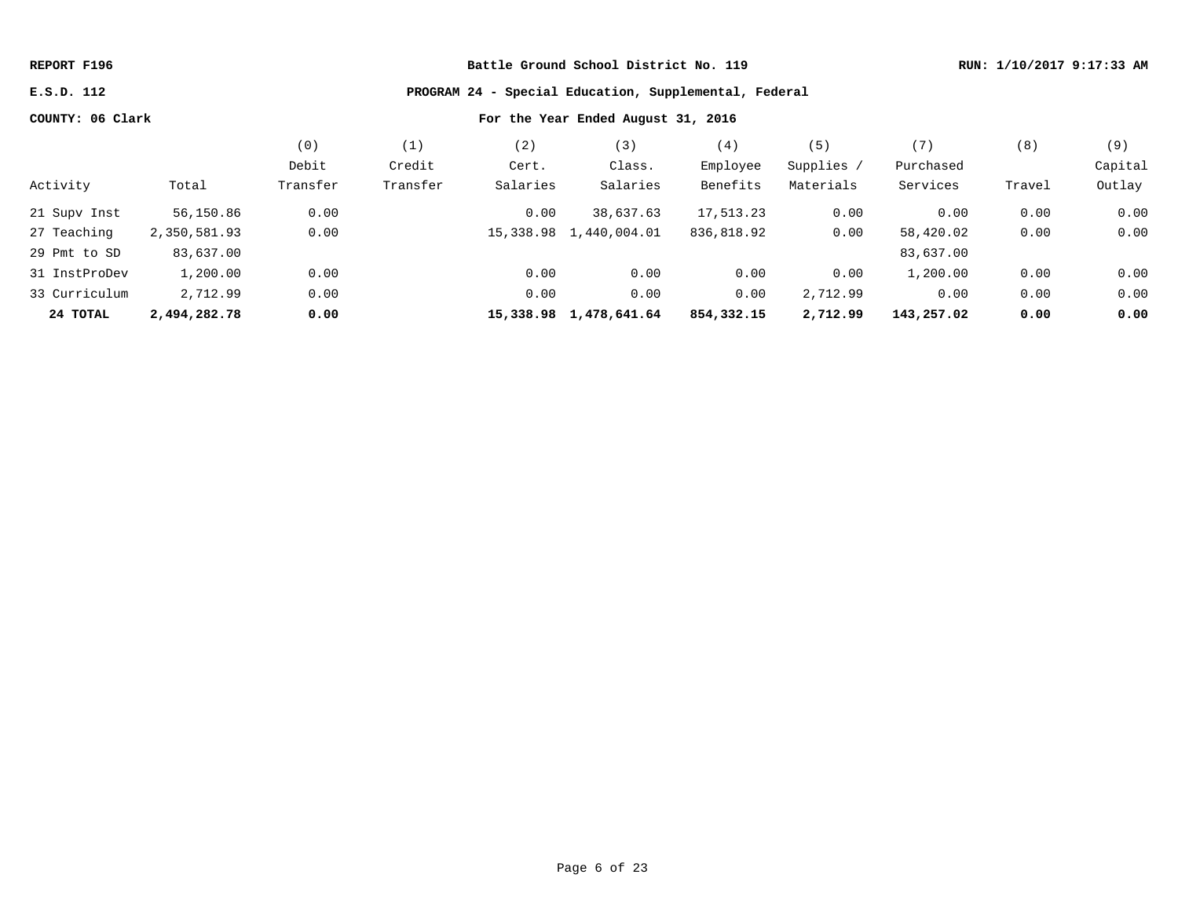### **E.S.D. 112 PROGRAM 24 - Special Education, Supplemental, Federal**

|               |              | (0)      | (1)      | (2)       | (3)                    | (4)        | (5)        | (7)        | (8)    | (9)     |
|---------------|--------------|----------|----------|-----------|------------------------|------------|------------|------------|--------|---------|
|               |              | Debit    | Credit   | Cert.     | Class.                 | Employee   | Supplies / | Purchased  |        | Capital |
| Activity      | Total        | Transfer | Transfer | Salaries  | Salaries               | Benefits   | Materials  | Services   | Travel | Outlay  |
| 21 Supv Inst  | 56,150.86    | 0.00     |          | 0.00      | 38,637.63              | 17,513.23  | 0.00       | 0.00       | 0.00   | 0.00    |
| 27 Teaching   | 2,350,581.93 | 0.00     |          |           | 15,338.98 1,440,004.01 | 836,818.92 | 0.00       | 58,420.02  | 0.00   | 0.00    |
| 29 Pmt to SD  | 83,637.00    |          |          |           |                        |            |            | 83,637.00  |        |         |
| 31 InstProDev | 1,200.00     | 0.00     |          | 0.00      | 0.00                   | 0.00       | 0.00       | 1,200.00   | 0.00   | 0.00    |
| 33 Curriculum | 2,712.99     | 0.00     |          | 0.00      | 0.00                   | 0.00       | 2,712.99   | 0.00       | 0.00   | 0.00    |
| 24 TOTAL      | 2,494,282.78 | 0.00     |          | 15,338.98 | 1,478,641.64           | 854,332.15 | 2,712.99   | 143,257.02 | 0.00   | 0.00    |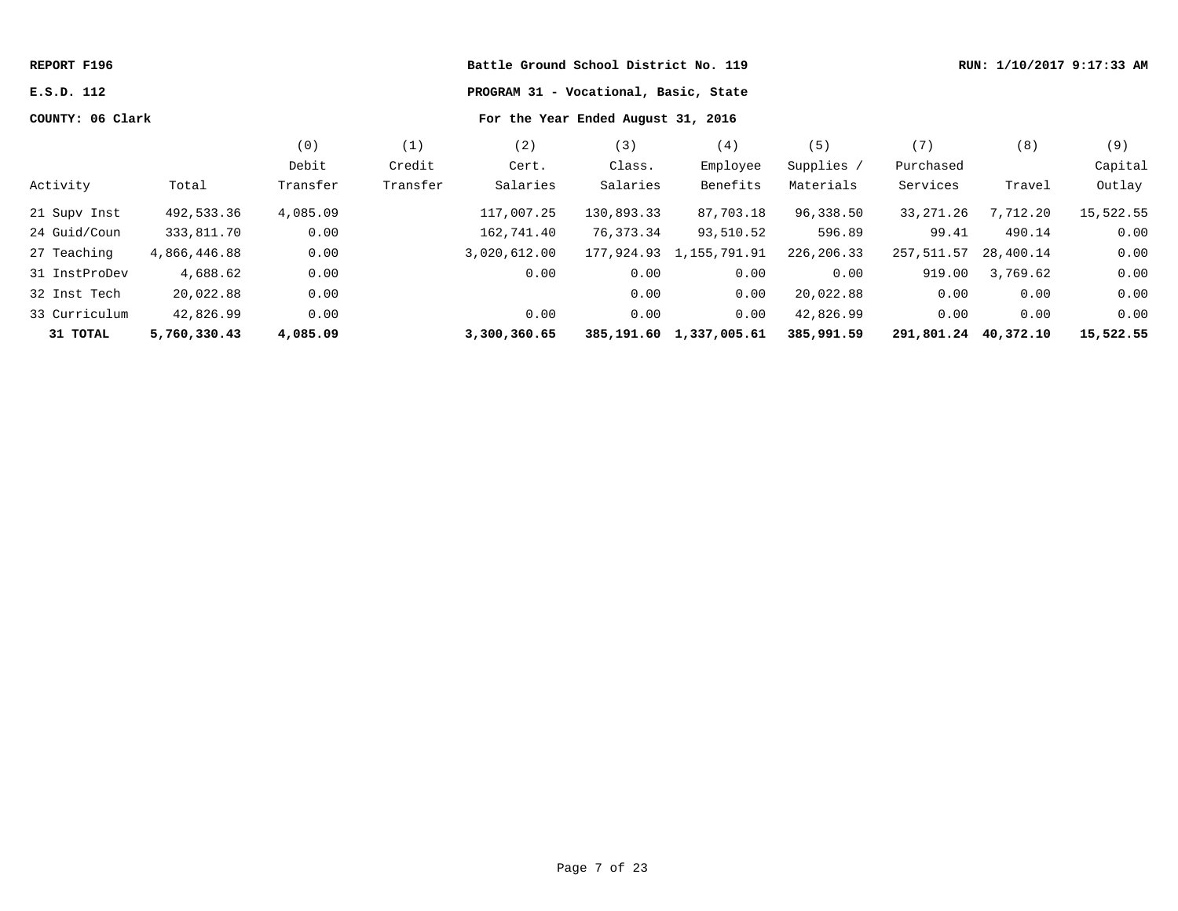| REPORT F196      |              |                                    |          |                                       | Battle Ground School District No. 119 |                         |            |                      |           | RUN: 1/10/2017 9:17:33 AM |
|------------------|--------------|------------------------------------|----------|---------------------------------------|---------------------------------------|-------------------------|------------|----------------------|-----------|---------------------------|
| E.S.D. 112       |              |                                    |          | PROGRAM 31 - Vocational, Basic, State |                                       |                         |            |                      |           |                           |
| COUNTY: 06 Clark |              | For the Year Ended August 31, 2016 |          |                                       |                                       |                         |            |                      |           |                           |
|                  |              | (0)                                | (1)      | (2)                                   | (3)                                   | (4)                     | (5)        | (7)                  | (8)       | (9)                       |
|                  |              | Debit                              | Credit   | Cert.                                 | Class.                                | Employee                | Supplies / | Purchased            |           | Capital                   |
| Activity         | Total        | Transfer                           | Transfer | Salaries                              | Salaries                              | Benefits                | Materials  | Services             | Travel    | Outlay                    |
| 21 Supv Inst     | 492,533.36   | 4,085.09                           |          | 117,007.25                            | 130,893.33                            | 87,703.18               | 96,338.50  | 33, 271.26           | 7,712.20  | 15,522.55                 |
| 24 Guid/Coun     | 333,811.70   | 0.00                               |          | 162,741.40                            | 76,373.34                             | 93,510.52               | 596.89     | 99.41                | 490.14    | 0.00                      |
| 27 Teaching      | 4,866,446.88 | 0.00                               |          | 3,020,612.00                          |                                       | 177,924.93 1,155,791.91 | 226,206.33 | 257,511.57           | 28,400.14 | 0.00                      |
| 31 InstProDev    | 4,688.62     | 0.00                               |          | 0.00                                  | 0.00                                  | 0.00                    | 0.00       | 919.00               | 3,769.62  | 0.00                      |
| 32 Inst Tech     | 20,022.88    | 0.00                               |          |                                       | 0.00                                  | 0.00                    | 20,022.88  | 0.00                 | 0.00      | 0.00                      |
| 33 Curriculum    | 42,826.99    | 0.00                               |          | 0.00                                  | 0.00                                  | 0.00                    | 42,826.99  | 0.00                 | 0.00      | 0.00                      |
| 31 TOTAL         | 5,760,330.43 | 4,085.09                           |          | 3,300,360.65                          |                                       | 385,191.60 1,337,005.61 | 385,991.59 | 291,801.24 40,372.10 |           | 15,522.55                 |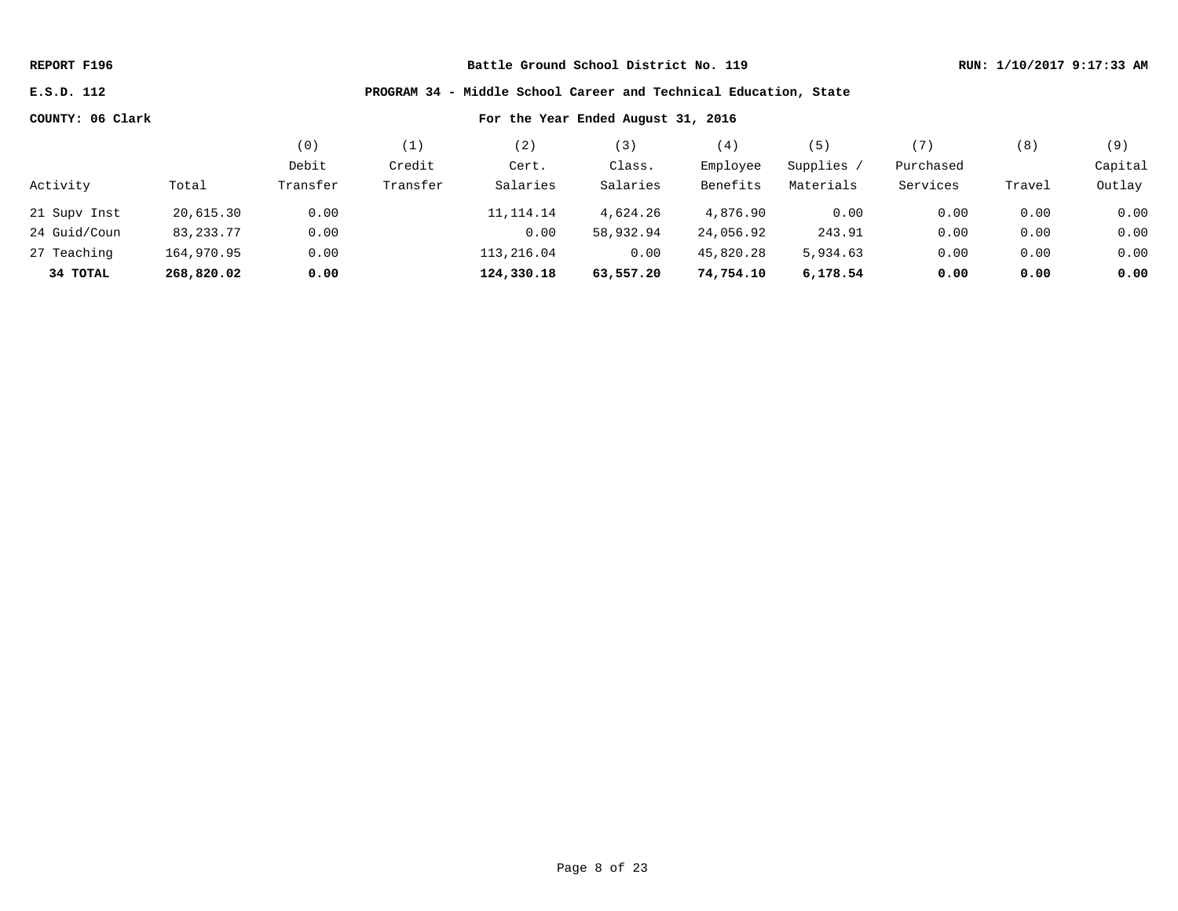**E.S.D. 112 PROGRAM 34 - Middle School Career and Technical Education, State**

|              |             | (0)      |          | 2)          | 3)        | (4)       | 5         | 〔7〕       | (8)    | (9)     |
|--------------|-------------|----------|----------|-------------|-----------|-----------|-----------|-----------|--------|---------|
|              |             | Debit    | Credit   | Cert.       | Class.    | Employee  | Supplies  | Purchased |        | Capital |
| Activity     | Total       | Transfer | Transfer | Salaries    | Salaries  | Benefits  | Materials | Services  | Travel | Outlay  |
| 21 Supv Inst | 20,615.30   | 0.00     |          | 11, 114. 14 | 4,624.26  | 4,876.90  | 0.00      | 0.00      | 0.00   | 0.00    |
| 24 Guid/Coun | 83, 233. 77 | 0.00     |          | 0.00        | 58,932.94 | 24,056.92 | 243.91    | 0.00      | 0.00   | 0.00    |
| 27 Teaching  | 164,970.95  | 0.00     |          | 113,216.04  | 0.00      | 45,820.28 | 5,934.63  | 0.00      | 0.00   | 0.00    |
| 34 TOTAL     | 268,820.02  | 0.00     |          | 124,330.18  | 63,557.20 | 74,754.10 | 6,178.54  | 0.00      | 0.00   | 0.00    |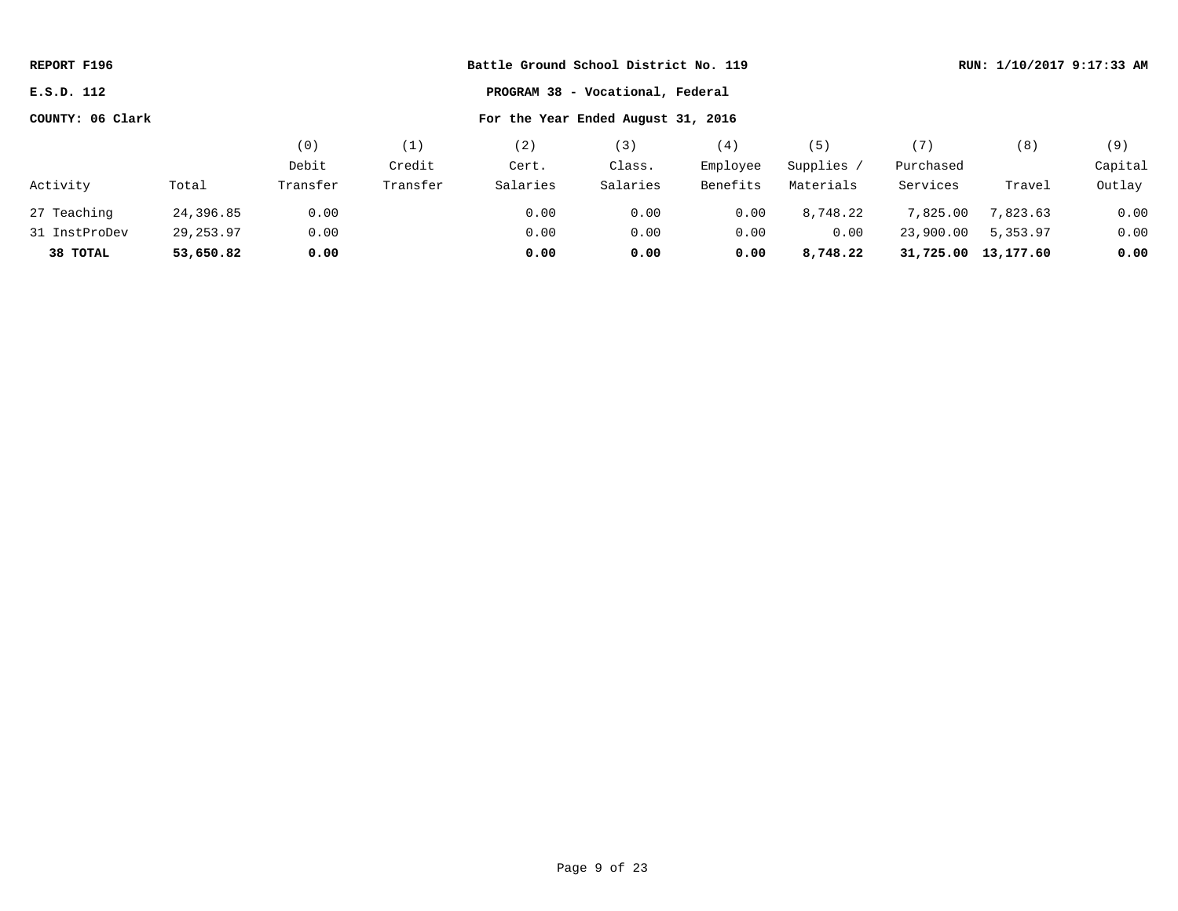| REPORT F196      |           |          |          | Battle Ground School District No. 119 |                                  |          |            |           | RUN: 1/10/2017 9:17:33 AM |         |  |  |
|------------------|-----------|----------|----------|---------------------------------------|----------------------------------|----------|------------|-----------|---------------------------|---------|--|--|
| E.S.D. 112       |           |          |          |                                       | PROGRAM 38 - Vocational, Federal |          |            |           |                           |         |  |  |
| COUNTY: 06 Clark |           |          |          |                                       |                                  |          |            |           |                           |         |  |  |
|                  |           | (0)      | (1)      | (2)                                   | (3)                              | (4)      | (5)        | (7)       | (8)                       | (9)     |  |  |
|                  |           | Debit    | Credit   | Cert.                                 | Class.                           | Employee | Supplies / | Purchased |                           | Capital |  |  |
| Activity         | Total     | Transfer | Transfer | Salaries                              | Salaries                         | Benefits | Materials  | Services  | Travel                    | Outlay  |  |  |
| 27 Teaching      | 24,396.85 | 0.00     |          | 0.00                                  | 0.00                             | 0.00     | 8,748.22   | 7,825.00  | 7,823.63                  | 0.00    |  |  |
| 31 InstProDev    | 29,253.97 | 0.00     |          | 0.00                                  | 0.00                             | 0.00     | 0.00       | 23,900.00 | 5,353.97                  | 0.00    |  |  |
| 38 TOTAL         | 53,650.82 | 0.00     |          | 0.00                                  | 0.00                             | 0.00     | 8,748.22   | 31,725.00 | 13,177.60                 | 0.00    |  |  |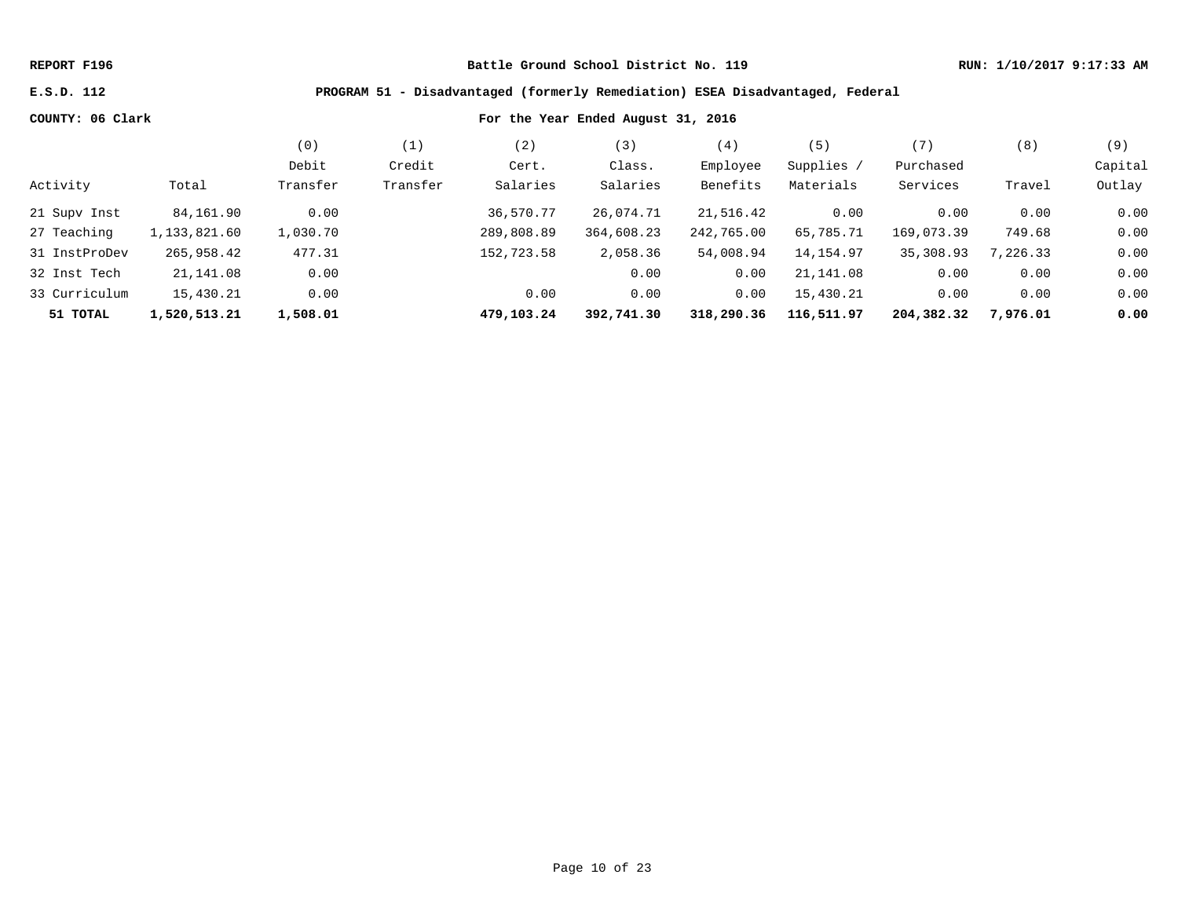## **E.S.D. 112 PROGRAM 51 - Disadvantaged (formerly Remediation) ESEA Disadvantaged, Federal**

|               |              | (0)      | $\perp$  | 2)         | 【3】        | (4,        | 5)         | (7)        | (8)      | (9)     |
|---------------|--------------|----------|----------|------------|------------|------------|------------|------------|----------|---------|
|               |              | Debit    | Credit   | Cert.      | Class.     | Employee   | Supplies / | Purchased  |          | Capital |
| Activity      | Total        | Transfer | Transfer | Salaries   | Salaries   | Benefits   | Materials  | Services   | Travel   | Outlay  |
| 21 Supv Inst  | 84,161.90    | 0.00     |          | 36,570.77  | 26,074.71  | 21,516.42  | 0.00       | 0.00       | 0.00     | 0.00    |
| 27 Teaching   | 1,133,821.60 | 1,030.70 |          | 289,808.89 | 364,608.23 | 242,765.00 | 65,785.71  | 169,073.39 | 749.68   | 0.00    |
| 31 InstProDev | 265,958.42   | 477.31   |          | 152,723.58 | 2,058.36   | 54,008.94  | 14, 154.97 | 35,308.93  | 7,226.33 | 0.00    |
| 32 Inst Tech  | 21,141.08    | 0.00     |          |            | 0.00       | 0.00       | 21,141.08  | 0.00       | 0.00     | 0.00    |
| 33 Curriculum | 15,430.21    | 0.00     |          | 0.00       | 0.00       | 0.00       | 15,430.21  | 0.00       | 0.00     | 0.00    |
| 51 TOTAL      | 1,520,513.21 | 1,508.01 |          | 479,103.24 | 392,741.30 | 318,290.36 | 116,511.97 | 204,382.32 | 7,976.01 | 0.00    |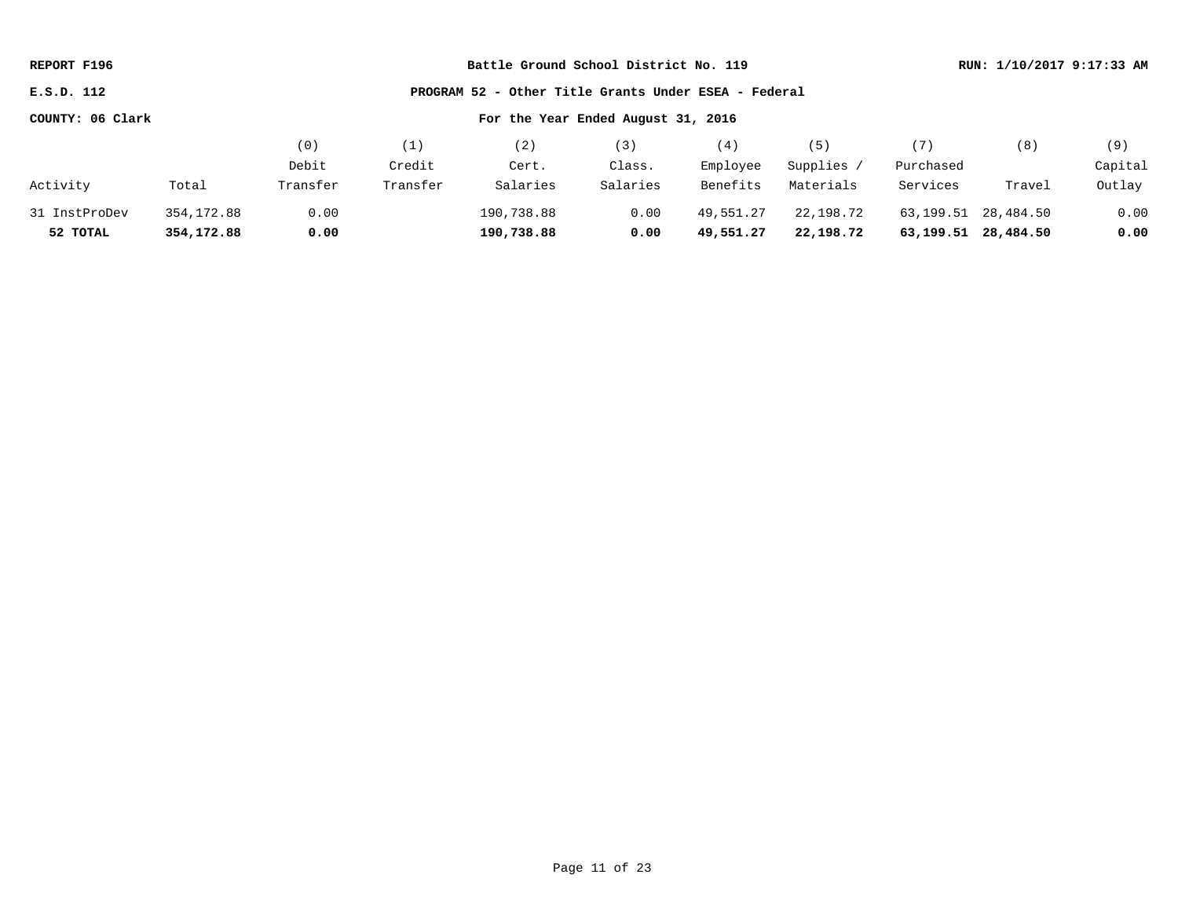| REPORT F196                                                        |             |          |          | Battle Ground School District No. 119 |          |           |            |           | RUN: 1/10/2017 9:17:33 AM |         |
|--------------------------------------------------------------------|-------------|----------|----------|---------------------------------------|----------|-----------|------------|-----------|---------------------------|---------|
| PROGRAM 52 - Other Title Grants Under ESEA - Federal<br>E.S.D. 112 |             |          |          |                                       |          |           |            |           |                           |         |
| COUNTY: 06 Clark                                                   |             |          |          | For the Year Ended August 31, 2016    |          |           |            |           |                           |         |
|                                                                    |             | (0)      | (1)      | (2)                                   | (3)      | (4)       | (5)        | (7)       | (8)                       | (9)     |
|                                                                    |             | Debit    | Credit   | Cert.                                 | Class.   | Employee  | Supplies / | Purchased |                           | Capital |
| Activity                                                           | Total       | Transfer | Transfer | Salaries                              | Salaries | Benefits  | Materials  | Services  | Travel                    | Outlay  |
| 31 InstProDev                                                      | 354, 172.88 | 0.00     |          | 190,738.88                            | 0.00     | 49,551.27 | 22,198.72  | 63,199.51 | 28,484.50                 | 0.00    |
| 52 TOTAL                                                           | 354,172.88  | 0.00     |          | 190,738.88                            | 0.00     | 49,551.27 | 22,198.72  | 63,199.51 | 28,484.50                 | 0.00    |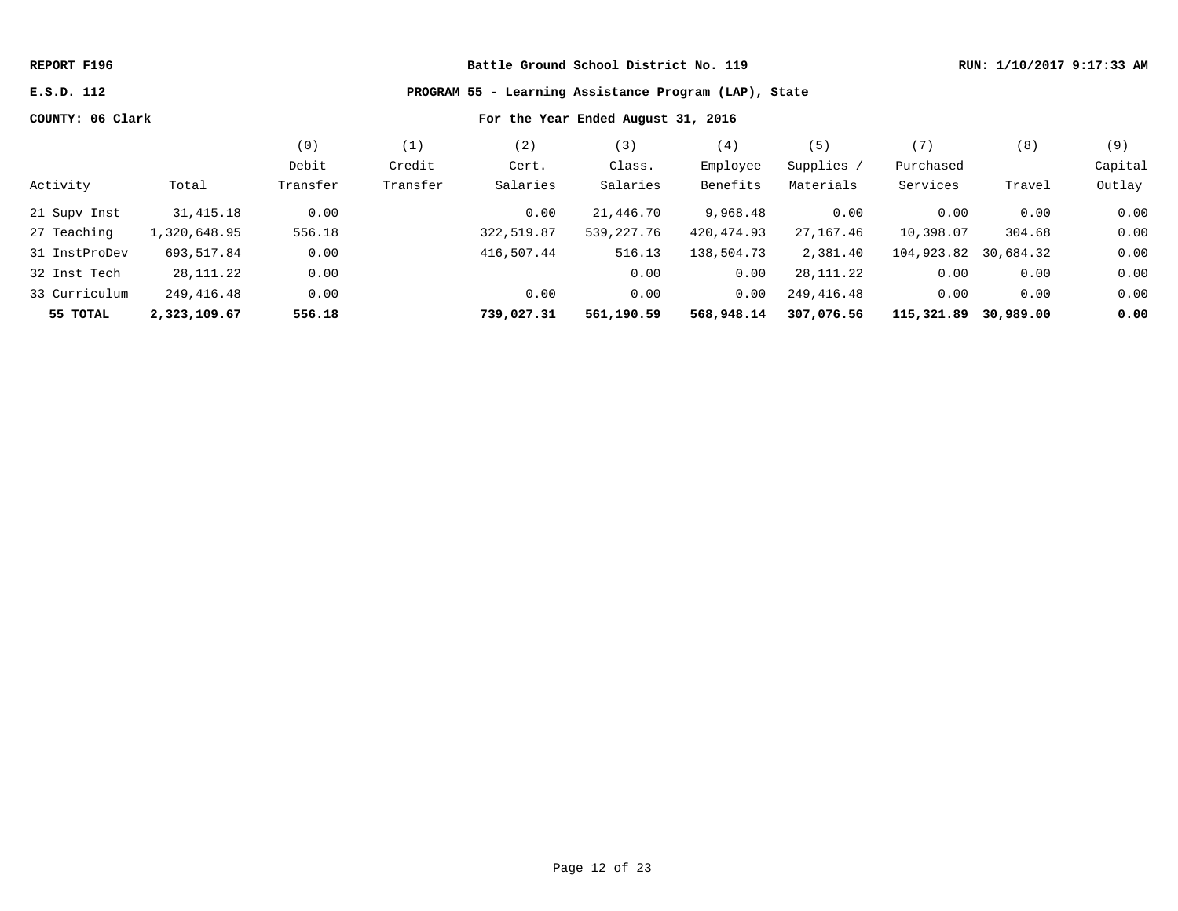# **E.S.D. 112 PROGRAM 55 - Learning Assistance Program (LAP), State**

|               |              | (0)      | $\perp$  | '2)        | 3)         | (4)         | $5^{\circ}$ |            | (8)       | (9)     |
|---------------|--------------|----------|----------|------------|------------|-------------|-------------|------------|-----------|---------|
|               |              | Debit    | Credit   | Cert.      | Class.     | Employee    | Supplies /  | Purchased  |           | Capital |
| Activity      | Total        | Transfer | Transfer | Salaries   | Salaries   | Benefits    | Materials   | Services   | Travel    | Outlay  |
| 21 Supv Inst  | 31,415.18    | 0.00     |          | 0.00       | 21,446.70  | 9,968.48    | 0.00        | 0.00       | 0.00      | 0.00    |
| 27 Teaching   | 1,320,648.95 | 556.18   |          | 322,519.87 | 539,227.76 | 420, 474.93 | 27, 167, 46 | 10,398.07  | 304.68    | 0.00    |
| 31 InstProDev | 693,517.84   | 0.00     |          | 416,507.44 | 516.13     | 138,504.73  | 2,381.40    | 104,923.82 | 30,684.32 | 0.00    |
| 32 Inst Tech  | 28,111.22    | 0.00     |          |            | 0.00       | 0.00        | 28, 111. 22 | 0.00       | 0.00      | 0.00    |
| 33 Curriculum | 249,416.48   | 0.00     |          | 0.00       | 0.00       | 0.00        | 249,416.48  | 0.00       | 0.00      | 0.00    |
| 55 TOTAL      | 2,323,109.67 | 556.18   |          | 739,027.31 | 561,190.59 | 568,948.14  | 307,076.56  | 115,321.89 | 30,989.00 | 0.00    |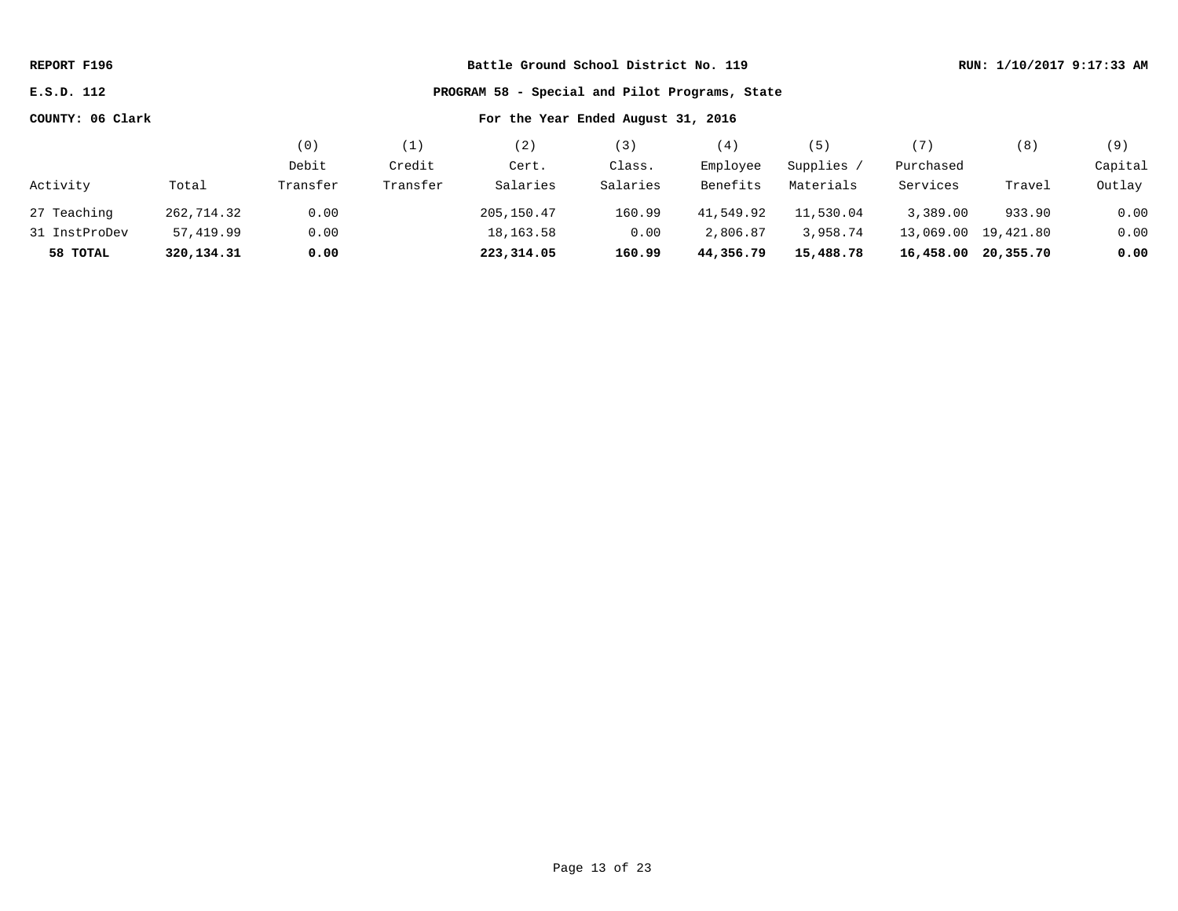| PROGRAM 58 - Special and Pilot Programs, State<br>E.S.D. 112                                                     |         |
|------------------------------------------------------------------------------------------------------------------|---------|
| COUNTY: 06 Clark<br>For the Year Ended August 31, 2016                                                           |         |
| (0)<br>(2)<br>(3)<br>(4)<br>(5)<br>(7)<br>(8)<br>(1)                                                             | (9)     |
| Debit<br>Credit<br>Employee<br>Supplies /<br>Purchased<br>Class.<br>Cert.                                        | Capital |
| Salaries<br>Activity<br>Transfer<br>Transfer<br>Salaries<br>Benefits<br>Materials<br>Services<br>Total<br>Travel | Outlay  |
| 933.90<br>27 Teaching<br>205,150.47<br>160.99<br>41,549.92<br>11,530.04<br>3,389.00<br>262,714.32<br>0.00        | 0.00    |
| 0.00<br>18,163.58<br>0.00<br>2,806.87<br>3,958.74<br>57,419.99<br>13,069.00 19,421.80<br>31 InstProDev           | 0.00    |
| 223,314.05<br>15,488.78<br>320,134.31<br>0.00<br>160.99<br>44,356.79<br>16,458.00 20,355.70<br>58 TOTAL          | 0.00    |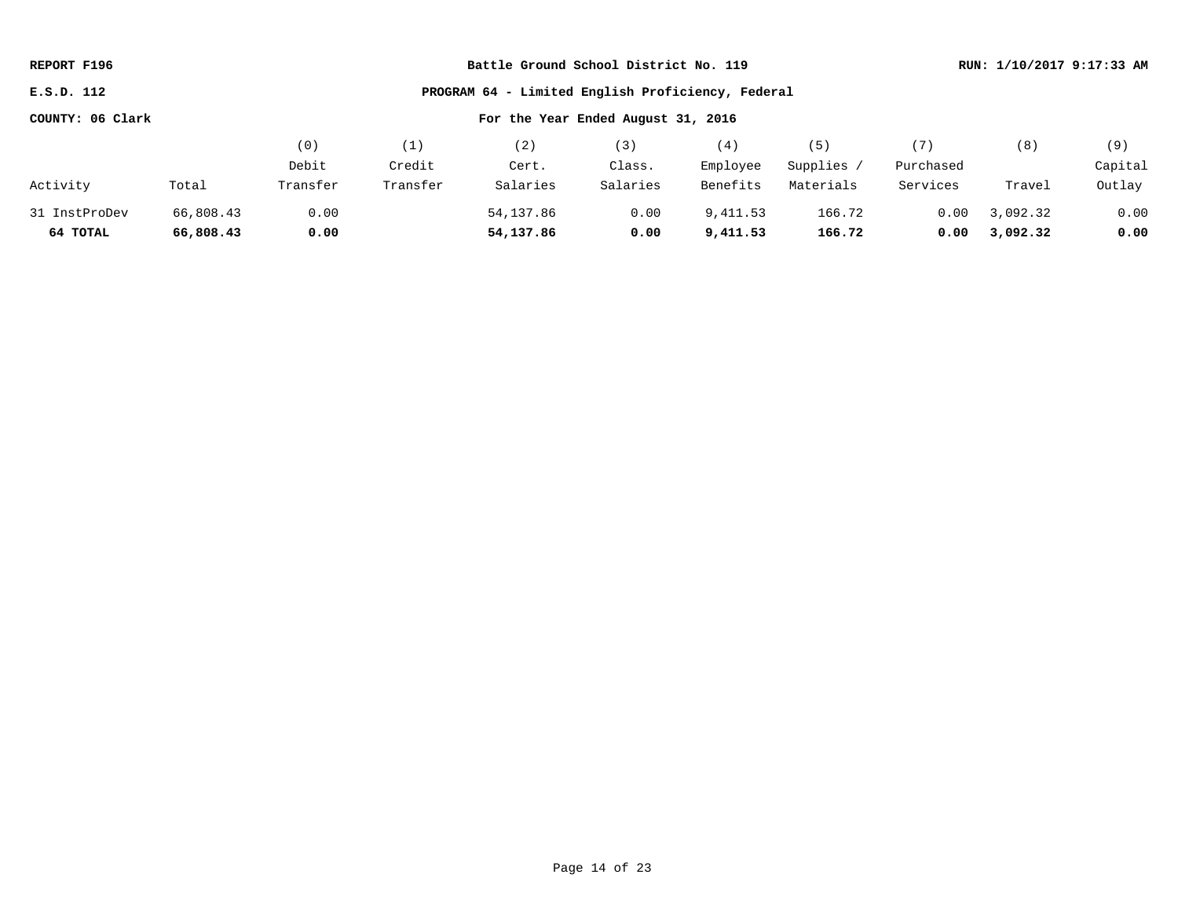| REPORT F196                                                     |           |          |          | Battle Ground School District No. 119 |          |          |            |           |          | RUN: 1/10/2017 9:17:33 AM |
|-----------------------------------------------------------------|-----------|----------|----------|---------------------------------------|----------|----------|------------|-----------|----------|---------------------------|
| PROGRAM 64 - Limited English Proficiency, Federal<br>E.S.D. 112 |           |          |          |                                       |          |          |            |           |          |                           |
| COUNTY: 06 Clark                                                |           |          |          |                                       |          |          |            |           |          |                           |
|                                                                 |           | (0)      | (1)      | (2)                                   | (3)      | (4)      | (5)        | (7)       | (8)      | (9)                       |
|                                                                 |           | Debit    | Credit   | Cert.                                 | Class.   | Employee | Supplies / | Purchased |          | Capital                   |
| Activity                                                        | Total     | Transfer | Transfer | Salaries                              | Salaries | Benefits | Materials  | Services  | Travel   | Outlay                    |
| 31 InstProDev                                                   | 66,808.43 | 0.00     |          | 54,137.86                             | 0.00     | 9,411.53 | 166.72     | 0.00      | 3,092.32 | 0.00                      |
| 64 TOTAL                                                        | 66,808.43 | 0.00     |          | 54,137.86                             | 0.00     | 9,411.53 | 166.72     | 0.00      | 3,092.32 | 0.00                      |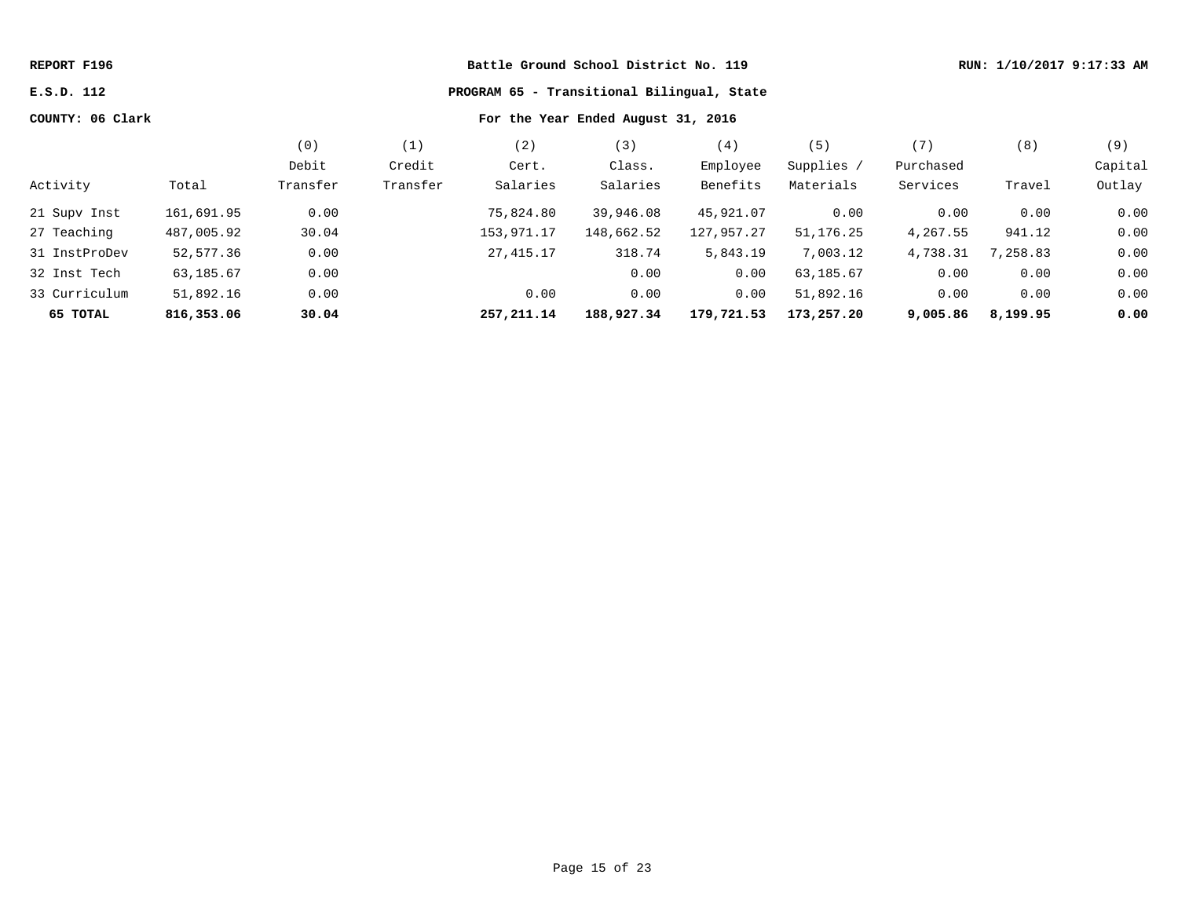| REPORT F196      |            |                                            |          |            |            | RUN: 1/10/2017 9:17:33 AM |            |           |          |         |
|------------------|------------|--------------------------------------------|----------|------------|------------|---------------------------|------------|-----------|----------|---------|
| E.S.D. 112       |            | PROGRAM 65 - Transitional Bilingual, State |          |            |            |                           |            |           |          |         |
| COUNTY: 06 Clark |            |                                            |          |            |            |                           |            |           |          |         |
|                  |            | (0)                                        | (1)      | (2)        | (3)        | (4)                       | (5)        | (7)       | (8)      | (9)     |
|                  |            | Debit                                      | Credit   | Cert.      | Class.     | Employee                  | Supplies / | Purchased |          | Capital |
| Activity         | Total      | Transfer                                   | Transfer | Salaries   | Salaries   | Benefits                  | Materials  | Services  | Travel   | Outlay  |
| 21 Supv Inst     | 161,691.95 | 0.00                                       |          | 75,824.80  | 39,946.08  | 45,921.07                 | 0.00       | 0.00      | 0.00     | 0.00    |
| 27 Teaching      | 487,005.92 | 30.04                                      |          | 153,971.17 | 148,662.52 | 127,957.27                | 51,176.25  | 4,267.55  | 941.12   | 0.00    |
| 31 InstProDev    | 52,577.36  | 0.00                                       |          | 27,415.17  | 318.74     | 5,843.19                  | 7,003.12   | 4,738.31  | 7,258.83 | 0.00    |
| 32 Inst Tech     | 63,185.67  | 0.00                                       |          |            | 0.00       | 0.00                      | 63,185.67  | 0.00      | 0.00     | 0.00    |
| 33 Curriculum    | 51,892.16  | 0.00                                       |          | 0.00       | 0.00       | 0.00                      | 51,892.16  | 0.00      | 0.00     | 0.00    |
| 65 TOTAL         | 816,353.06 | 30.04                                      |          | 257,211.14 | 188,927.34 | 179,721.53                | 173,257.20 | 9,005.86  | 8,199.95 | 0.00    |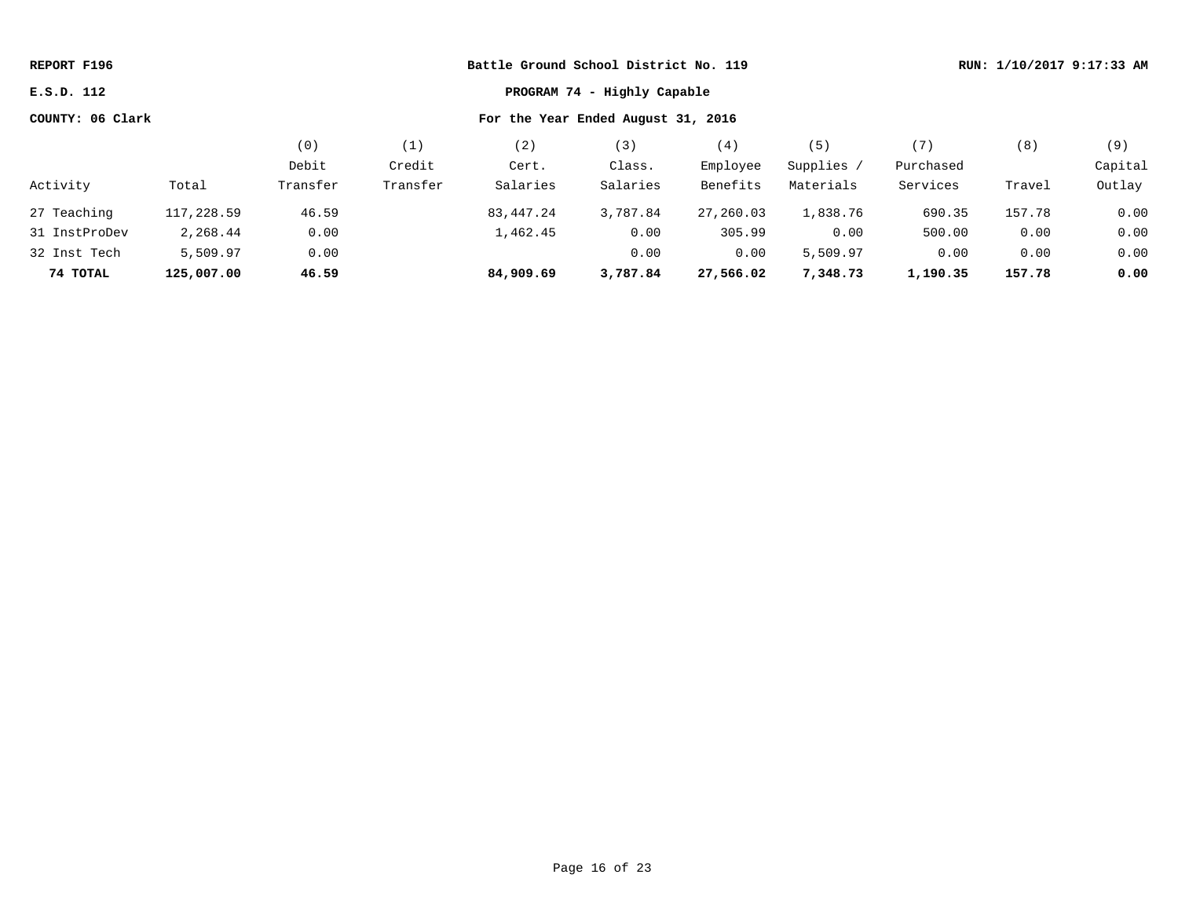| Battle Ground School District No. 119<br>REPORT F196 |            |          |          |                                    |          |           |            |           | RUN: 1/10/2017 9:17:33 AM |         |  |
|------------------------------------------------------|------------|----------|----------|------------------------------------|----------|-----------|------------|-----------|---------------------------|---------|--|
| PROGRAM 74 - Highly Capable<br>E.S.D. 112            |            |          |          |                                    |          |           |            |           |                           |         |  |
| COUNTY: 06 Clark                                     |            |          |          | For the Year Ended August 31, 2016 |          |           |            |           |                           |         |  |
|                                                      |            | (0)      | (1)      | (2)                                | (3)      | (4)       | (5)        | (7)       | (8)                       | (9)     |  |
|                                                      |            | Debit    | Credit   | Cert.                              | Class.   | Employee  | Supplies / | Purchased |                           | Capital |  |
| Activity                                             | Total      | Transfer | Transfer | Salaries                           | Salaries | Benefits  | Materials  | Services  | Travel                    | Outlay  |  |
| 27 Teaching                                          | 117,228.59 | 46.59    |          | 83,447.24                          | 3,787.84 | 27,260.03 | 1,838.76   | 690.35    | 157.78                    | 0.00    |  |
| 31 InstProDev                                        | 2,268.44   | 0.00     |          | 1,462.45                           | 0.00     | 305.99    | 0.00       | 500.00    | 0.00                      | 0.00    |  |
| 32 Inst Tech                                         | 5,509.97   | 0.00     |          |                                    | 0.00     | 0.00      | 5,509.97   | 0.00      | 0.00                      | 0.00    |  |
| 74 TOTAL                                             | 125,007.00 | 46.59    |          | 84,909.69                          | 3,787.84 | 27,566.02 | 7,348.73   | 1,190.35  | 157.78                    | 0.00    |  |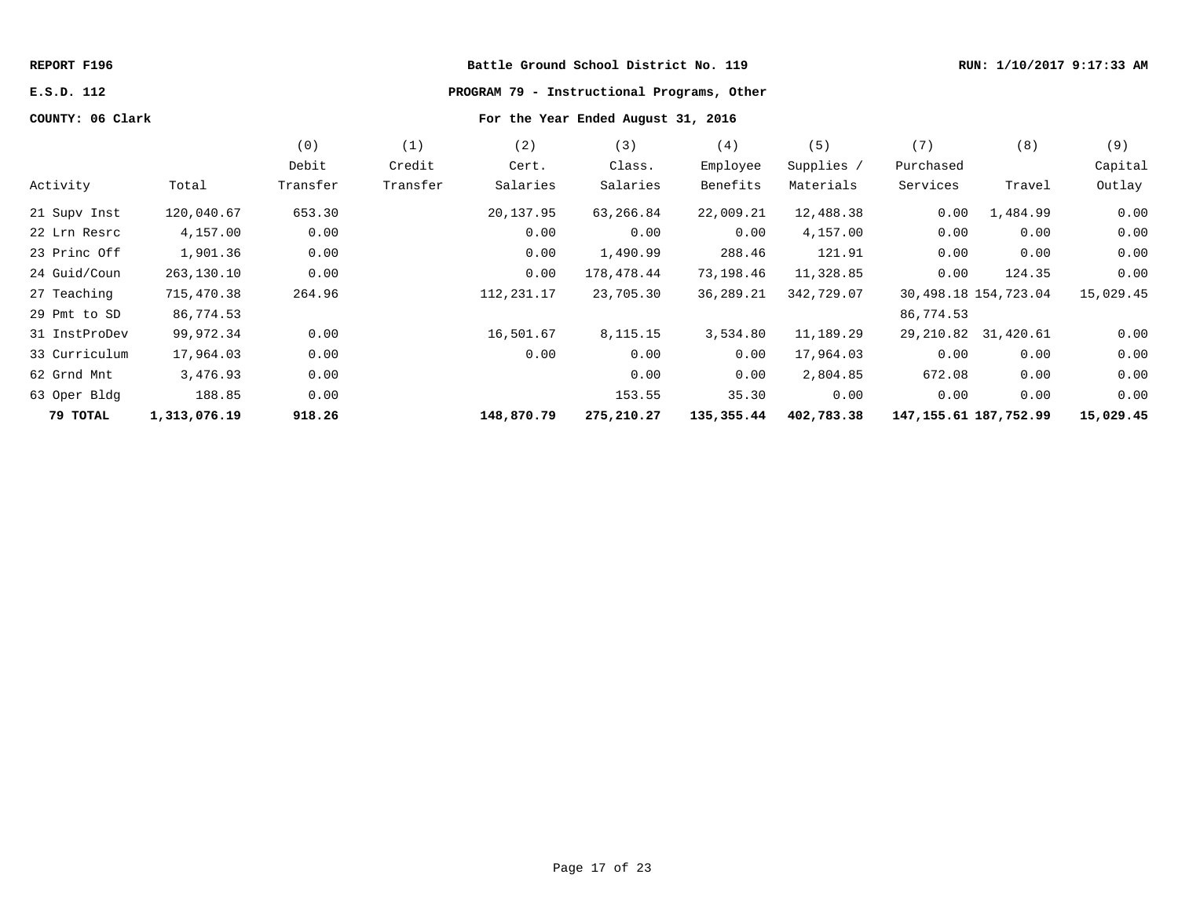# **E.S.D. 112 PROGRAM 79 - Instructional Programs, Other**

|               |              | (0)      | (1)      | (2)         | (3)        | (4)        | (5)        | (7)                       | (8)                    | (9)       |
|---------------|--------------|----------|----------|-------------|------------|------------|------------|---------------------------|------------------------|-----------|
|               |              | Debit    | Credit   | Cert.       | Class.     | Employee   | Supplies / | Purchased                 |                        | Capital   |
| Activity      | Total        | Transfer | Transfer | Salaries    | Salaries   | Benefits   | Materials  | Services                  | Travel                 | Outlay    |
| 21 Supv Inst  | 120,040.67   | 653.30   |          | 20,137.95   | 63,266.84  | 22,009.21  | 12,488.38  | 0.00                      | 1,484.99               | 0.00      |
| 22 Lrn Resrc  | 4,157.00     | 0.00     |          | 0.00        | 0.00       | 0.00       | 4,157.00   | 0.00                      | 0.00                   | 0.00      |
| 23 Princ Off  | 1,901.36     | 0.00     |          | 0.00        | 1,490.99   | 288.46     | 121.91     | 0.00                      | 0.00                   | 0.00      |
| 24 Guid/Coun  | 263,130.10   | 0.00     |          | 0.00        | 178,478.44 | 73,198.46  | 11,328.85  | 0.00                      | 124.35                 | 0.00      |
| 27 Teaching   | 715,470.38   | 264.96   |          | 112, 231.17 | 23,705.30  | 36,289.21  | 342,729.07 |                           | 30, 498.18 154, 723.04 | 15,029.45 |
| 29 Pmt to SD  | 86,774.53    |          |          |             |            |            |            | 86,774.53                 |                        |           |
| 31 InstProDev | 99,972.34    | 0.00     |          | 16,501.67   | 8,115.15   | 3,534.80   | 11,189.29  |                           | 29, 210.82 31, 420.61  | 0.00      |
| 33 Curriculum | 17,964.03    | 0.00     |          | 0.00        | 0.00       | 0.00       | 17,964.03  | 0.00                      | 0.00                   | 0.00      |
| 62 Grnd Mnt   | 3,476.93     | 0.00     |          |             | 0.00       | 0.00       | 2,804.85   | 672.08                    | 0.00                   | 0.00      |
| 63 Oper Bldg  | 188.85       | 0.00     |          |             | 153.55     | 35.30      | 0.00       | 0.00                      | 0.00                   | 0.00      |
| 79 ТОТАL      | 1,313,076.19 | 918.26   |          | 148,870.79  | 275,210.27 | 135,355.44 | 402,783.38 | 147, 155. 61 187, 752. 99 |                        | 15,029.45 |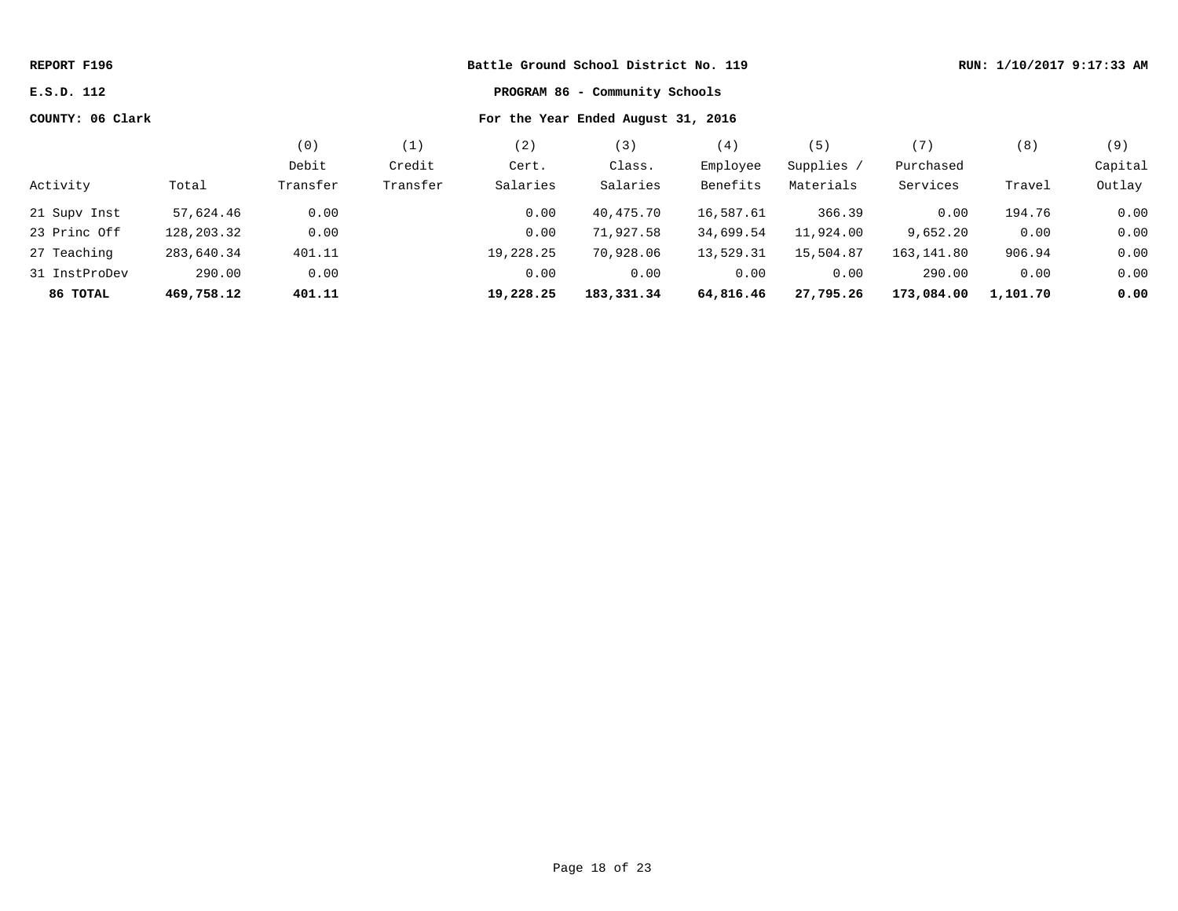| Battle Ground School District No. 119<br>REPORT F196   |            |          |          |           |            |           |            |            | RUN: 1/10/2017 9:17:33 AM |         |
|--------------------------------------------------------|------------|----------|----------|-----------|------------|-----------|------------|------------|---------------------------|---------|
| PROGRAM 86 - Community Schools<br>E.S.D. 112           |            |          |          |           |            |           |            |            |                           |         |
| COUNTY: 06 Clark<br>For the Year Ended August 31, 2016 |            |          |          |           |            |           |            |            |                           |         |
|                                                        |            | (0)      | (1)      | (2)       | (3)        | (4)       | (5)        | (7)        | (8)                       | (9)     |
|                                                        |            | Debit    | Credit   | Cert.     | Class.     | Employee  | Supplies / | Purchased  |                           | Capital |
| Activity                                               | Total      | Transfer | Transfer | Salaries  | Salaries   | Benefits  | Materials  | Services   | Travel                    | Outlay  |
| 21 Supv Inst                                           | 57,624.46  | 0.00     |          | 0.00      | 40,475.70  | 16,587.61 | 366.39     | 0.00       | 194.76                    | 0.00    |
| 23 Princ Off                                           | 128,203.32 | 0.00     |          | 0.00      | 71,927.58  | 34,699.54 | 11,924.00  | 9,652.20   | 0.00                      | 0.00    |
| 27 Teaching                                            | 283,640.34 | 401.11   |          | 19,228.25 | 70,928.06  | 13,529.31 | 15,504.87  | 163,141.80 | 906.94                    | 0.00    |
| 31 InstProDev                                          | 290.00     | 0.00     |          | 0.00      | 0.00       | 0.00      | 0.00       | 290.00     | 0.00                      | 0.00    |
| 86 ТОТАL                                               | 469,758.12 | 401.11   |          | 19,228.25 | 183,331.34 | 64,816.46 | 27,795.26  | 173,084.00 | 1,101.70                  | 0.00    |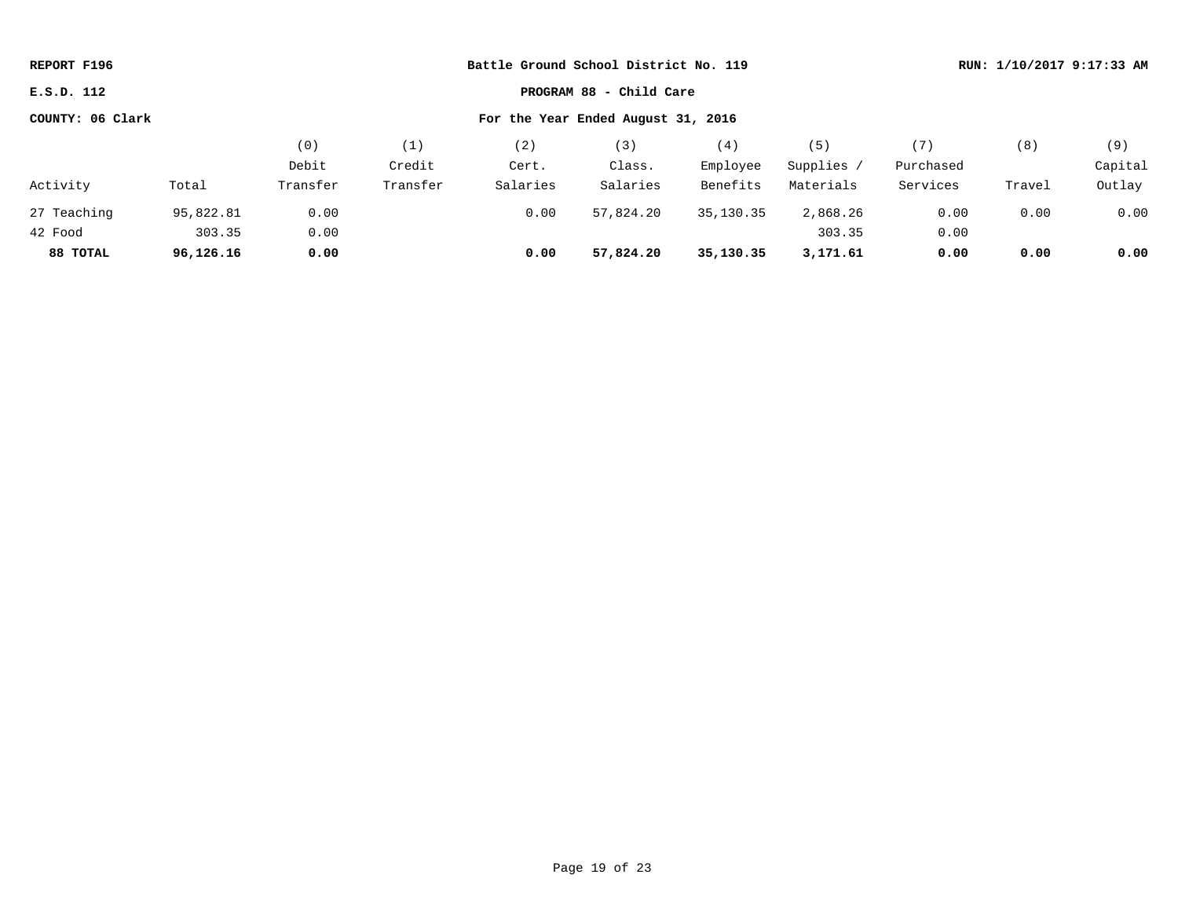| Battle Ground School District No. 119<br>REPORT F196   |           |          |          |          |           |           | RUN: 1/10/2017 9:17:33 AM |           |        |         |
|--------------------------------------------------------|-----------|----------|----------|----------|-----------|-----------|---------------------------|-----------|--------|---------|
| PROGRAM 88 - Child Care<br>E.S.D. 112                  |           |          |          |          |           |           |                           |           |        |         |
| COUNTY: 06 Clark<br>For the Year Ended August 31, 2016 |           |          |          |          |           |           |                           |           |        |         |
|                                                        |           | (0)      | (1)      | (2)      | (3)       | (4)       | (5)                       | (7)       | (8)    | (9)     |
|                                                        |           | Debit    | Credit   | Cert.    | Class.    | Employee  | Supplies /                | Purchased |        | Capital |
| Activity                                               | Total     | Transfer | Transfer | Salaries | Salaries  | Benefits  | Materials                 | Services  | Travel | Outlay  |
| 27 Teaching                                            | 95,822.81 | 0.00     |          | 0.00     | 57,824.20 | 35,130.35 | 2,868.26                  | 0.00      | 0.00   | 0.00    |
| 42 Food                                                | 303.35    | 0.00     |          |          |           |           | 303.35                    | 0.00      |        |         |
| 88 TOTAL                                               | 96,126.16 | 0.00     |          | 0.00     | 57,824.20 | 35,130.35 | 3,171.61                  | 0.00      | 0.00   | 0.00    |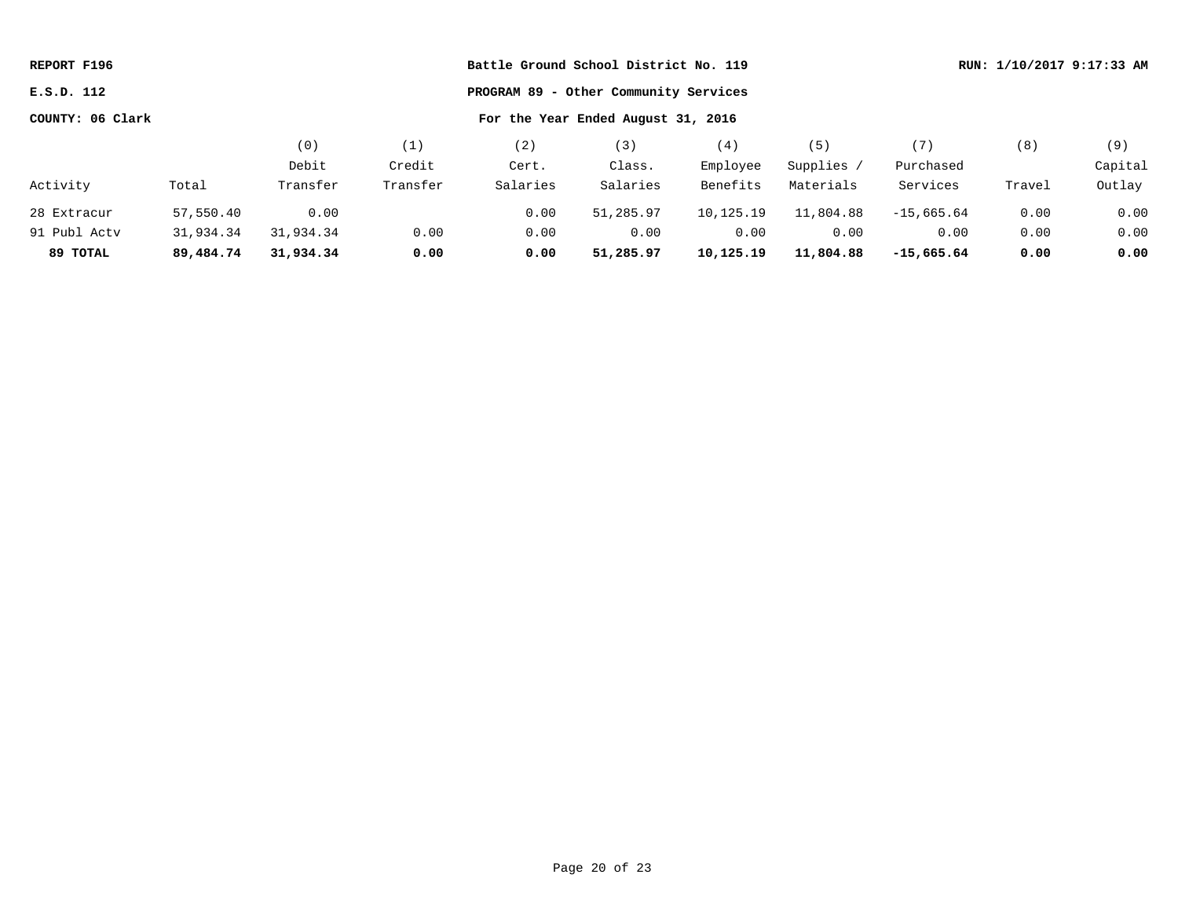| REPORT F196      |           |           |          | Battle Ground School District No. 119 |                                       | RUN: 1/10/2017 9:17:33 AM |            |              |        |         |
|------------------|-----------|-----------|----------|---------------------------------------|---------------------------------------|---------------------------|------------|--------------|--------|---------|
| E.S.D. 112       |           |           |          |                                       | PROGRAM 89 - Other Community Services |                           |            |              |        |         |
| COUNTY: 06 Clark |           |           |          |                                       | For the Year Ended August 31, 2016    |                           |            |              |        |         |
|                  |           | (0)       | (1)      | (2)                                   | (3)                                   | (4)                       | (5)        | (7)          | (8)    | (9)     |
|                  |           | Debit     | Credit   | Cert.                                 | Class.                                | Employee                  | Supplies / | Purchased    |        | Capital |
| Activity         | Total     | Transfer  | Transfer | Salaries                              | Salaries                              | Benefits                  | Materials  | Services     | Travel | Outlay  |
| 28 Extracur      | 57,550.40 | 0.00      |          | 0.00                                  | 51,285.97                             | 10,125.19                 | 11,804.88  | $-15.665.64$ | 0.00   | 0.00    |
| 91 Publ Acty     | 31,934.34 | 31,934.34 | 0.00     | 0.00                                  | 0.00                                  | 0.00                      | 0.00       | 0.00         | 0.00   | 0.00    |
| 89 TOTAL         | 89,484.74 | 31,934.34 | 0.00     | 0.00                                  | 51,285.97                             | 10,125.19                 | 11,804.88  | $-15,665.64$ | 0.00   | 0.00    |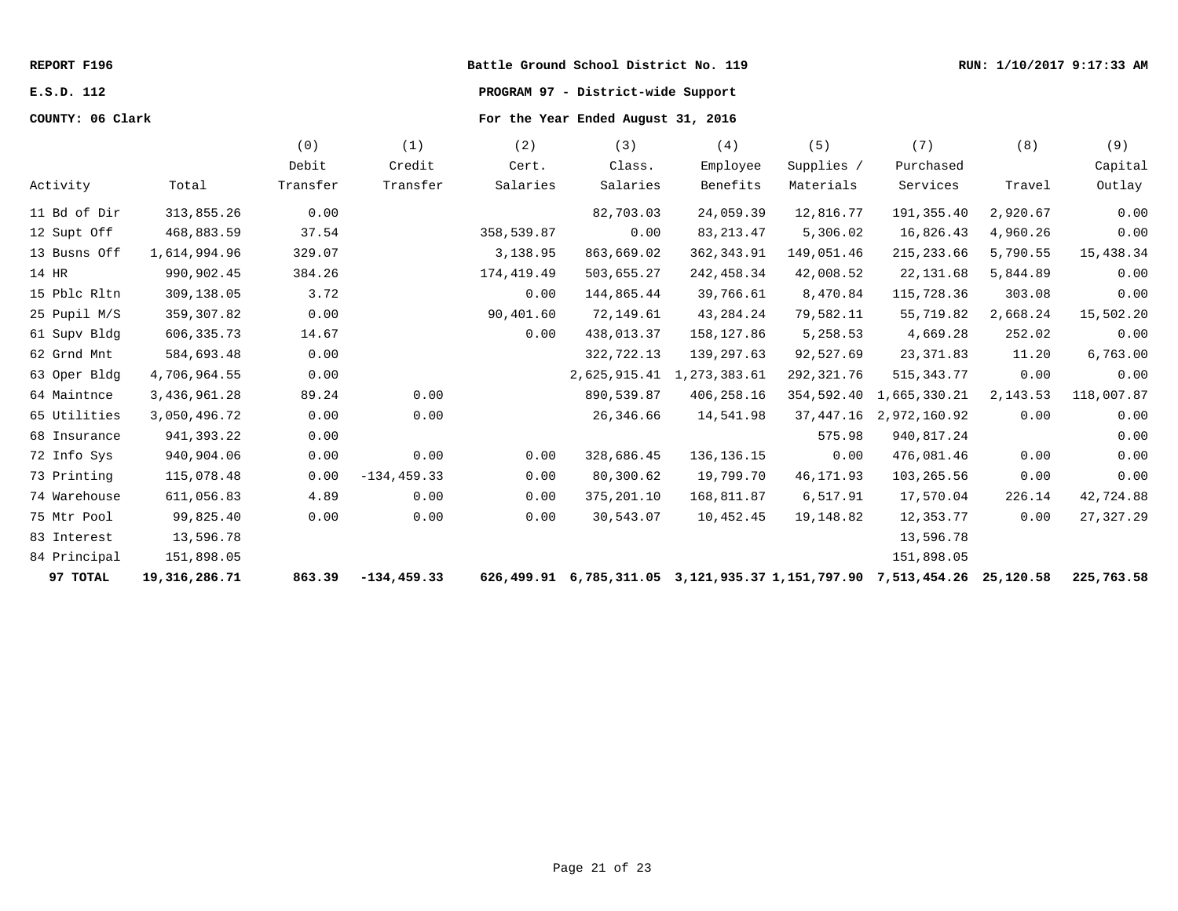# **E.S.D. 112 PROGRAM 97 - District-wide Support**

|              |               | (0)      | (1)            | (2)         | (3)          | (4)                                                            | (5)        | (7)          | (8)       | (9)         |
|--------------|---------------|----------|----------------|-------------|--------------|----------------------------------------------------------------|------------|--------------|-----------|-------------|
|              |               | Debit    | Credit         | Cert.       | Class.       | Employee                                                       | Supplies / | Purchased    |           | Capital     |
| Activity     | Total         | Transfer | Transfer       | Salaries    | Salaries     | Benefits                                                       | Materials  | Services     | Travel    | Outlay      |
| 11 Bd of Dir | 313,855.26    | 0.00     |                |             | 82,703.03    | 24,059.39                                                      | 12,816.77  | 191,355.40   | 2,920.67  | 0.00        |
| 12 Supt Off  | 468,883.59    | 37.54    |                | 358,539.87  | 0.00         | 83, 213. 47                                                    | 5,306.02   | 16,826.43    | 4,960.26  | 0.00        |
| 13 Busns Off | 1,614,994.96  | 329.07   |                | 3,138.95    | 863,669.02   | 362, 343.91                                                    | 149,051.46 | 215, 233.66  | 5,790.55  | 15,438.34   |
| 14 HR        | 990,902.45    | 384.26   |                | 174, 419.49 | 503,655.27   | 242, 458.34                                                    | 42,008.52  | 22, 131.68   | 5,844.89  | 0.00        |
| 15 Pblc Rltn | 309,138.05    | 3.72     |                | 0.00        | 144,865.44   | 39,766.61                                                      | 8,470.84   | 115,728.36   | 303.08    | 0.00        |
| 25 Pupil M/S | 359, 307.82   | 0.00     |                | 90,401.60   | 72,149.61    | 43, 284. 24                                                    | 79,582.11  | 55,719.82    | 2,668.24  | 15,502.20   |
| 61 Supv Bldg | 606,335.73    | 14.67    |                | 0.00        | 438,013.37   | 158,127.86                                                     | 5,258.53   | 4,669.28     | 252.02    | 0.00        |
| 62 Grnd Mnt  | 584,693.48    | 0.00     |                |             | 322,722.13   | 139,297.63                                                     | 92,527.69  | 23, 371.83   | 11.20     | 6,763.00    |
| 63 Oper Bldg | 4,706,964.55  | 0.00     |                |             | 2,625,915.41 | 1,273,383.61                                                   | 292,321.76 | 515, 343. 77 | 0.00      | 0.00        |
| 64 Maintnce  | 3,436,961.28  | 89.24    | 0.00           |             | 890,539.87   | 406,258.16                                                     | 354,592.40 | 1,665,330.21 | 2,143.53  | 118,007.87  |
| 65 Utilities | 3,050,496.72  | 0.00     | 0.00           |             | 26,346.66    | 14,541.98                                                      | 37,447.16  | 2,972,160.92 | 0.00      | 0.00        |
| 68 Insurance | 941,393.22    | 0.00     |                |             |              |                                                                | 575.98     | 940,817.24   |           | 0.00        |
| 72 Info Sys  | 940,904.06    | 0.00     | 0.00           | 0.00        | 328,686.45   | 136, 136. 15                                                   | 0.00       | 476,081.46   | 0.00      | 0.00        |
| 73 Printing  | 115,078.48    | 0.00     | $-134, 459.33$ | 0.00        | 80,300.62    | 19,799.70                                                      | 46, 171.93 | 103,265.56   | 0.00      | 0.00        |
| 74 Warehouse | 611,056.83    | 4.89     | 0.00           | 0.00        | 375,201.10   | 168,811.87                                                     | 6,517.91   | 17,570.04    | 226.14    | 42,724.88   |
| 75 Mtr Pool  | 99,825.40     | 0.00     | 0.00           | 0.00        | 30,543.07    | 10,452.45                                                      | 19,148.82  | 12,353.77    | 0.00      | 27, 327. 29 |
| 83 Interest  | 13,596.78     |          |                |             |              |                                                                |            | 13,596.78    |           |             |
| 84 Principal | 151,898.05    |          |                |             |              |                                                                |            | 151,898.05   |           |             |
| 97 TOTAL     | 19,316,286.71 | 863.39   | $-134, 459.33$ |             |              | 626,499.91 6,785,311.05 3,121,935.37 1,151,797.90 7,513,454.26 |            |              | 25,120.58 | 225,763.58  |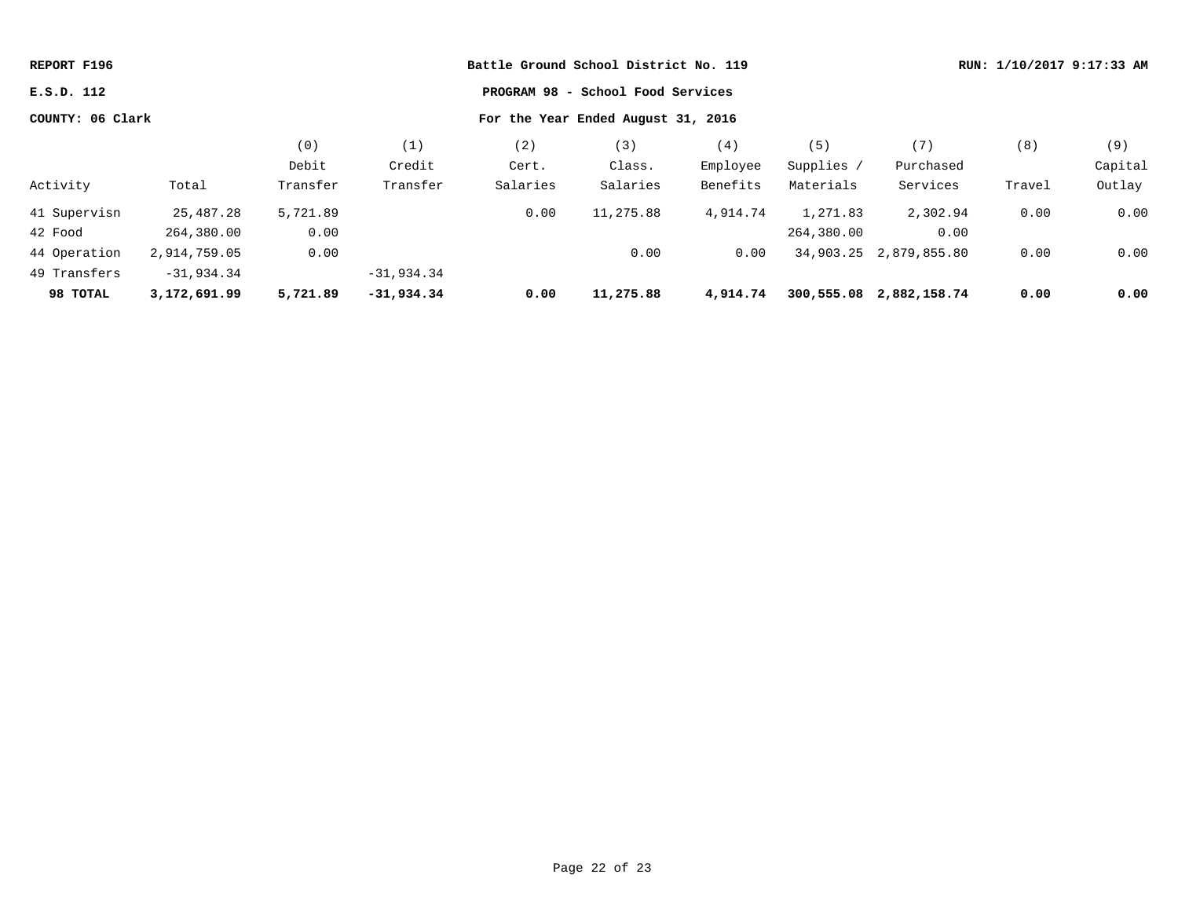| REPORT F196      |              |          |              | Battle Ground School District No. 119 |                                    |          |            |                         | RUN: 1/10/2017 9:17:33 AM |         |  |
|------------------|--------------|----------|--------------|---------------------------------------|------------------------------------|----------|------------|-------------------------|---------------------------|---------|--|
| E.S.D. 112       |              |          |              |                                       | PROGRAM 98 - School Food Services  |          |            |                         |                           |         |  |
| COUNTY: 06 Clark |              |          |              |                                       | For the Year Ended August 31, 2016 |          |            |                         |                           |         |  |
|                  |              | (0)      | (1)          | (2)                                   | (3)                                | (4)      | (5)        | (7)                     | (8)                       | (9)     |  |
|                  |              | Debit    | Credit       | Cert.                                 | Class.                             | Employee | Supplies / | Purchased               |                           | Capital |  |
| Activity         | Total        | Transfer | Transfer     | Salaries                              | Salaries                           | Benefits | Materials  | Services                | Travel                    | Outlay  |  |
| 41 Supervisn     | 25,487.28    | 5,721.89 |              | 0.00                                  | 11,275.88                          | 4,914.74 | 1,271.83   | 2,302.94                | 0.00                      | 0.00    |  |
| 42 Food          | 264,380.00   | 0.00     |              |                                       |                                    |          | 264,380.00 | 0.00                    |                           |         |  |
| 44 Operation     | 2,914,759.05 | 0.00     |              |                                       | 0.00                               | 0.00     |            | 34,903.25 2,879,855.80  | 0.00                      | 0.00    |  |
| 49 Transfers     | $-31,934.34$ |          | $-31,934.34$ |                                       |                                    |          |            |                         |                           |         |  |
| 98 TOTAL         | 3,172,691.99 | 5,721.89 | $-31,934.34$ | 0.00                                  | 11,275.88                          | 4,914.74 |            | 300,555.08 2,882,158.74 | 0.00                      | 0.00    |  |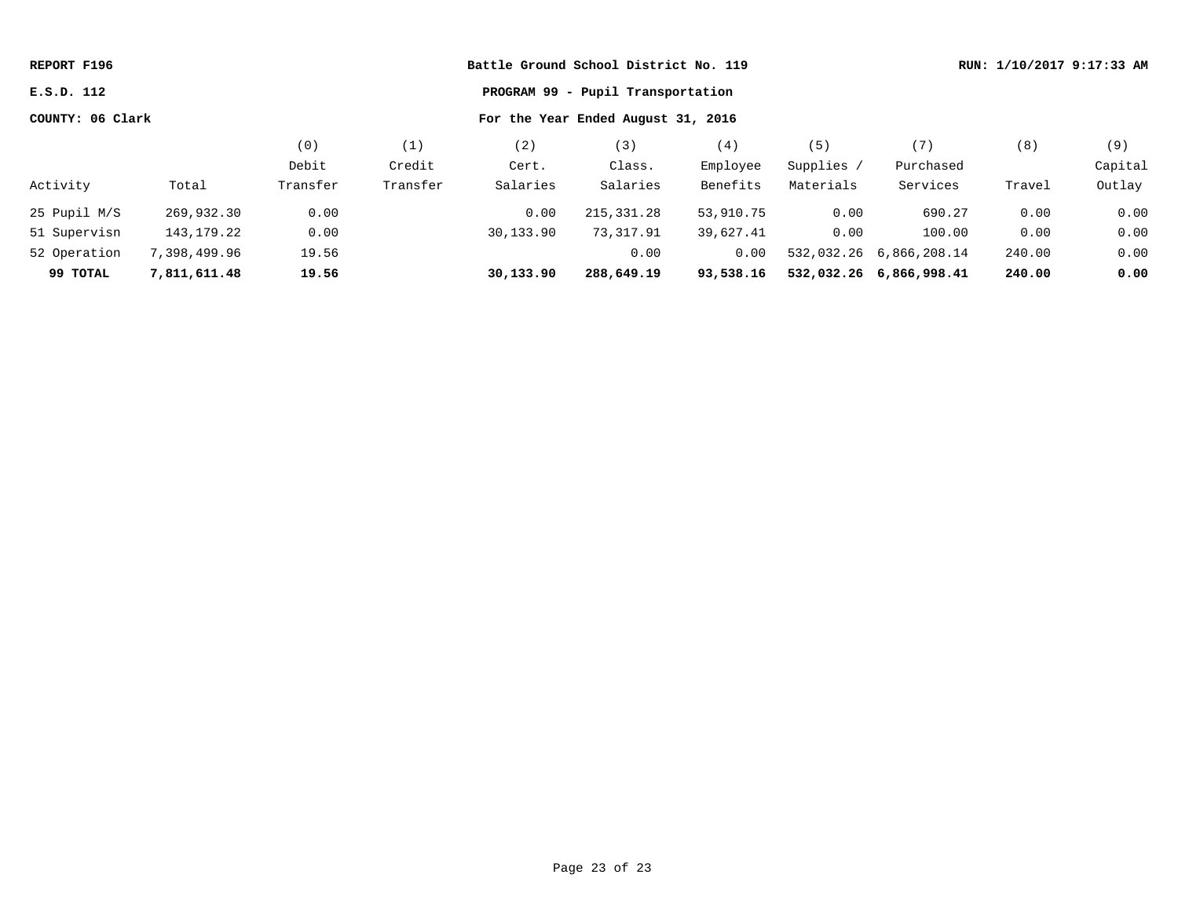| REPORT F196                                            |              |          |          |           | Battle Ground School District No. 119 |           |            |                         |        | RUN: 1/10/2017 9:17:33 AM |
|--------------------------------------------------------|--------------|----------|----------|-----------|---------------------------------------|-----------|------------|-------------------------|--------|---------------------------|
| E.S.D. 112                                             |              |          |          |           | PROGRAM 99 - Pupil Transportation     |           |            |                         |        |                           |
| COUNTY: 06 Clark<br>For the Year Ended August 31, 2016 |              |          |          |           |                                       |           |            |                         |        |                           |
|                                                        |              | (0)      | (1)      | (2)       | (3)                                   | (4)       | (5)        | (7)                     | (8)    | (9)                       |
|                                                        |              | Debit    | Credit   | Cert.     | Class.                                | Employee  | Supplies / | Purchased               |        | Capital                   |
| Activity                                               | Total        | Transfer | Transfer | Salaries  | Salaries                              | Benefits  | Materials  | Services                | Travel | Outlay                    |
| 25 Pupil M/S                                           | 269,932.30   | 0.00     |          | 0.00      | 215, 331. 28                          | 53,910.75 | 0.00       | 690.27                  | 0.00   | 0.00                      |
| 51 Supervisn                                           | 143,179.22   | 0.00     |          | 30,133.90 | 73,317.91                             | 39,627.41 | 0.00       | 100.00                  | 0.00   | 0.00                      |
| 52 Operation                                           | 7,398,499.96 | 19.56    |          |           | 0.00                                  | 0.00      |            | 532,032.26 6,866,208.14 | 240.00 | 0.00                      |
| 99 TOTAL                                               | 7,811,611.48 | 19.56    |          | 30,133.90 | 288,649.19                            | 93,538.16 |            | 532,032.26 6,866,998.41 | 240.00 | 0.00                      |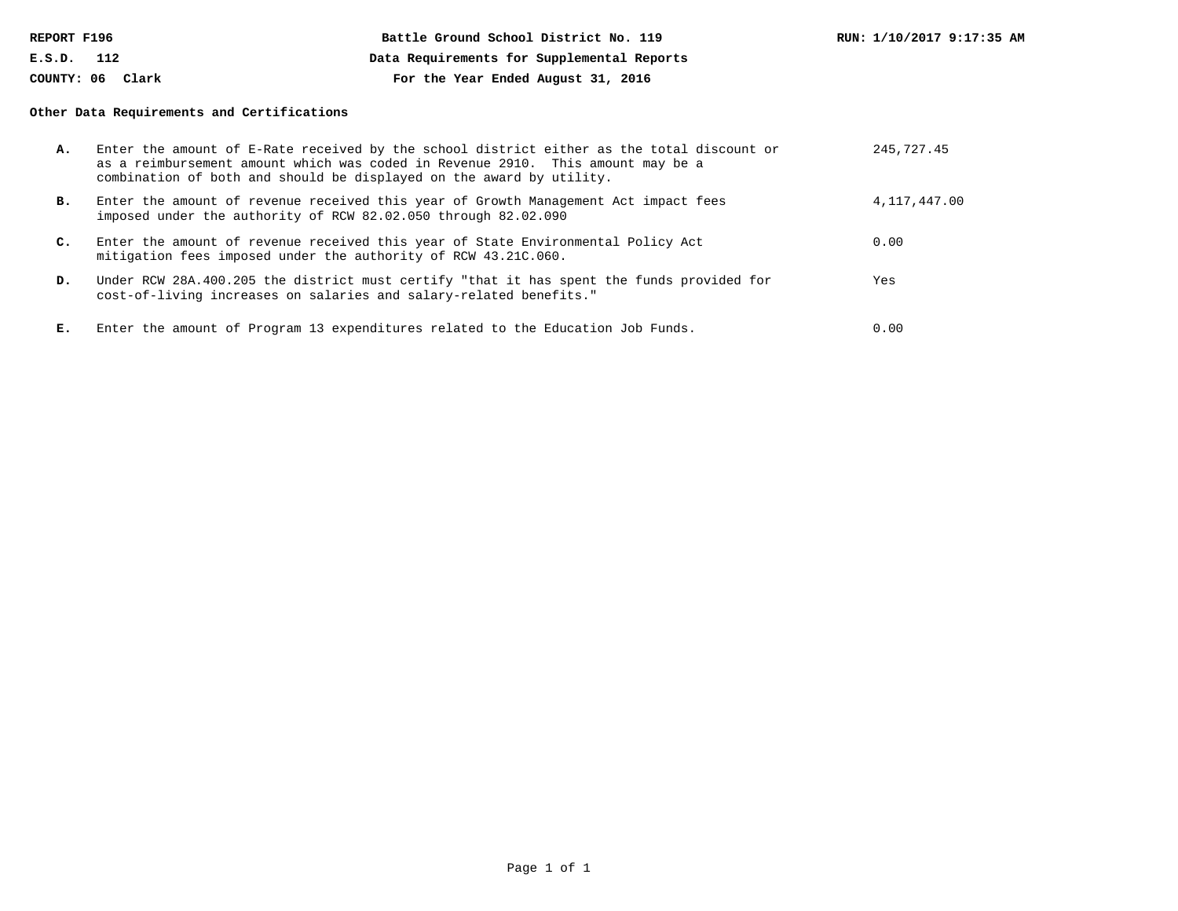| REPORT F196      |     | Battle Ground School District No. 119      | RUN: 1/10/2017 9:17:35 AM |
|------------------|-----|--------------------------------------------|---------------------------|
| E.S.D.           | 112 | Data Requirements for Supplemental Reports |                           |
| COUNTY: 06 Clark |     | For the Year Ended August 31, 2016         |                           |

# **Other Data Requirements and Certifications**

| А. | Enter the amount of E-Rate received by the school district either as the total discount or<br>as a reimbursement amount which was coded in Revenue 2910. This amount may be a<br>combination of both and should be displayed on the award by utility. | 245, 727, 45 |
|----|-------------------------------------------------------------------------------------------------------------------------------------------------------------------------------------------------------------------------------------------------------|--------------|
| в. | Enter the amount of revenue received this year of Growth Management Act impact fees<br>imposed under the authority of RCW 82.02.050 through 82.02.090                                                                                                 | 4,117,447.00 |
| c. | Enter the amount of revenue received this year of State Environmental Policy Act<br>mitigation fees imposed under the authority of RCW 43.21C.060.                                                                                                    | 0.00         |
| D. | Under RCW 28A.400.205 the district must certify "that it has spent the funds provided for<br>cost-of-living increases on salaries and salary-related benefits."                                                                                       | Yes          |
| Е. | Enter the amount of Program 13 expenditures related to the Education Job Funds.                                                                                                                                                                       | 0.00         |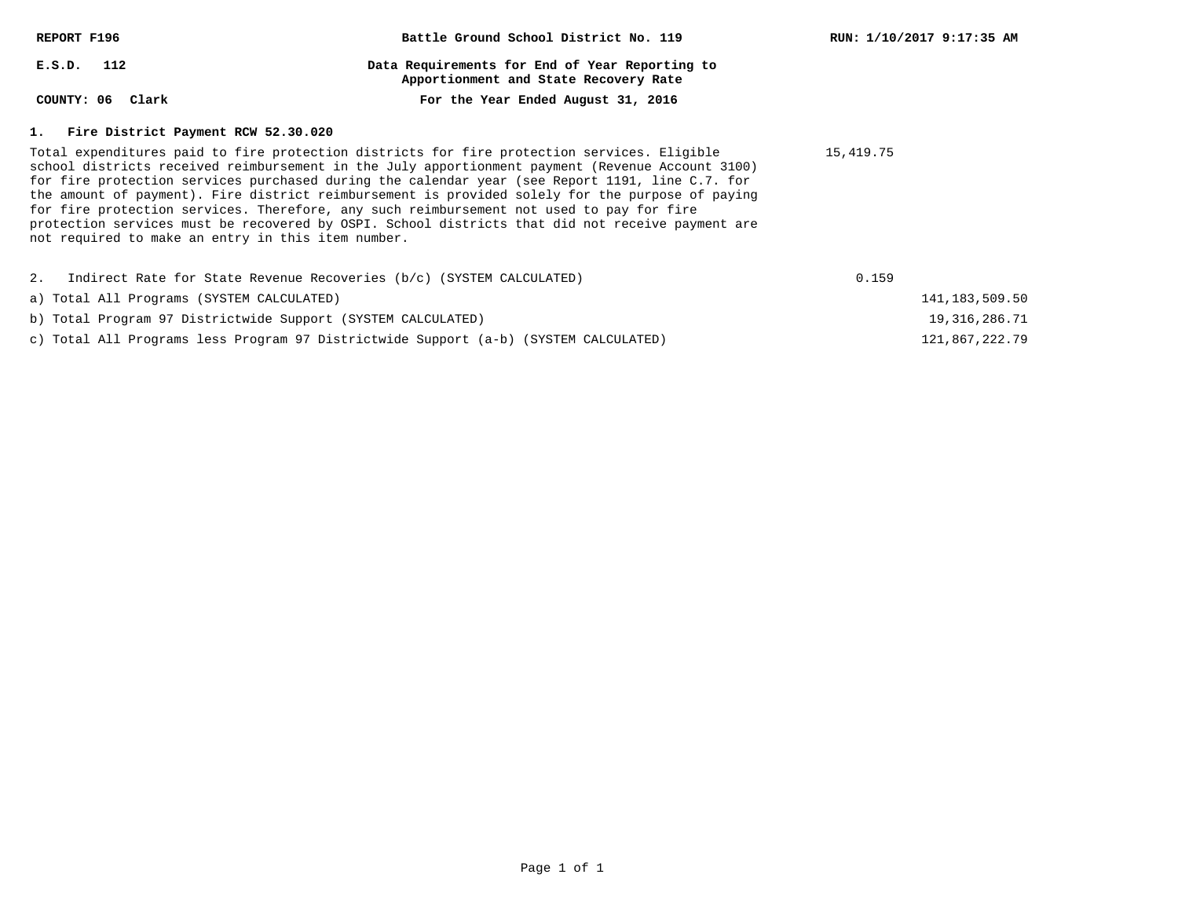| REPORT F196                                                             | Battle Ground School District No. 119                                                                                                                                                                                                                                                                                                                                                                                                                                                                                                                                                                  | RUN: 1/10/2017 9:17:35 AM |
|-------------------------------------------------------------------------|--------------------------------------------------------------------------------------------------------------------------------------------------------------------------------------------------------------------------------------------------------------------------------------------------------------------------------------------------------------------------------------------------------------------------------------------------------------------------------------------------------------------------------------------------------------------------------------------------------|---------------------------|
| $E.S.D.$ 112                                                            | Data Requirements for End of Year Reporting to<br>Apportionment and State Recovery Rate                                                                                                                                                                                                                                                                                                                                                                                                                                                                                                                |                           |
| COUNTY: 06 Clark                                                        | For the Year Ended August 31, 2016                                                                                                                                                                                                                                                                                                                                                                                                                                                                                                                                                                     |                           |
| 1. Fire District Payment RCW 52.30.020                                  |                                                                                                                                                                                                                                                                                                                                                                                                                                                                                                                                                                                                        |                           |
| not required to make an entry in this item number.                      | Total expenditures paid to fire protection districts for fire protection services. Eligible<br>school districts received reimbursement in the July apportionment payment (Revenue Account 3100)<br>for fire protection services purchased during the calendar year (see Report 1191, line C.7. for<br>the amount of payment). Fire district reimbursement is provided solely for the purpose of paying<br>for fire protection services. Therefore, any such reimbursement not used to pay for fire<br>protection services must be recovered by OSPI. School districts that did not receive payment are | 15,419.75                 |
| 2. Indirect Rate for State Revenue Recoveries (b/c) (SYSTEM CALCULATED) |                                                                                                                                                                                                                                                                                                                                                                                                                                                                                                                                                                                                        | 0.159                     |
| a) Total All Programs (SYSTEM CALCULATED)                               |                                                                                                                                                                                                                                                                                                                                                                                                                                                                                                                                                                                                        | 141, 183, 509. 50         |
| b) Total Program 97 Districtwide Support (SYSTEM CALCULATED)            |                                                                                                                                                                                                                                                                                                                                                                                                                                                                                                                                                                                                        | 19, 316, 286. 71          |

121,867,222.79

c) Total All Programs less Program 97 Districtwide Support (a-b) (SYSTEM CALCULATED)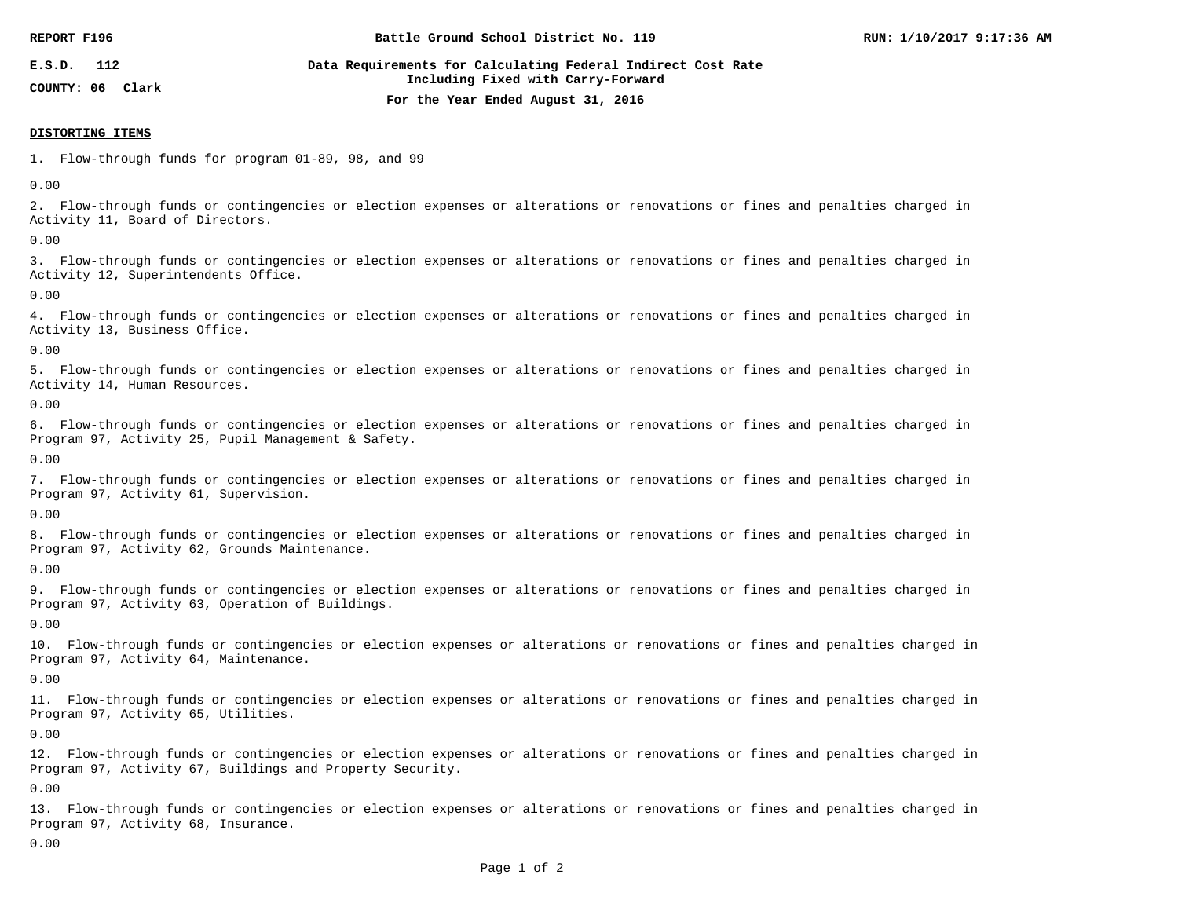| REPORT F196      | Battle Ground School District No. 119                                                              | RUN: 1/10/2017 9:17:36 AM |
|------------------|----------------------------------------------------------------------------------------------------|---------------------------|
| 112<br>E.S.D.    | Data Requirements for Calculating Federal Indirect Cost Rate<br>Including Fixed with Carry-Forward |                           |
| COUNTY: 06 Clark | For the Year Ended August 31, 2016                                                                 |                           |

#### **DISTORTING ITEMS**

1. Flow-through funds for program 01-89, 98, and 99

0.00

2. Flow-through funds or contingencies or election expenses or alterations or renovations or fines and penalties charged in Activity 11, Board of Directors.

0.00

3. Flow-through funds or contingencies or election expenses or alterations or renovations or fines and penalties charged in Activity 12, Superintendents Office.

0.00

4. Flow-through funds or contingencies or election expenses or alterations or renovations or fines and penalties charged in Activity 13, Business Office.

0.00

5. Flow-through funds or contingencies or election expenses or alterations or renovations or fines and penalties charged in Activity 14, Human Resources.

0.00

6. Flow-through funds or contingencies or election expenses or alterations or renovations or fines and penalties charged in Program 97, Activity 25, Pupil Management & Safety.

0.00

7. Flow-through funds or contingencies or election expenses or alterations or renovations or fines and penalties charged in Program 97, Activity 61, Supervision.

0.00

8. Flow-through funds or contingencies or election expenses or alterations or renovations or fines and penalties charged in Program 97, Activity 62, Grounds Maintenance.

0.00

9. Flow-through funds or contingencies or election expenses or alterations or renovations or fines and penalties charged in Program 97, Activity 63, Operation of Buildings.

0.00

10. Flow-through funds or contingencies or election expenses or alterations or renovations or fines and penalties charged in Program 97, Activity 64, Maintenance.

0.00

11. Flow-through funds or contingencies or election expenses or alterations or renovations or fines and penalties charged in Program 97, Activity 65, Utilities.

0.00

12. Flow-through funds or contingencies or election expenses or alterations or renovations or fines and penalties charged in Program 97, Activity 67, Buildings and Property Security.

0.00

13. Flow-through funds or contingencies or election expenses or alterations or renovations or fines and penalties charged in Program 97, Activity 68, Insurance.

0.00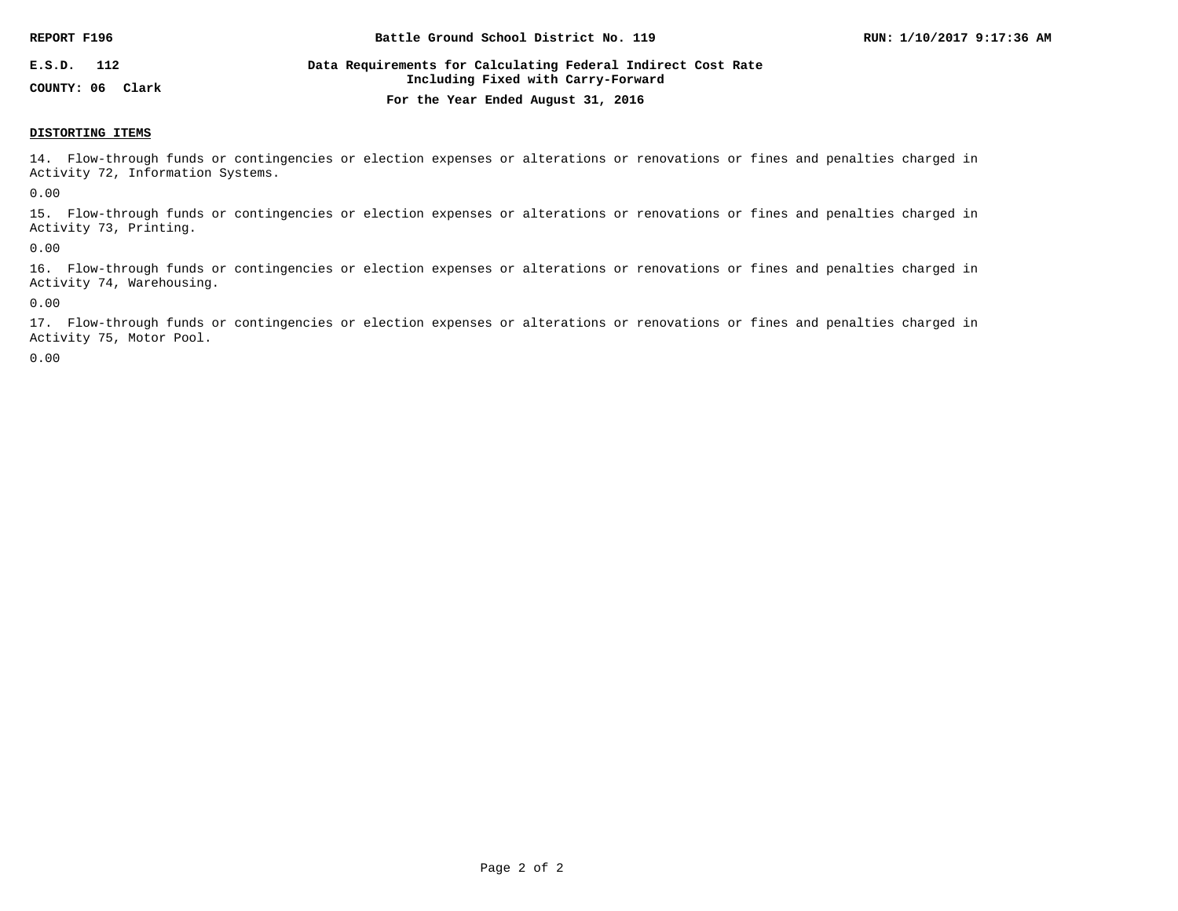| REPORT F196         | Battle Ground School District No. 119                                                              | RUN: 1/10/2017 9:17:36 AM |
|---------------------|----------------------------------------------------------------------------------------------------|---------------------------|
| 112<br>E.S.D.       | Data Requirements for Calculating Federal Indirect Cost Rate<br>Including Fixed with Carry-Forward |                           |
| COUNTY: 06<br>Clark | For the Year Ended August 31, 2016                                                                 |                           |

#### **DISTORTING ITEMS**

14. Flow-through funds or contingencies or election expenses or alterations or renovations or fines and penalties charged in Activity 72, Information Systems.

0.00

15. Flow-through funds or contingencies or election expenses or alterations or renovations or fines and penalties charged in Activity 73, Printing.

0.00

16. Flow-through funds or contingencies or election expenses or alterations or renovations or fines and penalties charged in Activity 74, Warehousing.

0.00

17. Flow-through funds or contingencies or election expenses or alterations or renovations or fines and penalties charged in Activity 75, Motor Pool.

0.00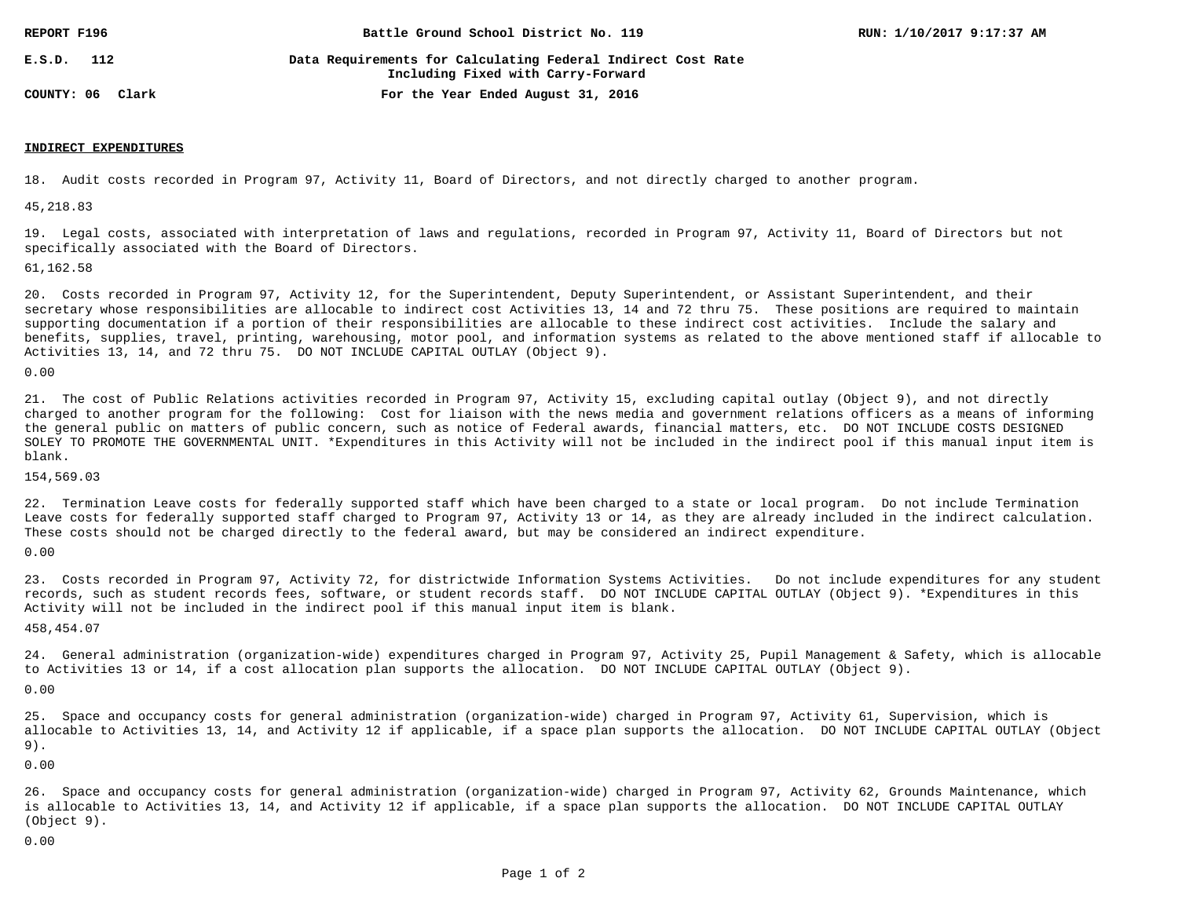| REPORT F196      | Battle Ground School District No. 119                                                              | RUN: 1/10/2017 9:17:37 AM |
|------------------|----------------------------------------------------------------------------------------------------|---------------------------|
| 112<br>E.S.D.    | Data Requirements for Calculating Federal Indirect Cost Rate<br>Including Fixed with Carry-Forward |                           |
| COUNTY: 06 Clark | For the Year Ended August 31, 2016                                                                 |                           |

#### **INDIRECT EXPENDITURES**

18. Audit costs recorded in Program 97, Activity 11, Board of Directors, and not directly charged to another program.

45,218.83

19. Legal costs, associated with interpretation of laws and regulations, recorded in Program 97, Activity 11, Board of Directors but not specifically associated with the Board of Directors.

61,162.58

20. Costs recorded in Program 97, Activity 12, for the Superintendent, Deputy Superintendent, or Assistant Superintendent, and their secretary whose responsibilities are allocable to indirect cost Activities 13, 14 and 72 thru 75. These positions are required to maintain supporting documentation if a portion of their responsibilities are allocable to these indirect cost activities. Include the salary and benefits, supplies, travel, printing, warehousing, motor pool, and information systems as related to the above mentioned staff if allocable to Activities 13, 14, and 72 thru 75. DO NOT INCLUDE CAPITAL OUTLAY (Object 9).

0.00

21. The cost of Public Relations activities recorded in Program 97, Activity 15, excluding capital outlay (Object 9), and not directly charged to another program for the following: Cost for liaison with the news media and government relations officers as a means of informing the general public on matters of public concern, such as notice of Federal awards, financial matters, etc. DO NOT INCLUDE COSTS DESIGNED SOLEY TO PROMOTE THE GOVERNMENTAL UNIT. \*Expenditures in this Activity will not be included in the indirect pool if this manual input item is blank.

154,569.03

22. Termination Leave costs for federally supported staff which have been charged to a state or local program. Do not include Termination Leave costs for federally supported staff charged to Program 97, Activity 13 or 14, as they are already included in the indirect calculation. These costs should not be charged directly to the federal award, but may be considered an indirect expenditure.

0.00

23. Costs recorded in Program 97, Activity 72, for districtwide Information Systems Activities. Do not include expenditures for any student records, such as student records fees, software, or student records staff. DO NOT INCLUDE CAPITAL OUTLAY (Object 9). \*Expenditures in this Activity will not be included in the indirect pool if this manual input item is blank.

458,454.07

24. General administration (organization-wide) expenditures charged in Program 97, Activity 25, Pupil Management & Safety, which is allocable to Activities 13 or 14, if a cost allocation plan supports the allocation. DO NOT INCLUDE CAPITAL OUTLAY (Object 9).

0.00

25. Space and occupancy costs for general administration (organization-wide) charged in Program 97, Activity 61, Supervision, which is allocable to Activities 13, 14, and Activity 12 if applicable, if a space plan supports the allocation. DO NOT INCLUDE CAPITAL OUTLAY (Object 9).

0.00

26. Space and occupancy costs for general administration (organization-wide) charged in Program 97, Activity 62, Grounds Maintenance, which is allocable to Activities 13, 14, and Activity 12 if applicable, if a space plan supports the allocation. DO NOT INCLUDE CAPITAL OUTLAY (Object 9).

0.00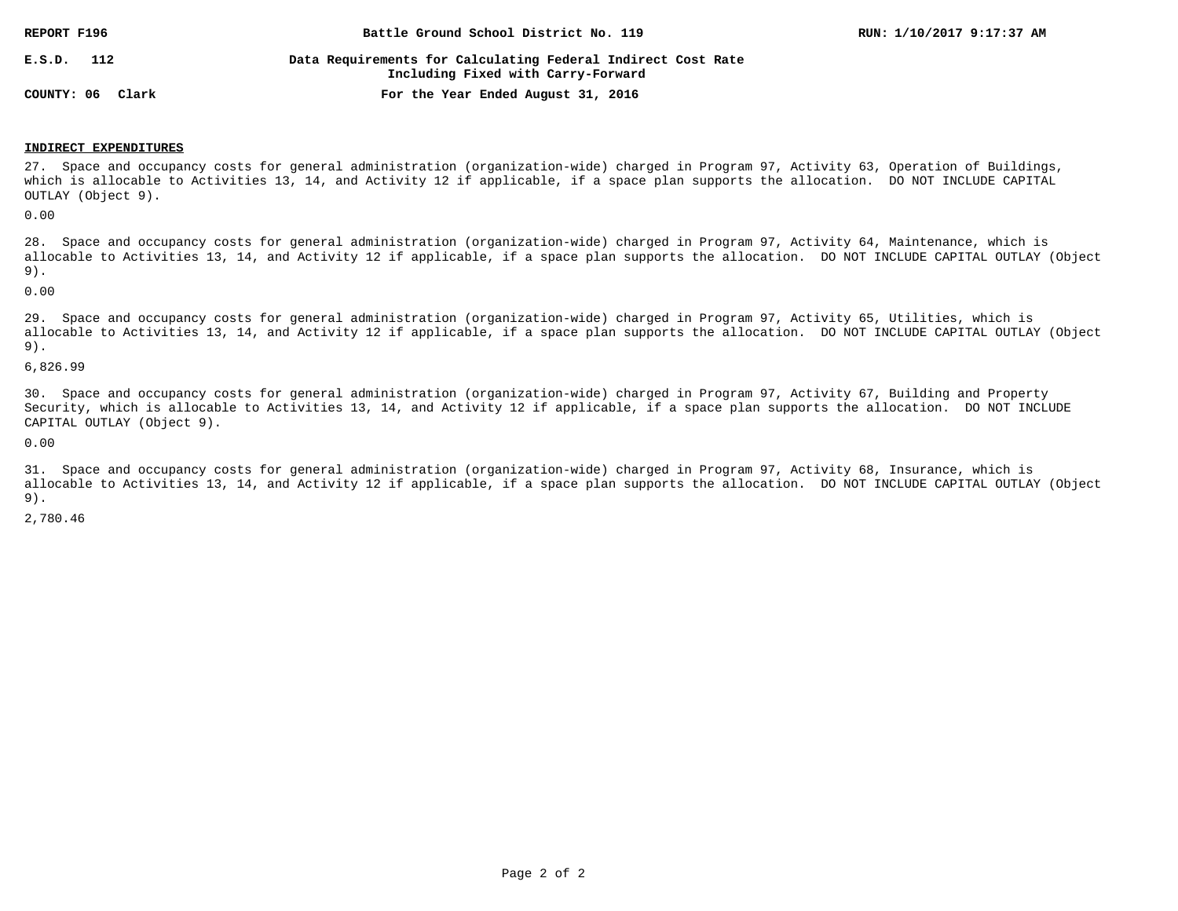| REPORT F196      | Battle Ground School District No. 119                                                              | RUN: 1/10/2017 9:17:37 AM |
|------------------|----------------------------------------------------------------------------------------------------|---------------------------|
| 112<br>E.S.D.    | Data Requirements for Calculating Federal Indirect Cost Rate<br>Including Fixed with Carry-Forward |                           |
| COUNTY: 06 Clark | For the Year Ended August 31, 2016                                                                 |                           |

#### **INDIRECT EXPENDITURES**

27. Space and occupancy costs for general administration (organization-wide) charged in Program 97, Activity 63, Operation of Buildings, which is allocable to Activities 13, 14, and Activity 12 if applicable, if a space plan supports the allocation. DO NOT INCLUDE CAPITAL OUTLAY (Object 9).

0.00

28. Space and occupancy costs for general administration (organization-wide) charged in Program 97, Activity 64, Maintenance, which is allocable to Activities 13, 14, and Activity 12 if applicable, if a space plan supports the allocation. DO NOT INCLUDE CAPITAL OUTLAY (Object 9).

0.00

29. Space and occupancy costs for general administration (organization-wide) charged in Program 97, Activity 65, Utilities, which is allocable to Activities 13, 14, and Activity 12 if applicable, if a space plan supports the allocation. DO NOT INCLUDE CAPITAL OUTLAY (Object 9).

6,826.99

30. Space and occupancy costs for general administration (organization-wide) charged in Program 97, Activity 67, Building and Property Security, which is allocable to Activities 13, 14, and Activity 12 if applicable, if a space plan supports the allocation. DO NOT INCLUDE CAPITAL OUTLAY (Object 9).

0.00

31. Space and occupancy costs for general administration (organization-wide) charged in Program 97, Activity 68, Insurance, which is allocable to Activities 13, 14, and Activity 12 if applicable, if a space plan supports the allocation. DO NOT INCLUDE CAPITAL OUTLAY (Object 9).

2,780.46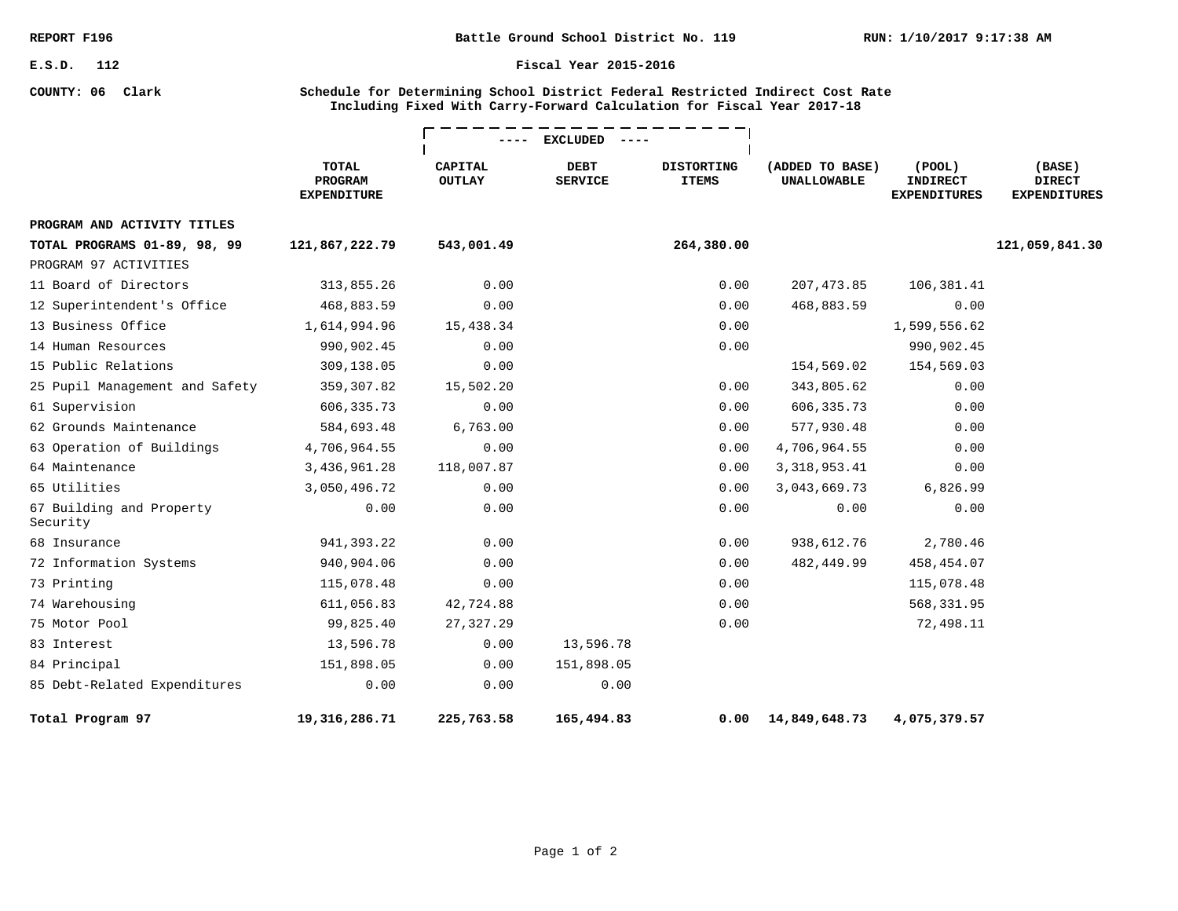**COUNTY: 06 Clark**

#### **Fiscal Year 2015-2016**

### **Schedule for Determining School District Federal Restricted Indirect Cost Rate Including Fixed With Carry-Forward Calculation for Fiscal Year 2017-18**

|                                      |                                                      |                                 | <b>EXCLUDED</b>               |                                   |                                       |                                                        |                                                |
|--------------------------------------|------------------------------------------------------|---------------------------------|-------------------------------|-----------------------------------|---------------------------------------|--------------------------------------------------------|------------------------------------------------|
|                                      | <b>TOTAL</b><br><b>PROGRAM</b><br><b>EXPENDITURE</b> | <b>CAPITAL</b><br><b>OUTLAY</b> | <b>DEBT</b><br><b>SERVICE</b> | <b>DISTORTING</b><br><b>ITEMS</b> | (ADDED TO BASE)<br><b>UNALLOWABLE</b> | $($ POOL $)$<br><b>INDIRECT</b><br><b>EXPENDITURES</b> | (BASE)<br><b>DIRECT</b><br><b>EXPENDITURES</b> |
| PROGRAM AND ACTIVITY TITLES          |                                                      |                                 |                               |                                   |                                       |                                                        |                                                |
| TOTAL PROGRAMS 01-89, 98, 99         | 121,867,222.79                                       | 543,001.49                      |                               | 264,380.00                        |                                       |                                                        | 121,059,841.30                                 |
| PROGRAM 97 ACTIVITIES                |                                                      |                                 |                               |                                   |                                       |                                                        |                                                |
| 11 Board of Directors                | 313,855.26                                           | 0.00                            |                               | 0.00                              | 207,473.85                            | 106,381.41                                             |                                                |
| 12 Superintendent's Office           | 468,883.59                                           | 0.00                            |                               | 0.00                              | 468,883.59                            | 0.00                                                   |                                                |
| 13 Business Office                   | 1,614,994.96                                         | 15,438.34                       |                               | 0.00                              |                                       | 1,599,556.62                                           |                                                |
| 14 Human Resources                   | 990,902.45                                           | 0.00                            |                               | 0.00                              |                                       | 990,902.45                                             |                                                |
| 15 Public Relations                  | 309,138.05                                           | 0.00                            |                               |                                   | 154,569.02                            | 154,569.03                                             |                                                |
| 25 Pupil Management and Safety       | 359,307.82                                           | 15,502.20                       |                               | 0.00                              | 343,805.62                            | 0.00                                                   |                                                |
| 61 Supervision                       | 606, 335. 73                                         | 0.00                            |                               | 0.00                              | 606, 335.73                           | 0.00                                                   |                                                |
| 62 Grounds Maintenance               | 584,693.48                                           | 6,763.00                        |                               | 0.00                              | 577,930.48                            | 0.00                                                   |                                                |
| 63 Operation of Buildings            | 4,706,964.55                                         | 0.00                            |                               | 0.00                              | 4,706,964.55                          | 0.00                                                   |                                                |
| 64 Maintenance                       | 3,436,961.28                                         | 118,007.87                      |                               | 0.00                              | 3, 318, 953.41                        | 0.00                                                   |                                                |
| 65 Utilities                         | 3,050,496.72                                         | 0.00                            |                               | 0.00                              | 3,043,669.73                          | 6,826.99                                               |                                                |
| 67 Building and Property<br>Security | 0.00                                                 | 0.00                            |                               | 0.00                              | 0.00                                  | 0.00                                                   |                                                |
| 68 Insurance                         | 941, 393.22                                          | 0.00                            |                               | 0.00                              | 938,612.76                            | 2,780.46                                               |                                                |
| 72 Information Systems               | 940,904.06                                           | 0.00                            |                               | 0.00                              | 482,449.99                            | 458,454.07                                             |                                                |
| 73 Printing                          | 115,078.48                                           | 0.00                            |                               | 0.00                              |                                       | 115,078.48                                             |                                                |
| 74 Warehousing                       | 611,056.83                                           | 42,724.88                       |                               | 0.00                              |                                       | 568,331.95                                             |                                                |
| 75 Motor Pool                        | 99,825.40                                            | 27,327.29                       |                               | 0.00                              |                                       | 72,498.11                                              |                                                |
| 83 Interest                          | 13,596.78                                            | 0.00                            | 13,596.78                     |                                   |                                       |                                                        |                                                |
| 84 Principal                         | 151,898.05                                           | 0.00                            | 151,898.05                    |                                   |                                       |                                                        |                                                |
| 85 Debt-Related Expenditures         | 0.00                                                 | 0.00                            | 0.00                          |                                   |                                       |                                                        |                                                |
| Total Program 97                     | 19, 316, 286. 71                                     | 225,763.58                      | 165,494.83                    | 0.00                              | 14,849,648.73                         | 4,075,379.57                                           |                                                |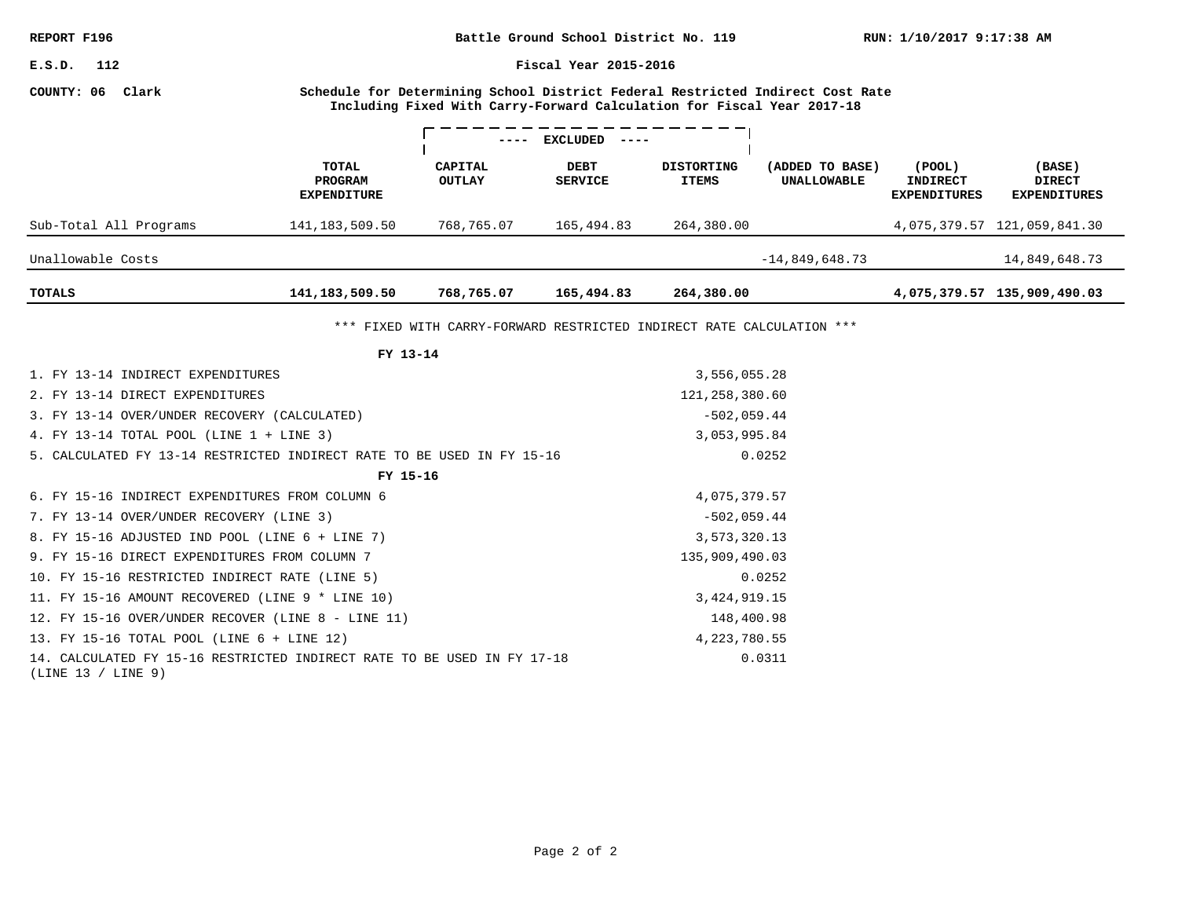**RUN: 1/10/2017 9:17:38 AM Battle Ground School District No. 119**

**Fiscal Year 2015-2016**

### **COUNTY: 06 Clark**

**Schedule for Determining School District Federal Restricted Indirect Cost Rate Including Fixed With Carry-Forward Calculation for Fiscal Year 2017-18**

|                        |                                        | $---$                    | <b>EXCLUDED</b><br>$- - - - -$ |                                   |                                       |                                                  |                                                |
|------------------------|----------------------------------------|--------------------------|--------------------------------|-----------------------------------|---------------------------------------|--------------------------------------------------|------------------------------------------------|
|                        | TOTAL<br>PROGRAM<br><b>EXPENDITURE</b> | CAPITAL<br><b>OUTLAY</b> | <b>DEBT</b><br><b>SERVICE</b>  | <b>DISTORTING</b><br><b>ITEMS</b> | (ADDED TO BASE)<br><b>UNALLOWABLE</b> | (POOL)<br><b>INDIRECT</b><br><b>EXPENDITURES</b> | (BASE)<br><b>DIRECT</b><br><b>EXPENDITURES</b> |
| Sub-Total All Programs | 141, 183, 509.50                       | 768,765.07               | 165,494.83                     | 264,380.00                        |                                       |                                                  | 4,075,379.57 121,059,841.30                    |
| Unallowable Costs      |                                        |                          |                                |                                   | $-14,849,648.73$                      |                                                  | 14,849,648.73                                  |
| TOTALS                 | 141, 183, 509. 50                      | 768,765.07               | 165,494.83                     | 264,380.00                        |                                       |                                                  | 4,075,379.57 135,909,490.03                    |

\*\*\* FIXED WITH CARRY-FORWARD RESTRICTED INDIRECT RATE CALCULATION \*\*\*

| FY 13-14                                                                                      |                  |
|-----------------------------------------------------------------------------------------------|------------------|
| 1. FY 13-14 INDIRECT EXPENDITURES                                                             | 3,556,055.28     |
| 2. FY 13-14 DIRECT EXPENDITURES                                                               | 121, 258, 380.60 |
| 3. FY 13-14 OVER/UNDER RECOVERY (CALCULATED)                                                  | $-502,059.44$    |
| 4. FY 13-14 TOTAL POOL (LINE 1 + LINE 3)                                                      | 3,053,995.84     |
| 5. CALCULATED FY 13-14 RESTRICTED INDIRECT RATE TO BE USED IN FY 15-16                        | 0.0252           |
| FY 15-16                                                                                      |                  |
| 6. FY 15-16 INDIRECT EXPENDITURES FROM COLUMN 6                                               | 4,075,379.57     |
| 7. FY 13-14 OVER/UNDER RECOVERY (LINE 3)                                                      | $-502,059.44$    |
| 8. FY 15-16 ADJUSTED IND POOL (LINE 6 + LINE 7)                                               | 3,573,320.13     |
| 9. FY 15-16 DIRECT EXPENDITURES FROM COLUMN 7                                                 | 135,909,490.03   |
| 10. FY 15-16 RESTRICTED INDIRECT RATE (LINE 5)                                                | 0.0252           |
| 11. FY 15-16 AMOUNT RECOVERED (LINE 9 * LINE 10)                                              | 3, 424, 919. 15  |
| 12. FY 15-16 OVER/UNDER RECOVER (LINE 8 - LINE 11)                                            | 148,400.98       |
| 13. FY 15-16 TOTAL POOL (LINE 6 + LINE 12)                                                    | 4, 223, 780.55   |
| 14. CALCULATED FY 15-16 RESTRICTED INDIRECT RATE TO BE USED IN FY 17-18<br>(LINE 13 / LINE 9) | 0.0311           |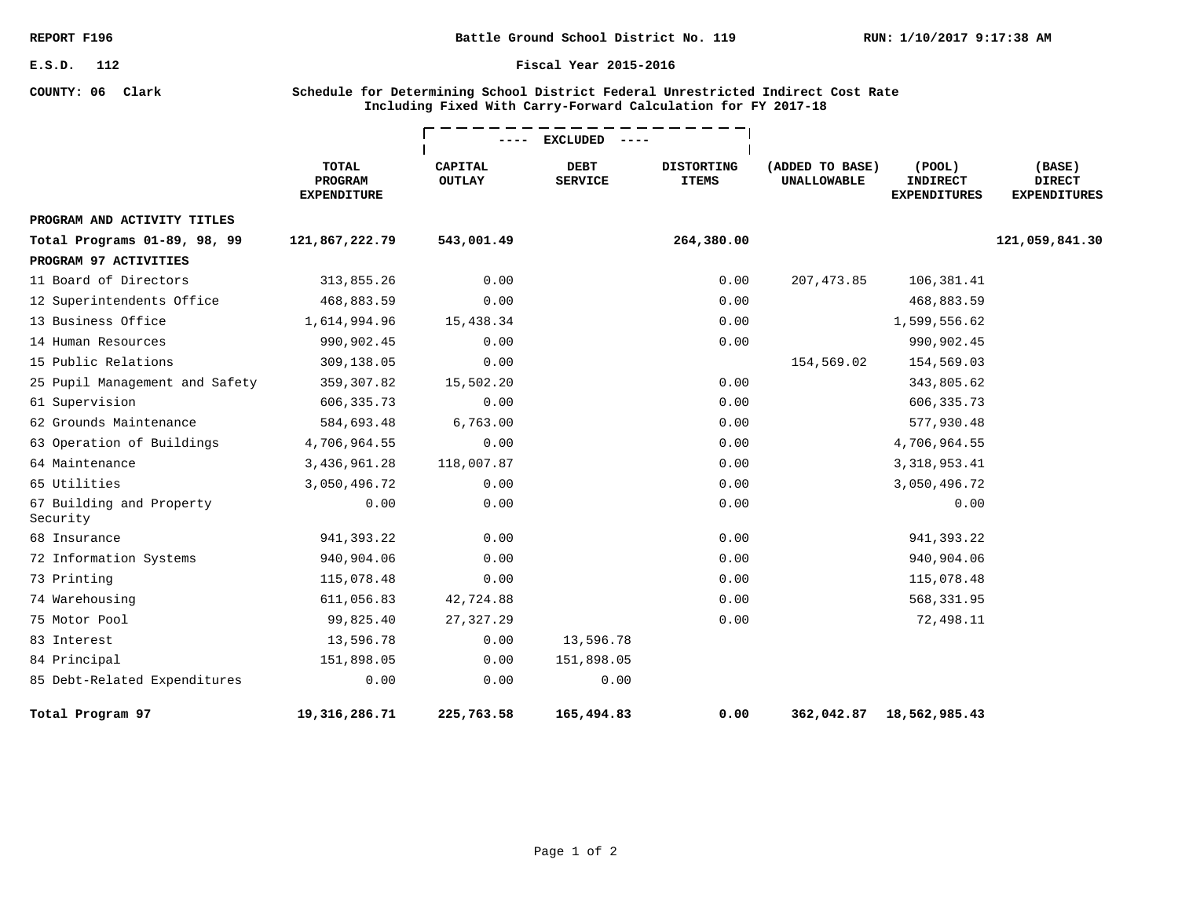**COUNTY: 06 Clark**

**Battle Ground School District No. 119**

#### **Fiscal Year 2015-2016**

### **Schedule for Determining School District Federal Unrestricted Indirect Cost Rate Including Fixed With Carry-Forward Calculation for FY 2017-18**

|                                      |                                               |                                 | <b>EXCLUDED</b>               |                                   |                                       |                                                        |                                                |
|--------------------------------------|-----------------------------------------------|---------------------------------|-------------------------------|-----------------------------------|---------------------------------------|--------------------------------------------------------|------------------------------------------------|
|                                      | <b>TOTAL</b><br>PROGRAM<br><b>EXPENDITURE</b> | <b>CAPITAL</b><br><b>OUTLAY</b> | <b>DEBT</b><br><b>SERVICE</b> | <b>DISTORTING</b><br><b>ITEMS</b> | (ADDED TO BASE)<br><b>UNALLOWABLE</b> | $($ POOL $)$<br><b>INDIRECT</b><br><b>EXPENDITURES</b> | (BASE)<br><b>DIRECT</b><br><b>EXPENDITURES</b> |
| PROGRAM AND ACTIVITY TITLES          |                                               |                                 |                               |                                   |                                       |                                                        |                                                |
| Total Programs 01-89, 98, 99         | 121,867,222.79                                | 543,001.49                      |                               | 264,380.00                        |                                       |                                                        | 121,059,841.30                                 |
| PROGRAM 97 ACTIVITIES                |                                               |                                 |                               |                                   |                                       |                                                        |                                                |
| 11 Board of Directors                | 313,855.26                                    | 0.00                            |                               | 0.00                              | 207,473.85                            | 106,381.41                                             |                                                |
| 12 Superintendents Office            | 468,883.59                                    | 0.00                            |                               | 0.00                              |                                       | 468,883.59                                             |                                                |
| 13 Business Office                   | 1,614,994.96                                  | 15,438.34                       |                               | 0.00                              |                                       | 1,599,556.62                                           |                                                |
| 14 Human Resources                   | 990,902.45                                    | 0.00                            |                               | 0.00                              |                                       | 990,902.45                                             |                                                |
| 15 Public Relations                  | 309,138.05                                    | 0.00                            |                               |                                   | 154,569.02                            | 154,569.03                                             |                                                |
| 25 Pupil Management and Safety       | 359,307.82                                    | 15,502.20                       |                               | 0.00                              |                                       | 343,805.62                                             |                                                |
| 61 Supervision                       | 606, 335. 73                                  | 0.00                            |                               | 0.00                              |                                       | 606, 335. 73                                           |                                                |
| 62 Grounds Maintenance               | 584,693.48                                    | 6,763.00                        |                               | 0.00                              |                                       | 577,930.48                                             |                                                |
| 63 Operation of Buildings            | 4,706,964.55                                  | 0.00                            |                               | 0.00                              |                                       | 4,706,964.55                                           |                                                |
| 64 Maintenance                       | 3,436,961.28                                  | 118,007.87                      |                               | 0.00                              |                                       | 3, 318, 953.41                                         |                                                |
| 65 Utilities                         | 3,050,496.72                                  | 0.00                            |                               | 0.00                              |                                       | 3,050,496.72                                           |                                                |
| 67 Building and Property<br>Security | 0.00                                          | 0.00                            |                               | 0.00                              |                                       | 0.00                                                   |                                                |
| 68 Insurance                         | 941, 393.22                                   | 0.00                            |                               | 0.00                              |                                       | 941,393.22                                             |                                                |
| 72 Information Systems               | 940,904.06                                    | 0.00                            |                               | 0.00                              |                                       | 940,904.06                                             |                                                |
| 73 Printing                          | 115,078.48                                    | 0.00                            |                               | 0.00                              |                                       | 115,078.48                                             |                                                |
| 74 Warehousing                       | 611,056.83                                    | 42,724.88                       |                               | 0.00                              |                                       | 568,331.95                                             |                                                |
| 75 Motor Pool                        | 99,825.40                                     | 27,327.29                       |                               | 0.00                              |                                       | 72,498.11                                              |                                                |
| 83 Interest                          | 13,596.78                                     | 0.00                            | 13,596.78                     |                                   |                                       |                                                        |                                                |
| 84 Principal                         | 151,898.05                                    | 0.00                            | 151,898.05                    |                                   |                                       |                                                        |                                                |
| 85 Debt-Related Expenditures         | 0.00                                          | 0.00                            | 0.00                          |                                   |                                       |                                                        |                                                |
| Total Program 97                     | 19,316,286.71                                 | 225,763.58                      | 165,494.83                    | 0.00                              | 362,042.87                            | 18,562,985.43                                          |                                                |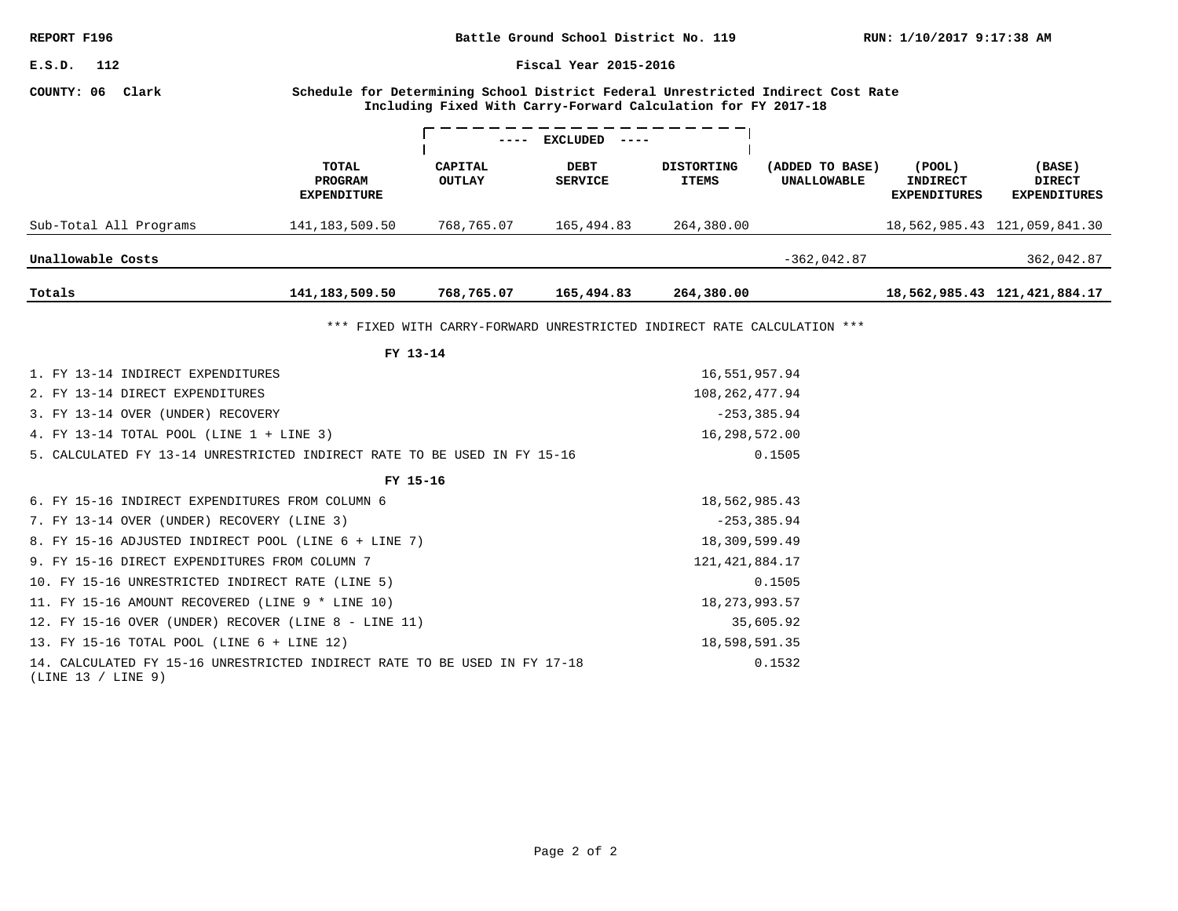| REPORT F196<br>Battle Ground School District No. 119                                            |                                                                                                                                                   |                                                                         |                               |                                   |                                       | RUN: 1/10/2017 9:17:38 AM                        |                                                |  |
|-------------------------------------------------------------------------------------------------|---------------------------------------------------------------------------------------------------------------------------------------------------|-------------------------------------------------------------------------|-------------------------------|-----------------------------------|---------------------------------------|--------------------------------------------------|------------------------------------------------|--|
| E.S.D.<br>112                                                                                   | Fiscal Year 2015-2016                                                                                                                             |                                                                         |                               |                                   |                                       |                                                  |                                                |  |
| COUNTY: 06 Clark                                                                                | Schedule for Determining School District Federal Unrestricted Indirect Cost Rate<br>Including Fixed With Carry-Forward Calculation for FY 2017-18 |                                                                         |                               |                                   |                                       |                                                  |                                                |  |
|                                                                                                 |                                                                                                                                                   |                                                                         | ---- EXCLUDED<br>$  -$        |                                   |                                       |                                                  |                                                |  |
|                                                                                                 | TOTAL<br>PROGRAM<br><b>EXPENDITURE</b>                                                                                                            | CAPITAL<br><b>OUTLAY</b>                                                | <b>DEBT</b><br><b>SERVICE</b> | <b>DISTORTING</b><br><b>ITEMS</b> | (ADDED TO BASE)<br><b>UNALLOWABLE</b> | (POOL)<br><b>INDIRECT</b><br><b>EXPENDITURES</b> | (BASE)<br><b>DIRECT</b><br><b>EXPENDITURES</b> |  |
| Sub-Total All Programs                                                                          | 141, 183, 509.50                                                                                                                                  | 768,765.07                                                              | 165,494.83                    | 264,380.00                        |                                       |                                                  | 18,562,985.43 121,059,841.30                   |  |
| Unallowable Costs                                                                               |                                                                                                                                                   |                                                                         |                               |                                   | $-362,042.87$                         |                                                  | 362,042.87                                     |  |
| Totals                                                                                          | 141, 183, 509. 50                                                                                                                                 | 768,765.07                                                              | 165,494.83                    | 264,380.00                        |                                       |                                                  | 18,562,985.43 121,421,884.17                   |  |
|                                                                                                 |                                                                                                                                                   | *** FIXED WITH CARRY-FORWARD UNRESTRICTED INDIRECT RATE CALCULATION *** |                               |                                   |                                       |                                                  |                                                |  |
|                                                                                                 | FY 13-14                                                                                                                                          |                                                                         |                               |                                   |                                       |                                                  |                                                |  |
| 1. FY 13-14 INDIRECT EXPENDITURES                                                               |                                                                                                                                                   |                                                                         |                               | 16,551,957.94                     |                                       |                                                  |                                                |  |
| 2. FY 13-14 DIRECT EXPENDITURES                                                                 |                                                                                                                                                   |                                                                         | 108, 262, 477.94              |                                   |                                       |                                                  |                                                |  |
| 3. FY 13-14 OVER (UNDER) RECOVERY                                                               |                                                                                                                                                   |                                                                         | $-253, 385.94$                |                                   |                                       |                                                  |                                                |  |
| 4. FY 13-14 TOTAL POOL (LINE 1 + LINE 3)                                                        |                                                                                                                                                   |                                                                         |                               | 16,298,572.00                     |                                       |                                                  |                                                |  |
| 5. CALCULATED FY 13-14 UNRESTRICTED INDIRECT RATE TO BE USED IN FY 15-16                        |                                                                                                                                                   |                                                                         |                               |                                   | 0.1505                                |                                                  |                                                |  |
|                                                                                                 | FY 15-16                                                                                                                                          |                                                                         |                               |                                   |                                       |                                                  |                                                |  |
| 6. FY 15-16 INDIRECT EXPENDITURES FROM COLUMN 6                                                 |                                                                                                                                                   |                                                                         |                               | 18,562,985.43                     |                                       |                                                  |                                                |  |
| 7. FY 13-14 OVER (UNDER) RECOVERY (LINE 3)                                                      |                                                                                                                                                   |                                                                         | $-253, 385.94$                |                                   |                                       |                                                  |                                                |  |
| 8. FY 15-16 ADJUSTED INDIRECT POOL (LINE 6 + LINE 7)                                            |                                                                                                                                                   |                                                                         |                               | 18,309,599.49                     |                                       |                                                  |                                                |  |
| 9. FY 15-16 DIRECT EXPENDITURES FROM COLUMN 7                                                   |                                                                                                                                                   |                                                                         |                               | 121, 421, 884. 17                 |                                       |                                                  |                                                |  |
| 10. FY 15-16 UNRESTRICTED INDIRECT RATE (LINE 5)                                                |                                                                                                                                                   |                                                                         |                               |                                   | 0.1505                                |                                                  |                                                |  |
| 11. FY 15-16 AMOUNT RECOVERED (LINE 9 * LINE 10)                                                |                                                                                                                                                   |                                                                         |                               | 18, 273, 993.57                   |                                       |                                                  |                                                |  |
| 12. FY 15-16 OVER (UNDER) RECOVER (LINE 8 - LINE 11)                                            |                                                                                                                                                   |                                                                         |                               |                                   | 35,605.92                             |                                                  |                                                |  |
| 13. FY 15-16 TOTAL POOL (LINE 6 + LINE 12)                                                      |                                                                                                                                                   |                                                                         |                               | 18,598,591.35                     |                                       |                                                  |                                                |  |
| 14. CALCULATED FY 15-16 UNRESTRICTED INDIRECT RATE TO BE USED IN FY 17-18<br>(LINE 13 / LINE 9) |                                                                                                                                                   |                                                                         |                               |                                   | 0.1532                                |                                                  |                                                |  |
|                                                                                                 |                                                                                                                                                   |                                                                         |                               |                                   |                                       |                                                  |                                                |  |
|                                                                                                 |                                                                                                                                                   |                                                                         |                               |                                   |                                       |                                                  |                                                |  |
|                                                                                                 |                                                                                                                                                   |                                                                         |                               |                                   |                                       |                                                  |                                                |  |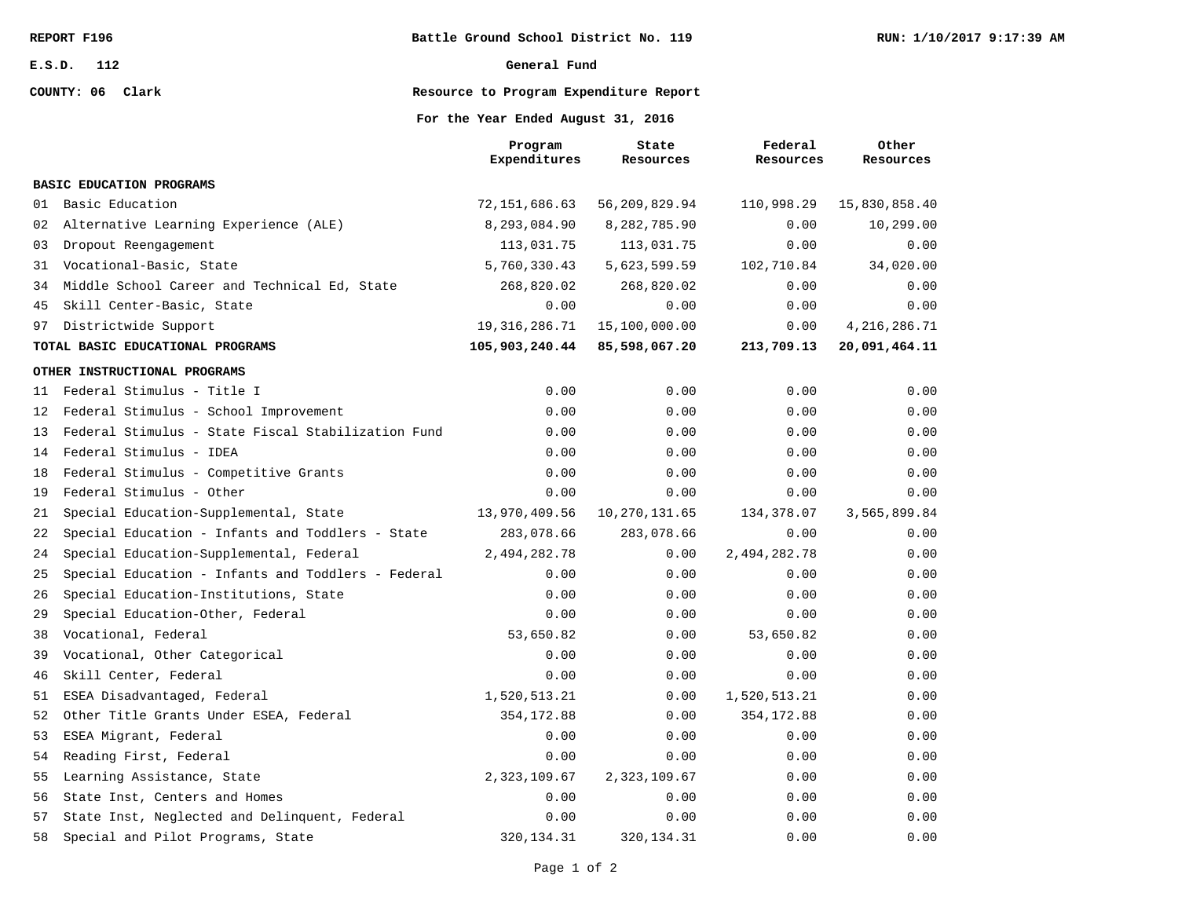**COUNTY: 06 Clark**

#### **General Fund**

# **Resource to Program Expenditure Report**

### **For the Year Ended August 31, 2016**

|    |                                                    | Program<br>Expenditures | State<br>Resources | Federal<br>Resources | Other<br>Resources |
|----|----------------------------------------------------|-------------------------|--------------------|----------------------|--------------------|
|    | BASIC EDUCATION PROGRAMS                           |                         |                    |                      |                    |
|    |                                                    |                         |                    |                      |                    |
| 01 | Basic Education                                    | 72,151,686.63           | 56,209,829.94      | 110,998.29           | 15,830,858.40      |
| 02 | Alternative Learning Experience (ALE)              | 8,293,084.90            | 8,282,785.90       | 0.00                 | 10,299.00          |
| 03 | Dropout Reengagement                               | 113,031.75              | 113,031.75         | 0.00                 | 0.00               |
| 31 | Vocational-Basic, State                            | 5,760,330.43            | 5,623,599.59       | 102,710.84           | 34,020.00          |
| 34 | Middle School Career and Technical Ed, State       | 268,820.02              | 268,820.02         | 0.00                 | 0.00               |
| 45 | Skill Center-Basic, State                          | 0.00                    | 0.00               | 0.00                 | 0.00               |
| 97 | Districtwide Support                               | 19, 316, 286. 71        | 15,100,000.00      | 0.00                 | 4, 216, 286.71     |
|    | TOTAL BASIC EDUCATIONAL PROGRAMS                   | 105,903,240.44          | 85,598,067.20      | 213,709.13           | 20,091,464.11      |
|    | OTHER INSTRUCTIONAL PROGRAMS                       |                         |                    |                      |                    |
| 11 | Federal Stimulus - Title I                         | 0.00                    | 0.00               | 0.00                 | 0.00               |
| 12 | Federal Stimulus - School Improvement              | 0.00                    | 0.00               | 0.00                 | 0.00               |
| 13 | Federal Stimulus - State Fiscal Stabilization Fund | 0.00                    | 0.00               | 0.00                 | 0.00               |
| 14 | Federal Stimulus - IDEA                            | 0.00                    | 0.00               | 0.00                 | 0.00               |
| 18 | Federal Stimulus - Competitive Grants              | 0.00                    | 0.00               | 0.00                 | 0.00               |
| 19 | Federal Stimulus - Other                           | 0.00                    | 0.00               | 0.00                 | 0.00               |
| 21 | Special Education-Supplemental, State              | 13,970,409.56           | 10,270,131.65      | 134,378.07           | 3,565,899.84       |
| 22 | Special Education - Infants and Toddlers - State   | 283,078.66              | 283,078.66         | 0.00                 | 0.00               |
| 24 | Special Education-Supplemental, Federal            | 2,494,282.78            | 0.00               | 2,494,282.78         | 0.00               |
| 25 | Special Education - Infants and Toddlers - Federal | 0.00                    | 0.00               | 0.00                 | 0.00               |
| 26 | Special Education-Institutions, State              | 0.00                    | 0.00               | 0.00                 | 0.00               |
| 29 | Special Education-Other, Federal                   | 0.00                    | 0.00               | 0.00                 | 0.00               |
| 38 | Vocational, Federal                                | 53,650.82               | 0.00               | 53,650.82            | 0.00               |
| 39 | Vocational, Other Categorical                      | 0.00                    | 0.00               | 0.00                 | 0.00               |
| 46 | Skill Center, Federal                              | 0.00                    | 0.00               | 0.00                 | 0.00               |
| 51 | ESEA Disadvantaged, Federal                        | 1,520,513.21            | 0.00               | 1,520,513.21         | 0.00               |
| 52 | Other Title Grants Under ESEA, Federal             | 354, 172.88             | 0.00               | 354, 172.88          | 0.00               |
| 53 | ESEA Migrant, Federal                              | 0.00                    | 0.00               | 0.00                 | 0.00               |
| 54 | Reading First, Federal                             | 0.00                    | 0.00               | 0.00                 | 0.00               |
| 55 | Learning Assistance, State                         | 2,323,109.67            | 2,323,109.67       | 0.00                 | 0.00               |
| 56 | State Inst, Centers and Homes                      | 0.00                    | 0.00               | 0.00                 | 0.00               |
| 57 | State Inst, Neglected and Delinquent, Federal      | 0.00                    | 0.00               | 0.00                 | 0.00               |
| 58 | Special and Pilot Programs, State                  | 320, 134. 31            | 320, 134. 31       | 0.00                 | 0.00               |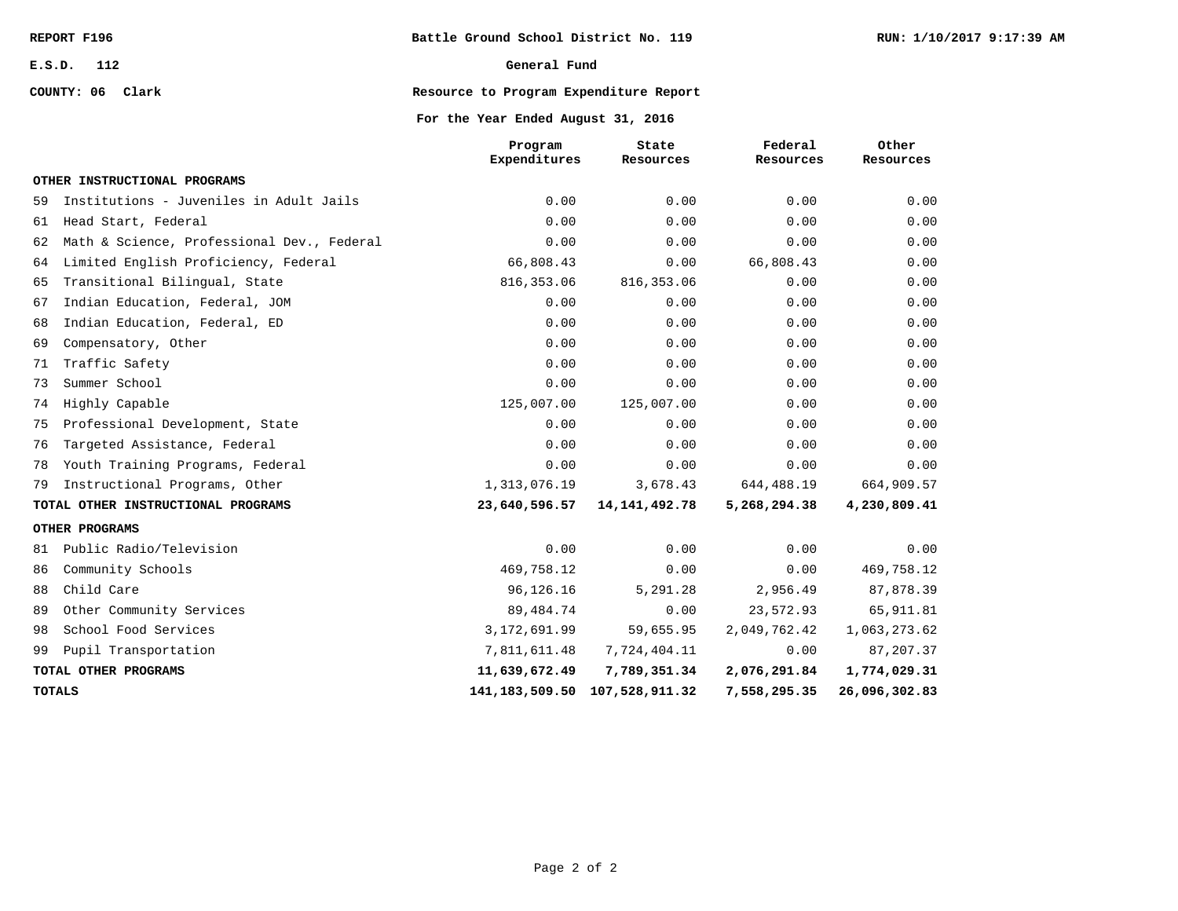**COUNTY: 06 Clark**

### **General Fund**

# **Resource to Program Expenditure Report**

### **For the Year Ended August 31, 2016**

|    |                                            | Program<br>Expenditures | State<br>Resources                  | Federal<br>Resources | Other<br>Resources |
|----|--------------------------------------------|-------------------------|-------------------------------------|----------------------|--------------------|
|    | OTHER INSTRUCTIONAL PROGRAMS               |                         |                                     |                      |                    |
| 59 | Institutions - Juveniles in Adult Jails    | 0.00                    | 0.00                                | 0.00                 | 0.00               |
| 61 | Head Start, Federal                        | 0.00                    | 0.00                                | 0.00                 | 0.00               |
| 62 | Math & Science, Professional Dev., Federal | 0.00                    | 0.00                                | 0.00                 | 0.00               |
| 64 | Limited English Proficiency, Federal       | 66,808.43               | 0.00                                | 66,808.43            | 0.00               |
| 65 | Transitional Bilingual, State              | 816, 353.06             | 816, 353.06                         | 0.00                 | 0.00               |
| 67 | Indian Education, Federal, JOM             | 0.00                    | 0.00                                | 0.00                 | 0.00               |
| 68 | Indian Education, Federal, ED              | 0.00                    | 0.00                                | 0.00                 | 0.00               |
| 69 | Compensatory, Other                        | 0.00                    | 0.00                                | 0.00                 | 0.00               |
| 71 | Traffic Safety                             | 0.00                    | 0.00                                | 0.00                 | 0.00               |
| 73 | Summer School                              | 0.00                    | 0.00                                | 0.00                 | 0.00               |
| 74 | Highly Capable                             | 125,007.00              | 125,007.00                          | 0.00                 | 0.00               |
| 75 | Professional Development, State            | 0.00                    | 0.00                                | 0.00                 | 0.00               |
| 76 | Targeted Assistance, Federal               | 0.00                    | 0.00                                | 0.00                 | 0.00               |
| 78 | Youth Training Programs, Federal           | 0.00                    | 0.00                                | 0.00                 | 0.00               |
| 79 | Instructional Programs, Other              | 1,313,076.19            | 3,678.43                            | 644,488.19           | 664,909.57         |
|    | TOTAL OTHER INSTRUCTIONAL PROGRAMS         | 23,640,596.57           | 14, 141, 492. 78                    | 5,268,294.38         | 4,230,809.41       |
|    | OTHER PROGRAMS                             |                         |                                     |                      |                    |
| 81 | Public Radio/Television                    | 0.00                    | 0.00                                | 0.00                 | 0.00               |
| 86 | Community Schools                          | 469,758.12              | 0.00                                | 0.00                 | 469,758.12         |
| 88 | Child Care                                 | 96,126.16               | 5,291.28                            | 2,956.49             | 87,878.39          |
| 89 | Other Community Services                   | 89,484.74               | 0.00                                | 23,572.93            | 65,911.81          |
| 98 | School Food Services                       | 3, 172, 691.99          | 59,655.95                           | 2,049,762.42         | 1,063,273.62       |
| 99 | Pupil Transportation                       | 7,811,611.48            | 7,724,404.11                        | 0.00                 | 87, 207.37         |
|    | TOTAL OTHER PROGRAMS                       | 11,639,672.49           | 7,789,351.34                        | 2,076,291.84         | 1,774,029.31       |
|    | <b>TOTALS</b>                              |                         | 141, 183, 509. 50 107, 528, 911. 32 | 7,558,295.35         | 26,096,302.83      |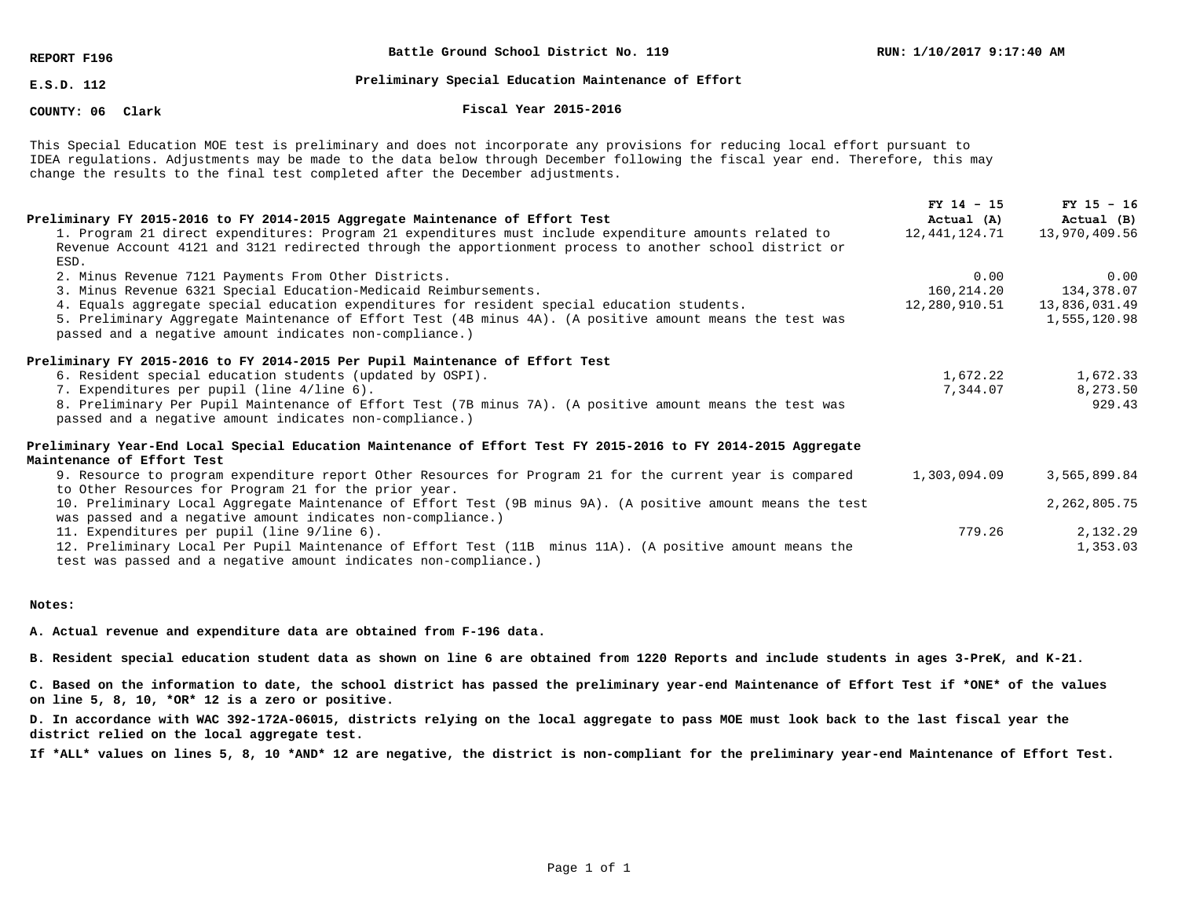**REPORT F196**

**Battle Ground School District No. 119**

**E.S.D. 112**

### **Preliminary Special Education Maintenance of Effort**

#### **COUNTY: 06**

#### **Clark Fiscal Year 2015-2016**

This Special Education MOE test is preliminary and does not incorporate any provisions for reducing local effort pursuant to IDEA regulations. Adjustments may be made to the data below through December following the fiscal year end. Therefore, this may change the results to the final test completed after the December adjustments.

| Preliminary FY 2015-2016 to FY 2014-2015 Aggregate Maintenance of Effort Test                                                                                                                                      | $FY$ 14 - 15<br>Actual (A) | $FY$ 15 - 16<br>Actual (B) |
|--------------------------------------------------------------------------------------------------------------------------------------------------------------------------------------------------------------------|----------------------------|----------------------------|
| 1. Program 21 direct expenditures: Program 21 expenditures must include expenditure amounts related to<br>Revenue Account 4121 and 3121 redirected through the apportionment process to another school district or | 12,441,124.71              | 13,970,409.56              |
| ESD.<br>2. Minus Revenue 7121 Payments From Other Districts.                                                                                                                                                       | 0.00                       | 0.00                       |
| 3. Minus Revenue 6321 Special Education-Medicaid Reimbursements.                                                                                                                                                   | 160,214.20                 | 134,378.07                 |
| 4. Equals aggregate special education expenditures for resident special education students.                                                                                                                        | 12,280,910.51              | 13,836,031.49              |
| 5. Preliminary Aggregate Maintenance of Effort Test (4B minus 4A). (A positive amount means the test was<br>passed and a negative amount indicates non-compliance.)                                                |                            | 1,555,120.98               |
| Preliminary FY 2015-2016 to FY 2014-2015 Per Pupil Maintenance of Effort Test                                                                                                                                      |                            |                            |
| 6. Resident special education students (updated by OSPI).                                                                                                                                                          | 1,672.22                   | 1,672.33                   |
| 7. Expenditures per pupil (line 4/line 6).                                                                                                                                                                         | 7,344.07                   | 8,273.50                   |
| 8. Preliminary Per Pupil Maintenance of Effort Test (7B minus 7A). (A positive amount means the test was<br>passed and a negative amount indicates non-compliance.)                                                |                            | 929.43                     |
| Preliminary Year-End Local Special Education Maintenance of Effort Test FY 2015-2016 to FY 2014-2015 Aggregate<br>Maintenance of Effort Test                                                                       |                            |                            |
| 9. Resource to program expenditure report Other Resources for Program 21 for the current year is compared                                                                                                          | 1,303,094.09               | 3,565,899.84               |
| to Other Resources for Program 21 for the prior year.                                                                                                                                                              |                            |                            |
| 10. Preliminary Local Aggregate Maintenance of Effort Test (9B minus 9A). (A positive amount means the test<br>was passed and a negative amount indicates non-compliance.)                                         |                            | 2, 262, 805.75             |
| 11. Expenditures per pupil (line 9/line 6).                                                                                                                                                                        | 779.26                     | 2,132.29                   |
| 12. Preliminary Local Per Pupil Maintenance of Effort Test (11B) minus 11A). (A positive amount means the<br>test was passed and a negative amount indicates non-compliance.)                                      |                            | 1,353.03                   |

**Notes:**

**A. Actual revenue and expenditure data are obtained from F-196 data.**

**B. Resident special education student data as shown on line 6 are obtained from 1220 Reports and include students in ages 3-PreK, and K-21.**

**C. Based on the information to date, the school district has passed the preliminary year-end Maintenance of Effort Test if \*ONE\* of the values on line 5, 8, 10, \*OR\* 12 is a zero or positive.**

**D. In accordance with WAC 392-172A-06015, districts relying on the local aggregate to pass MOE must look back to the last fiscal year the district relied on the local aggregate test.**

**If \*ALL\* values on lines 5, 8, 10 \*AND\* 12 are negative, the district is non-compliant for the preliminary year-end Maintenance of Effort Test.**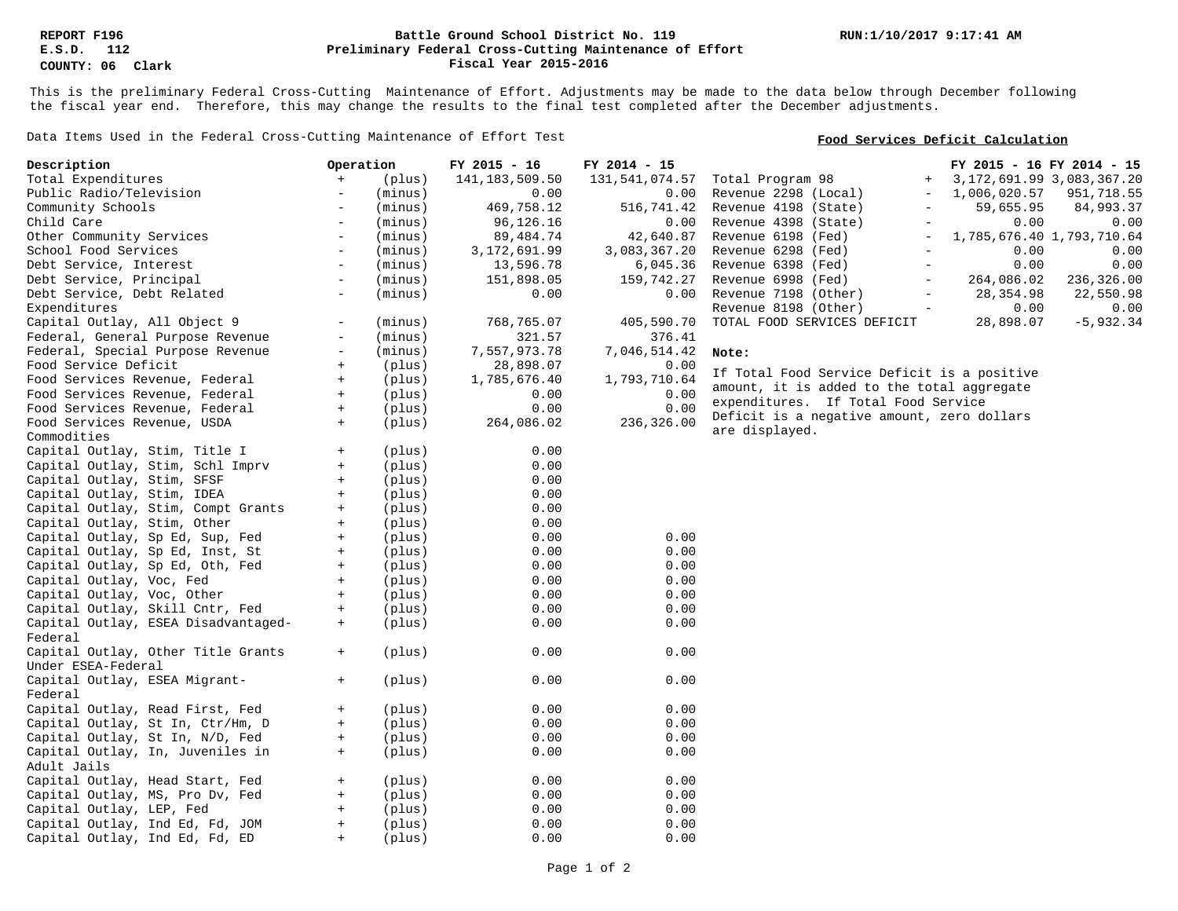### **Preliminary Federal Cross-Cutting Maintenance of Effort Battle Ground School District No. 119 Fiscal Year 2015-2016**

This is the preliminary Federal Cross-Cutting Maintenance of Effort. Adjustments may be made to the data below through December following the fiscal year end. Therefore, this may change the results to the final test completed after the December adjustments.

Data Items Used in the Federal Cross-Cutting Maintenance of Effort Test

## **Food Services Deficit Calculation**

| Description                         | Operation                                  | FY 2015 - 16     | FY 2014 - 15   | FY 2015 - 16 FY 2014 - 15                                                      |
|-------------------------------------|--------------------------------------------|------------------|----------------|--------------------------------------------------------------------------------|
| Total Expenditures                  | (plus)<br>$+$                              | 141, 183, 509.50 | 131,541,074.57 | 3, 172, 691.99 3, 083, 367.20<br>Total Program 98<br>$+$                       |
| Public Radio/Television             | (minus)<br>$\overline{\phantom{a}}$        | 0.00             | 0.00           | 1,006,020.57<br>Revenue 2298 (Local)<br>951,718.55<br>$\overline{\phantom{a}}$ |
| Community Schools                   | (minus)<br>$\overline{\phantom{a}}$        | 469,758.12       | 516,741.42     | Revenue 4198 (State)<br>59,655.95<br>84,993.37                                 |
| Child Care                          | $\overline{\phantom{a}}$<br>(minus)        | 96,126.16        | 0.00           | Revenue 4398 (State)<br>0.00<br>0.00                                           |
| Other Community Services            | (minus)<br>$\overline{\phantom{0}}$        | 89, 484. 74      | 42,640.87      | Revenue 6198 (Fed)<br>1,785,676.40 1,793,710.64<br>$\overline{\phantom{m}}$    |
| School Food Services                | $\overline{\phantom{a}}$<br>(minus)        | 3,172,691.99     | 3,083,367.20   | Revenue 6298 (Fed)<br>0.00<br>0.00                                             |
| Debt Service, Interest              | (minus)<br>$\overline{\phantom{a}}$        | 13,596.78        | 6,045.36       | 0.00<br>Revenue 6398 (Fed)<br>0.00<br>$\overline{\phantom{a}}$                 |
| Debt Service, Principal             | (minus)<br>$\overline{\phantom{a}}$        | 151,898.05       | 159,742.27     | Revenue 6998 (Fed)<br>264,086.02<br>236,326.00                                 |
| Debt Service, Debt Related          | (minus)<br>$\equiv$                        | 0.00             | 0.00           | Revenue 7198 (Other)<br>28, 354.98<br>22,550.98<br>$\overline{\phantom{a}}$    |
| Expenditures                        |                                            |                  |                | 0.00<br>Revenue 8198 (Other)<br>0.00                                           |
| Capital Outlay, All Object 9        | $\equiv$                                   |                  |                |                                                                                |
|                                     | (minus)                                    | 768,765.07       | 405,590.70     | TOTAL FOOD SERVICES DEFICIT<br>28,898.07<br>$-5,932.34$                        |
| Federal, General Purpose Revenue    | (minus)<br>$-$                             | 321.57           | 376.41         |                                                                                |
| Federal, Special Purpose Revenue    | (minus)<br>$\overline{\phantom{m}}$        | 7,557,973.78     | 7,046,514.42   | Note:                                                                          |
| Food Service Deficit                | (plus)<br>$\begin{array}{c} + \end{array}$ | 28,898.07        | 0.00           | If Total Food Service Deficit is a positive                                    |
| Food Services Revenue, Federal      | $\pm$<br>(plus)                            | 1,785,676.40     | 1,793,710.64   | amount, it is added to the total aggregate                                     |
| Food Services Revenue, Federal      | (plus)<br>$+$                              | 0.00             | 0.00           | expenditures. If Total Food Service                                            |
| Food Services Revenue, Federal      | (plus)<br>$+$                              | 0.00             | 0.00           | Deficit is a negative amount, zero dollars                                     |
| Food Services Revenue, USDA         | (plus)<br>$+$                              | 264,086.02       | 236,326.00     | are displayed.                                                                 |
| Commodities                         |                                            |                  |                |                                                                                |
| Capital Outlay, Stim, Title I       | $+$<br>(plus)                              | 0.00             |                |                                                                                |
| Capital Outlay, Stim, Schl Imprv    | (plus)<br>$\begin{array}{c} + \end{array}$ | 0.00             |                |                                                                                |
| Capital Outlay, Stim, SFSF          | (plus)<br>$\pm$                            | 0.00             |                |                                                                                |
| Capital Outlay, Stim, IDEA          | (plus)<br>$\begin{array}{c} + \end{array}$ | 0.00             |                |                                                                                |
| Capital Outlay, Stim, Compt Grants  | (plus)<br>$+$                              | 0.00             |                |                                                                                |
| Capital Outlay, Stim, Other         | (plus)<br>$+$                              | 0.00             |                |                                                                                |
| Capital Outlay, Sp Ed, Sup, Fed     | $+$<br>(plus)                              | 0.00             | 0.00           |                                                                                |
| Capital Outlay, Sp Ed, Inst, St     | (plus)<br>$+$                              | 0.00             | 0.00           |                                                                                |
| Capital Outlay, Sp Ed, Oth, Fed     | (plus)<br>$+$                              | 0.00             | 0.00           |                                                                                |
| Capital Outlay, Voc, Fed            | (plus)<br>$+$                              | 0.00             | 0.00           |                                                                                |
| Capital Outlay, Voc, Other          | (plus)<br>$+$                              | 0.00             | 0.00           |                                                                                |
| Capital Outlay, Skill Cntr, Fed     | (plus)<br>$+$                              | 0.00             | 0.00           |                                                                                |
| Capital Outlay, ESEA Disadvantaged- | (plus)<br>$+$                              | 0.00             | 0.00           |                                                                                |
| Federal                             |                                            |                  |                |                                                                                |
| Capital Outlay, Other Title Grants  | (plus)<br>$+$                              | 0.00             | 0.00           |                                                                                |
| Under ESEA-Federal                  |                                            |                  |                |                                                                                |
| Capital Outlay, ESEA Migrant-       | (plus)<br>$+$                              | 0.00             | 0.00           |                                                                                |
| Federal                             |                                            |                  |                |                                                                                |
| Capital Outlay, Read First, Fed     | (plus)<br>$+$                              | 0.00             | 0.00           |                                                                                |
| Capital Outlay, St In, Ctr/Hm, D    | (plus)<br>$^+$                             | 0.00             | 0.00           |                                                                                |
|                                     | (plus)<br>$+$                              | 0.00             | 0.00           |                                                                                |
| Capital Outlay, St In, N/D, Fed     |                                            |                  |                |                                                                                |
| Capital Outlay, In, Juveniles in    | (plus)<br>$+$                              | 0.00             | 0.00           |                                                                                |
| Adult Jails                         |                                            |                  |                |                                                                                |
| Capital Outlay, Head Start, Fed     | (plus)<br>$+$                              | 0.00             | 0.00           |                                                                                |
| Capital Outlay, MS, Pro Dv, Fed     | $+$<br>(plus)                              | 0.00             | 0.00           |                                                                                |
| Capital Outlay, LEP, Fed            | (plus)<br>$+$                              | 0.00             | 0.00           |                                                                                |
| Capital Outlay, Ind Ed, Fd, JOM     | (plus)<br>$+$                              | 0.00             | 0.00           |                                                                                |
| Capital Outlay, Ind Ed, Fd, ED      | (plus)<br>$\ddot{}$                        | 0.00             | 0.00           |                                                                                |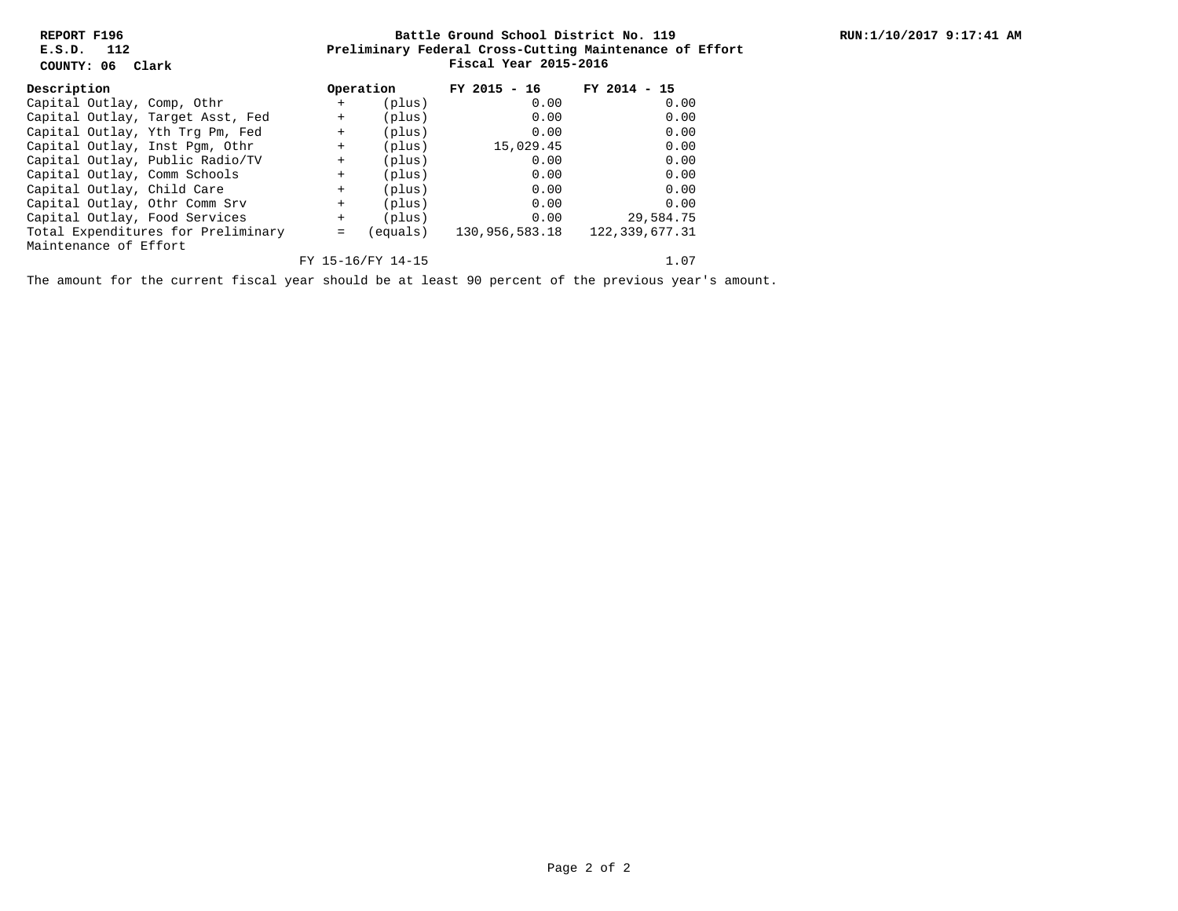**REPORT F196 E.S.D. 112**

**COUNTY: 06 Clark**

## **Preliminary Federal Cross-Cutting Maintenance of Effort Battle Ground School District No. 119 Fiscal Year 2015-2016**

| Description                        |  |                                  | Operation |                   | $FY$ 2015 - 16 | FY 2014<br>$-15$ |
|------------------------------------|--|----------------------------------|-----------|-------------------|----------------|------------------|
|                                    |  | Capital Outlay, Comp, Othr       | $+$       | (plus)            | 0.00           | 0.00             |
|                                    |  | Capital Outlay, Target Asst, Fed | $+$       | (plus)            | 0.00           | 0.00             |
|                                    |  | Capital Outlay, Yth Trg Pm, Fed  | $+$       | (plus)            | 0.00           | 0.00             |
|                                    |  | Capital Outlay, Inst Pgm, Othr   | $+$       | (plus)            | 15,029.45      | 0.00             |
|                                    |  | Capital Outlay, Public Radio/TV  | $+$       | (plus)            | 0.00           | 0.00             |
|                                    |  | Capital Outlay, Comm Schools     | $+$       | (plus)            | 0.00           | 0.00             |
|                                    |  | Capital Outlay, Child Care       | $+$       | $(\text{plus})$   | 0.00           | 0.00             |
|                                    |  | Capital Outlay, Othr Comm Srv    | $+$       | (plus)            | 0.00           | 0.00             |
|                                    |  | Capital Outlay, Food Services    | $+$       | (plus)            | 0.00           | 29,584.75        |
| Total Expenditures for Preliminary |  |                                  | $=$       | equals)           | 130,956,583.18 | 122, 339, 677.31 |
| Maintenance of Effort              |  |                                  |           |                   |                |                  |
|                                    |  |                                  |           | FY 15-16/FY 14-15 |                | 1.07             |

The amount for the current fiscal year should be at least 90 percent of the previous year's amount.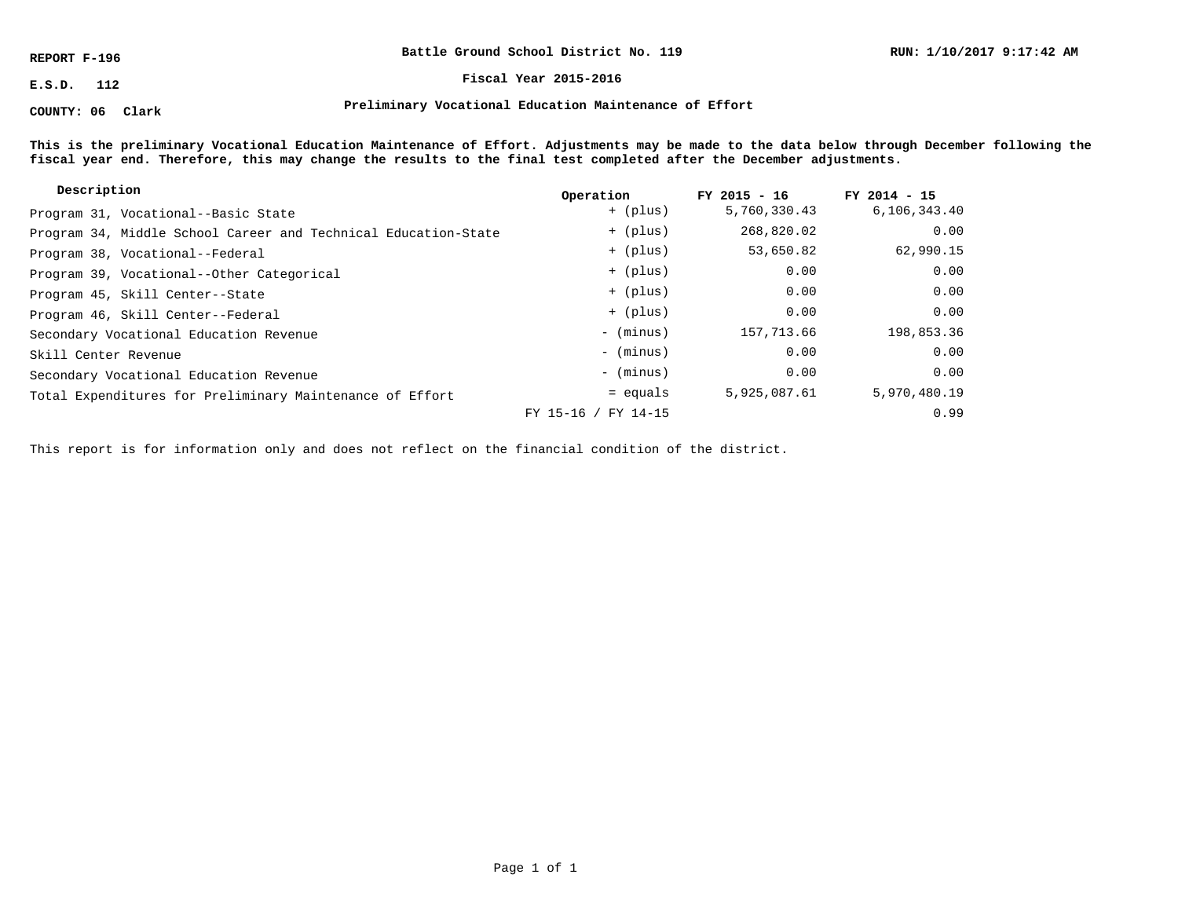**REPORT F-196**

**COUNTY: 06 Clark**

**Battle Ground School District No. 119**

**E.S.D. 112 Fiscal Year 2015-2016**

**Preliminary Vocational Education Maintenance of Effort**

**This is the preliminary Vocational Education Maintenance of Effort. Adjustments may be made to the data below through December following the fiscal year end. Therefore, this may change the results to the final test completed after the December adjustments.**

| Description                                                    | Operation           | $FY$ 2015 - 16 | $FY$ 2014 - 15 |
|----------------------------------------------------------------|---------------------|----------------|----------------|
| Program 31, Vocational--Basic State                            | + (plus)            | 5,760,330.43   | 6,106,343.40   |
| Program 34, Middle School Career and Technical Education-State | + (plus)            | 268,820.02     | 0.00           |
| Program 38, Vocational--Federal                                | + (plus)            | 53,650.82      | 62,990.15      |
| Program 39, Vocational--Other Categorical                      | + (plus)            | 0.00           | 0.00           |
| Program 45, Skill Center--State                                | + (plus)            | 0.00           | 0.00           |
| Program 46, Skill Center--Federal                              | + (plus)            | 0.00           | 0.00           |
| Secondary Vocational Education Revenue                         | $-$ (minus)         | 157,713.66     | 198,853.36     |
| Skill Center Revenue                                           | - (minus)           | 0.00           | 0.00           |
| Secondary Vocational Education Revenue                         | - (minus)           | 0.00           | 0.00           |
| Total Expenditures for Preliminary Maintenance of Effort       | = equals            | 5,925,087.61   | 5,970,480.19   |
|                                                                | FY 15-16 / FY 14-15 |                | 0.99           |

This report is for information only and does not reflect on the financial condition of the district.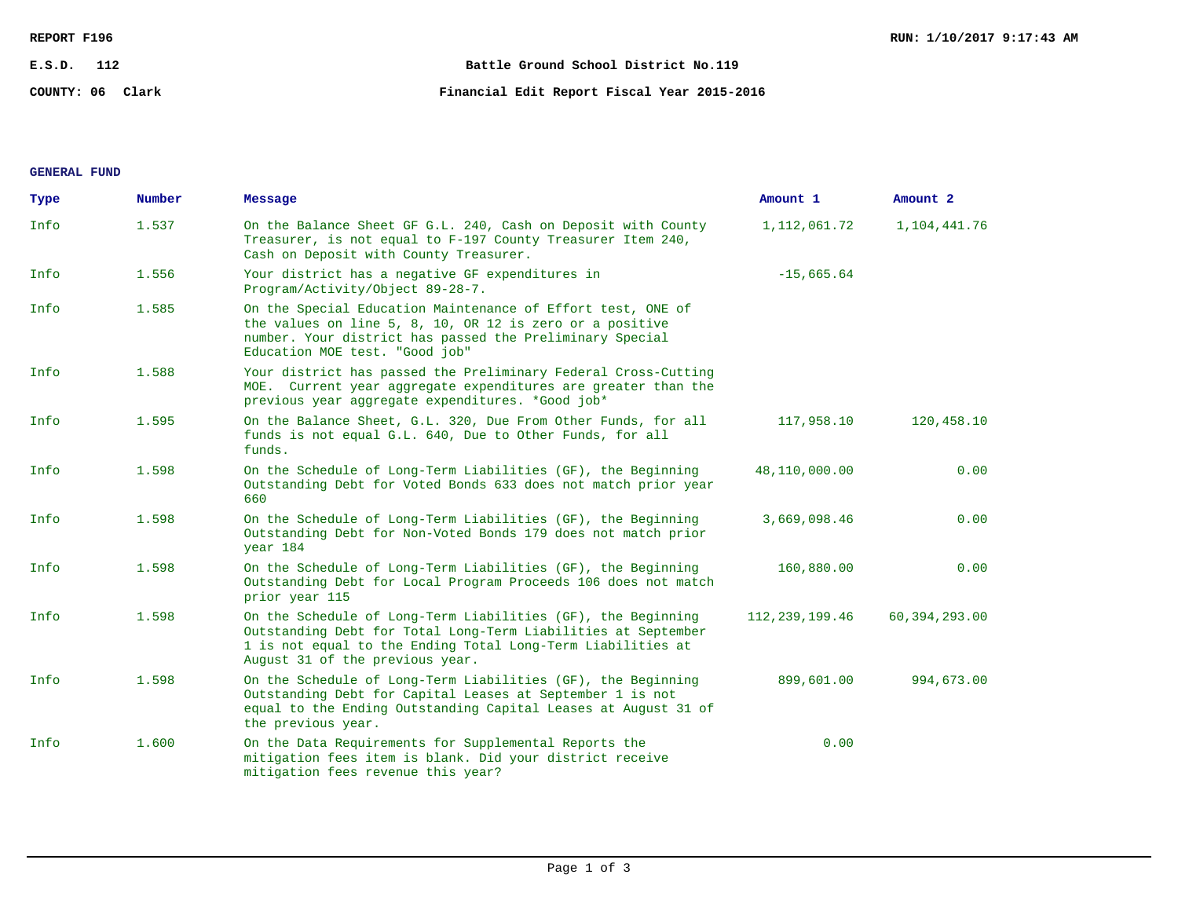| REPORT F196 |                  |                                             | RUN: 1/10/2017 9:17:43 AM |  |
|-------------|------------------|---------------------------------------------|---------------------------|--|
| E.S.D.      | 112              | Battle Ground School District No.119        |                           |  |
|             | COUNTY: 06 Clark | Financial Edit Report Fiscal Year 2015-2016 |                           |  |

## **GENERAL FUND**

| Type | Number | Message                                                                                                                                                                                                                         | Amount 1          | Amount 2        |
|------|--------|---------------------------------------------------------------------------------------------------------------------------------------------------------------------------------------------------------------------------------|-------------------|-----------------|
| Info | 1.537  | On the Balance Sheet GF G.L. 240, Cash on Deposit with County<br>Treasurer, is not equal to F-197 County Treasurer Item 240,<br>Cash on Deposit with County Treasurer.                                                          | 1, 112, 061.72    | 1,104,441.76    |
| Info | 1.556  | Your district has a negative GF expenditures in<br>Program/Activity/Object 89-28-7.                                                                                                                                             | $-15,665.64$      |                 |
| Info | 1.585  | On the Special Education Maintenance of Effort test, ONE of<br>the values on line 5, 8, 10, OR 12 is zero or a positive<br>number. Your district has passed the Preliminary Special<br>Education MOE test. "Good job"           |                   |                 |
| Info | 1.588  | Your district has passed the Preliminary Federal Cross-Cutting<br>MOE. Current year aggregate expenditures are greater than the<br>previous year aggregate expenditures. *Good job*                                             |                   |                 |
| Info | 1.595  | On the Balance Sheet, G.L. 320, Due From Other Funds, for all<br>funds is not equal G.L. 640, Due to Other Funds, for all<br>funds.                                                                                             | 117,958.10        | 120,458.10      |
| Info | 1.598  | On the Schedule of Long-Term Liabilities (GF), the Beginning<br>Outstanding Debt for Voted Bonds 633 does not match prior year<br>660                                                                                           | 48,110,000.00     | 0.00            |
| Info | 1.598  | On the Schedule of Long-Term Liabilities (GF), the Beginning<br>Outstanding Debt for Non-Voted Bonds 179 does not match prior<br>year 184                                                                                       | 3,669,098.46      | 0.00            |
| Info | 1.598  | On the Schedule of Long-Term Liabilities (GF), the Beginning<br>Outstanding Debt for Local Program Proceeds 106 does not match<br>prior year 115                                                                                | 160,880.00        | 0.00            |
| Info | 1.598  | On the Schedule of Long-Term Liabilities (GF), the Beginning<br>Outstanding Debt for Total Long-Term Liabilities at September<br>1 is not equal to the Ending Total Long-Term Liabilities at<br>August 31 of the previous year. | 112, 239, 199. 46 | 60, 394, 293.00 |
| Info | 1.598  | On the Schedule of Long-Term Liabilities (GF), the Beginning<br>Outstanding Debt for Capital Leases at September 1 is not<br>equal to the Ending Outstanding Capital Leases at August 31 of<br>the previous year.               | 899,601.00        | 994,673.00      |
| Info | 1.600  | On the Data Requirements for Supplemental Reports the<br>mitigation fees item is blank. Did your district receive<br>mitigation fees revenue this year?                                                                         | 0.00              |                 |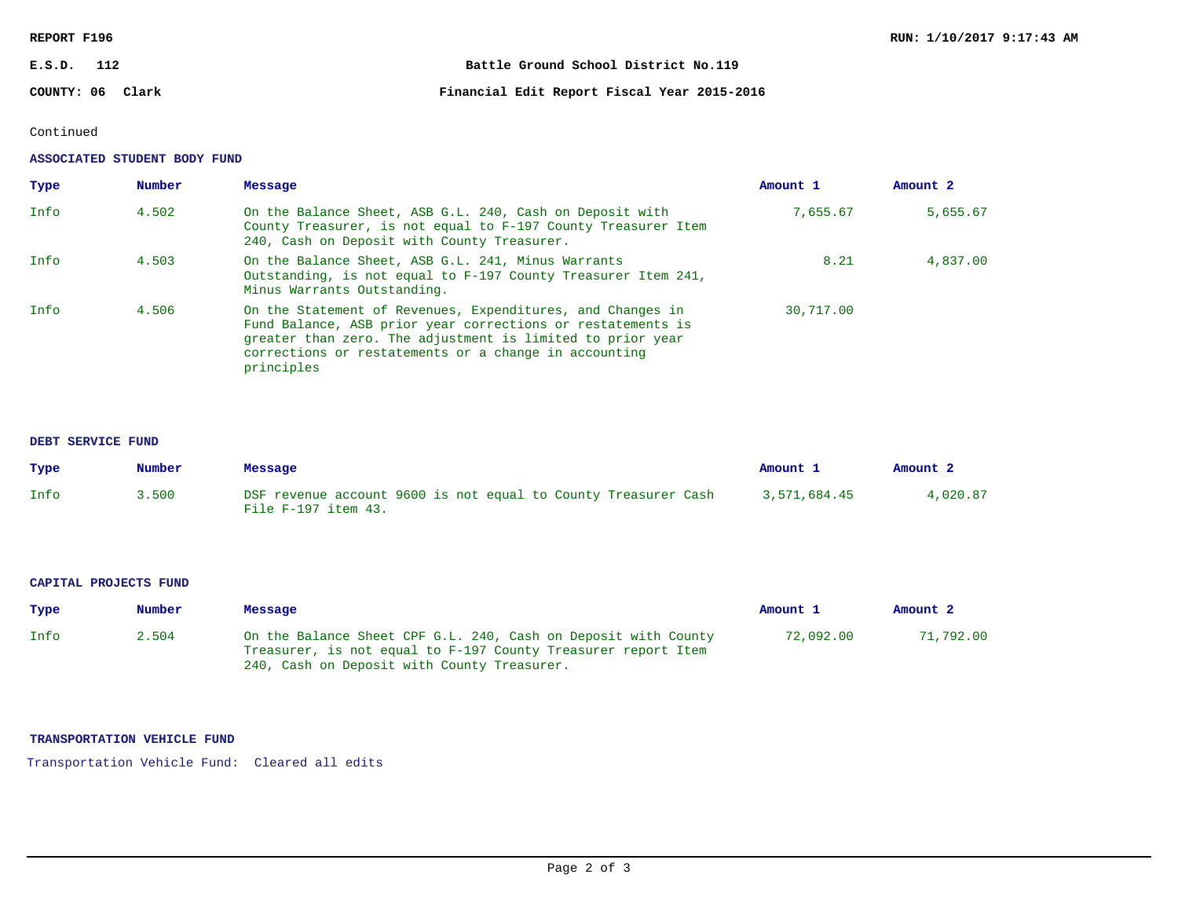## **REPORT F196**

| E.S.D. | 112              | Battle Ground School District No.119        |
|--------|------------------|---------------------------------------------|
|        | COUNTY: 06 Clark | Financial Edit Report Fiscal Year 2015-2016 |

# Continued

### **ASSOCIATED STUDENT BODY FUND**

| Type | Number | Message                                                                                                                                                                                                                                                        | Amount 1  | Amount <sub>2</sub> |
|------|--------|----------------------------------------------------------------------------------------------------------------------------------------------------------------------------------------------------------------------------------------------------------------|-----------|---------------------|
| Info | 4.502  | On the Balance Sheet, ASB G.L. 240, Cash on Deposit with<br>County Treasurer, is not equal to F-197 County Treasurer Item<br>240, Cash on Deposit with County Treasurer.                                                                                       | 7,655.67  | 5,655.67            |
| Info | 4.503  | On the Balance Sheet, ASB G.L. 241, Minus Warrants<br>Outstanding, is not equal to F-197 County Treasurer Item 241,<br>Minus Warrants Outstanding.                                                                                                             | 8.21      | 4,837.00            |
| Info | 4.506  | On the Statement of Revenues, Expenditures, and Changes in<br>Fund Balance, ASB prior year corrections or restatements is<br>greater than zero. The adjustment is limited to prior year<br>corrections or restatements or a change in accounting<br>principles | 30,717.00 |                     |

### **DEBT SERVICE FUND**

| Type | Number | Message                                                                               | Amount 1     | Amount <sub>2</sub> |
|------|--------|---------------------------------------------------------------------------------------|--------------|---------------------|
| Info | 3.500  | DSF revenue account 9600 is not equal to County Treasurer Cash<br>File F-197 item 43. | 3,571,684.45 | 4,020.87            |

#### **CAPITAL PROJECTS FUND**

| Type | Number | Message                                                                                                                                                                        | Amount 1  | Amount <sub>2</sub> |
|------|--------|--------------------------------------------------------------------------------------------------------------------------------------------------------------------------------|-----------|---------------------|
| Info | 2.504  | On the Balance Sheet CPF G.L. 240, Cash on Deposit with County<br>Treasurer, is not equal to F-197 County Treasurer report Item<br>240, Cash on Deposit with County Treasurer. | 72,092.00 | 71,792.00           |

## **TRANSPORTATION VEHICLE FUND**

Transportation Vehicle Fund: Cleared all edits